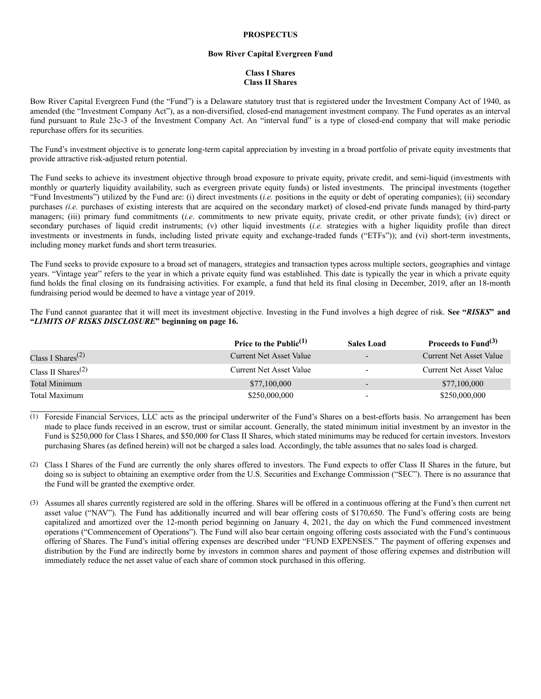## **PROSPECTUS**

## **Bow River Capital Evergreen Fund**

# **Class I Shares Class II Shares**

Bow River Capital Evergreen Fund (the "Fund") is a Delaware statutory trust that is registered under the Investment Company Act of 1940, as amended (the "Investment Company Act"), as a non-diversified, closed-end management investment company. The Fund operates as an interval fund pursuant to Rule 23c-3 of the Investment Company Act. An "interval fund" is a type of closed-end company that will make periodic repurchase offers for its securities.

The Fund's investment objective is to generate long-term capital appreciation by investing in a broad portfolio of private equity investments that provide attractive risk-adjusted return potential.

The Fund seeks to achieve its investment objective through broad exposure to private equity, private credit, and semi-liquid (investments with monthly or quarterly liquidity availability, such as evergreen private equity funds) or listed investments. The principal investments (together "Fund Investments") utilized by the Fund are: (i) direct investments (*i.e.* positions in the equity or debt of operating companies); (ii) secondary purchases *(i.e.* purchases of existing interests that are acquired on the secondary market) of closed-end private funds managed by third-party managers; (iii) primary fund commitments (*i.e*. commitments to new private equity, private credit, or other private funds); (iv) direct or secondary purchases of liquid credit instruments; (v) other liquid investments (*i.e.* strategies with a higher liquidity profile than direct investments or investments in funds, including listed private equity and exchange-traded funds ("ETFs")); and (vi) short-term investments, including money market funds and short term treasuries.

The Fund seeks to provide exposure to a broad set of managers, strategies and transaction types across multiple sectors, geographies and vintage years. "Vintage year" refers to the year in which a private equity fund was established. This date is typically the year in which a private equity fund holds the final closing on its fundraising activities. For example, a fund that held its final closing in December, 2019, after an 18-month fundraising period would be deemed to have a vintage year of 2019.

The Fund cannot guarantee that it will meet its investment objective. Investing in the Fund involves a high degree of risk. **See "***RISKS***" and "***LIMITS OF RISKS DISCLOSURE***" beginning on page 16.**

|                                             | Price to the Public <sup>(1)</sup> | <b>Sales Load</b>        | Proceeds to Fund $(3)$  |
|---------------------------------------------|------------------------------------|--------------------------|-------------------------|
| Class I Shares <sup><math>(2)</math></sup>  | Current Net Asset Value            | $\overline{\phantom{a}}$ | Current Net Asset Value |
| Class II Shares <sup><math>(2)</math></sup> | Current Net Asset Value            | $\overline{\phantom{0}}$ | Current Net Asset Value |
| Total Minimum                               | \$77,100,000                       | $\overline{\phantom{a}}$ | \$77,100,000            |
| Total Maximum                               | \$250,000,000                      | $\overline{\phantom{0}}$ | \$250,000,000           |

(1) Foreside Financial Services, LLC acts as the principal underwriter of the Fund's Shares on a best-efforts basis. No arrangement has been made to place funds received in an escrow, trust or similar account. Generally, the stated minimum initial investment by an investor in the Fund is \$250,000 for Class I Shares, and \$50,000 for Class II Shares, which stated minimums may be reduced for certain investors. Investors purchasing Shares (as defined herein) will not be charged a sales load. Accordingly, the table assumes that no sales load is charged.

(2) Class I Shares of the Fund are currently the only shares offered to investors. The Fund expects to offer Class II Shares in the future, but doing so is subject to obtaining an exemptive order from the U.S. Securities and Exchange Commission ("SEC"). There is no assurance that the Fund will be granted the exemptive order.

(3) Assumes all shares currently registered are sold in the offering. Shares will be offered in a continuous offering at the Fund's then current net asset value ("NAV"). The Fund has additionally incurred and will bear offering costs of \$170,650. The Fund's offering costs are being capitalized and amortized over the 12-month period beginning on January 4, 2021, the day on which the Fund commenced investment operations ("Commencement of Operations"). The Fund will also bear certain ongoing offering costs associated with the Fund's continuous offering of Shares. The Fund's initial offering expenses are described under "FUND EXPENSES." The payment of offering expenses and distribution by the Fund are indirectly borne by investors in common shares and payment of those offering expenses and distribution will immediately reduce the net asset value of each share of common stock purchased in this offering.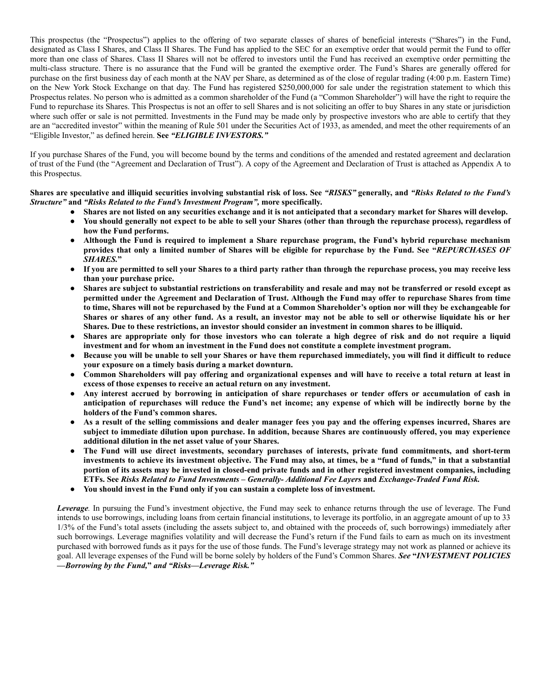This prospectus (the "Prospectus") applies to the offering of two separate classes of shares of beneficial interests ("Shares") in the Fund, designated as Class I Shares, and Class II Shares. The Fund has applied to the SEC for an exemptive order that would permit the Fund to offer more than one class of Shares. Class II Shares will not be offered to investors until the Fund has received an exemptive order permitting the multi-class structure. There is no assurance that the Fund will be granted the exemptive order. The Fund's Shares are generally offered for purchase on the first business day of each month at the NAV per Share, as determined as of the close of regular trading (4:00 p.m. Eastern Time) on the New York Stock Exchange on that day. The Fund has registered \$250,000,000 for sale under the registration statement to which this Prospectus relates. No person who is admitted as a common shareholder of the Fund (a "Common Shareholder") will have the right to require the Fund to repurchase its Shares. This Prospectus is not an offer to sell Shares and is not soliciting an offer to buy Shares in any state or jurisdiction where such offer or sale is not permitted. Investments in the Fund may be made only by prospective investors who are able to certify that they are an "accredited investor" within the meaning of Rule 501 under the Securities Act of 1933, as amended, and meet the other requirements of an "Eligible Investor," as defined herein. **See** *"ELIGIBLE INVESTORS."*

If you purchase Shares of the Fund, you will become bound by the terms and conditions of the amended and restated agreement and declaration of trust of the Fund (the "Agreement and Declaration of Trust"). A copy of the Agreement and Declaration of Trust is attached as Appendix A to this Prospectus.

Shares are speculative and illiquid securities involving substantial risk of loss. See "RISKS" generally, and "Risks Related to the Fund's *Structure"* **and** *"Risks Related to the Fund's Investment Program",* **more specifically.**

- Shares are not listed on any securities exchange and it is not anticipated that a secondary market for Shares will develop.
- You should generally not expect to be able to sell your Shares (other than through the repurchase process), regardless of **how the Fund performs.**
- **Although the Fund is required to implement a Share repurchase program, the Fund's hybrid repurchase mechanism** provides that only a limited number of Shares will be eligible for repurchase by the Fund. See "REPURCHASES OF *SHARES.***"**
- If you are permitted to sell your Shares to a third party rather than through the repurchase process, you may receive less **than your purchase price.**
- Shares are subject to substantial restrictions on transferability and resale and may not be transferred or resold except as permitted under the Agreement and Declaration of Trust. Although the Fund may offer to repurchase Shares from time to time, Shares will not be repurchased by the Fund at a Common Shareholder's option nor will they be exchangeable for Shares or shares of any other fund. As a result, an investor may not be able to sell or otherwise liquidate his or her Shares. Due to these restrictions, an investor should consider an investment in common shares to be illiquid.
- Shares are appropriate only for those investors who can tolerate a high degree of risk and do not require a liquid **investment and for whom an investment in the Fund does not constitute a complete investment program.**
- Because you will be unable to sell your Shares or have them repurchased immediately, you will find it difficult to reduce **your exposure on a timely basis during a market downturn.**
- Common Shareholders will pay offering and organizational expenses and will have to receive a total return at least in **excess of those expenses to receive an actual return on any investment.**
- Any interest accrued by borrowing in anticipation of share repurchases or tender offers or accumulation of cash in anticipation of repurchases will reduce the Fund's net income; any expense of which will be indirectly borne by the **holders of the Fund's common shares.**
- As a result of the selling commissions and dealer manager fees you pay and the offering expenses incurred, Shares are subject to immediate dilution upon purchase. In addition, because Shares are continuously offered, you may experience **additional dilution in the net asset value of your Shares.**
- **The Fund will use direct investments, secondary purchases of interests, private fund commitments, and short-term** investments to achieve its investment objective. The Fund may also, at times, be a "fund of funds," in that a substantial portion of its assets may be invested in closed-end private funds and in other registered investment companies, including **ETFs. See** *Risks Related to Fund Investments – Generally- Additional Fee Layers* **and** *Exchange-Traded Fund Risk.*
- **You should invest in the Fund only if you can sustain a complete loss of investment.**

*Leverage.* In pursuing the Fund's investment objective, the Fund may seek to enhance returns through the use of leverage. The Fund intends to use borrowings, including loans from certain financial institutions, to leverage its portfolio, in an aggregate amount of up to 33 1/3% of the Fund's total assets (including the assets subject to, and obtained with the proceeds of, such borrowings) immediately after such borrowings. Leverage magnifies volatility and will decrease the Fund's return if the Fund fails to earn as much on its investment purchased with borrowed funds as it pays for the use of those funds. The Fund's leverage strategy may not work as planned or achieve its goal. All leverage expenses of the Fund will be borne solely by holders of the Fund's Common Shares. *See* **"***INVESTMENT POLICIES —Borrowing by the Fund,***"** *and "Risks—Leverage Risk."*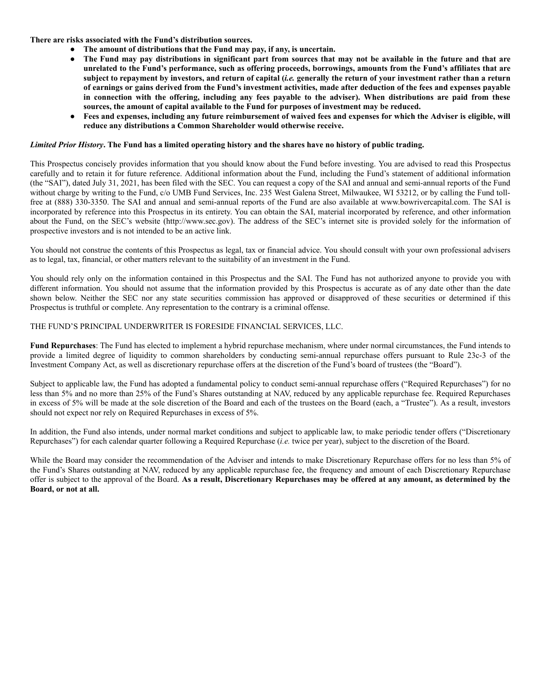**There are risks associated with the Fund's distribution sources.**

- **The amount of distributions that the Fund may pay, if any, is uncertain.**
- The Fund may pay distributions in significant part from sources that may not be available in the future and that are unrelated to the Fund's performance, such as offering proceeds, borrowings, amounts from the Fund's affiliates that are subject to repayment by investors, and return of capital (i.e. generally the return of your investment rather than a return of earnings or gains derived from the Fund's investment activities, made after deduction of the fees and expenses payable in connection with the offering, including any fees payable to the adviser). When distributions are paid from these **sources, the amount of capital available to the Fund for purposes of investment may be reduced.**
- Fees and expenses, including any future reimbursement of waived fees and expenses for which the Adviser is eligible, will **reduce any distributions a Common Shareholder would otherwise receive.**

## Limited Prior History. The Fund has a limited operating history and the shares have no history of public trading.

This Prospectus concisely provides information that you should know about the Fund before investing. You are advised to read this Prospectus carefully and to retain it for future reference. Additional information about the Fund, including the Fund's statement of additional information (the "SAI"), dated July 31, 2021, has been filed with the SEC. You can request a copy of the SAI and annual and semi-annual reports of the Fund without charge by writing to the Fund, c/o UMB Fund Services, Inc. 235 West Galena Street, Milwaukee, WI 53212, or by calling the Fund tollfree at (888) 330-3350. The SAI and annual and semi-annual reports of the Fund are also available at www.bowrivercapital.com. The SAI is incorporated by reference into this Prospectus in its entirety. You can obtain the SAI, material incorporated by reference, and other information about the Fund, on the SEC's website (http://www.sec.gov). The address of the SEC's internet site is provided solely for the information of prospective investors and is not intended to be an active link.

You should not construe the contents of this Prospectus as legal, tax or financial advice. You should consult with your own professional advisers as to legal, tax, financial, or other matters relevant to the suitability of an investment in the Fund.

You should rely only on the information contained in this Prospectus and the SAI. The Fund has not authorized anyone to provide you with different information. You should not assume that the information provided by this Prospectus is accurate as of any date other than the date shown below. Neither the SEC nor any state securities commission has approved or disapproved of these securities or determined if this Prospectus is truthful or complete. Any representation to the contrary is a criminal offense.

## THE FUND'S PRINCIPAL UNDERWRITER IS FORESIDE FINANCIAL SERVICES, LLC.

**Fund Repurchases**: The Fund has elected to implement a hybrid repurchase mechanism, where under normal circumstances, the Fund intends to provide a limited degree of liquidity to common shareholders by conducting semi-annual repurchase offers pursuant to Rule 23c-3 of the Investment Company Act, as well as discretionary repurchase offers at the discretion of the Fund's board of trustees (the "Board").

Subject to applicable law, the Fund has adopted a fundamental policy to conduct semi-annual repurchase offers ("Required Repurchases") for no less than 5% and no more than 25% of the Fund's Shares outstanding at NAV, reduced by any applicable repurchase fee. Required Repurchases in excess of 5% will be made at the sole discretion of the Board and each of the trustees on the Board (each, a "Trustee"). As a result, investors should not expect nor rely on Required Repurchases in excess of 5%.

In addition, the Fund also intends, under normal market conditions and subject to applicable law, to make periodic tender offers ("Discretionary Repurchases") for each calendar quarter following a Required Repurchase (*i.e.* twice per year), subject to the discretion of the Board.

While the Board may consider the recommendation of the Adviser and intends to make Discretionary Repurchase offers for no less than 5% of the Fund's Shares outstanding at NAV, reduced by any applicable repurchase fee, the frequency and amount of each Discretionary Repurchase offer is subject to the approval of the Board. As a result, Discretionary Repurchases may be offered at any amount, as determined by the **Board, or not at all.**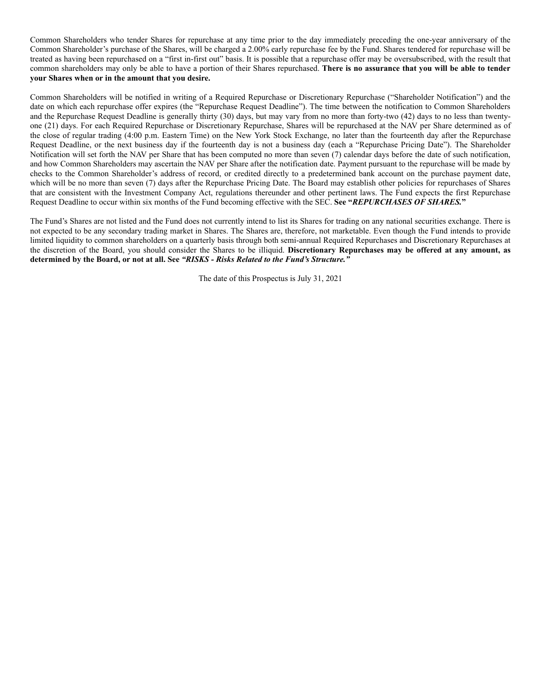Common Shareholders who tender Shares for repurchase at any time prior to the day immediately preceding the one-year anniversary of the Common Shareholder's purchase of the Shares, will be charged a 2.00% early repurchase fee by the Fund. Shares tendered for repurchase will be treated as having been repurchased on a "first in-first out" basis. It is possible that a repurchase offer may be oversubscribed, with the result that common shareholders may only be able to have a portion of their Shares repurchased. **There is no assurance that you will be able to tender your Shares when or in the amount that you desire.**

Common Shareholders will be notified in writing of a Required Repurchase or Discretionary Repurchase ("Shareholder Notification") and the date on which each repurchase offer expires (the "Repurchase Request Deadline"). The time between the notification to Common Shareholders and the Repurchase Request Deadline is generally thirty (30) days, but may vary from no more than forty-two (42) days to no less than twentyone (21) days. For each Required Repurchase or Discretionary Repurchase, Shares will be repurchased at the NAV per Share determined as of the close of regular trading (4:00 p.m. Eastern Time) on the New York Stock Exchange, no later than the fourteenth day after the Repurchase Request Deadline, or the next business day if the fourteenth day is not a business day (each a "Repurchase Pricing Date"). The Shareholder Notification will set forth the NAV per Share that has been computed no more than seven (7) calendar days before the date of such notification, and how Common Shareholders may ascertain the NAV per Share after the notification date. Payment pursuant to the repurchase will be made by checks to the Common Shareholder's address of record, or credited directly to a predetermined bank account on the purchase payment date, which will be no more than seven (7) days after the Repurchase Pricing Date. The Board may establish other policies for repurchases of Shares that are consistent with the Investment Company Act, regulations thereunder and other pertinent laws. The Fund expects the first Repurchase Request Deadline to occur within six months of the Fund becoming effective with the SEC. **See "***REPURCHASES OF SHARES.***"**

The Fund's Shares are not listed and the Fund does not currently intend to list its Shares for trading on any national securities exchange. There is not expected to be any secondary trading market in Shares. The Shares are, therefore, not marketable. Even though the Fund intends to provide limited liquidity to common shareholders on a quarterly basis through both semi-annual Required Repurchases and Discretionary Repurchases at the discretion of the Board, you should consider the Shares to be illiquid. **Discretionary Repurchases may be offered at any amount, as determined by the Board, or not at all. See** *"RISKS - Risks Related to the Fund's Structure."*

The date of this Prospectus is July 31, 2021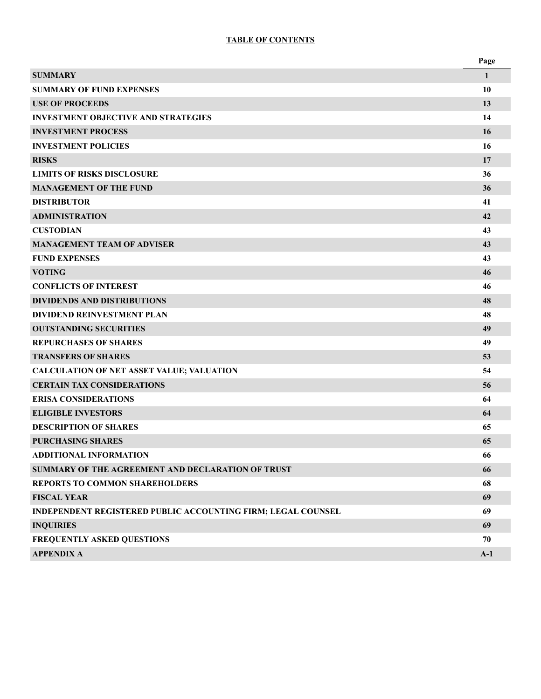# **TABLE OF CONTENTS**

|                                                                     | Page  |
|---------------------------------------------------------------------|-------|
| <b>SUMMARY</b>                                                      | 1     |
| <b>SUMMARY OF FUND EXPENSES</b>                                     | 10    |
| <b>USE OF PROCEEDS</b>                                              | 13    |
| <b>INVESTMENT OBJECTIVE AND STRATEGIES</b>                          | 14    |
| <b>INVESTMENT PROCESS</b>                                           | 16    |
| <b>INVESTMENT POLICIES</b>                                          | 16    |
| <b>RISKS</b>                                                        | 17    |
| <b>LIMITS OF RISKS DISCLOSURE</b>                                   | 36    |
| <b>MANAGEMENT OF THE FUND</b>                                       | 36    |
| <b>DISTRIBUTOR</b>                                                  | 41    |
| <b>ADMINISTRATION</b>                                               | 42    |
| <b>CUSTODIAN</b>                                                    | 43    |
| <b>MANAGEMENT TEAM OF ADVISER</b>                                   | 43    |
| <b>FUND EXPENSES</b>                                                | 43    |
| <b>VOTING</b>                                                       | 46    |
| <b>CONFLICTS OF INTEREST</b>                                        | 46    |
| <b>DIVIDENDS AND DISTRIBUTIONS</b>                                  | 48    |
| <b>DIVIDEND REINVESTMENT PLAN</b>                                   | 48    |
| <b>OUTSTANDING SECURITIES</b>                                       | 49    |
| <b>REPURCHASES OF SHARES</b>                                        | 49    |
| <b>TRANSFERS OF SHARES</b>                                          | 53    |
| <b>CALCULATION OF NET ASSET VALUE; VALUATION</b>                    | 54    |
| <b>CERTAIN TAX CONSIDERATIONS</b>                                   | 56    |
| <b>ERISA CONSIDERATIONS</b>                                         | 64    |
| <b>ELIGIBLE INVESTORS</b>                                           | 64    |
| <b>DESCRIPTION OF SHARES</b>                                        | 65    |
| <b>PURCHASING SHARES</b>                                            | 65    |
| <b>ADDITIONAL INFORMATION</b>                                       | 66    |
| <b>SUMMARY OF THE AGREEMENT AND DECLARATION OF TRUST</b>            | 66    |
| REPORTS TO COMMON SHAREHOLDERS                                      | 68    |
| <b>FISCAL YEAR</b>                                                  | 69    |
| <b>INDEPENDENT REGISTERED PUBLIC ACCOUNTING FIRM; LEGAL COUNSEL</b> | 69    |
| <b>INQUIRIES</b>                                                    | 69    |
| FREQUENTLY ASKED QUESTIONS                                          | 70    |
| <b>APPENDIX A</b>                                                   | $A-1$ |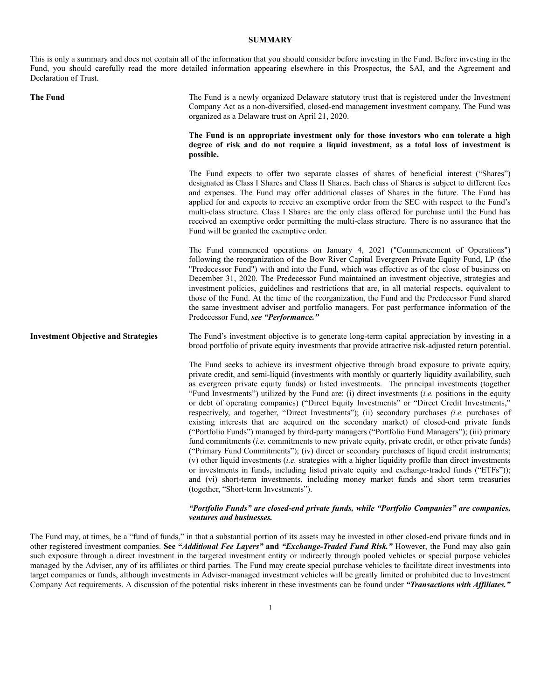## **SUMMARY**

This is only a summary and does not contain all of the information that you should consider before investing in the Fund. Before investing in the Fund, you should carefully read the more detailed information appearing elsewhere in this Prospectus, the SAI, and the Agreement and Declaration of Trust.

| <b>The Fund</b>                            | The Fund is a newly organized Delaware statutory trust that is registered under the Investment<br>Company Act as a non-diversified, closed-end management investment company. The Fund was<br>organized as a Delaware trust on April 21, 2020.                                                                                                                                                                                                                                                                                                                                                                                                                                                                                                                                                                                                                                                                                                                                                                                                                                                                                                                                                                                                                                                                                                                   |  |  |  |  |
|--------------------------------------------|------------------------------------------------------------------------------------------------------------------------------------------------------------------------------------------------------------------------------------------------------------------------------------------------------------------------------------------------------------------------------------------------------------------------------------------------------------------------------------------------------------------------------------------------------------------------------------------------------------------------------------------------------------------------------------------------------------------------------------------------------------------------------------------------------------------------------------------------------------------------------------------------------------------------------------------------------------------------------------------------------------------------------------------------------------------------------------------------------------------------------------------------------------------------------------------------------------------------------------------------------------------------------------------------------------------------------------------------------------------|--|--|--|--|
|                                            | The Fund is an appropriate investment only for those investors who can tolerate a high<br>degree of risk and do not require a liquid investment, as a total loss of investment is<br>possible.                                                                                                                                                                                                                                                                                                                                                                                                                                                                                                                                                                                                                                                                                                                                                                                                                                                                                                                                                                                                                                                                                                                                                                   |  |  |  |  |
|                                            | The Fund expects to offer two separate classes of shares of beneficial interest ("Shares")<br>designated as Class I Shares and Class II Shares. Each class of Shares is subject to different fees<br>and expenses. The Fund may offer additional classes of Shares in the future. The Fund has<br>applied for and expects to receive an exemptive order from the SEC with respect to the Fund's<br>multi-class structure. Class I Shares are the only class offered for purchase until the Fund has<br>received an exemptive order permitting the multi-class structure. There is no assurance that the<br>Fund will be granted the exemptive order.                                                                                                                                                                                                                                                                                                                                                                                                                                                                                                                                                                                                                                                                                                             |  |  |  |  |
|                                            | The Fund commenced operations on January 4, 2021 ("Commencement of Operations")<br>following the reorganization of the Bow River Capital Evergreen Private Equity Fund, LP (the<br>"Predecessor Fund") with and into the Fund, which was effective as of the close of business on<br>December 31, 2020. The Predecessor Fund maintained an investment objective, strategies and<br>investment policies, guidelines and restrictions that are, in all material respects, equivalent to<br>those of the Fund. At the time of the reorganization, the Fund and the Predecessor Fund shared<br>the same investment adviser and portfolio managers. For past performance information of the<br>Predecessor Fund, see "Performance."                                                                                                                                                                                                                                                                                                                                                                                                                                                                                                                                                                                                                                   |  |  |  |  |
| <b>Investment Objective and Strategies</b> | The Fund's investment objective is to generate long-term capital appreciation by investing in a<br>broad portfolio of private equity investments that provide attractive risk-adjusted return potential.                                                                                                                                                                                                                                                                                                                                                                                                                                                                                                                                                                                                                                                                                                                                                                                                                                                                                                                                                                                                                                                                                                                                                         |  |  |  |  |
|                                            | The Fund seeks to achieve its investment objective through broad exposure to private equity,<br>private credit, and semi-liquid (investments with monthly or quarterly liquidity availability, such<br>as evergreen private equity funds) or listed investments. The principal investments (together<br>"Fund Investments") utilized by the Fund are: (i) direct investments (i.e. positions in the equity<br>or debt of operating companies) ("Direct Equity Investments" or "Direct Credit Investments,"<br>respectively, and together, "Direct Investments"); (ii) secondary purchases (i.e. purchases of<br>existing interests that are acquired on the secondary market) of closed-end private funds<br>("Portfolio Funds") managed by third-party managers ("Portfolio Fund Managers"); (iii) primary<br>fund commitments (i.e. commitments to new private equity, private credit, or other private funds)<br>("Primary Fund Commitments"); (iv) direct or secondary purchases of liquid credit instruments;<br>(v) other liquid investments (i.e. strategies with a higher liquidity profile than direct investments<br>or investments in funds, including listed private equity and exchange-traded funds ("ETFs"));<br>and (vi) short-term investments, including money market funds and short term treasuries<br>(together, "Short-term Investments"). |  |  |  |  |
|                                            | "Portfolio Funds" are closed-end private funds, while "Portfolio Companies" are companies,<br><i>ventures and businesses.</i>                                                                                                                                                                                                                                                                                                                                                                                                                                                                                                                                                                                                                                                                                                                                                                                                                                                                                                                                                                                                                                                                                                                                                                                                                                    |  |  |  |  |

The Fund may, at times, be a "fund of funds," in that a substantial portion of its assets may be invested in other closed-end private funds and in other registered investment companies. **See "***Additional Fee Layers"* **and** *"Exchange-Traded Fund Risk."* However, the Fund may also gain such exposure through a direct investment in the targeted investment entity or indirectly through pooled vehicles or special purpose vehicles managed by the Adviser, any of its affiliates or third parties. The Fund may create special purchase vehicles to facilitate direct investments into target companies or funds, although investments in Adviser-managed investment vehicles will be greatly limited or prohibited due to Investment Company Act requirements. A discussion of the potential risks inherent in these investments can be found under *"Transactions with Af iliates."*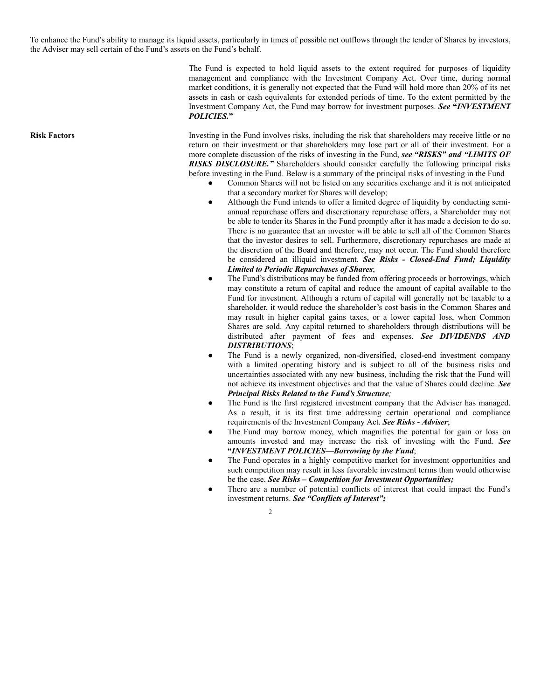To enhance the Fund's ability to manage its liquid assets, particularly in times of possible net outflows through the tender of Shares by investors, the Adviser may sell certain of the Fund's assets on the Fund's behalf.

> The Fund is expected to hold liquid assets to the extent required for purposes of liquidity management and compliance with the Investment Company Act. Over time, during normal market conditions, it is generally not expected that the Fund will hold more than 20% of its net assets in cash or cash equivalents for extended periods of time. To the extent permitted by the Investment Company Act, the Fund may borrow for investment purposes. *See* **"***INVESTMENT POLICIES.***"**

**Risk Factors** Investing in the Fund involves risks, including the risk that shareholders may receive little or no return on their investment or that shareholders may lose part or all of their investment. For a more complete discussion of the risks of investing in the Fund, *see "RISKS" and "LIMITS OF RISKS DISCLOSURE."* Shareholders should consider carefully the following principal risks before investing in the Fund. Below is a summary of the principal risks of investing in the Fund

- Common Shares will not be listed on any securities exchange and it is not anticipated that a secondary market for Shares will develop;
- Although the Fund intends to offer a limited degree of liquidity by conducting semiannual repurchase offers and discretionary repurchase offers, a Shareholder may not be able to tender its Shares in the Fund promptly after it has made a decision to do so. There is no guarantee that an investor will be able to sell all of the Common Shares that the investor desires to sell. Furthermore, discretionary repurchases are made at the discretion of the Board and therefore, may not occur. The Fund should therefore be considered an illiquid investment. *See Risks - Closed-End Fund; Liquidity Limited to Periodic Repurchases of Shares*;
- The Fund's distributions may be funded from offering proceeds or borrowings, which may constitute a return of capital and reduce the amount of capital available to the Fund for investment. Although a return of capital will generally not be taxable to a shareholder, it would reduce the shareholder's cost basis in the Common Shares and may result in higher capital gains taxes, or a lower capital loss, when Common Shares are sold. Any capital returned to shareholders through distributions will be distributed after payment of fees and expenses. *See DIVIDENDS AND DISTRIBUTIONS*;
- The Fund is a newly organized, non-diversified, closed-end investment company with a limited operating history and is subject to all of the business risks and uncertainties associated with any new business, including the risk that the Fund will not achieve its investment objectives and that the value of Shares could decline. *See Principal Risks Related to the Fund's Structure;*
- The Fund is the first registered investment company that the Adviser has managed. As a result, it is its first time addressing certain operational and compliance requirements of the Investment Company Act. *See Risks - Adviser*;
- The Fund may borrow money, which magnifies the potential for gain or loss on amounts invested and may increase the risk of investing with the Fund. *See* **"***INVESTMENT POLICIES—Borrowing by the Fund*;
- The Fund operates in a highly competitive market for investment opportunities and such competition may result in less favorable investment terms than would otherwise be the case. *See Risks – Competition for Investment Opportunities;*
- There are a number of potential conflicts of interest that could impact the Fund's investment returns. *See "Conflicts of Interest";*

<sup>2</sup>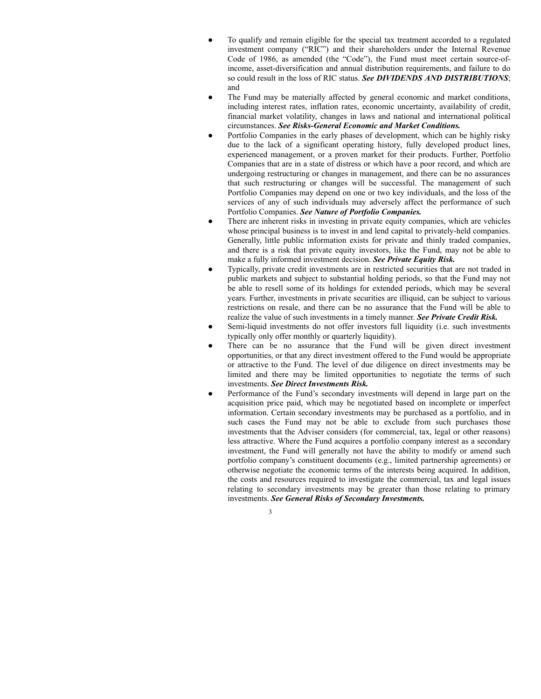- To qualify and remain eligible for the special tax treatment accorded to a regulated investment company ("RIC") and their shareholders under the Internal Revenue Code of 1986, as amended (the "Code"), the Fund must meet certain source-ofincome, asset-diversification and annual distribution requirements, and failure to do so could result in the loss of RIC status. *See DIVIDENDS AND DISTRIBUTIONS*; and
- The Fund may be materially affected by general economic and market conditions, including interest rates, inflation rates, economic uncertainty, availability of credit, financial market volatility, changes in laws and national and international political circumstances. *See Risks-General Economic and Market Conditions.*
- Portfolio Companies in the early phases of development, which can be highly risky due to the lack of a significant operating history, fully developed product lines, experienced management, or a proven market for their products. Further, Portfolio Companies that are in a state of distress or which have a poor record, and which are undergoing restructuring or changes in management, and there can be no assurances that such restructuring or changes will be successful. The management of such Portfolio Companies may depend on one or two key individuals, and the loss of the services of any of such individuals may adversely affect the performance of such Portfolio Companies. *See Nature of Portfolio Companies.*
- There are inherent risks in investing in private equity companies, which are vehicles whose principal business is to invest in and lend capital to privately-held companies. Generally, little public information exists for private and thinly traded companies, and there is a risk that private equity investors, like the Fund, may not be able to make a fully informed investment decision. *See Private Equity Risk.*
- Typically, private credit investments are in restricted securities that are not traded in public markets and subject to substantial holding periods, so that the Fund may not be able to resell some of its holdings for extended periods, which may be several years. Further, investments in private securities are illiquid, can be subject to various restrictions on resale, and there can be no assurance that the Fund will be able to realize the value of such investments in a timely manner. *See Private Credit Risk.*
- Semi-liquid investments do not offer investors full liquidity (i.e. such investments typically only offer monthly or quarterly liquidity).
- There can be no assurance that the Fund will be given direct investment opportunities, or that any direct investment offered to the Fund would be appropriate or attractive to the Fund. The level of due diligence on direct investments may be limited and there may be limited opportunities to negotiate the terms of such investments. *See Direct Investments Risk.*
- Performance of the Fund's secondary investments will depend in large part on the acquisition price paid, which may be negotiated based on incomplete or imperfect information. Certain secondary investments may be purchased as a portfolio, and in such cases the Fund may not be able to exclude from such purchases those investments that the Adviser considers (for commercial, tax, legal or other reasons) less attractive. Where the Fund acquires a portfolio company interest as a secondary investment, the Fund will generally not have the ability to modify or amend such portfolio company's constituent documents (e.g., limited partnership agreements) or otherwise negotiate the economic terms of the interests being acquired. In addition, the costs and resources required to investigate the commercial, tax and legal issues relating to secondary investments may be greater than those relating to primary investments. *See General Risks of Secondary Investments.*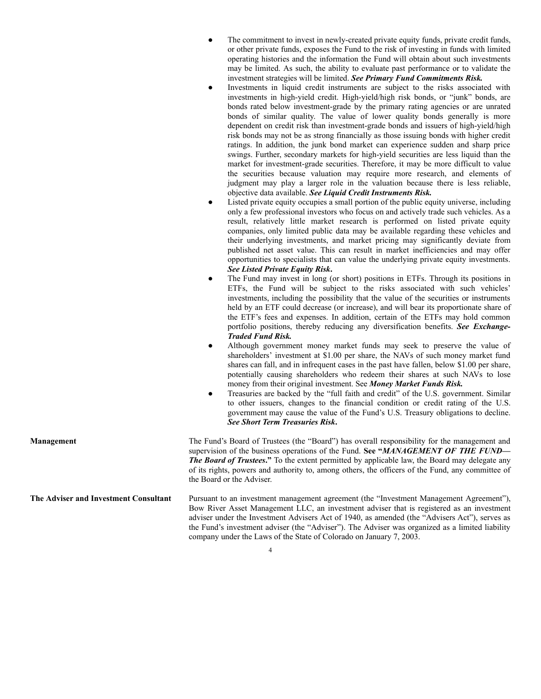| The commitment to invest in newly-created private equity funds, private credit funds,   |
|-----------------------------------------------------------------------------------------|
| or other private funds, exposes the Fund to the risk of investing in funds with limited |
| operating histories and the information the Fund will obtain about such investments     |
| may be limited. As such, the ability to evaluate past performance or to validate the    |
| investment strategies will be limited. See Primary Fund Commitments Risk.               |

- Investments in liquid credit instruments are subject to the risks associated with investments in high-yield credit. High-yield/high risk bonds, or "junk" bonds, are bonds rated below investment-grade by the primary rating agencies or are unrated bonds of similar quality. The value of lower quality bonds generally is more dependent on credit risk than investment-grade bonds and issuers of high-yield/high risk bonds may not be as strong financially as those issuing bonds with higher credit ratings. In addition, the junk bond market can experience sudden and sharp price swings. Further, secondary markets for high-yield securities are less liquid than the market for investment-grade securities. Therefore, it may be more difficult to value the securities because valuation may require more research, and elements of judgment may play a larger role in the valuation because there is less reliable, objective data available. *See Liquid Credit Instruments Risk.*
- Listed private equity occupies a small portion of the public equity universe, including only a few professional investors who focus on and actively trade such vehicles. As a result, relatively little market research is performed on listed private equity companies, only limited public data may be available regarding these vehicles and their underlying investments, and market pricing may significantly deviate from published net asset value. This can result in market inefficiencies and may offer opportunities to specialists that can value the underlying private equity investments. *See Listed Private Equity Risk***.**
- The Fund may invest in long (or short) positions in ETFs. Through its positions in ETFs, the Fund will be subject to the risks associated with such vehicles' investments, including the possibility that the value of the securities or instruments held by an ETF could decrease (or increase), and will bear its proportionate share of the ETF's fees and expenses. In addition, certain of the ETFs may hold common portfolio positions, thereby reducing any diversification benefits. *See Exchange-Traded Fund Risk.*
- Although government money market funds may seek to preserve the value of shareholders' investment at \$1.00 per share, the NAVs of such money market fund shares can fall, and in infrequent cases in the past have fallen, below \$1.00 per share, potentially causing shareholders who redeem their shares at such NAVs to lose money from their original investment. See *Money Market Funds Risk.*
- Treasuries are backed by the "full faith and credit" of the U.S. government. Similar to other issuers, changes to the financial condition or credit rating of the U.S. government may cause the value of the Fund's U.S. Treasury obligations to decline. *See Short Term Treasuries Risk***.**

**Management** The Fund's Board of Trustees (the "Board") has overall responsibility for the management and supervision of the business operations of the Fund. **See "***MANAGEMENT OF THE FUND— The Board of Trustees***."** To the extent permitted by applicable law, the Board may delegate any of its rights, powers and authority to, among others, the officers of the Fund, any committee of the Board or the Adviser.

**The Adviser and Investment Consultant** Pursuant to an investment management agreement (the "Investment Management Agreement"), Bow River Asset Management LLC, an investment adviser that is registered as an investment adviser under the Investment Advisers Act of 1940, as amended (the "Advisers Act"), serves as the Fund's investment adviser (the "Adviser"). The Adviser was organized as a limited liability company under the Laws of the State of Colorado on January 7, 2003.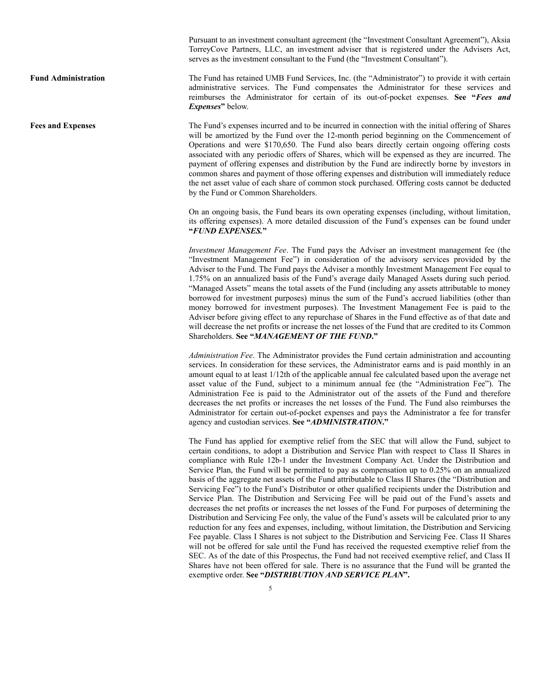Pursuant to an investment consultant agreement (the "Investment Consultant Agreement"), Aksia TorreyCove Partners, LLC, an investment adviser that is registered under the Advisers Act, serves as the investment consultant to the Fund (the "Investment Consultant").

Fund Administration The Fund has retained UMB Fund Services, Inc. (the "Administrator") to provide it with certain administrative services. The Fund compensates the Administrator for these services and reimburses the Administrator for certain of its out-of-pocket expenses. **See "***Fees and Expenses***"** below.

**Fees and Expenses** The Fund's expenses incurred and to be incurred in connection with the initial offering of Shares will be amortized by the Fund over the 12-month period beginning on the Commencement of Operations and were \$170,650. The Fund also bears directly certain ongoing offering costs associated with any periodic offers of Shares, which will be expensed as they are incurred. The payment of offering expenses and distribution by the Fund are indirectly borne by investors in common shares and payment of those offering expenses and distribution will immediately reduce the net asset value of each share of common stock purchased. Offering costs cannot be deducted by the Fund or Common Shareholders.

> On an ongoing basis, the Fund bears its own operating expenses (including, without limitation, its offering expenses). A more detailed discussion of the Fund's expenses can be found under **"***FUND EXPENSES.***"**

> *Investment Management Fee*. The Fund pays the Adviser an investment management fee (the "Investment Management Fee") in consideration of the advisory services provided by the Adviser to the Fund. The Fund pays the Adviser a monthly Investment Management Fee equal to 1.75% on an annualized basis of the Fund's average daily Managed Assets during such period. "Managed Assets" means the total assets of the Fund (including any assets attributable to money borrowed for investment purposes) minus the sum of the Fund's accrued liabilities (other than money borrowed for investment purposes). The Investment Management Fee is paid to the Adviser before giving effect to any repurchase of Shares in the Fund effective as of that date and will decrease the net profits or increase the net losses of the Fund that are credited to its Common Shareholders. **See "***MANAGEMENT OF THE FUND***."**

> *Administration Fee*. The Administrator provides the Fund certain administration and accounting services. In consideration for these services, the Administrator earns and is paid monthly in an amount equal to at least 1/12th of the applicable annual fee calculated based upon the average net asset value of the Fund, subject to a minimum annual fee (the "Administration Fee"). The Administration Fee is paid to the Administrator out of the assets of the Fund and therefore decreases the net profits or increases the net losses of the Fund. The Fund also reimburses the Administrator for certain out-of-pocket expenses and pays the Administrator a fee for transfer agency and custodian services. **See "***ADMINISTRATION***."**

> The Fund has applied for exemptive relief from the SEC that will allow the Fund, subject to certain conditions, to adopt a Distribution and Service Plan with respect to Class II Shares in compliance with Rule 12b-1 under the Investment Company Act. Under the Distribution and Service Plan, the Fund will be permitted to pay as compensation up to 0.25% on an annualized basis of the aggregate net assets of the Fund attributable to Class II Shares (the "Distribution and Servicing Fee") to the Fund's Distributor or other qualified recipients under the Distribution and Service Plan. The Distribution and Servicing Fee will be paid out of the Fund's assets and decreases the net profits or increases the net losses of the Fund*.* For purposes of determining the Distribution and Servicing Fee only, the value of the Fund's assets will be calculated prior to any reduction for any fees and expenses, including, without limitation, the Distribution and Servicing Fee payable. Class I Shares is not subject to the Distribution and Servicing Fee. Class II Shares will not be offered for sale until the Fund has received the requested exemptive relief from the SEC. As of the date of this Prospectus, the Fund had not received exemptive relief, and Class II Shares have not been offered for sale. There is no assurance that the Fund will be granted the exemptive order. **See "***DISTRIBUTION AND SERVICE PLAN***".**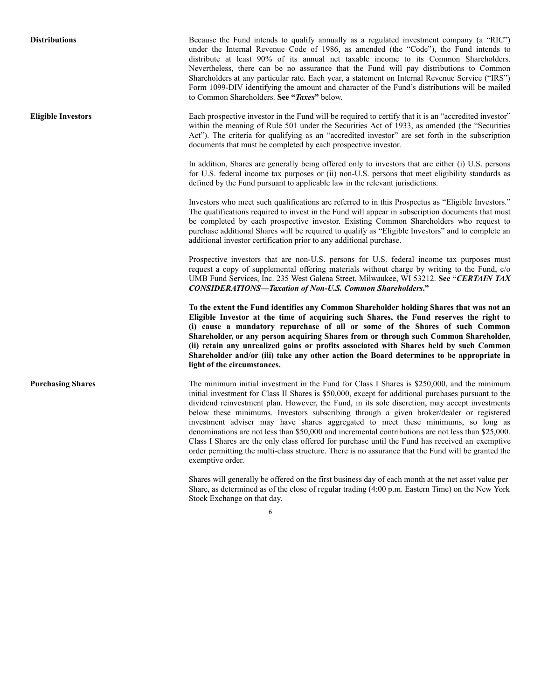**Distributions** Because the Fund intends to qualify annually as a regulated investment company (a "RIC") under the Internal Revenue Code of 1986, as amended (the "Code"), the Fund intends to distribute at least 90% of its annual net taxable income to its Common Shareholders. Nevertheless, there can be no assurance that the Fund will pay distributions to Common Shareholders at any particular rate. Each year, a statement on Internal Revenue Service ("IRS") Form 1099-DIV identifying the amount and character of the Fund's distributions will be mailed to Common Shareholders. **See "***Taxes***"** below.

**Eligible Investors** Each prospective investor in the Fund will be required to certify that it is an "accredited investor" within the meaning of Rule 501 under the Securities Act of 1933, as amended (the "Securities Act"). The criteria for qualifying as an "accredited investor" are set forth in the subscription documents that must be completed by each prospective investor.

> In addition, Shares are generally being offered only to investors that are either (i) U.S. persons for U.S. federal income tax purposes or (ii) non-U.S. persons that meet eligibility standards as defined by the Fund pursuant to applicable law in the relevant jurisdictions.

> Investors who meet such qualifications are referred to in this Prospectus as "Eligible Investors." The qualifications required to invest in the Fund will appear in subscription documents that must be completed by each prospective investor. Existing Common Shareholders who request to purchase additional Shares will be required to qualify as "Eligible Investors" and to complete an additional investor certification prior to any additional purchase.

> Prospective investors that are non-U.S. persons for U.S. federal income tax purposes must request a copy of supplemental offering materials without charge by writing to the Fund, c/o UMB Fund Services, Inc. 235 West Galena Street, Milwaukee, WI 53212. **See "***CERTAIN TAX CONSIDERATIONS—Taxation of Non-U.S. Common Shareholders***."**

> **To the extent the Fund identifies any Common Shareholder holding Shares that was not an Eligible Investor at the time of acquiring such Shares, the Fund reserves the right to (i) cause a mandatory repurchase of all or some of the Shares of such Common Shareholder, or any person acquiring Shares from or through such Common Shareholder, (ii) retain any unrealized gains or profits associated with Shares held by such Common Shareholder and/or (iii) take any other action the Board determines to be appropriate in light of the circumstances.**

**Purchasing Shares** The minimum initial investment in the Fund for Class I Shares is \$250,000, and the minimum initial investment for Class II Shares is \$50,000, except for additional purchases pursuant to the dividend reinvestment plan. However, the Fund, in its sole discretion, may accept investments below these minimums. Investors subscribing through a given broker/dealer or registered investment adviser may have shares aggregated to meet these minimums, so long as denominations are not less than \$50,000 and incremental contributions are not less than \$25,000. Class I Shares are the only class offered for purchase until the Fund has received an exemptive order permitting the multi-class structure. There is no assurance that the Fund will be granted the exemptive order.

> Shares will generally be offered on the first business day of each month at the net asset value per Share, as determined as of the close of regular trading (4:00 p.m. Eastern Time) on the New York Stock Exchange on that day.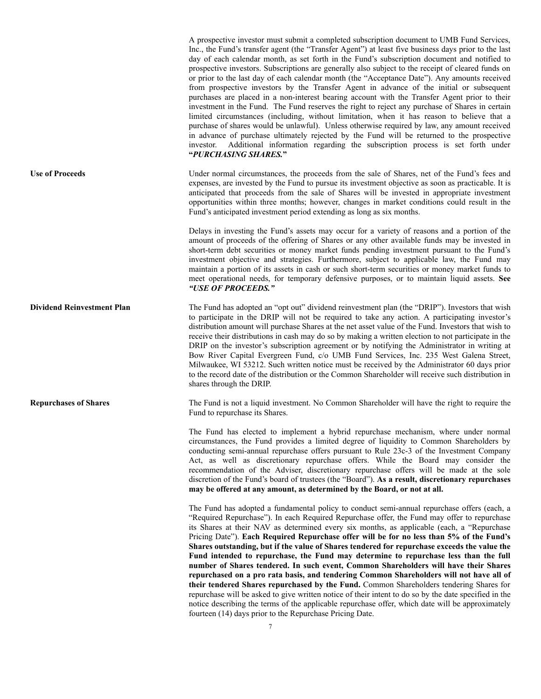|                                   | A prospective investor must submit a completed subscription document to UMB Fund Services,<br>Inc., the Fund's transfer agent (the "Transfer Agent") at least five business days prior to the last<br>day of each calendar month, as set forth in the Fund's subscription document and notified to<br>prospective investors. Subscriptions are generally also subject to the receipt of cleared funds on<br>or prior to the last day of each calendar month (the "Acceptance Date"). Any amounts received<br>from prospective investors by the Transfer Agent in advance of the initial or subsequent<br>purchases are placed in a non-interest bearing account with the Transfer Agent prior to their<br>investment in the Fund. The Fund reserves the right to reject any purchase of Shares in certain<br>limited circumstances (including, without limitation, when it has reason to believe that a<br>purchase of shares would be unlawful). Unless otherwise required by law, any amount received<br>in advance of purchase ultimately rejected by the Fund will be returned to the prospective<br>investor. Additional information regarding the subscription process is set forth under<br>"PURCHASING SHARES." |
|-----------------------------------|-------------------------------------------------------------------------------------------------------------------------------------------------------------------------------------------------------------------------------------------------------------------------------------------------------------------------------------------------------------------------------------------------------------------------------------------------------------------------------------------------------------------------------------------------------------------------------------------------------------------------------------------------------------------------------------------------------------------------------------------------------------------------------------------------------------------------------------------------------------------------------------------------------------------------------------------------------------------------------------------------------------------------------------------------------------------------------------------------------------------------------------------------------------------------------------------------------------------------|
| <b>Use of Proceeds</b>            | Under normal circumstances, the proceeds from the sale of Shares, net of the Fund's fees and<br>expenses, are invested by the Fund to pursue its investment objective as soon as practicable. It is<br>anticipated that proceeds from the sale of Shares will be invested in appropriate investment<br>opportunities within three months; however, changes in market conditions could result in the<br>Fund's anticipated investment period extending as long as six months.                                                                                                                                                                                                                                                                                                                                                                                                                                                                                                                                                                                                                                                                                                                                            |
|                                   | Delays in investing the Fund's assets may occur for a variety of reasons and a portion of the<br>amount of proceeds of the offering of Shares or any other available funds may be invested in<br>short-term debt securities or money market funds pending investment pursuant to the Fund's<br>investment objective and strategies. Furthermore, subject to applicable law, the Fund may<br>maintain a portion of its assets in cash or such short-term securities or money market funds to<br>meet operational needs, for temporary defensive purposes, or to maintain liquid assets. See<br>"USE OF PROCEEDS."                                                                                                                                                                                                                                                                                                                                                                                                                                                                                                                                                                                                        |
| <b>Dividend Reinvestment Plan</b> | The Fund has adopted an "opt out" dividend reinvestment plan (the "DRIP"). Investors that wish<br>to participate in the DRIP will not be required to take any action. A participating investor's<br>distribution amount will purchase Shares at the net asset value of the Fund. Investors that wish to<br>receive their distributions in cash may do so by making a written election to not participate in the<br>DRIP on the investor's subscription agreement or by notifying the Administrator in writing at<br>Bow River Capital Evergreen Fund, c/o UMB Fund Services, Inc. 235 West Galena Street,<br>Milwaukee, WI 53212. Such written notice must be received by the Administrator 60 days prior<br>to the record date of the distribution or the Common Shareholder will receive such distribution in<br>shares through the DRIP.                                                                                                                                                                                                                                                                                                                                                                             |
| <b>Repurchases of Shares</b>      | The Fund is not a liquid investment. No Common Shareholder will have the right to require the<br>Fund to repurchase its Shares.                                                                                                                                                                                                                                                                                                                                                                                                                                                                                                                                                                                                                                                                                                                                                                                                                                                                                                                                                                                                                                                                                         |
|                                   | The Fund has elected to implement a hybrid repurchase mechanism, where under normal<br>circumstances, the Fund provides a limited degree of liquidity to Common Shareholders by<br>conducting semi-annual repurchase offers pursuant to Rule 23c-3 of the Investment Company<br>Act, as well as discretionary repurchase offers. While the Board may consider the<br>recommendation of the Adviser, discretionary repurchase offers will be made at the sole<br>discretion of the Fund's board of trustees (the "Board"). As a result, discretionary repurchases<br>may be offered at any amount, as determined by the Board, or not at all.                                                                                                                                                                                                                                                                                                                                                                                                                                                                                                                                                                            |
|                                   | The Fund has adopted a fundamental policy to conduct semi-annual repurchase offers (each, a<br>"Required Repurchase"). In each Required Repurchase offer, the Fund may offer to repurchase<br>its Shares at their NAV as determined every six months, as applicable (each, a "Repurchase<br>Pricing Date"). Each Required Repurchase offer will be for no less than 5% of the Fund's<br>Shares outstanding, but if the value of Shares tendered for repurchase exceeds the value the<br>Fund intended to repurchase, the Fund may determine to repurchase less than the full<br>number of Shares tendered. In such event, Common Shareholders will have their Shares<br>repurchased on a pro rata basis, and tendering Common Shareholders will not have all of<br>their tendered Shares repurchased by the Fund. Common Shareholders tendering Shares for<br>repurchase will be asked to give written notice of their intent to do so by the date specified in the<br>notice describing the terms of the applicable repurchase offer, which date will be approximately<br>fourteen (14) days prior to the Repurchase Pricing Date.                                                                                     |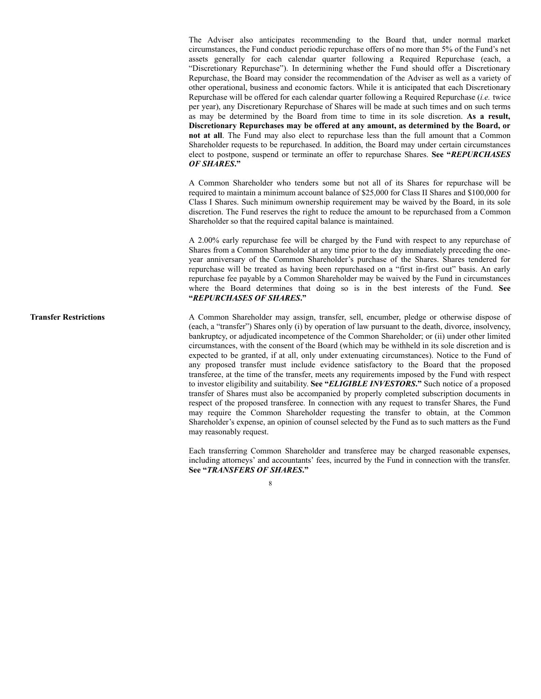The Adviser also anticipates recommending to the Board that, under normal market circumstances, the Fund conduct periodic repurchase offers of no more than 5% of the Fund's net assets generally for each calendar quarter following a Required Repurchase (each, a "Discretionary Repurchase"). In determining whether the Fund should offer a Discretionary Repurchase, the Board may consider the recommendation of the Adviser as well as a variety of other operational, business and economic factors. While it is anticipated that each Discretionary Repurchase will be offered for each calendar quarter following a Required Repurchase (*i.e.* twice per year), any Discretionary Repurchase of Shares will be made at such times and on such terms as may be determined by the Board from time to time in its sole discretion. **As a result, Discretionary Repurchases may be offered at any amount, as determined by the Board, or not at all**. The Fund may also elect to repurchase less than the full amount that a Common Shareholder requests to be repurchased. In addition, the Board may under certain circumstances elect to postpone, suspend or terminate an offer to repurchase Shares. **See "***REPURCHASES OF SHARES***."**

A Common Shareholder who tenders some but not all of its Shares for repurchase will be required to maintain a minimum account balance of \$25,000 for Class II Shares and \$100,000 for Class I Shares. Such minimum ownership requirement may be waived by the Board, in its sole discretion. The Fund reserves the right to reduce the amount to be repurchased from a Common Shareholder so that the required capital balance is maintained.

A 2.00% early repurchase fee will be charged by the Fund with respect to any repurchase of Shares from a Common Shareholder at any time prior to the day immediately preceding the oneyear anniversary of the Common Shareholder's purchase of the Shares. Shares tendered for repurchase will be treated as having been repurchased on a "first in-first out" basis. An early repurchase fee payable by a Common Shareholder may be waived by the Fund in circumstances where the Board determines that doing so is in the best interests of the Fund. **See "***REPURCHASES OF SHARES***."**

**Transfer Restrictions** A Common Shareholder may assign, transfer, sell, encumber, pledge or otherwise dispose of (each, a "transfer") Shares only (i) by operation of law pursuant to the death, divorce, insolvency, bankruptcy, or adjudicated incompetence of the Common Shareholder; or (ii) under other limited circumstances, with the consent of the Board (which may be withheld in its sole discretion and is expected to be granted, if at all, only under extenuating circumstances). Notice to the Fund of any proposed transfer must include evidence satisfactory to the Board that the proposed transferee, at the time of the transfer, meets any requirements imposed by the Fund with respect to investor eligibility and suitability. **See "***ELIGIBLE INVESTORS***."** Such notice of a proposed transfer of Shares must also be accompanied by properly completed subscription documents in respect of the proposed transferee. In connection with any request to transfer Shares, the Fund may require the Common Shareholder requesting the transfer to obtain, at the Common Shareholder's expense, an opinion of counsel selected by the Fund as to such matters as the Fund may reasonably request.

> Each transferring Common Shareholder and transferee may be charged reasonable expenses, including attorneys' and accountants' fees, incurred by the Fund in connection with the transfer. **See "***TRANSFERS OF SHARES***."**

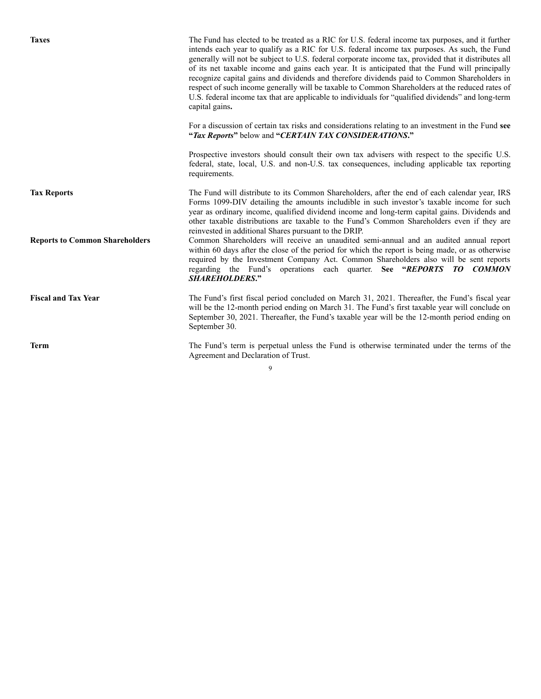Taxes The Fund has elected to be treated as a RIC for U.S. federal income tax purposes, and it further intends each year to qualify as a RIC for U.S. federal income tax purposes. As such, the Fund generally will not be subject to U.S. federal corporate income tax, provided that it distributes all of its net taxable income and gains each year. It is anticipated that the Fund will principally recognize capital gains and dividends and therefore dividends paid to Common Shareholders in respect of such income generally will be taxable to Common Shareholders at the reduced rates of U.S. federal income tax that are applicable to individuals for "qualified dividends" and long-term capital gains**.** For a discussion of certain tax risks and considerations relating to an investment in the Fund **see "***Tax Reports***"** below and **"***CERTAIN TAX CONSIDERATIONS***."** Prospective investors should consult their own tax advisers with respect to the specific U.S. federal, state, local, U.S. and non-U.S. tax consequences, including applicable tax reporting requirements. **Tax Reports** The Fund will distribute to its Common Shareholders, after the end of each calendar year, IRS Forms 1099-DIV detailing the amounts includible in such investor's taxable income for such year as ordinary income, qualified dividend income and long-term capital gains. Dividends and other taxable distributions are taxable to the Fund's Common Shareholders even if they are reinvested in additional Shares pursuant to the DRIP. **Reports to Common Shareholders** Common Shareholders will receive an unaudited semi-annual and an audited annual report within 60 days after the close of the period for which the report is being made, or as otherwise required by the Investment Company Act. Common Shareholders also will be sent reports regarding the Fund's operations each quarter. **See "***REPORTS TO COMMON SHAREHOLDERS***." Fiscal and Tax Year** The Fund's first fiscal period concluded on March 31, 2021. Thereafter, the Fund's fiscal year will be the 12-month period ending on March 31. The Fund's first taxable year will conclude on September 30, 2021. Thereafter, the Fund's taxable year will be the 12-month period ending on September 30. **Term** The Fund's term is perpetual unless the Fund is otherwise terminated under the terms of the

Agreement and Declaration of Trust.

 $\overline{Q}$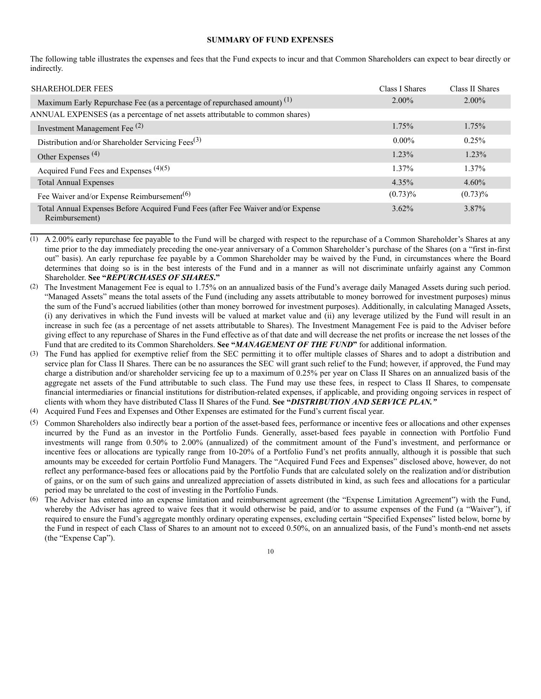#### **SUMMARY OF FUND EXPENSES**

The following table illustrates the expenses and fees that the Fund expects to incur and that Common Shareholders can expect to bear directly or indirectly.

| <b>SHAREHOLDER FEES</b>                                                                            | Class I Shares | Class II Shares |
|----------------------------------------------------------------------------------------------------|----------------|-----------------|
| Maximum Early Repurchase Fee (as a percentage of repurchased amount) <sup>(1)</sup>                | $2.00\%$       | $2.00\%$        |
| ANNUAL EXPENSES (as a percentage of net assets attributable to common shares)                      |                |                 |
| Investment Management Fee $(2)$                                                                    | 1.75%          | 1.75%           |
| Distribution and/or Shareholder Servicing Fees $^{(3)}$                                            | $0.00\%$       | 0.25%           |
| Other Expenses $(4)$                                                                               | 1.23%          | $1.23\%$        |
| Acquired Fund Fees and Expenses $(4)(5)$                                                           | 1.37%          | 1.37%           |
| <b>Total Annual Expenses</b>                                                                       | 4.35%          | $4.60\%$        |
| Fee Waiver and/or Expense Reimbursement <sup>(6)</sup>                                             | $(0.73)\%$     | $(0.73)\%$      |
| Total Annual Expenses Before Acquired Fund Fees (after Fee Waiver and/or Expense<br>Reimbursement) | 3.62%          | 3.87%           |

<sup>(1)</sup> A 2.00% early repurchase fee payable to the Fund will be charged with respect to the repurchase of a Common Shareholder's Shares at any time prior to the day immediately preceding the one-year anniversary of a Common Shareholder's purchase of the Shares (on a "first in-first out" basis). An early repurchase fee payable by a Common Shareholder may be waived by the Fund, in circumstances where the Board determines that doing so is in the best interests of the Fund and in a manner as will not discriminate unfairly against any Common Shareholder. **See "***REPURCHASES OF SHARES***."**

- (5) Common Shareholders also indirectly bear a portion of the asset-based fees, performance or incentive fees or allocations and other expenses incurred by the Fund as an investor in the Portfolio Funds. Generally, asset-based fees payable in connection with Portfolio Fund investments will range from 0.50% to 2.00% (annualized) of the commitment amount of the Fund's investment, and performance or incentive fees or allocations are typically range from 10-20% of a Portfolio Fund's net profits annually, although it is possible that such amounts may be exceeded for certain Portfolio Fund Managers. The "Acquired Fund Fees and Expenses" disclosed above, however, do not reflect any performance-based fees or allocations paid by the Portfolio Funds that are calculated solely on the realization and/or distribution of gains, or on the sum of such gains and unrealized appreciation of assets distributed in kind, as such fees and allocations for a particular period may be unrelated to the cost of investing in the Portfolio Funds.
- (6) The Adviser has entered into an expense limitation and reimbursement agreement (the "Expense Limitation Agreement") with the Fund, whereby the Adviser has agreed to waive fees that it would otherwise be paid, and/or to assume expenses of the Fund (a "Waiver"), if required to ensure the Fund's aggregate monthly ordinary operating expenses, excluding certain "Specified Expenses" listed below, borne by the Fund in respect of each Class of Shares to an amount not to exceed 0.50%, on an annualized basis, of the Fund's month-end net assets (the "Expense Cap").

<sup>(2)</sup> The Investment Management Fee is equal to 1.75% on an annualized basis of the Fund's average daily Managed Assets during such period. "Managed Assets" means the total assets of the Fund (including any assets attributable to money borrowed for investment purposes) minus the sum of the Fund's accrued liabilities (other than money borrowed for investment purposes). Additionally, in calculating Managed Assets, (i) any derivatives in which the Fund invests will be valued at market value and (ii) any leverage utilized by the Fund will result in an increase in such fee (as a percentage of net assets attributable to Shares). The Investment Management Fee is paid to the Adviser before giving effect to any repurchase of Shares in the Fund effective as of that date and will decrease the net profits or increase the net losses of the Fund that are credited to its Common Shareholders. **See "***MANAGEMENT OF THE FUND***"** for additional information.

<sup>(3)</sup> The Fund has applied for exemptive relief from the SEC permitting it to offer multiple classes of Shares and to adopt a distribution and service plan for Class II Shares. There can be no assurances the SEC will grant such relief to the Fund; however, if approved, the Fund may charge a distribution and/or shareholder servicing fee up to a maximum of 0.25% per year on Class II Shares on an annualized basis of the aggregate net assets of the Fund attributable to such class. The Fund may use these fees, in respect to Class II Shares, to compensate financial intermediaries or financial institutions for distribution-related expenses, if applicable, and providing ongoing services in respect of clients with whom they have distributed Class II Shares of the Fund. **See "***DISTRIBUTION AND SERVICE PLAN."*

<sup>(4)</sup> Acquired Fund Fees and Expenses and Other Expenses are estimated for the Fund's current fiscal year.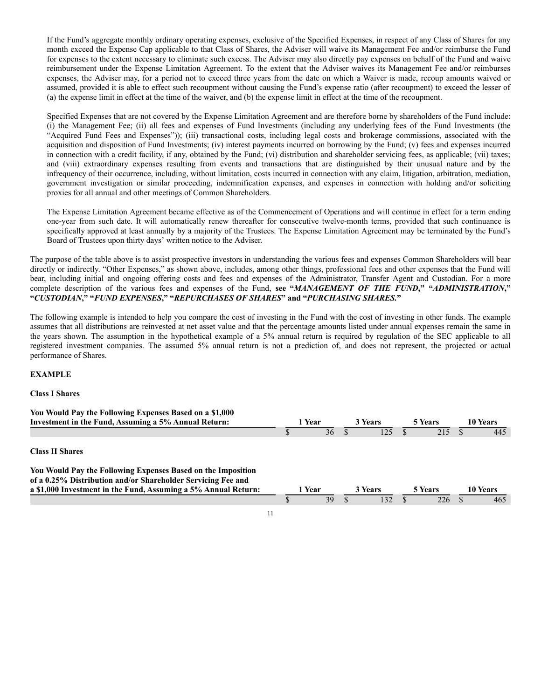If the Fund's aggregate monthly ordinary operating expenses, exclusive of the Specified Expenses, in respect of any Class of Shares for any month exceed the Expense Cap applicable to that Class of Shares, the Adviser will waive its Management Fee and/or reimburse the Fund for expenses to the extent necessary to eliminate such excess. The Adviser may also directly pay expenses on behalf of the Fund and waive reimbursement under the Expense Limitation Agreement. To the extent that the Adviser waives its Management Fee and/or reimburses expenses, the Adviser may, for a period not to exceed three years from the date on which a Waiver is made, recoup amounts waived or assumed, provided it is able to effect such recoupment without causing the Fund's expense ratio (after recoupment) to exceed the lesser of (a) the expense limit in effect at the time of the waiver, and (b) the expense limit in effect at the time of the recoupment.

Specified Expenses that are not covered by the Expense Limitation Agreement and are therefore borne by shareholders of the Fund include: (i) the Management Fee; (ii) all fees and expenses of Fund Investments (including any underlying fees of the Fund Investments (the "Acquired Fund Fees and Expenses")); (iii) transactional costs, including legal costs and brokerage commissions, associated with the acquisition and disposition of Fund Investments; (iv) interest payments incurred on borrowing by the Fund; (v) fees and expenses incurred in connection with a credit facility, if any, obtained by the Fund; (vi) distribution and shareholder servicing fees, as applicable; (vii) taxes; and (viii) extraordinary expenses resulting from events and transactions that are distinguished by their unusual nature and by the infrequency of their occurrence, including, without limitation, costs incurred in connection with any claim, litigation, arbitration, mediation, government investigation or similar proceeding, indemnification expenses, and expenses in connection with holding and/or soliciting proxies for all annual and other meetings of Common Shareholders.

The Expense Limitation Agreement became effective as of the Commencement of Operations and will continue in effect for a term ending one-year from such date. It will automatically renew thereafter for consecutive twelve-month terms, provided that such continuance is specifically approved at least annually by a majority of the Trustees. The Expense Limitation Agreement may be terminated by the Fund's Board of Trustees upon thirty days' written notice to the Adviser.

The purpose of the table above is to assist prospective investors in understanding the various fees and expenses Common Shareholders will bear directly or indirectly. "Other Expenses," as shown above, includes, among other things, professional fees and other expenses that the Fund will bear, including initial and ongoing offering costs and fees and expenses of the Administrator, Transfer Agent and Custodian. For a more complete description of the various fees and expenses of the Fund, **see "***MANAGEMENT OF THE FUND***," "***ADMINISTRATION***," "***CUSTODIAN***," "***FUND EXPENSES***," "***REPURCHASES OF SHARES***" and "***PURCHASING SHARES.***"**

The following example is intended to help you compare the cost of investing in the Fund with the cost of investing in other funds. The example assumes that all distributions are reinvested at net asset value and that the percentage amounts listed under annual expenses remain the same in the years shown. The assumption in the hypothetical example of a 5% annual return is required by regulation of the SEC applicable to all registered investment companies. The assumed 5% annual return is not a prediction of, and does not represent, the projected or actual performance of Shares.

# **EXAMPLE**

# **Class I Shares**

| You Would Pay the Following Expenses Based on a \$1,000        |        |        |         |         |                |                |                 |          |
|----------------------------------------------------------------|--------|--------|---------|---------|----------------|----------------|-----------------|----------|
| Investment in the Fund, Assuming a 5% Annual Return:           | 1 Year |        | 3 Years |         | <b>5 Years</b> |                | <b>10 Years</b> |          |
|                                                                |        | 36     |         | l 25    |                | 215            |                 | 445      |
| <b>Class II Shares</b>                                         |        |        |         |         |                |                |                 |          |
| You Would Pay the Following Expenses Based on the Imposition   |        |        |         |         |                |                |                 |          |
| of a 0.25% Distribution and/or Shareholder Servicing Fee and   |        |        |         |         |                |                |                 |          |
| a \$1,000 Investment in the Fund, Assuming a 5% Annual Return: |        | 1 Year |         | 3 Years |                | <b>5 Years</b> |                 | 10 Years |
|                                                                |        | 39     |         | 132     |                | 226            |                 | 465      |
|                                                                |        |        |         |         |                |                |                 |          |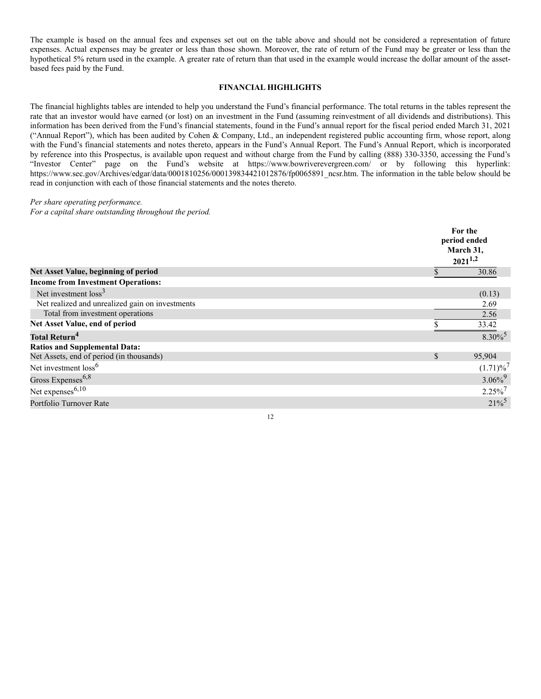The example is based on the annual fees and expenses set out on the table above and should not be considered a representation of future expenses. Actual expenses may be greater or less than those shown. Moreover, the rate of return of the Fund may be greater or less than the hypothetical 5% return used in the example. A greater rate of return than that used in the example would increase the dollar amount of the assetbased fees paid by the Fund.

# **FINANCIAL HIGHLIGHTS**

The financial highlights tables are intended to help you understand the Fund's financial performance. The total returns in the tables represent the rate that an investor would have earned (or lost) on an investment in the Fund (assuming reinvestment of all dividends and distributions). This information has been derived from the Fund's financial statements, found in the Fund's annual report for the fiscal period ended March 31, 2021 ("Annual Report"), which has been audited by Cohen & Company, Ltd., an independent registered public accounting firm, whose report, along with the Fund's financial statements and notes thereto, appears in the Fund's Annual Report. The Fund's Annual Report, which is incorporated by reference into this Prospectus, is available upon request and without charge from the Fund by calling (888) 330-3350, accessing the Fund's "Investor Center" page on the Fund's website at https://www.bowriverevergreen.com/ or by following this hyperlink: https://www.sec.gov/Archives/edgar/data/0001810256/000139834421012876/fp0065891\_ncsr.htm. The information in the table below should be read in conjunction with each of those financial statements and the notes thereto.

## *Per share operating performance.*

*For a capital share outstanding throughout the period.*

|                                                 | For the<br>period ended<br>March 31,<br>$2021^{1,2}$ |                         |  |  |  |
|-------------------------------------------------|------------------------------------------------------|-------------------------|--|--|--|
| Net Asset Value, beginning of period            |                                                      | 30.86                   |  |  |  |
| <b>Income from Investment Operations:</b>       |                                                      |                         |  |  |  |
| Net investment $loss3$                          |                                                      | (0.13)                  |  |  |  |
| Net realized and unrealized gain on investments |                                                      | 2.69                    |  |  |  |
| Total from investment operations                |                                                      | 2.56                    |  |  |  |
| Net Asset Value, end of period                  |                                                      | 33.42                   |  |  |  |
| <b>Total Return<sup>4</sup></b>                 |                                                      | $8.30\%$ <sup>5</sup>   |  |  |  |
| <b>Ratios and Supplemental Data:</b>            |                                                      |                         |  |  |  |
| Net Assets, end of period (in thousands)        | \$                                                   | 95,904                  |  |  |  |
| Net investment loss <sup>6</sup>                |                                                      | $(1.71)\%$ <sup>7</sup> |  |  |  |
| Gross Expenses <sup>6,8</sup>                   |                                                      | $3.06\%$ <sup>9</sup>   |  |  |  |
| Net expenses <sup>6,10</sup>                    |                                                      | $2.25\%$ <sup>7</sup>   |  |  |  |
| Portfolio Turnover Rate                         |                                                      | $21\%$ <sup>5</sup>     |  |  |  |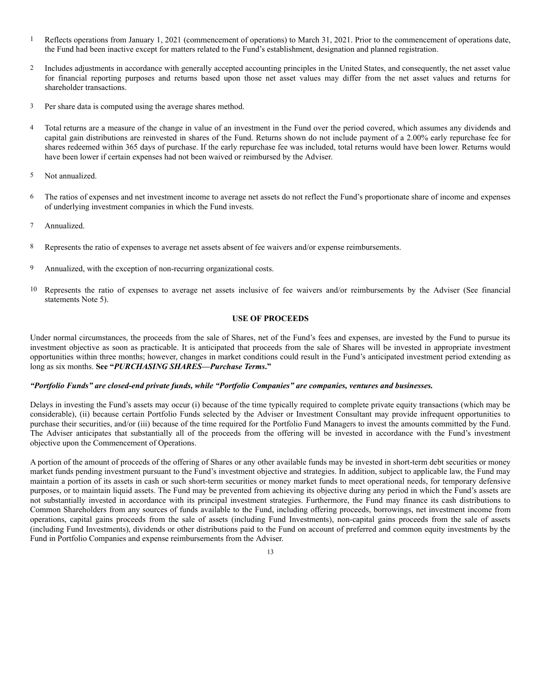- 1 Reflects operations from January 1, 2021 (commencement of operations) to March 31, 2021. Prior to the commencement of operations date, the Fund had been inactive except for matters related to the Fund's establishment, designation and planned registration.
- 2 Includes adjustments in accordance with generally accepted accounting principles in the United States, and consequently, the net asset value for financial reporting purposes and returns based upon those net asset values may differ from the net asset values and returns for shareholder transactions.
- 3 Per share data is computed using the average shares method.
- 4 Total returns are a measure of the change in value of an investment in the Fund over the period covered, which assumes any dividends and capital gain distributions are reinvested in shares of the Fund. Returns shown do not include payment of a 2.00% early repurchase fee for shares redeemed within 365 days of purchase. If the early repurchase fee was included, total returns would have been lower. Returns would have been lower if certain expenses had not been waived or reimbursed by the Adviser.
- 5 Not annualized.
- 6 The ratios of expenses and net investment income to average net assets do not reflect the Fund's proportionate share of income and expenses of underlying investment companies in which the Fund invests.
- 7 Annualized.
- 8 Represents the ratio of expenses to average net assets absent of fee waivers and/or expense reimbursements.
- 9 Annualized, with the exception of non-recurring organizational costs.
- 10 Represents the ratio of expenses to average net assets inclusive of fee waivers and/or reimbursements by the Adviser (See financial statements Note 5).

# **USE OF PROCEEDS**

Under normal circumstances, the proceeds from the sale of Shares, net of the Fund's fees and expenses, are invested by the Fund to pursue its investment objective as soon as practicable. It is anticipated that proceeds from the sale of Shares will be invested in appropriate investment opportunities within three months; however, changes in market conditions could result in the Fund's anticipated investment period extending as long as six months. **See "***PURCHASING SHARES—Purchase Terms***."**

# *"Portfolio Funds" are closed-end private funds, while "Portfolio Companies" are companies, ventures and businesses.*

Delays in investing the Fund's assets may occur (i) because of the time typically required to complete private equity transactions (which may be considerable), (ii) because certain Portfolio Funds selected by the Adviser or Investment Consultant may provide infrequent opportunities to purchase their securities, and/or (iii) because of the time required for the Portfolio Fund Managers to invest the amounts committed by the Fund. The Adviser anticipates that substantially all of the proceeds from the offering will be invested in accordance with the Fund's investment objective upon the Commencement of Operations.

A portion of the amount of proceeds of the offering of Shares or any other available funds may be invested in short-term debt securities or money market funds pending investment pursuant to the Fund's investment objective and strategies. In addition, subject to applicable law, the Fund may maintain a portion of its assets in cash or such short-term securities or money market funds to meet operational needs, for temporary defensive purposes, or to maintain liquid assets. The Fund may be prevented from achieving its objective during any period in which the Fund's assets are not substantially invested in accordance with its principal investment strategies. Furthermore, the Fund may finance its cash distributions to Common Shareholders from any sources of funds available to the Fund, including offering proceeds, borrowings, net investment income from operations, capital gains proceeds from the sale of assets (including Fund Investments), non-capital gains proceeds from the sale of assets (including Fund Investments), dividends or other distributions paid to the Fund on account of preferred and common equity investments by the Fund in Portfolio Companies and expense reimbursements from the Adviser.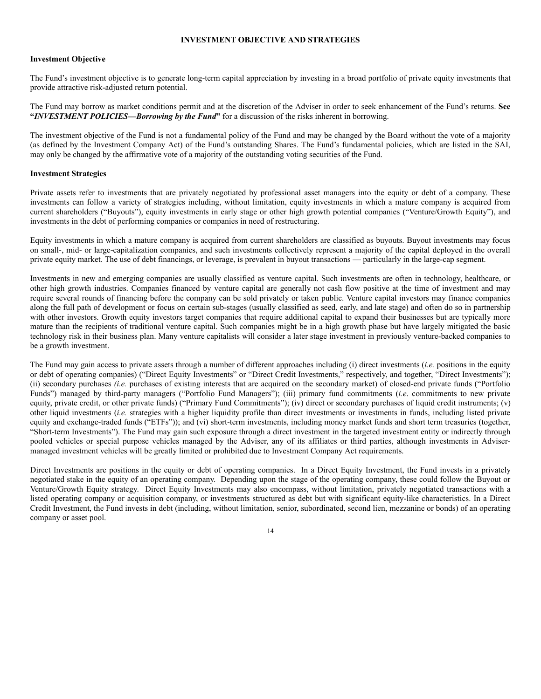# **INVESTMENT OBJECTIVE AND STRATEGIES**

# **Investment Objective**

The Fund's investment objective is to generate long-term capital appreciation by investing in a broad portfolio of private equity investments that provide attractive risk-adjusted return potential.

The Fund may borrow as market conditions permit and at the discretion of the Adviser in order to seek enhancement of the Fund's returns. **See "***INVESTMENT POLICIES—Borrowing by the Fund***"** for a discussion of the risks inherent in borrowing.

The investment objective of the Fund is not a fundamental policy of the Fund and may be changed by the Board without the vote of a majority (as defined by the Investment Company Act) of the Fund's outstanding Shares. The Fund's fundamental policies, which are listed in the SAI, may only be changed by the affirmative vote of a majority of the outstanding voting securities of the Fund.

#### **Investment Strategies**

Private assets refer to investments that are privately negotiated by professional asset managers into the equity or debt of a company. These investments can follow a variety of strategies including, without limitation, equity investments in which a mature company is acquired from current shareholders ("Buyouts"), equity investments in early stage or other high growth potential companies ("Venture/Growth Equity"), and investments in the debt of performing companies or companies in need of restructuring.

Equity investments in which a mature company is acquired from current shareholders are classified as buyouts. Buyout investments may focus on small-, mid- or large-capitalization companies, and such investments collectively represent a majority of the capital deployed in the overall private equity market. The use of debt financings, or leverage, is prevalent in buyout transactions — particularly in the large-cap segment.

Investments in new and emerging companies are usually classified as venture capital. Such investments are often in technology, healthcare, or other high growth industries. Companies financed by venture capital are generally not cash flow positive at the time of investment and may require several rounds of financing before the company can be sold privately or taken public. Venture capital investors may finance companies along the full path of development or focus on certain sub-stages (usually classified as seed, early, and late stage) and often do so in partnership with other investors. Growth equity investors target companies that require additional capital to expand their businesses but are typically more mature than the recipients of traditional venture capital. Such companies might be in a high growth phase but have largely mitigated the basic technology risk in their business plan. Many venture capitalists will consider a later stage investment in previously venture-backed companies to be a growth investment.

The Fund may gain access to private assets through a number of different approaches including (i) direct investments (*i.e.* positions in the equity or debt of operating companies) ("Direct Equity Investments" or "Direct Credit Investments," respectively, and together, "Direct Investments"); (ii) secondary purchases *(i.e.* purchases of existing interests that are acquired on the secondary market) of closed-end private funds ("Portfolio Funds") managed by third-party managers ("Portfolio Fund Managers"); (iii) primary fund commitments (*i.e*. commitments to new private equity, private credit, or other private funds) ("Primary Fund Commitments"); (iv) direct or secondary purchases of liquid credit instruments; (v) other liquid investments (*i.e.* strategies with a higher liquidity profile than direct investments or investments in funds, including listed private equity and exchange-traded funds ("ETFs")); and (vi) short-term investments, including money market funds and short term treasuries (together, "Short-term Investments"). The Fund may gain such exposure through a direct investment in the targeted investment entity or indirectly through pooled vehicles or special purpose vehicles managed by the Adviser, any of its affiliates or third parties, although investments in Advisermanaged investment vehicles will be greatly limited or prohibited due to Investment Company Act requirements.

Direct Investments are positions in the equity or debt of operating companies. In a Direct Equity Investment, the Fund invests in a privately negotiated stake in the equity of an operating company. Depending upon the stage of the operating company, these could follow the Buyout or Venture/Growth Equity strategy. Direct Equity Investments may also encompass, without limitation, privately negotiated transactions with a listed operating company or acquisition company, or investments structured as debt but with significant equity-like characteristics. In a Direct Credit Investment, the Fund invests in debt (including, without limitation, senior, subordinated, second lien, mezzanine or bonds) of an operating company or asset pool.

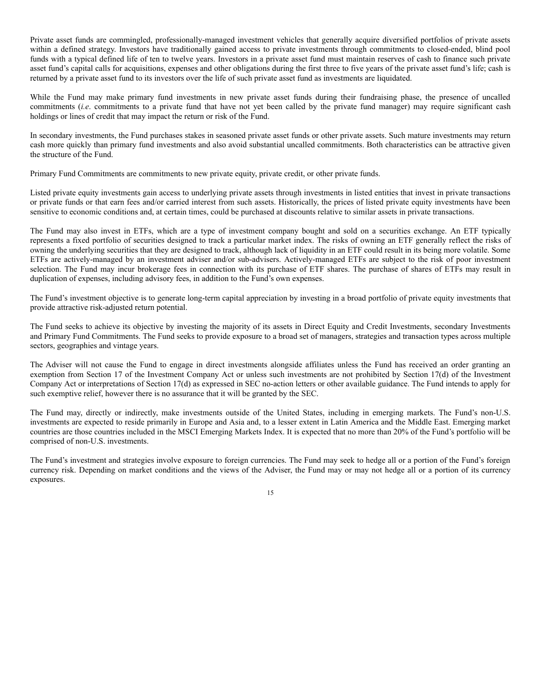Private asset funds are commingled, professionally-managed investment vehicles that generally acquire diversified portfolios of private assets within a defined strategy. Investors have traditionally gained access to private investments through commitments to closed-ended, blind pool funds with a typical defined life of ten to twelve years. Investors in a private asset fund must maintain reserves of cash to finance such private asset fund's capital calls for acquisitions, expenses and other obligations during the first three to five years of the private asset fund's life; cash is returned by a private asset fund to its investors over the life of such private asset fund as investments are liquidated.

While the Fund may make primary fund investments in new private asset funds during their fundraising phase, the presence of uncalled commitments (*i.e*. commitments to a private fund that have not yet been called by the private fund manager) may require significant cash holdings or lines of credit that may impact the return or risk of the Fund.

In secondary investments, the Fund purchases stakes in seasoned private asset funds or other private assets. Such mature investments may return cash more quickly than primary fund investments and also avoid substantial uncalled commitments. Both characteristics can be attractive given the structure of the Fund.

Primary Fund Commitments are commitments to new private equity, private credit, or other private funds.

Listed private equity investments gain access to underlying private assets through investments in listed entities that invest in private transactions or private funds or that earn fees and/or carried interest from such assets. Historically, the prices of listed private equity investments have been sensitive to economic conditions and, at certain times, could be purchased at discounts relative to similar assets in private transactions.

The Fund may also invest in ETFs, which are a type of investment company bought and sold on a securities exchange. An ETF typically represents a fixed portfolio of securities designed to track a particular market index. The risks of owning an ETF generally reflect the risks of owning the underlying securities that they are designed to track, although lack of liquidity in an ETF could result in its being more volatile. Some ETFs are actively-managed by an investment adviser and/or sub-advisers. Actively-managed ETFs are subject to the risk of poor investment selection. The Fund may incur brokerage fees in connection with its purchase of ETF shares. The purchase of shares of ETFs may result in duplication of expenses, including advisory fees, in addition to the Fund's own expenses.

The Fund's investment objective is to generate long-term capital appreciation by investing in a broad portfolio of private equity investments that provide attractive risk-adjusted return potential.

The Fund seeks to achieve its objective by investing the majority of its assets in Direct Equity and Credit Investments, secondary Investments and Primary Fund Commitments. The Fund seeks to provide exposure to a broad set of managers, strategies and transaction types across multiple sectors, geographies and vintage years.

The Adviser will not cause the Fund to engage in direct investments alongside affiliates unless the Fund has received an order granting an exemption from Section 17 of the Investment Company Act or unless such investments are not prohibited by Section 17(d) of the Investment Company Act or interpretations of Section 17(d) as expressed in SEC no-action letters or other available guidance. The Fund intends to apply for such exemptive relief, however there is no assurance that it will be granted by the SEC.

The Fund may, directly or indirectly, make investments outside of the United States, including in emerging markets. The Fund's non-U.S. investments are expected to reside primarily in Europe and Asia and, to a lesser extent in Latin America and the Middle East. Emerging market countries are those countries included in the MSCI Emerging Markets Index. It is expected that no more than 20% of the Fund's portfolio will be comprised of non-U.S. investments.

The Fund's investment and strategies involve exposure to foreign currencies. The Fund may seek to hedge all or a portion of the Fund's foreign currency risk. Depending on market conditions and the views of the Adviser, the Fund may or may not hedge all or a portion of its currency exposures.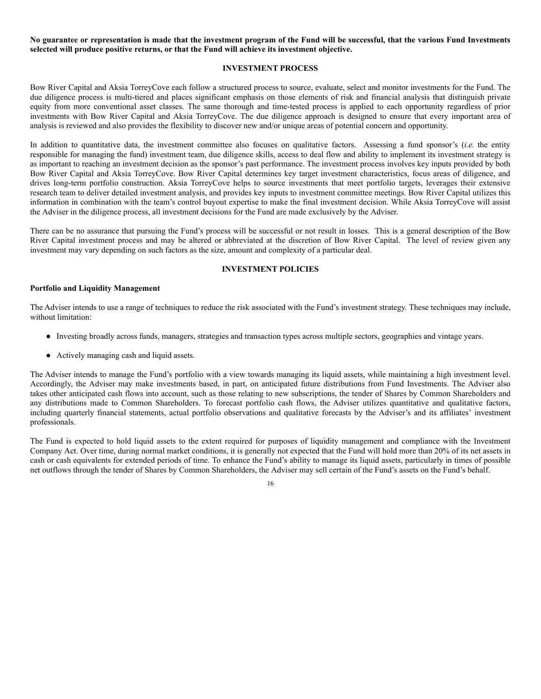No guarantee or representation is made that the investment program of the Fund will be successful, that the various Fund Investments **selected will produce positive returns, or that the Fund will achieve its investment objective.**

## **INVESTMENT PROCESS**

Bow River Capital and Aksia TorreyCove each follow a structured process to source, evaluate, select and monitor investments for the Fund. The due diligence process is multi-tiered and places significant emphasis on those elements of risk and financial analysis that distinguish private equity from more conventional asset classes. The same thorough and time-tested process is applied to each opportunity regardless of prior investments with Bow River Capital and Aksia TorreyCove. The due diligence approach is designed to ensure that every important area of analysis is reviewed and also provides the flexibility to discover new and/or unique areas of potential concern and opportunity.

In addition to quantitative data, the investment committee also focuses on qualitative factors. Assessing a fund sponsor's (*i.e.* the entity responsible for managing the fund) investment team, due diligence skills, access to deal flow and ability to implement its investment strategy is as important to reaching an investment decision as the sponsor's past performance. The investment process involves key inputs provided by both Bow River Capital and Aksia TorreyCove. Bow River Capital determines key target investment characteristics, focus areas of diligence, and drives long-term portfolio construction. Aksia TorreyCove helps to source investments that meet portfolio targets, leverages their extensive research team to deliver detailed investment analysis, and provides key inputs to investment committee meetings. Bow River Capital utilizes this information in combination with the team's control buyout expertise to make the final investment decision. While Aksia TorreyCove will assist the Adviser in the diligence process, all investment decisions for the Fund are made exclusively by the Adviser.

There can be no assurance that pursuing the Fund's process will be successful or not result in losses. This is a general description of the Bow River Capital investment process and may be altered or abbreviated at the discretion of Bow River Capital. The level of review given any investment may vary depending on such factors as the size, amount and complexity of a particular deal.

#### **INVESTMENT POLICIES**

#### **Portfolio and Liquidity Management**

The Adviser intends to use a range of techniques to reduce the risk associated with the Fund's investment strategy. These techniques may include, without limitation:

- Investing broadly across funds, managers, strategies and transaction types across multiple sectors, geographies and vintage years.
- Actively managing cash and liquid assets.

The Adviser intends to manage the Fund's portfolio with a view towards managing its liquid assets, while maintaining a high investment level. Accordingly, the Adviser may make investments based, in part, on anticipated future distributions from Fund Investments. The Adviser also takes other anticipated cash flows into account, such as those relating to new subscriptions, the tender of Shares by Common Shareholders and any distributions made to Common Shareholders. To forecast portfolio cash flows, the Adviser utilizes quantitative and qualitative factors, including quarterly financial statements, actual portfolio observations and qualitative forecasts by the Adviser's and its affiliates' investment professionals.

The Fund is expected to hold liquid assets to the extent required for purposes of liquidity management and compliance with the Investment Company Act. Over time, during normal market conditions, it is generally not expected that the Fund will hold more than 20% of its net assets in cash or cash equivalents for extended periods of time. To enhance the Fund's ability to manage its liquid assets, particularly in times of possible net outflows through the tender of Shares by Common Shareholders, the Adviser may sell certain of the Fund's assets on the Fund's behalf.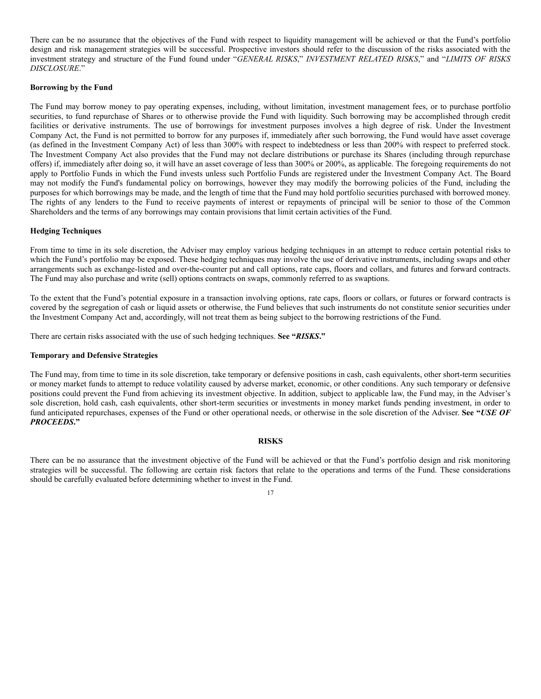There can be no assurance that the objectives of the Fund with respect to liquidity management will be achieved or that the Fund's portfolio design and risk management strategies will be successful. Prospective investors should refer to the discussion of the risks associated with the investment strategy and structure of the Fund found under "*GENERAL RISKS*," *INVESTMENT RELATED RISKS*," and "*LIMITS OF RISKS DISCLOSURE*."

## **Borrowing by the Fund**

The Fund may borrow money to pay operating expenses, including, without limitation, investment management fees, or to purchase portfolio securities, to fund repurchase of Shares or to otherwise provide the Fund with liquidity. Such borrowing may be accomplished through credit facilities or derivative instruments. The use of borrowings for investment purposes involves a high degree of risk. Under the Investment Company Act, the Fund is not permitted to borrow for any purposes if, immediately after such borrowing, the Fund would have asset coverage (as defined in the Investment Company Act) of less than 300% with respect to indebtedness or less than 200% with respect to preferred stock. The Investment Company Act also provides that the Fund may not declare distributions or purchase its Shares (including through repurchase offers) if, immediately after doing so, it will have an asset coverage of less than 300% or 200%, as applicable. The foregoing requirements do not apply to Portfolio Funds in which the Fund invests unless such Portfolio Funds are registered under the Investment Company Act. The Board may not modify the Fund's fundamental policy on borrowings, however they may modify the borrowing policies of the Fund, including the purposes for which borrowings may be made, and the length of time that the Fund may hold portfolio securities purchased with borrowed money. The rights of any lenders to the Fund to receive payments of interest or repayments of principal will be senior to those of the Common Shareholders and the terms of any borrowings may contain provisions that limit certain activities of the Fund.

# **Hedging Techniques**

From time to time in its sole discretion, the Adviser may employ various hedging techniques in an attempt to reduce certain potential risks to which the Fund's portfolio may be exposed. These hedging techniques may involve the use of derivative instruments, including swaps and other arrangements such as exchange-listed and over-the-counter put and call options, rate caps, floors and collars, and futures and forward contracts. The Fund may also purchase and write (sell) options contracts on swaps, commonly referred to as swaptions.

To the extent that the Fund's potential exposure in a transaction involving options, rate caps, floors or collars, or futures or forward contracts is covered by the segregation of cash or liquid assets or otherwise, the Fund believes that such instruments do not constitute senior securities under the Investment Company Act and, accordingly, will not treat them as being subject to the borrowing restrictions of the Fund.

There are certain risks associated with the use of such hedging techniques. **See "***RISKS***."**

#### **Temporary and Defensive Strategies**

The Fund may, from time to time in its sole discretion, take temporary or defensive positions in cash, cash equivalents, other short-term securities or money market funds to attempt to reduce volatility caused by adverse market, economic, or other conditions. Any such temporary or defensive positions could prevent the Fund from achieving its investment objective. In addition, subject to applicable law, the Fund may, in the Adviser's sole discretion, hold cash, cash equivalents, other short-term securities or investments in money market funds pending investment, in order to fund anticipated repurchases, expenses of the Fund or other operational needs, or otherwise in the sole discretion of the Adviser. **See "***USE OF PROCEEDS***."**

#### **RISKS**

There can be no assurance that the investment objective of the Fund will be achieved or that the Fund's portfolio design and risk monitoring strategies will be successful. The following are certain risk factors that relate to the operations and terms of the Fund. These considerations should be carefully evaluated before determining whether to invest in the Fund.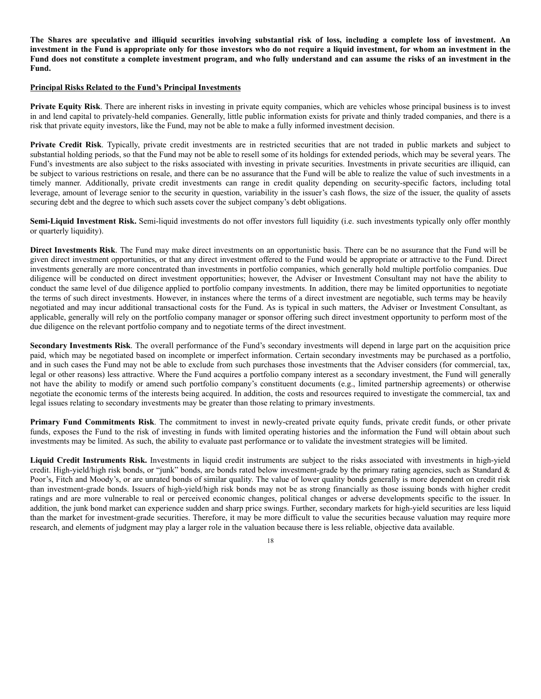The Shares are speculative and illiquid securities involving substantial risk of loss, including a complete loss of investment. An investment in the Fund is appropriate only for those investors who do not require a liquid investment, for whom an investment in the Fund does not constitute a complete investment program, and who fully understand and can assume the risks of an investment in the **Fund.**

#### **Principal Risks Related to the Fund's Principal Investments**

**Private Equity Risk**. There are inherent risks in investing in private equity companies, which are vehicles whose principal business is to invest in and lend capital to privately-held companies. Generally, little public information exists for private and thinly traded companies, and there is a risk that private equity investors, like the Fund, may not be able to make a fully informed investment decision.

**Private Credit Risk**. Typically, private credit investments are in restricted securities that are not traded in public markets and subject to substantial holding periods, so that the Fund may not be able to resell some of its holdings for extended periods, which may be several years. The Fund's investments are also subject to the risks associated with investing in private securities. Investments in private securities are illiquid, can be subject to various restrictions on resale, and there can be no assurance that the Fund will be able to realize the value of such investments in a timely manner. Additionally, private credit investments can range in credit quality depending on security-specific factors, including total leverage, amount of leverage senior to the security in question, variability in the issuer's cash flows, the size of the issuer, the quality of assets securing debt and the degree to which such assets cover the subject company's debt obligations.

**Semi-Liquid Investment Risk.** Semi-liquid investments do not offer investors full liquidity (i.e. such investments typically only offer monthly or quarterly liquidity).

**Direct Investments Risk**. The Fund may make direct investments on an opportunistic basis. There can be no assurance that the Fund will be given direct investment opportunities, or that any direct investment offered to the Fund would be appropriate or attractive to the Fund. Direct investments generally are more concentrated than investments in portfolio companies, which generally hold multiple portfolio companies. Due diligence will be conducted on direct investment opportunities; however, the Adviser or Investment Consultant may not have the ability to conduct the same level of due diligence applied to portfolio company investments. In addition, there may be limited opportunities to negotiate the terms of such direct investments. However, in instances where the terms of a direct investment are negotiable, such terms may be heavily negotiated and may incur additional transactional costs for the Fund. As is typical in such matters, the Adviser or Investment Consultant, as applicable, generally will rely on the portfolio company manager or sponsor offering such direct investment opportunity to perform most of the due diligence on the relevant portfolio company and to negotiate terms of the direct investment.

**Secondary Investments Risk**. The overall performance of the Fund's secondary investments will depend in large part on the acquisition price paid, which may be negotiated based on incomplete or imperfect information. Certain secondary investments may be purchased as a portfolio, and in such cases the Fund may not be able to exclude from such purchases those investments that the Adviser considers (for commercial, tax, legal or other reasons) less attractive. Where the Fund acquires a portfolio company interest as a secondary investment, the Fund will generally not have the ability to modify or amend such portfolio company's constituent documents (e.g., limited partnership agreements) or otherwise negotiate the economic terms of the interests being acquired. In addition, the costs and resources required to investigate the commercial, tax and legal issues relating to secondary investments may be greater than those relating to primary investments.

**Primary Fund Commitments Risk**. The commitment to invest in newly-created private equity funds, private credit funds, or other private funds, exposes the Fund to the risk of investing in funds with limited operating histories and the information the Fund will obtain about such investments may be limited. As such, the ability to evaluate past performance or to validate the investment strategies will be limited.

**Liquid Credit Instruments Risk.** Investments in liquid credit instruments are subject to the risks associated with investments in high-yield credit. High-yield/high risk bonds, or "junk" bonds, are bonds rated below investment-grade by the primary rating agencies, such as Standard  $\&$ Poor's, Fitch and Moody's, or are unrated bonds of similar quality. The value of lower quality bonds generally is more dependent on credit risk than investment-grade bonds. Issuers of high-yield/high risk bonds may not be as strong financially as those issuing bonds with higher credit ratings and are more vulnerable to real or perceived economic changes, political changes or adverse developments specific to the issuer. In addition, the junk bond market can experience sudden and sharp price swings. Further, secondary markets for high-yield securities are less liquid than the market for investment-grade securities. Therefore, it may be more difficult to value the securities because valuation may require more research, and elements of judgment may play a larger role in the valuation because there is less reliable, objective data available.

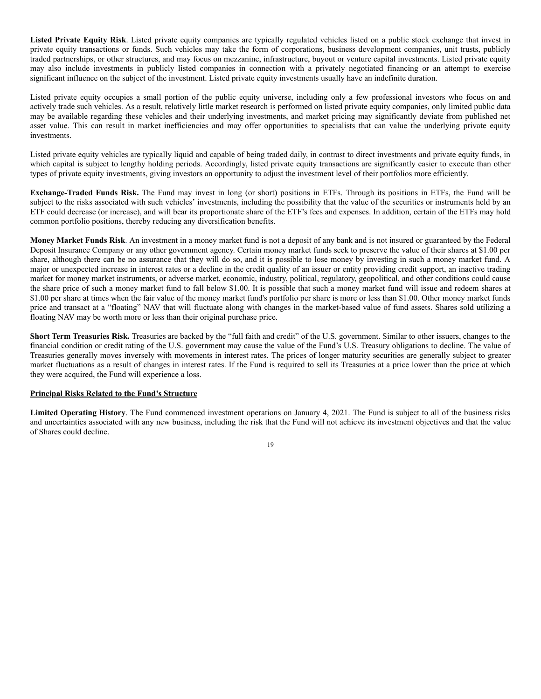**Listed Private Equity Risk**. Listed private equity companies are typically regulated vehicles listed on a public stock exchange that invest in private equity transactions or funds. Such vehicles may take the form of corporations, business development companies, unit trusts, publicly traded partnerships, or other structures, and may focus on mezzanine, infrastructure, buyout or venture capital investments. Listed private equity may also include investments in publicly listed companies in connection with a privately negotiated financing or an attempt to exercise significant influence on the subject of the investment. Listed private equity investments usually have an indefinite duration.

Listed private equity occupies a small portion of the public equity universe, including only a few professional investors who focus on and actively trade such vehicles. As a result, relatively little market research is performed on listed private equity companies, only limited public data may be available regarding these vehicles and their underlying investments, and market pricing may significantly deviate from published net asset value. This can result in market inefficiencies and may offer opportunities to specialists that can value the underlying private equity investments.

Listed private equity vehicles are typically liquid and capable of being traded daily, in contrast to direct investments and private equity funds, in which capital is subject to lengthy holding periods. Accordingly, listed private equity transactions are significantly easier to execute than other types of private equity investments, giving investors an opportunity to adjust the investment level of their portfolios more efficiently.

**Exchange-Traded Funds Risk.** The Fund may invest in long (or short) positions in ETFs. Through its positions in ETFs, the Fund will be subject to the risks associated with such vehicles' investments, including the possibility that the value of the securities or instruments held by an ETF could decrease (or increase), and will bear its proportionate share of the ETF's fees and expenses. In addition, certain of the ETFs may hold common portfolio positions, thereby reducing any diversification benefits.

**Money Market Funds Risk**. An investment in a money market fund is not a deposit of any bank and is not insured or guaranteed by the Federal Deposit Insurance Company or any other government agency. Certain money market funds seek to preserve the value of their shares at \$1.00 per share, although there can be no assurance that they will do so, and it is possible to lose money by investing in such a money market fund. A major or unexpected increase in interest rates or a decline in the credit quality of an issuer or entity providing credit support, an inactive trading market for money market instruments, or adverse market, economic, industry, political, regulatory, geopolitical, and other conditions could cause the share price of such a money market fund to fall below \$1.00. It is possible that such a money market fund will issue and redeem shares at \$1.00 per share at times when the fair value of the money market fund's portfolio per share is more or less than \$1.00. Other money market funds price and transact at a "floating" NAV that will fluctuate along with changes in the market-based value of fund assets. Shares sold utilizing a floating NAV may be worth more or less than their original purchase price.

**Short Term Treasuries Risk.** Treasuries are backed by the "full faith and credit" of the U.S. government. Similar to other issuers, changes to the financial condition or credit rating of the U.S. government may cause the value of the Fund's U.S. Treasury obligations to decline. The value of Treasuries generally moves inversely with movements in interest rates. The prices of longer maturity securities are generally subject to greater market fluctuations as a result of changes in interest rates. If the Fund is required to sell its Treasuries at a price lower than the price at which they were acquired, the Fund will experience a loss.

# **Principal Risks Related to the Fund's Structure**

**Limited Operating History**. The Fund commenced investment operations on January 4, 2021. The Fund is subject to all of the business risks and uncertainties associated with any new business, including the risk that the Fund will not achieve its investment objectives and that the value of Shares could decline.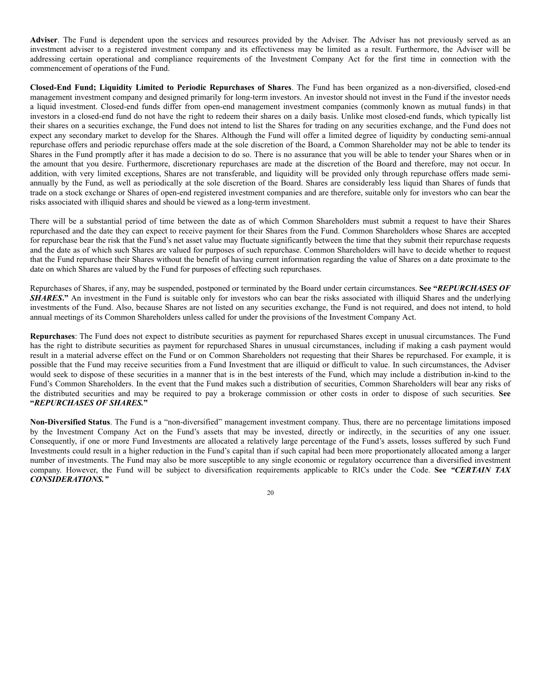**Adviser**. The Fund is dependent upon the services and resources provided by the Adviser. The Adviser has not previously served as an investment adviser to a registered investment company and its effectiveness may be limited as a result. Furthermore, the Adviser will be addressing certain operational and compliance requirements of the Investment Company Act for the first time in connection with the commencement of operations of the Fund.

**Closed-End Fund; Liquidity Limited to Periodic Repurchases of Shares**. The Fund has been organized as a non-diversified, closed-end management investment company and designed primarily for long-term investors. An investor should not invest in the Fund if the investor needs a liquid investment. Closed-end funds differ from open-end management investment companies (commonly known as mutual funds) in that investors in a closed-end fund do not have the right to redeem their shares on a daily basis. Unlike most closed-end funds, which typically list their shares on a securities exchange, the Fund does not intend to list the Shares for trading on any securities exchange, and the Fund does not expect any secondary market to develop for the Shares. Although the Fund will offer a limited degree of liquidity by conducting semi-annual repurchase offers and periodic repurchase offers made at the sole discretion of the Board, a Common Shareholder may not be able to tender its Shares in the Fund promptly after it has made a decision to do so. There is no assurance that you will be able to tender your Shares when or in the amount that you desire. Furthermore, discretionary repurchases are made at the discretion of the Board and therefore, may not occur. In addition, with very limited exceptions, Shares are not transferable, and liquidity will be provided only through repurchase offers made semiannually by the Fund, as well as periodically at the sole discretion of the Board. Shares are considerably less liquid than Shares of funds that trade on a stock exchange or Shares of open-end registered investment companies and are therefore, suitable only for investors who can bear the risks associated with illiquid shares and should be viewed as a long-term investment.

There will be a substantial period of time between the date as of which Common Shareholders must submit a request to have their Shares repurchased and the date they can expect to receive payment for their Shares from the Fund. Common Shareholders whose Shares are accepted for repurchase bear the risk that the Fund's net asset value may fluctuate significantly between the time that they submit their repurchase requests and the date as of which such Shares are valued for purposes of such repurchase. Common Shareholders will have to decide whether to request that the Fund repurchase their Shares without the benefit of having current information regarding the value of Shares on a date proximate to the date on which Shares are valued by the Fund for purposes of effecting such repurchases.

Repurchases of Shares, if any, may be suspended, postponed or terminated by the Board under certain circumstances. **See "***REPURCHASES OF* **SHARES.** An investment in the Fund is suitable only for investors who can bear the risks associated with illiquid Shares and the underlying investments of the Fund. Also, because Shares are not listed on any securities exchange, the Fund is not required, and does not intend, to hold annual meetings of its Common Shareholders unless called for under the provisions of the Investment Company Act.

**Repurchases**: The Fund does not expect to distribute securities as payment for repurchased Shares except in unusual circumstances. The Fund has the right to distribute securities as payment for repurchased Shares in unusual circumstances, including if making a cash payment would result in a material adverse effect on the Fund or on Common Shareholders not requesting that their Shares be repurchased. For example, it is possible that the Fund may receive securities from a Fund Investment that are illiquid or difficult to value. In such circumstances, the Adviser would seek to dispose of these securities in a manner that is in the best interests of the Fund, which may include a distribution in-kind to the Fund's Common Shareholders. In the event that the Fund makes such a distribution of securities, Common Shareholders will bear any risks of the distributed securities and may be required to pay a brokerage commission or other costs in order to dispose of such securities. **See "***REPURCHASES OF SHARES.***"**

**Non-Diversified Status**. The Fund is a "non-diversified" management investment company. Thus, there are no percentage limitations imposed by the Investment Company Act on the Fund's assets that may be invested, directly or indirectly, in the securities of any one issuer. Consequently, if one or more Fund Investments are allocated a relatively large percentage of the Fund's assets, losses suffered by such Fund Investments could result in a higher reduction in the Fund's capital than if such capital had been more proportionately allocated among a larger number of investments. The Fund may also be more susceptible to any single economic or regulatory occurrence than a diversified investment company. However, the Fund will be subject to diversification requirements applicable to RICs under the Code. **See** *"CERTAIN TAX CONSIDERATIONS."*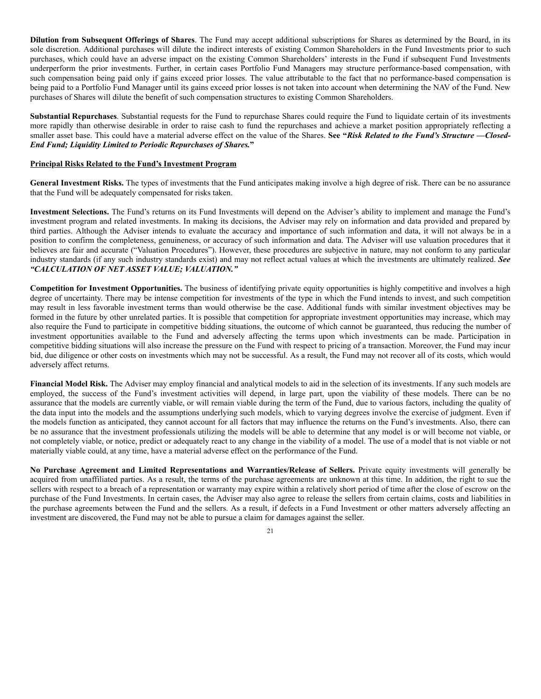**Dilution from Subsequent Offerings of Shares**. The Fund may accept additional subscriptions for Shares as determined by the Board, in its sole discretion. Additional purchases will dilute the indirect interests of existing Common Shareholders in the Fund Investments prior to such purchases, which could have an adverse impact on the existing Common Shareholders' interests in the Fund if subsequent Fund Investments underperform the prior investments. Further, in certain cases Portfolio Fund Managers may structure performance-based compensation, with such compensation being paid only if gains exceed prior losses. The value attributable to the fact that no performance-based compensation is being paid to a Portfolio Fund Manager until its gains exceed prior losses is not taken into account when determining the NAV of the Fund. New purchases of Shares will dilute the benefit of such compensation structures to existing Common Shareholders.

**Substantial Repurchases**. Substantial requests for the Fund to repurchase Shares could require the Fund to liquidate certain of its investments more rapidly than otherwise desirable in order to raise cash to fund the repurchases and achieve a market position appropriately reflecting a smaller asset base. This could have a material adverse effect on the value of the Shares. **See "***Risk Related to the Fund's Structure —Closed-End Fund; Liquidity Limited to Periodic Repurchases of Shares.***"**

## **Principal Risks Related to the Fund's Investment Program**

**General Investment Risks.** The types of investments that the Fund anticipates making involve a high degree of risk. There can be no assurance that the Fund will be adequately compensated for risks taken.

**Investment Selections.** The Fund's returns on its Fund Investments will depend on the Adviser's ability to implement and manage the Fund's investment program and related investments. In making its decisions, the Adviser may rely on information and data provided and prepared by third parties. Although the Adviser intends to evaluate the accuracy and importance of such information and data, it will not always be in a position to confirm the completeness, genuineness, or accuracy of such information and data. The Adviser will use valuation procedures that it believes are fair and accurate ("Valuation Procedures"). However, these procedures are subjective in nature, may not conform to any particular industry standards (if any such industry standards exist) and may not reflect actual values at which the investments are ultimately realized. *See "CALCULATION OF NET ASSET VALUE; VALUATION."*

**Competition for Investment Opportunities.** The business of identifying private equity opportunities is highly competitive and involves a high degree of uncertainty. There may be intense competition for investments of the type in which the Fund intends to invest, and such competition may result in less favorable investment terms than would otherwise be the case. Additional funds with similar investment objectives may be formed in the future by other unrelated parties. It is possible that competition for appropriate investment opportunities may increase, which may also require the Fund to participate in competitive bidding situations, the outcome of which cannot be guaranteed, thus reducing the number of investment opportunities available to the Fund and adversely affecting the terms upon which investments can be made. Participation in competitive bidding situations will also increase the pressure on the Fund with respect to pricing of a transaction. Moreover, the Fund may incur bid, due diligence or other costs on investments which may not be successful. As a result, the Fund may not recover all of its costs, which would adversely affect returns.

**Financial Model Risk.** The Adviser may employ financial and analytical models to aid in the selection of its investments. If any such models are employed, the success of the Fund's investment activities will depend, in large part, upon the viability of these models. There can be no assurance that the models are currently viable, or will remain viable during the term of the Fund, due to various factors, including the quality of the data input into the models and the assumptions underlying such models, which to varying degrees involve the exercise of judgment. Even if the models function as anticipated, they cannot account for all factors that may influence the returns on the Fund's investments. Also, there can be no assurance that the investment professionals utilizing the models will be able to determine that any model is or will become not viable, or not completely viable, or notice, predict or adequately react to any change in the viability of a model. The use of a model that is not viable or not materially viable could, at any time, have a material adverse effect on the performance of the Fund.

**No Purchase Agreement and Limited Representations and Warranties/Release of Sellers.** Private equity investments will generally be acquired from unaffiliated parties. As a result, the terms of the purchase agreements are unknown at this time. In addition, the right to sue the sellers with respect to a breach of a representation or warranty may expire within a relatively short period of time after the close of escrow on the purchase of the Fund Investments. In certain cases, the Adviser may also agree to release the sellers from certain claims, costs and liabilities in the purchase agreements between the Fund and the sellers. As a result, if defects in a Fund Investment or other matters adversely affecting an investment are discovered, the Fund may not be able to pursue a claim for damages against the seller.

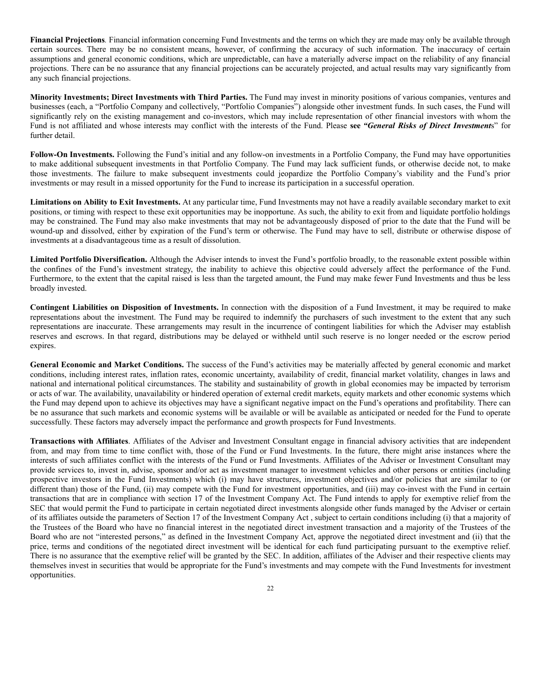**Financial Projections***.* Financial information concerning Fund Investments and the terms on which they are made may only be available through certain sources. There may be no consistent means, however, of confirming the accuracy of such information. The inaccuracy of certain assumptions and general economic conditions, which are unpredictable, can have a materially adverse impact on the reliability of any financial projections. There can be no assurance that any financial projections can be accurately projected, and actual results may vary significantly from any such financial projections.

**Minority Investments; Direct Investments with Third Parties.** The Fund may invest in minority positions of various companies, ventures and businesses (each, a "Portfolio Company and collectively, "Portfolio Companies") alongside other investment funds. In such cases, the Fund will significantly rely on the existing management and co-investors, which may include representation of other financial investors with whom the Fund is not affiliated and whose interests may conflict with the interests of the Fund. Please **see** *"General Risks of Direct Investment*s" for further detail.

**Follow-On Investments.** Following the Fund's initial and any follow-on investments in a Portfolio Company, the Fund may have opportunities to make additional subsequent investments in that Portfolio Company. The Fund may lack sufficient funds, or otherwise decide not, to make those investments. The failure to make subsequent investments could jeopardize the Portfolio Company's viability and the Fund's prior investments or may result in a missed opportunity for the Fund to increase its participation in a successful operation.

**Limitations on Ability to Exit Investments.** At any particular time, Fund Investments may not have a readily available secondary market to exit positions, or timing with respect to these exit opportunities may be inopportune. As such, the ability to exit from and liquidate portfolio holdings may be constrained. The Fund may also make investments that may not be advantageously disposed of prior to the date that the Fund will be wound-up and dissolved, either by expiration of the Fund's term or otherwise. The Fund may have to sell, distribute or otherwise dispose of investments at a disadvantageous time as a result of dissolution.

**Limited Portfolio Diversification.** Although the Adviser intends to invest the Fund's portfolio broadly, to the reasonable extent possible within the confines of the Fund's investment strategy, the inability to achieve this objective could adversely affect the performance of the Fund. Furthermore, to the extent that the capital raised is less than the targeted amount, the Fund may make fewer Fund Investments and thus be less broadly invested.

**Contingent Liabilities on Disposition of Investments.** In connection with the disposition of a Fund Investment, it may be required to make representations about the investment. The Fund may be required to indemnify the purchasers of such investment to the extent that any such representations are inaccurate. These arrangements may result in the incurrence of contingent liabilities for which the Adviser may establish reserves and escrows. In that regard, distributions may be delayed or withheld until such reserve is no longer needed or the escrow period expires.

**General Economic and Market Conditions.** The success of the Fund's activities may be materially affected by general economic and market conditions, including interest rates, inflation rates, economic uncertainty, availability of credit, financial market volatility, changes in laws and national and international political circumstances. The stability and sustainability of growth in global economies may be impacted by terrorism or acts of war. The availability, unavailability or hindered operation of external credit markets, equity markets and other economic systems which the Fund may depend upon to achieve its objectives may have a significant negative impact on the Fund's operations and profitability. There can be no assurance that such markets and economic systems will be available or will be available as anticipated or needed for the Fund to operate successfully. These factors may adversely impact the performance and growth prospects for Fund Investments.

**Transactions with Affiliates**. Affiliates of the Adviser and Investment Consultant engage in financial advisory activities that are independent from, and may from time to time conflict with, those of the Fund or Fund Investments. In the future, there might arise instances where the interests of such affiliates conflict with the interests of the Fund or Fund Investments. Affiliates of the Adviser or Investment Consultant may provide services to, invest in, advise, sponsor and/or act as investment manager to investment vehicles and other persons or entities (including prospective investors in the Fund Investments) which (i) may have structures, investment objectives and/or policies that are similar to (or different than) those of the Fund, (ii) may compete with the Fund for investment opportunities, and (iii) may co-invest with the Fund in certain transactions that are in compliance with section 17 of the Investment Company Act. The Fund intends to apply for exemptive relief from the SEC that would permit the Fund to participate in certain negotiated direct investments alongside other funds managed by the Adviser or certain of its affiliates outside the parameters of Section 17 of the Investment Company Act , subject to certain conditions including (i) that a majority of the Trustees of the Board who have no financial interest in the negotiated direct investment transaction and a majority of the Trustees of the Board who are not "interested persons," as defined in the Investment Company Act, approve the negotiated direct investment and (ii) that the price, terms and conditions of the negotiated direct investment will be identical for each fund participating pursuant to the exemptive relief. There is no assurance that the exemptive relief will be granted by the SEC. In addition, affiliates of the Adviser and their respective clients may themselves invest in securities that would be appropriate for the Fund's investments and may compete with the Fund Investments for investment opportunities.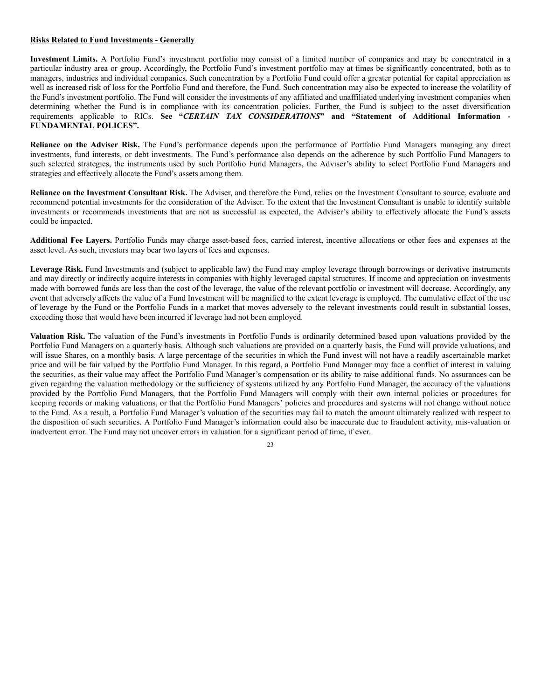## **Risks Related to Fund Investments - Generally**

**Investment Limits.** A Portfolio Fund's investment portfolio may consist of a limited number of companies and may be concentrated in a particular industry area or group. Accordingly, the Portfolio Fund's investment portfolio may at times be significantly concentrated, both as to managers, industries and individual companies. Such concentration by a Portfolio Fund could offer a greater potential for capital appreciation as well as increased risk of loss for the Portfolio Fund and therefore, the Fund. Such concentration may also be expected to increase the volatility of the Fund's investment portfolio. The Fund will consider the investments of any affiliated and unaffiliated underlying investment companies when determining whether the Fund is in compliance with its concentration policies. Further, the Fund is subject to the asset diversification requirements applicable to RICs. **See "***CERTAIN TAX CONSIDERATIONS***" and "Statement of Additional Information - FUNDAMENTAL POLICES".**

**Reliance on the Adviser Risk.** The Fund's performance depends upon the performance of Portfolio Fund Managers managing any direct investments, fund interests, or debt investments. The Fund's performance also depends on the adherence by such Portfolio Fund Managers to such selected strategies, the instruments used by such Portfolio Fund Managers, the Adviser's ability to select Portfolio Fund Managers and strategies and effectively allocate the Fund's assets among them.

**Reliance on the Investment Consultant Risk.** The Adviser, and therefore the Fund, relies on the Investment Consultant to source, evaluate and recommend potential investments for the consideration of the Adviser. To the extent that the Investment Consultant is unable to identify suitable investments or recommends investments that are not as successful as expected, the Adviser's ability to effectively allocate the Fund's assets could be impacted.

**Additional Fee Layers.** Portfolio Funds may charge asset-based fees, carried interest, incentive allocations or other fees and expenses at the asset level. As such, investors may bear two layers of fees and expenses.

**Leverage Risk.** Fund Investments and (subject to applicable law) the Fund may employ leverage through borrowings or derivative instruments and may directly or indirectly acquire interests in companies with highly leveraged capital structures. If income and appreciation on investments made with borrowed funds are less than the cost of the leverage, the value of the relevant portfolio or investment will decrease. Accordingly, any event that adversely affects the value of a Fund Investment will be magnified to the extent leverage is employed. The cumulative effect of the use of leverage by the Fund or the Portfolio Funds in a market that moves adversely to the relevant investments could result in substantial losses, exceeding those that would have been incurred if leverage had not been employed.

**Valuation Risk.** The valuation of the Fund's investments in Portfolio Funds is ordinarily determined based upon valuations provided by the Portfolio Fund Managers on a quarterly basis. Although such valuations are provided on a quarterly basis, the Fund will provide valuations, and will issue Shares, on a monthly basis. A large percentage of the securities in which the Fund invest will not have a readily ascertainable market price and will be fair valued by the Portfolio Fund Manager. In this regard, a Portfolio Fund Manager may face a conflict of interest in valuing the securities, as their value may affect the Portfolio Fund Manager's compensation or its ability to raise additional funds. No assurances can be given regarding the valuation methodology or the sufficiency of systems utilized by any Portfolio Fund Manager, the accuracy of the valuations provided by the Portfolio Fund Managers, that the Portfolio Fund Managers will comply with their own internal policies or procedures for keeping records or making valuations, or that the Portfolio Fund Managers' policies and procedures and systems will not change without notice to the Fund. As a result, a Portfolio Fund Manager's valuation of the securities may fail to match the amount ultimately realized with respect to the disposition of such securities. A Portfolio Fund Manager's information could also be inaccurate due to fraudulent activity, mis-valuation or inadvertent error. The Fund may not uncover errors in valuation for a significant period of time, if ever.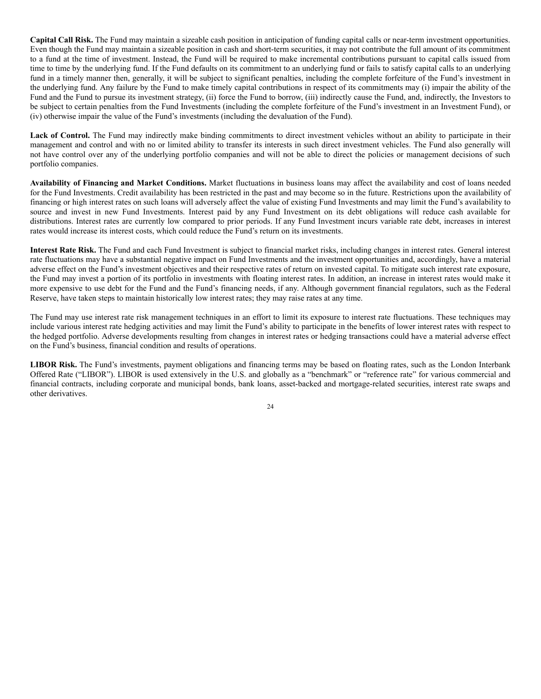**Capital Call Risk.** The Fund may maintain a sizeable cash position in anticipation of funding capital calls or near-term investment opportunities. Even though the Fund may maintain a sizeable position in cash and short-term securities, it may not contribute the full amount of its commitment to a fund at the time of investment. Instead, the Fund will be required to make incremental contributions pursuant to capital calls issued from time to time by the underlying fund. If the Fund defaults on its commitment to an underlying fund or fails to satisfy capital calls to an underlying fund in a timely manner then, generally, it will be subject to significant penalties, including the complete forfeiture of the Fund's investment in the underlying fund. Any failure by the Fund to make timely capital contributions in respect of its commitments may (i) impair the ability of the Fund and the Fund to pursue its investment strategy, (ii) force the Fund to borrow, (iii) indirectly cause the Fund, and, indirectly, the Investors to be subject to certain penalties from the Fund Investments (including the complete forfeiture of the Fund's investment in an Investment Fund), or (iv) otherwise impair the value of the Fund's investments (including the devaluation of the Fund).

**Lack of Control.** The Fund may indirectly make binding commitments to direct investment vehicles without an ability to participate in their management and control and with no or limited ability to transfer its interests in such direct investment vehicles. The Fund also generally will not have control over any of the underlying portfolio companies and will not be able to direct the policies or management decisions of such portfolio companies.

**Availability of Financing and Market Conditions.** Market fluctuations in business loans may affect the availability and cost of loans needed for the Fund Investments. Credit availability has been restricted in the past and may become so in the future. Restrictions upon the availability of financing or high interest rates on such loans will adversely affect the value of existing Fund Investments and may limit the Fund's availability to source and invest in new Fund Investments. Interest paid by any Fund Investment on its debt obligations will reduce cash available for distributions. Interest rates are currently low compared to prior periods. If any Fund Investment incurs variable rate debt, increases in interest rates would increase its interest costs, which could reduce the Fund's return on its investments.

**Interest Rate Risk.** The Fund and each Fund Investment is subject to financial market risks, including changes in interest rates. General interest rate fluctuations may have a substantial negative impact on Fund Investments and the investment opportunities and, accordingly, have a material adverse effect on the Fund's investment objectives and their respective rates of return on invested capital. To mitigate such interest rate exposure, the Fund may invest a portion of its portfolio in investments with floating interest rates. In addition, an increase in interest rates would make it more expensive to use debt for the Fund and the Fund's financing needs, if any. Although government financial regulators, such as the Federal Reserve, have taken steps to maintain historically low interest rates; they may raise rates at any time.

The Fund may use interest rate risk management techniques in an effort to limit its exposure to interest rate fluctuations. These techniques may include various interest rate hedging activities and may limit the Fund's ability to participate in the benefits of lower interest rates with respect to the hedged portfolio. Adverse developments resulting from changes in interest rates or hedging transactions could have a material adverse effect on the Fund's business, financial condition and results of operations.

**LIBOR Risk.** The Fund's investments, payment obligations and financing terms may be based on floating rates, such as the London Interbank Offered Rate ("LIBOR"). LIBOR is used extensively in the U.S. and globally as a "benchmark" or "reference rate" for various commercial and financial contracts, including corporate and municipal bonds, bank loans, asset-backed and mortgage-related securities, interest rate swaps and other derivatives.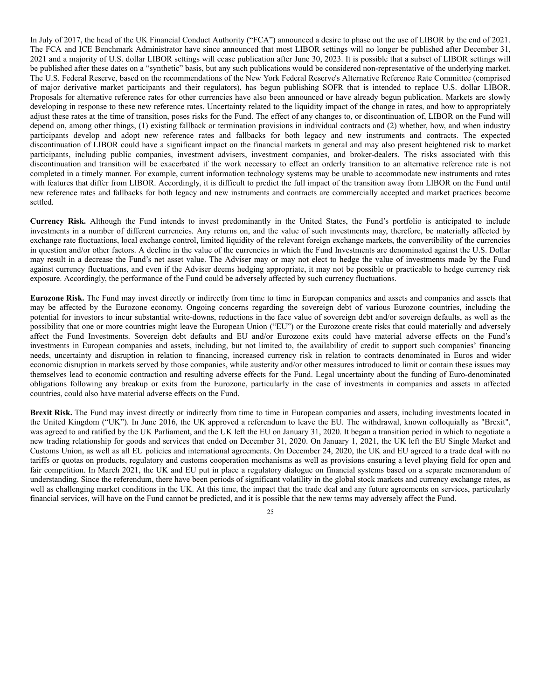In July of 2017, the head of the UK Financial Conduct Authority ("FCA") announced a desire to phase out the use of LIBOR by the end of 2021. The FCA and ICE Benchmark Administrator have since announced that most LIBOR settings will no longer be published after December 31, 2021 and a majority of U.S. dollar LIBOR settings will cease publication after June 30, 2023. It is possible that a subset of LIBOR settings will be published after these dates on a "synthetic" basis, but any such publications would be considered non-representative of the underlying market. The U.S. Federal Reserve, based on the recommendations of the New York Federal Reserve's Alternative Reference Rate Committee (comprised of major derivative market participants and their regulators), has begun publishing SOFR that is intended to replace U.S. dollar LIBOR. Proposals for alternative reference rates for other currencies have also been announced or have already begun publication. Markets are slowly developing in response to these new reference rates. Uncertainty related to the liquidity impact of the change in rates, and how to appropriately adjust these rates at the time of transition, poses risks for the Fund. The effect of any changes to, or discontinuation of, LIBOR on the Fund will depend on, among other things, (1) existing fallback or termination provisions in individual contracts and (2) whether, how, and when industry participants develop and adopt new reference rates and fallbacks for both legacy and new instruments and contracts. The expected discontinuation of LIBOR could have a significant impact on the financial markets in general and may also present heightened risk to market participants, including public companies, investment advisers, investment companies, and broker-dealers. The risks associated with this discontinuation and transition will be exacerbated if the work necessary to effect an orderly transition to an alternative reference rate is not completed in a timely manner. For example, current information technology systems may be unable to accommodate new instruments and rates with features that differ from LIBOR. Accordingly, it is difficult to predict the full impact of the transition away from LIBOR on the Fund until new reference rates and fallbacks for both legacy and new instruments and contracts are commercially accepted and market practices become settled.

**Currency Risk.** Although the Fund intends to invest predominantly in the United States, the Fund's portfolio is anticipated to include investments in a number of different currencies. Any returns on, and the value of such investments may, therefore, be materially affected by exchange rate fluctuations, local exchange control, limited liquidity of the relevant foreign exchange markets, the convertibility of the currencies in question and/or other factors. A decline in the value of the currencies in which the Fund Investments are denominated against the U.S. Dollar may result in a decrease the Fund's net asset value. The Adviser may or may not elect to hedge the value of investments made by the Fund against currency fluctuations, and even if the Adviser deems hedging appropriate, it may not be possible or practicable to hedge currency risk exposure. Accordingly, the performance of the Fund could be adversely affected by such currency fluctuations.

**Eurozone Risk.** The Fund may invest directly or indirectly from time to time in European companies and assets and companies and assets that may be affected by the Eurozone economy. Ongoing concerns regarding the sovereign debt of various Eurozone countries, including the potential for investors to incur substantial write-downs, reductions in the face value of sovereign debt and/or sovereign defaults, as well as the possibility that one or more countries might leave the European Union ("EU") or the Eurozone create risks that could materially and adversely affect the Fund Investments. Sovereign debt defaults and EU and/or Eurozone exits could have material adverse effects on the Fund's investments in European companies and assets, including, but not limited to, the availability of credit to support such companies' financing needs, uncertainty and disruption in relation to financing, increased currency risk in relation to contracts denominated in Euros and wider economic disruption in markets served by those companies, while austerity and/or other measures introduced to limit or contain these issues may themselves lead to economic contraction and resulting adverse effects for the Fund. Legal uncertainty about the funding of Euro-denominated obligations following any breakup or exits from the Eurozone, particularly in the case of investments in companies and assets in affected countries, could also have material adverse effects on the Fund.

**Brexit Risk.** The Fund may invest directly or indirectly from time to time in European companies and assets, including investments located in the United Kingdom ("UK"). In June 2016, the UK approved a referendum to leave the EU. The withdrawal, known colloquially as "Brexit", was agreed to and ratified by the UK Parliament, and the UK left the EU on January 31, 2020. It began a transition period in which to negotiate a new trading relationship for goods and services that ended on December 31, 2020. On January 1, 2021, the UK left the EU Single Market and Customs Union, as well as all EU policies and international agreements. On December 24, 2020, the UK and EU agreed to a trade deal with no tariffs or quotas on products, regulatory and customs cooperation mechanisms as well as provisions ensuring a level playing field for open and fair competition. In March 2021, the UK and EU put in place a regulatory dialogue on financial systems based on a separate memorandum of understanding. Since the referendum, there have been periods of significant volatility in the global stock markets and currency exchange rates, as well as challenging market conditions in the UK. At this time, the impact that the trade deal and any future agreements on services, particularly financial services, will have on the Fund cannot be predicted, and it is possible that the new terms may adversely affect the Fund.

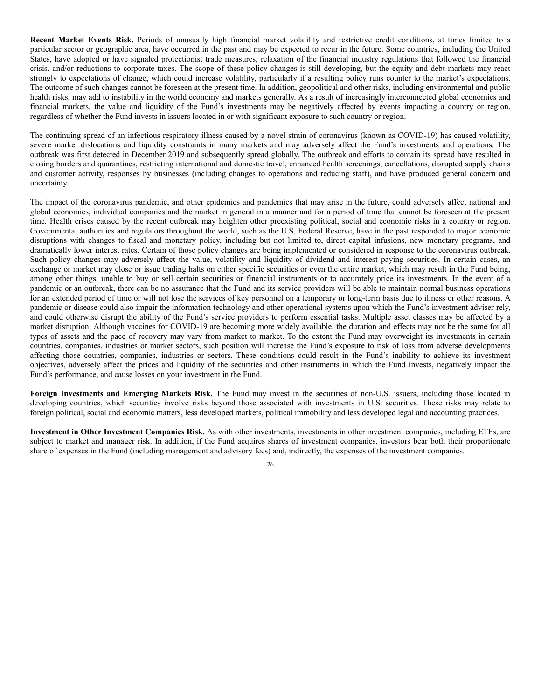**Recent Market Events Risk.** Periods of unusually high financial market volatility and restrictive credit conditions, at times limited to a particular sector or geographic area, have occurred in the past and may be expected to recur in the future. Some countries, including the United States, have adopted or have signaled protectionist trade measures, relaxation of the financial industry regulations that followed the financial crisis, and/or reductions to corporate taxes. The scope of these policy changes is still developing, but the equity and debt markets may react strongly to expectations of change, which could increase volatility, particularly if a resulting policy runs counter to the market's expectations. The outcome of such changes cannot be foreseen at the present time. In addition, geopolitical and other risks, including environmental and public health risks, may add to instability in the world economy and markets generally. As a result of increasingly interconnected global economies and financial markets, the value and liquidity of the Fund's investments may be negatively affected by events impacting a country or region, regardless of whether the Fund invests in issuers located in or with significant exposure to such country or region.

The continuing spread of an infectious respiratory illness caused by a novel strain of coronavirus (known as COVID-19) has caused volatility, severe market dislocations and liquidity constraints in many markets and may adversely affect the Fund's investments and operations. The outbreak was first detected in December 2019 and subsequently spread globally. The outbreak and efforts to contain its spread have resulted in closing borders and quarantines, restricting international and domestic travel, enhanced health screenings, cancellations, disrupted supply chains and customer activity, responses by businesses (including changes to operations and reducing staff), and have produced general concern and uncertainty.

The impact of the coronavirus pandemic, and other epidemics and pandemics that may arise in the future, could adversely affect national and global economies, individual companies and the market in general in a manner and for a period of time that cannot be foreseen at the present time. Health crises caused by the recent outbreak may heighten other preexisting political, social and economic risks in a country or region. Governmental authorities and regulators throughout the world, such as the U.S. Federal Reserve, have in the past responded to major economic disruptions with changes to fiscal and monetary policy, including but not limited to, direct capital infusions, new monetary programs, and dramatically lower interest rates. Certain of those policy changes are being implemented or considered in response to the coronavirus outbreak. Such policy changes may adversely affect the value, volatility and liquidity of dividend and interest paying securities. In certain cases, an exchange or market may close or issue trading halts on either specific securities or even the entire market, which may result in the Fund being, among other things, unable to buy or sell certain securities or financial instruments or to accurately price its investments. In the event of a pandemic or an outbreak, there can be no assurance that the Fund and its service providers will be able to maintain normal business operations for an extended period of time or will not lose the services of key personnel on a temporary or long-term basis due to illness or other reasons. A pandemic or disease could also impair the information technology and other operational systems upon which the Fund's investment adviser rely, and could otherwise disrupt the ability of the Fund's service providers to perform essential tasks. Multiple asset classes may be affected by a market disruption. Although vaccines for COVID-19 are becoming more widely available, the duration and effects may not be the same for all types of assets and the pace of recovery may vary from market to market. To the extent the Fund may overweight its investments in certain countries, companies, industries or market sectors, such position will increase the Fund's exposure to risk of loss from adverse developments affecting those countries, companies, industries or sectors. These conditions could result in the Fund's inability to achieve its investment objectives, adversely affect the prices and liquidity of the securities and other instruments in which the Fund invests, negatively impact the Fund's performance, and cause losses on your investment in the Fund.

**Foreign Investments and Emerging Markets Risk.** The Fund may invest in the securities of non-U.S. issuers, including those located in developing countries, which securities involve risks beyond those associated with investments in U.S. securities. These risks may relate to foreign political, social and economic matters, less developed markets, political immobility and less developed legal and accounting practices.

**Investment in Other Investment Companies Risk.** As with other investments, investments in other investment companies, including ETFs, are subject to market and manager risk. In addition, if the Fund acquires shares of investment companies, investors bear both their proportionate share of expenses in the Fund (including management and advisory fees) and, indirectly, the expenses of the investment companies.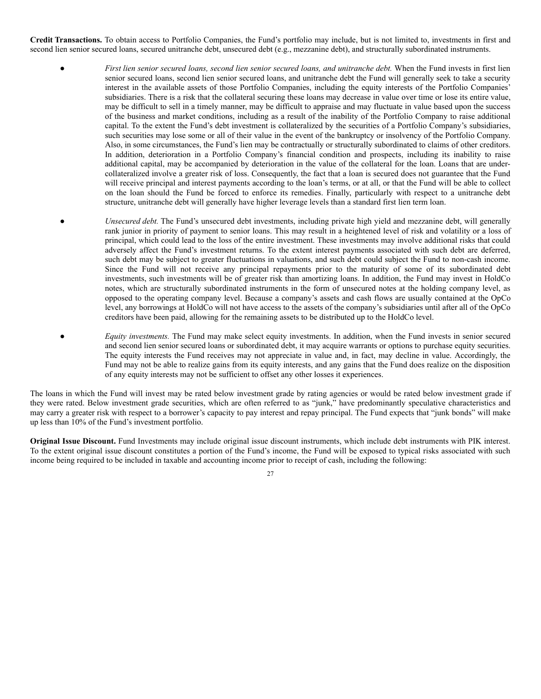**Credit Transactions.** To obtain access to Portfolio Companies, the Fund's portfolio may include, but is not limited to, investments in first and second lien senior secured loans, secured unitranche debt, unsecured debt (e.g., mezzanine debt), and structurally subordinated instruments.

- *First lien senior secured loans, second lien senior secured loans, and unitranche debt.* When the Fund invests in first lien senior secured loans, second lien senior secured loans, and unitranche debt the Fund will generally seek to take a security interest in the available assets of those Portfolio Companies, including the equity interests of the Portfolio Companies' subsidiaries. There is a risk that the collateral securing these loans may decrease in value over time or lose its entire value, may be difficult to sell in a timely manner, may be difficult to appraise and may fluctuate in value based upon the success of the business and market conditions, including as a result of the inability of the Portfolio Company to raise additional capital. To the extent the Fund's debt investment is collateralized by the securities of a Portfolio Company's subsidiaries, such securities may lose some or all of their value in the event of the bankruptcy or insolvency of the Portfolio Company. Also, in some circumstances, the Fund's lien may be contractually or structurally subordinated to claims of other creditors. In addition, deterioration in a Portfolio Company's financial condition and prospects, including its inability to raise additional capital, may be accompanied by deterioration in the value of the collateral for the loan. Loans that are undercollateralized involve a greater risk of loss. Consequently, the fact that a loan is secured does not guarantee that the Fund will receive principal and interest payments according to the loan's terms, or at all, or that the Fund will be able to collect on the loan should the Fund be forced to enforce its remedies. Finally, particularly with respect to a unitranche debt structure, unitranche debt will generally have higher leverage levels than a standard first lien term loan.
- *Unsecured debt.* The Fund's unsecured debt investments, including private high yield and mezzanine debt, will generally rank junior in priority of payment to senior loans. This may result in a heightened level of risk and volatility or a loss of principal, which could lead to the loss of the entire investment. These investments may involve additional risks that could adversely affect the Fund's investment returns. To the extent interest payments associated with such debt are deferred, such debt may be subject to greater fluctuations in valuations, and such debt could subject the Fund to non-cash income. Since the Fund will not receive any principal repayments prior to the maturity of some of its subordinated debt investments, such investments will be of greater risk than amortizing loans. In addition, the Fund may invest in HoldCo notes, which are structurally subordinated instruments in the form of unsecured notes at the holding company level, as opposed to the operating company level. Because a company's assets and cash flows are usually contained at the OpCo level, any borrowings at HoldCo will not have access to the assets of the company's subsidiaries until after all of the OpCo creditors have been paid, allowing for the remaining assets to be distributed up to the HoldCo level.
	- *Equity investments*. The Fund may make select equity investments. In addition, when the Fund invests in senior secured and second lien senior secured loans or subordinated debt, it may acquire warrants or options to purchase equity securities. The equity interests the Fund receives may not appreciate in value and, in fact, may decline in value. Accordingly, the Fund may not be able to realize gains from its equity interests, and any gains that the Fund does realize on the disposition of any equity interests may not be sufficient to offset any other losses it experiences.

The loans in which the Fund will invest may be rated below investment grade by rating agencies or would be rated below investment grade if they were rated. Below investment grade securities, which are often referred to as "junk," have predominantly speculative characteristics and may carry a greater risk with respect to a borrower's capacity to pay interest and repay principal. The Fund expects that "junk bonds" will make up less than 10% of the Fund's investment portfolio.

**Original Issue Discount.** Fund Investments may include original issue discount instruments, which include debt instruments with PIK interest. To the extent original issue discount constitutes a portion of the Fund's income, the Fund will be exposed to typical risks associated with such income being required to be included in taxable and accounting income prior to receipt of cash, including the following: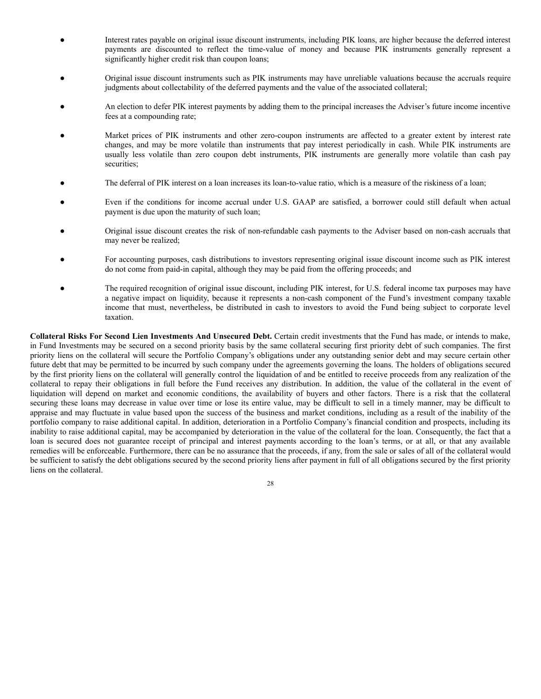- Interest rates payable on original issue discount instruments, including PIK loans, are higher because the deferred interest payments are discounted to reflect the time-value of money and because PIK instruments generally represent a significantly higher credit risk than coupon loans;
- Original issue discount instruments such as PIK instruments may have unreliable valuations because the accruals require judgments about collectability of the deferred payments and the value of the associated collateral;
- An election to defer PIK interest payments by adding them to the principal increases the Adviser's future income incentive fees at a compounding rate;
- Market prices of PIK instruments and other zero-coupon instruments are affected to a greater extent by interest rate changes, and may be more volatile than instruments that pay interest periodically in cash. While PIK instruments are usually less volatile than zero coupon debt instruments, PIK instruments are generally more volatile than cash pay securities:
- The deferral of PIK interest on a loan increases its loan-to-value ratio, which is a measure of the riskiness of a loan;
- Even if the conditions for income accrual under U.S. GAAP are satisfied, a borrower could still default when actual payment is due upon the maturity of such loan;
- Original issue discount creates the risk of non-refundable cash payments to the Adviser based on non-cash accruals that may never be realized;
- For accounting purposes, cash distributions to investors representing original issue discount income such as PIK interest do not come from paid-in capital, although they may be paid from the offering proceeds; and
- The required recognition of original issue discount, including PIK interest, for U.S. federal income tax purposes may have a negative impact on liquidity, because it represents a non-cash component of the Fund's investment company taxable income that must, nevertheless, be distributed in cash to investors to avoid the Fund being subject to corporate level taxation.

**Collateral Risks For Second Lien Investments And Unsecured Debt.** Certain credit investments that the Fund has made, or intends to make, in Fund Investments may be secured on a second priority basis by the same collateral securing first priority debt of such companies. The first priority liens on the collateral will secure the Portfolio Company's obligations under any outstanding senior debt and may secure certain other future debt that may be permitted to be incurred by such company under the agreements governing the loans. The holders of obligations secured by the first priority liens on the collateral will generally control the liquidation of and be entitled to receive proceeds from any realization of the collateral to repay their obligations in full before the Fund receives any distribution. In addition, the value of the collateral in the event of liquidation will depend on market and economic conditions, the availability of buyers and other factors. There is a risk that the collateral securing these loans may decrease in value over time or lose its entire value, may be difficult to sell in a timely manner, may be difficult to appraise and may fluctuate in value based upon the success of the business and market conditions, including as a result of the inability of the portfolio company to raise additional capital. In addition, deterioration in a Portfolio Company's financial condition and prospects, including its inability to raise additional capital, may be accompanied by deterioration in the value of the collateral for the loan. Consequently, the fact that a loan is secured does not guarantee receipt of principal and interest payments according to the loan's terms, or at all, or that any available remedies will be enforceable. Furthermore, there can be no assurance that the proceeds, if any, from the sale or sales of all of the collateral would be sufficient to satisfy the debt obligations secured by the second priority liens after payment in full of all obligations secured by the first priority liens on the collateral.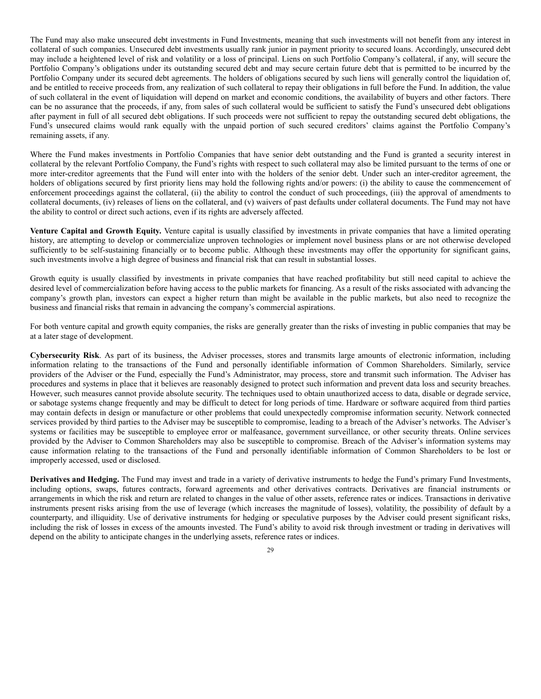The Fund may also make unsecured debt investments in Fund Investments, meaning that such investments will not benefit from any interest in collateral of such companies. Unsecured debt investments usually rank junior in payment priority to secured loans. Accordingly, unsecured debt may include a heightened level of risk and volatility or a loss of principal. Liens on such Portfolio Company's collateral, if any, will secure the Portfolio Company's obligations under its outstanding secured debt and may secure certain future debt that is permitted to be incurred by the Portfolio Company under its secured debt agreements. The holders of obligations secured by such liens will generally control the liquidation of, and be entitled to receive proceeds from, any realization of such collateral to repay their obligations in full before the Fund. In addition, the value of such collateral in the event of liquidation will depend on market and economic conditions, the availability of buyers and other factors. There can be no assurance that the proceeds, if any, from sales of such collateral would be sufficient to satisfy the Fund's unsecured debt obligations after payment in full of all secured debt obligations. If such proceeds were not sufficient to repay the outstanding secured debt obligations, the Fund's unsecured claims would rank equally with the unpaid portion of such secured creditors' claims against the Portfolio Company's remaining assets, if any.

Where the Fund makes investments in Portfolio Companies that have senior debt outstanding and the Fund is granted a security interest in collateral by the relevant Portfolio Company, the Fund's rights with respect to such collateral may also be limited pursuant to the terms of one or more inter-creditor agreements that the Fund will enter into with the holders of the senior debt. Under such an inter-creditor agreement, the holders of obligations secured by first priority liens may hold the following rights and/or powers: (i) the ability to cause the commencement of enforcement proceedings against the collateral, (ii) the ability to control the conduct of such proceedings, (iii) the approval of amendments to collateral documents, (iv) releases of liens on the collateral, and (v) waivers of past defaults under collateral documents. The Fund may not have the ability to control or direct such actions, even if its rights are adversely affected.

**Venture Capital and Growth Equity.** Venture capital is usually classified by investments in private companies that have a limited operating history, are attempting to develop or commercialize unproven technologies or implement novel business plans or are not otherwise developed sufficiently to be self-sustaining financially or to become public. Although these investments may offer the opportunity for significant gains, such investments involve a high degree of business and financial risk that can result in substantial losses.

Growth equity is usually classified by investments in private companies that have reached profitability but still need capital to achieve the desired level of commercialization before having access to the public markets for financing. As a result of the risks associated with advancing the company's growth plan, investors can expect a higher return than might be available in the public markets, but also need to recognize the business and financial risks that remain in advancing the company's commercial aspirations.

For both venture capital and growth equity companies, the risks are generally greater than the risks of investing in public companies that may be at a later stage of development.

**Cybersecurity Risk**. As part of its business, the Adviser processes, stores and transmits large amounts of electronic information, including information relating to the transactions of the Fund and personally identifiable information of Common Shareholders. Similarly, service providers of the Adviser or the Fund, especially the Fund's Administrator, may process, store and transmit such information. The Adviser has procedures and systems in place that it believes are reasonably designed to protect such information and prevent data loss and security breaches. However, such measures cannot provide absolute security. The techniques used to obtain unauthorized access to data, disable or degrade service, or sabotage systems change frequently and may be difficult to detect for long periods of time. Hardware or software acquired from third parties may contain defects in design or manufacture or other problems that could unexpectedly compromise information security. Network connected services provided by third parties to the Adviser may be susceptible to compromise, leading to a breach of the Adviser's networks. The Adviser's systems or facilities may be susceptible to employee error or malfeasance, government surveillance, or other security threats. Online services provided by the Adviser to Common Shareholders may also be susceptible to compromise. Breach of the Adviser's information systems may cause information relating to the transactions of the Fund and personally identifiable information of Common Shareholders to be lost or improperly accessed, used or disclosed.

**Derivatives and Hedging.** The Fund may invest and trade in a variety of derivative instruments to hedge the Fund's primary Fund Investments, including options, swaps, futures contracts, forward agreements and other derivatives contracts. Derivatives are financial instruments or arrangements in which the risk and return are related to changes in the value of other assets, reference rates or indices. Transactions in derivative instruments present risks arising from the use of leverage (which increases the magnitude of losses), volatility, the possibility of default by a counterparty, and illiquidity. Use of derivative instruments for hedging or speculative purposes by the Adviser could present significant risks, including the risk of losses in excess of the amounts invested. The Fund's ability to avoid risk through investment or trading in derivatives will depend on the ability to anticipate changes in the underlying assets, reference rates or indices.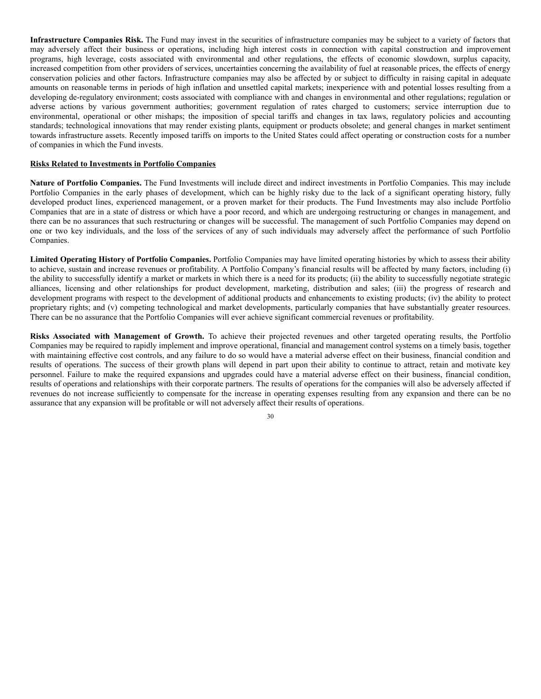**Infrastructure Companies Risk.** The Fund may invest in the securities of infrastructure companies may be subject to a variety of factors that may adversely affect their business or operations, including high interest costs in connection with capital construction and improvement programs, high leverage, costs associated with environmental and other regulations, the effects of economic slowdown, surplus capacity, increased competition from other providers of services, uncertainties concerning the availability of fuel at reasonable prices, the effects of energy conservation policies and other factors. Infrastructure companies may also be affected by or subject to difficulty in raising capital in adequate amounts on reasonable terms in periods of high inflation and unsettled capital markets; inexperience with and potential losses resulting from a developing de-regulatory environment; costs associated with compliance with and changes in environmental and other regulations; regulation or adverse actions by various government authorities; government regulation of rates charged to customers; service interruption due to environmental, operational or other mishaps; the imposition of special tariffs and changes in tax laws, regulatory policies and accounting standards; technological innovations that may render existing plants, equipment or products obsolete; and general changes in market sentiment towards infrastructure assets. Recently imposed tariffs on imports to the United States could affect operating or construction costs for a number of companies in which the Fund invests.

#### **Risks Related to Investments in Portfolio Companies**

**Nature of Portfolio Companies.** The Fund Investments will include direct and indirect investments in Portfolio Companies. This may include Portfolio Companies in the early phases of development, which can be highly risky due to the lack of a significant operating history, fully developed product lines, experienced management, or a proven market for their products. The Fund Investments may also include Portfolio Companies that are in a state of distress or which have a poor record, and which are undergoing restructuring or changes in management, and there can be no assurances that such restructuring or changes will be successful. The management of such Portfolio Companies may depend on one or two key individuals, and the loss of the services of any of such individuals may adversely affect the performance of such Portfolio Companies.

**Limited Operating History of Portfolio Companies.** Portfolio Companies may have limited operating histories by which to assess their ability to achieve, sustain and increase revenues or profitability. A Portfolio Company's financial results will be affected by many factors, including (i) the ability to successfully identify a market or markets in which there is a need for its products; (ii) the ability to successfully negotiate strategic alliances, licensing and other relationships for product development, marketing, distribution and sales; (iii) the progress of research and development programs with respect to the development of additional products and enhancements to existing products; (iv) the ability to protect proprietary rights; and (v) competing technological and market developments, particularly companies that have substantially greater resources. There can be no assurance that the Portfolio Companies will ever achieve significant commercial revenues or profitability.

**Risks Associated with Management of Growth.** To achieve their projected revenues and other targeted operating results, the Portfolio Companies may be required to rapidly implement and improve operational, financial and management control systems on a timely basis, together with maintaining effective cost controls, and any failure to do so would have a material adverse effect on their business, financial condition and results of operations. The success of their growth plans will depend in part upon their ability to continue to attract, retain and motivate key personnel. Failure to make the required expansions and upgrades could have a material adverse effect on their business, financial condition, results of operations and relationships with their corporate partners. The results of operations for the companies will also be adversely affected if revenues do not increase sufficiently to compensate for the increase in operating expenses resulting from any expansion and there can be no assurance that any expansion will be profitable or will not adversely affect their results of operations.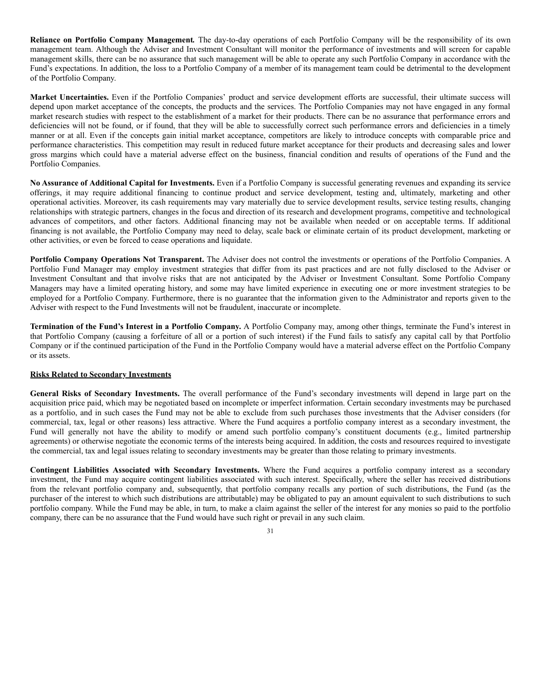**Reliance on Portfolio Company Management***.* The day-to-day operations of each Portfolio Company will be the responsibility of its own management team. Although the Adviser and Investment Consultant will monitor the performance of investments and will screen for capable management skills, there can be no assurance that such management will be able to operate any such Portfolio Company in accordance with the Fund's expectations. In addition, the loss to a Portfolio Company of a member of its management team could be detrimental to the development of the Portfolio Company.

**Market Uncertainties.** Even if the Portfolio Companies' product and service development efforts are successful, their ultimate success will depend upon market acceptance of the concepts, the products and the services. The Portfolio Companies may not have engaged in any formal market research studies with respect to the establishment of a market for their products. There can be no assurance that performance errors and deficiencies will not be found, or if found, that they will be able to successfully correct such performance errors and deficiencies in a timely manner or at all. Even if the concepts gain initial market acceptance, competitors are likely to introduce concepts with comparable price and performance characteristics. This competition may result in reduced future market acceptance for their products and decreasing sales and lower gross margins which could have a material adverse effect on the business, financial condition and results of operations of the Fund and the Portfolio Companies.

**No Assurance of Additional Capital for Investments.** Even if a Portfolio Company is successful generating revenues and expanding its service offerings, it may require additional financing to continue product and service development, testing and, ultimately, marketing and other operational activities. Moreover, its cash requirements may vary materially due to service development results, service testing results, changing relationships with strategic partners, changes in the focus and direction of its research and development programs, competitive and technological advances of competitors, and other factors. Additional financing may not be available when needed or on acceptable terms. If additional financing is not available, the Portfolio Company may need to delay, scale back or eliminate certain of its product development, marketing or other activities, or even be forced to cease operations and liquidate.

**Portfolio Company Operations Not Transparent.** The Adviser does not control the investments or operations of the Portfolio Companies. A Portfolio Fund Manager may employ investment strategies that differ from its past practices and are not fully disclosed to the Adviser or Investment Consultant and that involve risks that are not anticipated by the Adviser or Investment Consultant. Some Portfolio Company Managers may have a limited operating history, and some may have limited experience in executing one or more investment strategies to be employed for a Portfolio Company. Furthermore, there is no guarantee that the information given to the Administrator and reports given to the Adviser with respect to the Fund Investments will not be fraudulent, inaccurate or incomplete.

**Termination of the Fund's Interest in a Portfolio Company.** A Portfolio Company may, among other things, terminate the Fund's interest in that Portfolio Company (causing a forfeiture of all or a portion of such interest) if the Fund fails to satisfy any capital call by that Portfolio Company or if the continued participation of the Fund in the Portfolio Company would have a material adverse effect on the Portfolio Company or its assets.

## **Risks Related to Secondary Investments**

**General Risks of Secondary Investments.** The overall performance of the Fund's secondary investments will depend in large part on the acquisition price paid, which may be negotiated based on incomplete or imperfect information. Certain secondary investments may be purchased as a portfolio, and in such cases the Fund may not be able to exclude from such purchases those investments that the Adviser considers (for commercial, tax, legal or other reasons) less attractive. Where the Fund acquires a portfolio company interest as a secondary investment, the Fund will generally not have the ability to modify or amend such portfolio company's constituent documents (e.g., limited partnership agreements) or otherwise negotiate the economic terms of the interests being acquired. In addition, the costs and resources required to investigate the commercial, tax and legal issues relating to secondary investments may be greater than those relating to primary investments.

**Contingent Liabilities Associated with Secondary Investments.** Where the Fund acquires a portfolio company interest as a secondary investment, the Fund may acquire contingent liabilities associated with such interest. Specifically, where the seller has received distributions from the relevant portfolio company and, subsequently, that portfolio company recalls any portion of such distributions, the Fund (as the purchaser of the interest to which such distributions are attributable) may be obligated to pay an amount equivalent to such distributions to such portfolio company. While the Fund may be able, in turn, to make a claim against the seller of the interest for any monies so paid to the portfolio company, there can be no assurance that the Fund would have such right or prevail in any such claim.

<sup>31</sup>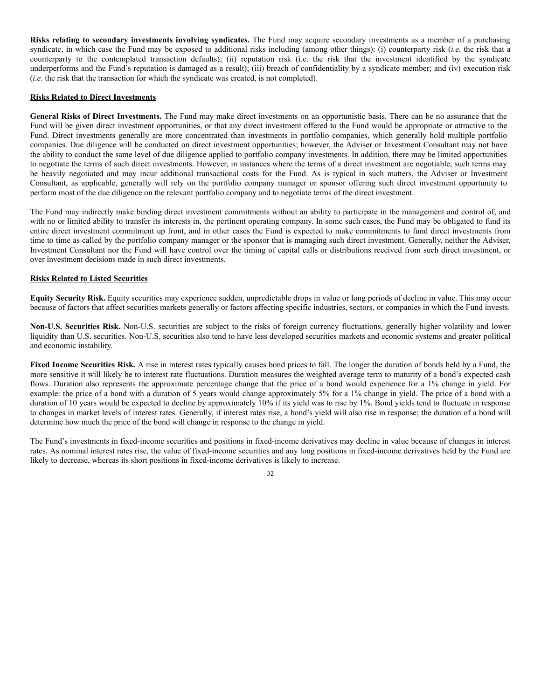**Risks relating to secondary investments involving syndicates.** The Fund may acquire secondary investments as a member of a purchasing syndicate, in which case the Fund may be exposed to additional risks including (among other things): (i) counterparty risk (*i.e.* the risk that a counterparty to the contemplated transaction defaults); (ii) reputation risk (i.e. the risk that the investment identified by the syndicate underperforms and the Fund's reputation is damaged as a result); (iii) breach of confidentiality by a syndicate member; and (iv) execution risk (*i.e*. the risk that the transaction for which the syndicate was created, is not completed).

## **Risks Related to Direct Investments**

**General Risks of Direct Investments.** The Fund may make direct investments on an opportunistic basis. There can be no assurance that the Fund will be given direct investment opportunities, or that any direct investment offered to the Fund would be appropriate or attractive to the Fund. Direct investments generally are more concentrated than investments in portfolio companies, which generally hold multiple portfolio companies. Due diligence will be conducted on direct investment opportunities; however, the Adviser or Investment Consultant may not have the ability to conduct the same level of due diligence applied to portfolio company investments. In addition, there may be limited opportunities to negotiate the terms of such direct investments. However, in instances where the terms of a direct investment are negotiable, such terms may be heavily negotiated and may incur additional transactional costs for the Fund. As is typical in such matters, the Adviser or Investment Consultant, as applicable, generally will rely on the portfolio company manager or sponsor offering such direct investment opportunity to perform most of the due diligence on the relevant portfolio company and to negotiate terms of the direct investment.

The Fund may indirectly make binding direct investment commitments without an ability to participate in the management and control of, and with no or limited ability to transfer its interests in, the pertinent operating company. In some such cases, the Fund may be obligated to fund its entire direct investment commitment up front, and in other cases the Fund is expected to make commitments to fund direct investments from time to time as called by the portfolio company manager or the sponsor that is managing such direct investment. Generally, neither the Adviser, Investment Consultant nor the Fund will have control over the timing of capital calls or distributions received from such direct investment, or over investment decisions made in such direct investments.

## **Risks Related to Listed Securities**

**Equity Security Risk.** Equity securities may experience sudden, unpredictable drops in value or long periods of decline in value. This may occur because of factors that affect securities markets generally or factors affecting specific industries, sectors, or companies in which the Fund invests.

**Non-U.S. Securities Risk.** Non-U.S. securities are subject to the risks of foreign currency fluctuations, generally higher volatility and lower liquidity than U.S. securities. Non-U.S. securities also tend to have less developed securities markets and economic systems and greater political and economic instability.

**Fixed Income Securities Risk.** A rise in interest rates typically causes bond prices to fall. The longer the duration of bonds held by a Fund, the more sensitive it will likely be to interest rate fluctuations. Duration measures the weighted average term to maturity of a bond's expected cash flows. Duration also represents the approximate percentage change that the price of a bond would experience for a 1% change in yield. For example: the price of a bond with a duration of 5 years would change approximately 5% for a 1% change in yield. The price of a bond with a duration of 10 years would be expected to decline by approximately 10% if its yield was to rise by 1%. Bond yields tend to fluctuate in response to changes in market levels of interest rates. Generally, if interest rates rise, a bond's yield will also rise in response; the duration of a bond will determine how much the price of the bond will change in response to the change in yield.

The Fund's investments in fixed-income securities and positions in fixed-income derivatives may decline in value because of changes in interest rates. As nominal interest rates rise, the value of fixed-income securities and any long positions in fixed-income derivatives held by the Fund are likely to decrease, whereas its short positions in fixed-income derivatives is likely to increase.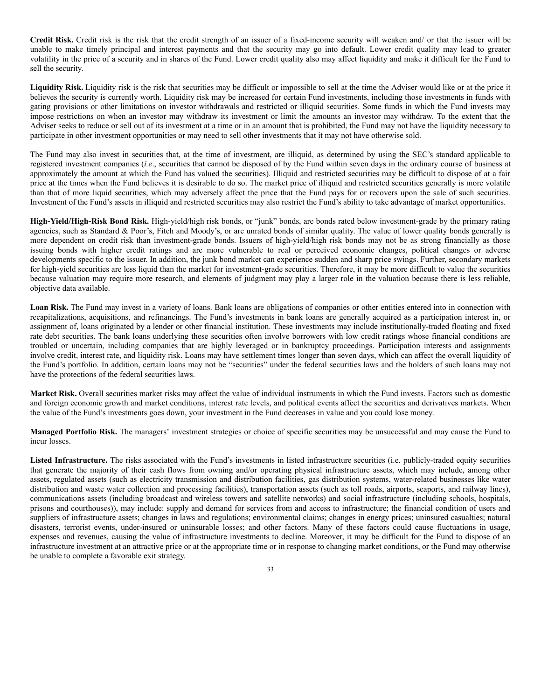**Credit Risk.** Credit risk is the risk that the credit strength of an issuer of a fixed-income security will weaken and/ or that the issuer will be unable to make timely principal and interest payments and that the security may go into default. Lower credit quality may lead to greater volatility in the price of a security and in shares of the Fund. Lower credit quality also may affect liquidity and make it difficult for the Fund to sell the security.

Liquidity Risk. Liquidity risk is the risk that securities may be difficult or impossible to sell at the time the Adviser would like or at the price it believes the security is currently worth. Liquidity risk may be increased for certain Fund investments, including those investments in funds with gating provisions or other limitations on investor withdrawals and restricted or illiquid securities. Some funds in which the Fund invests may impose restrictions on when an investor may withdraw its investment or limit the amounts an investor may withdraw. To the extent that the Adviser seeks to reduce or sell out of its investment at a time or in an amount that is prohibited, the Fund may not have the liquidity necessary to participate in other investment opportunities or may need to sell other investments that it may not have otherwise sold.

The Fund may also invest in securities that, at the time of investment, are illiquid, as determined by using the SEC's standard applicable to registered investment companies (*i.e*., securities that cannot be disposed of by the Fund within seven days in the ordinary course of business at approximately the amount at which the Fund has valued the securities). Illiquid and restricted securities may be difficult to dispose of at a fair price at the times when the Fund believes it is desirable to do so. The market price of illiquid and restricted securities generally is more volatile than that of more liquid securities, which may adversely affect the price that the Fund pays for or recovers upon the sale of such securities. Investment of the Fund's assets in illiquid and restricted securities may also restrict the Fund's ability to take advantage of market opportunities.

**High-Yield/High-Risk Bond Risk.** High-yield/high risk bonds, or "junk" bonds, are bonds rated below investment-grade by the primary rating agencies, such as Standard & Poor's, Fitch and Moody's, or are unrated bonds of similar quality. The value of lower quality bonds generally is more dependent on credit risk than investment-grade bonds. Issuers of high-yield/high risk bonds may not be as strong financially as those issuing bonds with higher credit ratings and are more vulnerable to real or perceived economic changes, political changes or adverse developments specific to the issuer. In addition, the junk bond market can experience sudden and sharp price swings. Further, secondary markets for high-yield securities are less liquid than the market for investment-grade securities. Therefore, it may be more difficult to value the securities because valuation may require more research, and elements of judgment may play a larger role in the valuation because there is less reliable, objective data available.

**Loan Risk.** The Fund may invest in a variety of loans. Bank loans are obligations of companies or other entities entered into in connection with recapitalizations, acquisitions, and refinancings. The Fund's investments in bank loans are generally acquired as a participation interest in, or assignment of, loans originated by a lender or other financial institution. These investments may include institutionally-traded floating and fixed rate debt securities. The bank loans underlying these securities often involve borrowers with low credit ratings whose financial conditions are troubled or uncertain, including companies that are highly leveraged or in bankruptcy proceedings. Participation interests and assignments involve credit, interest rate, and liquidity risk. Loans may have settlement times longer than seven days, which can affect the overall liquidity of the Fund's portfolio. In addition, certain loans may not be "securities" under the federal securities laws and the holders of such loans may not have the protections of the federal securities laws.

**Market Risk.** Overall securities market risks may affect the value of individual instruments in which the Fund invests. Factors such as domestic and foreign economic growth and market conditions, interest rate levels, and political events affect the securities and derivatives markets. When the value of the Fund's investments goes down, your investment in the Fund decreases in value and you could lose money.

**Managed Portfolio Risk.** The managers' investment strategies or choice of specific securities may be unsuccessful and may cause the Fund to incur losses.

**Listed Infrastructure.** The risks associated with the Fund's investments in listed infrastructure securities (i.e. publicly-traded equity securities that generate the majority of their cash flows from owning and/or operating physical infrastructure assets, which may include, among other assets, regulated assets (such as electricity transmission and distribution facilities, gas distribution systems, water-related businesses like water distribution and waste water collection and processing facilities), transportation assets (such as toll roads, airports, seaports, and railway lines), communications assets (including broadcast and wireless towers and satellite networks) and social infrastructure (including schools, hospitals, prisons and courthouses)), may include: supply and demand for services from and access to infrastructure; the financial condition of users and suppliers of infrastructure assets; changes in laws and regulations; environmental claims; changes in energy prices; uninsured casualties; natural disasters, terrorist events, under-insured or uninsurable losses; and other factors. Many of these factors could cause fluctuations in usage, expenses and revenues, causing the value of infrastructure investments to decline. Moreover, it may be difficult for the Fund to dispose of an infrastructure investment at an attractive price or at the appropriate time or in response to changing market conditions, or the Fund may otherwise be unable to complete a favorable exit strategy.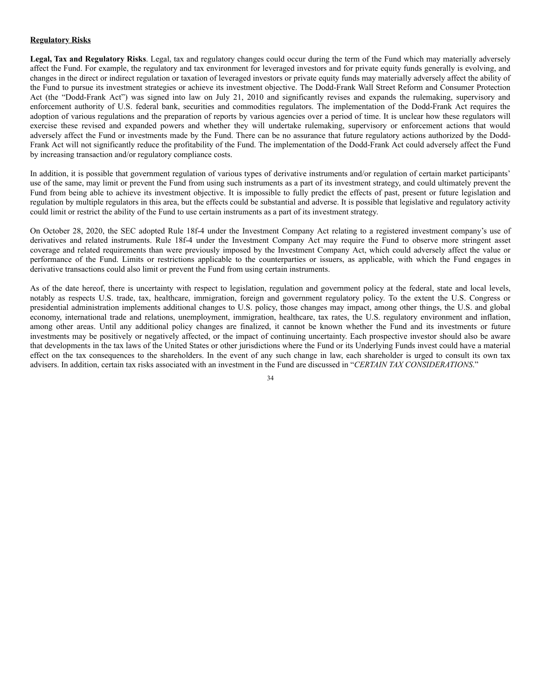# **Regulatory Risks**

**Legal, Tax and Regulatory Risks**. Legal, tax and regulatory changes could occur during the term of the Fund which may materially adversely affect the Fund. For example, the regulatory and tax environment for leveraged investors and for private equity funds generally is evolving, and changes in the direct or indirect regulation or taxation of leveraged investors or private equity funds may materially adversely affect the ability of the Fund to pursue its investment strategies or achieve its investment objective. The Dodd-Frank Wall Street Reform and Consumer Protection Act (the "Dodd-Frank Act") was signed into law on July 21, 2010 and significantly revises and expands the rulemaking, supervisory and enforcement authority of U.S. federal bank, securities and commodities regulators. The implementation of the Dodd-Frank Act requires the adoption of various regulations and the preparation of reports by various agencies over a period of time. It is unclear how these regulators will exercise these revised and expanded powers and whether they will undertake rulemaking, supervisory or enforcement actions that would adversely affect the Fund or investments made by the Fund. There can be no assurance that future regulatory actions authorized by the Dodd-Frank Act will not significantly reduce the profitability of the Fund. The implementation of the Dodd-Frank Act could adversely affect the Fund by increasing transaction and/or regulatory compliance costs.

In addition, it is possible that government regulation of various types of derivative instruments and/or regulation of certain market participants' use of the same, may limit or prevent the Fund from using such instruments as a part of its investment strategy, and could ultimately prevent the Fund from being able to achieve its investment objective. It is impossible to fully predict the effects of past, present or future legislation and regulation by multiple regulators in this area, but the effects could be substantial and adverse. It is possible that legislative and regulatory activity could limit or restrict the ability of the Fund to use certain instruments as a part of its investment strategy.

On October 28, 2020, the SEC adopted Rule 18f-4 under the Investment Company Act relating to a registered investment company's use of derivatives and related instruments. Rule 18f-4 under the Investment Company Act may require the Fund to observe more stringent asset coverage and related requirements than were previously imposed by the Investment Company Act, which could adversely affect the value or performance of the Fund. Limits or restrictions applicable to the counterparties or issuers, as applicable, with which the Fund engages in derivative transactions could also limit or prevent the Fund from using certain instruments.

As of the date hereof, there is uncertainty with respect to legislation, regulation and government policy at the federal, state and local levels, notably as respects U.S. trade, tax, healthcare, immigration, foreign and government regulatory policy. To the extent the U.S. Congress or presidential administration implements additional changes to U.S. policy, those changes may impact, among other things, the U.S. and global economy, international trade and relations, unemployment, immigration, healthcare, tax rates, the U.S. regulatory environment and inflation, among other areas. Until any additional policy changes are finalized, it cannot be known whether the Fund and its investments or future investments may be positively or negatively affected, or the impact of continuing uncertainty. Each prospective investor should also be aware that developments in the tax laws of the United States or other jurisdictions where the Fund or its Underlying Funds invest could have a material effect on the tax consequences to the shareholders. In the event of any such change in law, each shareholder is urged to consult its own tax advisers. In addition, certain tax risks associated with an investment in the Fund are discussed in "*CERTAIN TAX CONSIDERATIONS*."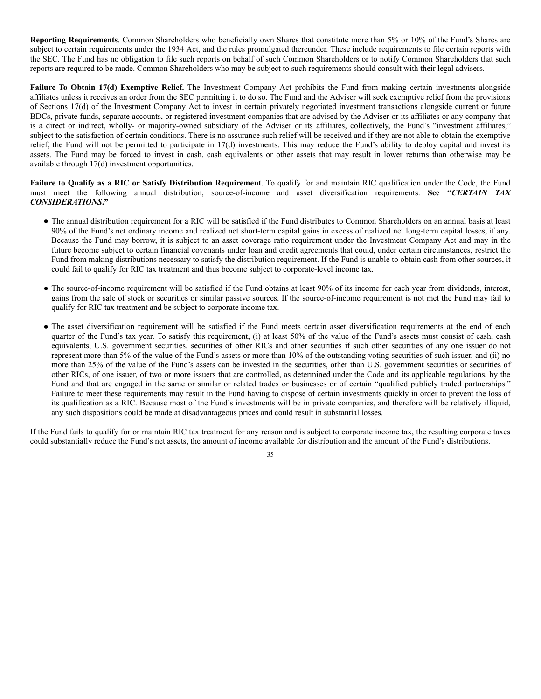**Reporting Requirements**. Common Shareholders who beneficially own Shares that constitute more than 5% or 10% of the Fund's Shares are subject to certain requirements under the 1934 Act, and the rules promulgated thereunder. These include requirements to file certain reports with the SEC. The Fund has no obligation to file such reports on behalf of such Common Shareholders or to notify Common Shareholders that such reports are required to be made. Common Shareholders who may be subject to such requirements should consult with their legal advisers.

**Failure To Obtain 17(d) Exemptive Relief.** The Investment Company Act prohibits the Fund from making certain investments alongside affiliates unless it receives an order from the SEC permitting it to do so. The Fund and the Adviser will seek exemptive relief from the provisions of Sections 17(d) of the Investment Company Act to invest in certain privately negotiated investment transactions alongside current or future BDCs, private funds, separate accounts, or registered investment companies that are advised by the Adviser or its affiliates or any company that is a direct or indirect, wholly- or majority-owned subsidiary of the Adviser or its affiliates, collectively, the Fund's "investment affiliates," subject to the satisfaction of certain conditions. There is no assurance such relief will be received and if they are not able to obtain the exemptive relief, the Fund will not be permitted to participate in 17(d) investments. This may reduce the Fund's ability to deploy capital and invest its assets. The Fund may be forced to invest in cash, cash equivalents or other assets that may result in lower returns than otherwise may be available through 17(d) investment opportunities.

**Failure to Qualify as a RIC or Satisfy Distribution Requirement**. To qualify for and maintain RIC qualification under the Code, the Fund must meet the following annual distribution, source-of-income and asset diversification requirements. **See "***CERTAIN TAX CONSIDERATIONS***."**

- The annual distribution requirement for a RIC will be satisfied if the Fund distributes to Common Shareholders on an annual basis at least 90% of the Fund's net ordinary income and realized net short-term capital gains in excess of realized net long-term capital losses, if any. Because the Fund may borrow, it is subject to an asset coverage ratio requirement under the Investment Company Act and may in the future become subject to certain financial covenants under loan and credit agreements that could, under certain circumstances, restrict the Fund from making distributions necessary to satisfy the distribution requirement. If the Fund is unable to obtain cash from other sources, it could fail to qualify for RIC tax treatment and thus become subject to corporate-level income tax.
- The source-of-income requirement will be satisfied if the Fund obtains at least 90% of its income for each year from dividends, interest, gains from the sale of stock or securities or similar passive sources. If the source-of-income requirement is not met the Fund may fail to qualify for RIC tax treatment and be subject to corporate income tax.
- The asset diversification requirement will be satisfied if the Fund meets certain asset diversification requirements at the end of each quarter of the Fund's tax year. To satisfy this requirement, (i) at least 50% of the value of the Fund's assets must consist of cash, cash equivalents, U.S. government securities, securities of other RICs and other securities if such other securities of any one issuer do not represent more than 5% of the value of the Fund's assets or more than 10% of the outstanding voting securities of such issuer, and (ii) no more than 25% of the value of the Fund's assets can be invested in the securities, other than U.S. government securities or securities of other RICs, of one issuer, of two or more issuers that are controlled, as determined under the Code and its applicable regulations, by the Fund and that are engaged in the same or similar or related trades or businesses or of certain "qualified publicly traded partnerships." Failure to meet these requirements may result in the Fund having to dispose of certain investments quickly in order to prevent the loss of its qualification as a RIC. Because most of the Fund's investments will be in private companies, and therefore will be relatively illiquid, any such dispositions could be made at disadvantageous prices and could result in substantial losses.

If the Fund fails to qualify for or maintain RIC tax treatment for any reason and is subject to corporate income tax, the resulting corporate taxes could substantially reduce the Fund's net assets, the amount of income available for distribution and the amount of the Fund's distributions.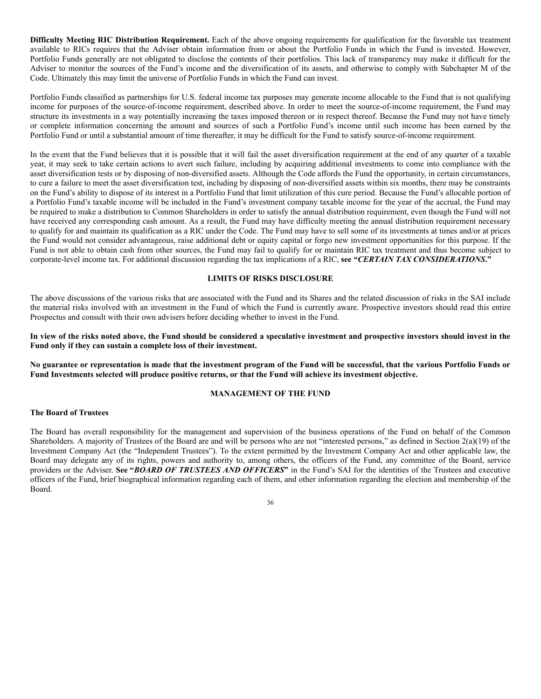**Difficulty Meeting RIC Distribution Requirement.** Each of the above ongoing requirements for qualification for the favorable tax treatment available to RICs requires that the Adviser obtain information from or about the Portfolio Funds in which the Fund is invested. However, Portfolio Funds generally are not obligated to disclose the contents of their portfolios. This lack of transparency may make it difficult for the Adviser to monitor the sources of the Fund's income and the diversification of its assets, and otherwise to comply with Subchapter M of the Code. Ultimately this may limit the universe of Portfolio Funds in which the Fund can invest.

Portfolio Funds classified as partnerships for U.S. federal income tax purposes may generate income allocable to the Fund that is not qualifying income for purposes of the source-of-income requirement, described above. In order to meet the source-of-income requirement, the Fund may structure its investments in a way potentially increasing the taxes imposed thereon or in respect thereof. Because the Fund may not have timely or complete information concerning the amount and sources of such a Portfolio Fund's income until such income has been earned by the Portfolio Fund or until a substantial amount of time thereafter, it may be difficult for the Fund to satisfy source-of-income requirement.

In the event that the Fund believes that it is possible that it will fail the asset diversification requirement at the end of any quarter of a taxable year, it may seek to take certain actions to avert such failure, including by acquiring additional investments to come into compliance with the asset diversification tests or by disposing of non-diversified assets. Although the Code affords the Fund the opportunity, in certain circumstances, to cure a failure to meet the asset diversification test, including by disposing of non-diversified assets within six months, there may be constraints on the Fund's ability to dispose of its interest in a Portfolio Fund that limit utilization of this cure period. Because the Fund's allocable portion of a Portfolio Fund's taxable income will be included in the Fund's investment company taxable income for the year of the accrual, the Fund may be required to make a distribution to Common Shareholders in order to satisfy the annual distribution requirement, even though the Fund will not have received any corresponding cash amount. As a result, the Fund may have difficulty meeting the annual distribution requirement necessary to qualify for and maintain its qualification as a RIC under the Code. The Fund may have to sell some of its investments at times and/or at prices the Fund would not consider advantageous, raise additional debt or equity capital or forgo new investment opportunities for this purpose. If the Fund is not able to obtain cash from other sources, the Fund may fail to qualify for or maintain RIC tax treatment and thus become subject to corporate-level income tax. For additional discussion regarding the tax implications of a RIC, **see "***CERTAIN TAX CONSIDERATIONS***."**

## **LIMITS OF RISKS DISCLOSURE**

The above discussions of the various risks that are associated with the Fund and its Shares and the related discussion of risks in the SAI include the material risks involved with an investment in the Fund of which the Fund is currently aware. Prospective investors should read this entire Prospectus and consult with their own advisers before deciding whether to invest in the Fund.

In view of the risks noted above, the Fund should be considered a speculative investment and prospective investors should invest in the **Fund only if they can sustain a complete loss of their investment.**

No guarantee or representation is made that the investment program of the Fund will be successful, that the various Portfolio Funds or **Fund Investments selected will produce positive returns, or that the Fund will achieve its investment objective.**

### **MANAGEMENT OF THE FUND**

# **The Board of Trustees**

The Board has overall responsibility for the management and supervision of the business operations of the Fund on behalf of the Common Shareholders. A majority of Trustees of the Board are and will be persons who are not "interested persons," as defined in Section 2(a)(19) of the Investment Company Act (the "Independent Trustees"). To the extent permitted by the Investment Company Act and other applicable law, the Board may delegate any of its rights, powers and authority to, among others, the officers of the Fund, any committee of the Board, service providers or the Adviser. **See "***BOARD OF TRUSTEES AND OFFICERS***"** in the Fund's SAI for the identities of the Trustees and executive officers of the Fund, brief biographical information regarding each of them, and other information regarding the election and membership of the Board.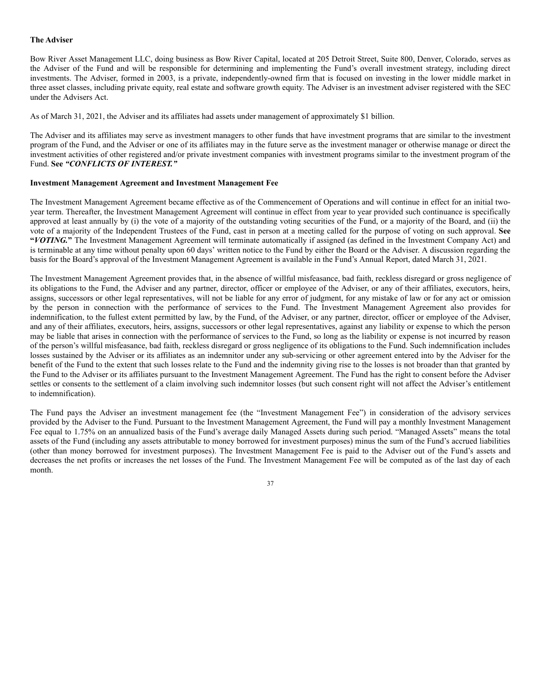## **The Adviser**

Bow River Asset Management LLC, doing business as Bow River Capital, located at 205 Detroit Street, Suite 800, Denver, Colorado, serves as the Adviser of the Fund and will be responsible for determining and implementing the Fund's overall investment strategy, including direct investments. The Adviser, formed in 2003, is a private, independently-owned firm that is focused on investing in the lower middle market in three asset classes, including private equity, real estate and software growth equity. The Adviser is an investment adviser registered with the SEC under the Advisers Act.

As of March 31, 2021, the Adviser and its affiliates had assets under management of approximately \$1 billion.

The Adviser and its affiliates may serve as investment managers to other funds that have investment programs that are similar to the investment program of the Fund, and the Adviser or one of its affiliates may in the future serve as the investment manager or otherwise manage or direct the investment activities of other registered and/or private investment companies with investment programs similar to the investment program of the Fund. **See** *"CONFLICTS OF INTEREST."*

### **Investment Management Agreement and Investment Management Fee**

The Investment Management Agreement became effective as of the Commencement of Operations and will continue in effect for an initial twoyear term. Thereafter, the Investment Management Agreement will continue in effect from year to year provided such continuance is specifically approved at least annually by (i) the vote of a majority of the outstanding voting securities of the Fund, or a majority of the Board, and (ii) the vote of a majority of the Independent Trustees of the Fund, cast in person at a meeting called for the purpose of voting on such approval. **See "***VOTING.***"** The Investment Management Agreement will terminate automatically if assigned (as defined in the Investment Company Act) and is terminable at any time without penalty upon 60 days' written notice to the Fund by either the Board or the Adviser. A discussion regarding the basis for the Board's approval of the Investment Management Agreement is available in the Fund's Annual Report, dated March 31, 2021.

The Investment Management Agreement provides that, in the absence of willful misfeasance, bad faith, reckless disregard or gross negligence of its obligations to the Fund, the Adviser and any partner, director, officer or employee of the Adviser, or any of their affiliates, executors, heirs, assigns, successors or other legal representatives, will not be liable for any error of judgment, for any mistake of law or for any act or omission by the person in connection with the performance of services to the Fund. The Investment Management Agreement also provides for indemnification, to the fullest extent permitted by law, by the Fund, of the Adviser, or any partner, director, officer or employee of the Adviser, and any of their affiliates, executors, heirs, assigns, successors or other legal representatives, against any liability or expense to which the person may be liable that arises in connection with the performance of services to the Fund, so long as the liability or expense is not incurred by reason of the person's willful misfeasance, bad faith, reckless disregard or gross negligence of its obligations to the Fund. Such indemnification includes losses sustained by the Adviser or its affiliates as an indemnitor under any sub-servicing or other agreement entered into by the Adviser for the benefit of the Fund to the extent that such losses relate to the Fund and the indemnity giving rise to the losses is not broader than that granted by the Fund to the Adviser or its affiliates pursuant to the Investment Management Agreement. The Fund has the right to consent before the Adviser settles or consents to the settlement of a claim involving such indemnitor losses (but such consent right will not affect the Adviser's entitlement to indemnification).

The Fund pays the Adviser an investment management fee (the "Investment Management Fee") in consideration of the advisory services provided by the Adviser to the Fund. Pursuant to the Investment Management Agreement, the Fund will pay a monthly Investment Management Fee equal to 1.75% on an annualized basis of the Fund's average daily Managed Assets during such period. "Managed Assets" means the total assets of the Fund (including any assets attributable to money borrowed for investment purposes) minus the sum of the Fund's accrued liabilities (other than money borrowed for investment purposes). The Investment Management Fee is paid to the Adviser out of the Fund's assets and decreases the net profits or increases the net losses of the Fund. The Investment Management Fee will be computed as of the last day of each month.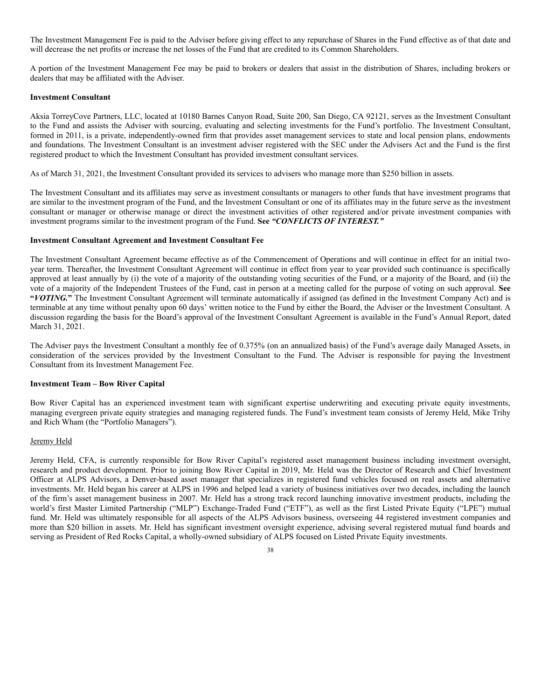The Investment Management Fee is paid to the Adviser before giving effect to any repurchase of Shares in the Fund effective as of that date and will decrease the net profits or increase the net losses of the Fund that are credited to its Common Shareholders.

A portion of the Investment Management Fee may be paid to brokers or dealers that assist in the distribution of Shares, including brokers or dealers that may be affiliated with the Adviser.

### **Investment Consultant**

Aksia TorreyCove Partners, LLC, located at 10180 Barnes Canyon Road, Suite 200, San Diego, CA 92121, serves as the Investment Consultant to the Fund and assists the Adviser with sourcing, evaluating and selecting investments for the Fund's portfolio. The Investment Consultant, formed in 2011, is a private, independently-owned firm that provides asset management services to state and local pension plans, endowments and foundations. The Investment Consultant is an investment adviser registered with the SEC under the Advisers Act and the Fund is the first registered product to which the Investment Consultant has provided investment consultant services.

As of March 31, 2021, the Investment Consultant provided its services to advisers who manage more than \$250 billion in assets.

The Investment Consultant and its affiliates may serve as investment consultants or managers to other funds that have investment programs that are similar to the investment program of the Fund, and the Investment Consultant or one of its affiliates may in the future serve as the investment consultant or manager or otherwise manage or direct the investment activities of other registered and/or private investment companies with investment programs similar to the investment program of the Fund. **See** *"CONFLICTS OF INTEREST."*

### **Investment Consultant Agreement and Investment Consultant Fee**

The Investment Consultant Agreement became effective as of the Commencement of Operations and will continue in effect for an initial twoyear term. Thereafter, the Investment Consultant Agreement will continue in effect from year to year provided such continuance is specifically approved at least annually by (i) the vote of a majority of the outstanding voting securities of the Fund, or a majority of the Board, and (ii) the vote of a majority of the Independent Trustees of the Fund, cast in person at a meeting called for the purpose of voting on such approval. **See "***VOTING.***"** The Investment Consultant Agreement will terminate automatically if assigned (as defined in the Investment Company Act) and is terminable at any time without penalty upon 60 days' written notice to the Fund by either the Board, the Adviser or the Investment Consultant. A discussion regarding the basis for the Board's approval of the Investment Consultant Agreement is available in the Fund's Annual Report, dated March 31, 2021.

The Adviser pays the Investment Consultant a monthly fee of 0.375% (on an annualized basis) of the Fund's average daily Managed Assets, in consideration of the services provided by the Investment Consultant to the Fund. The Adviser is responsible for paying the Investment Consultant from its Investment Management Fee.

## **Investment Team – Bow River Capital**

Bow River Capital has an experienced investment team with significant expertise underwriting and executing private equity investments, managing evergreen private equity strategies and managing registered funds. The Fund's investment team consists of Jeremy Held, Mike Trihy and Rich Wham (the "Portfolio Managers").

### Jeremy Held

Jeremy Held, CFA, is currently responsible for Bow River Capital's registered asset management business including investment oversight, research and product development. Prior to joining Bow River Capital in 2019, Mr. Held was the Director of Research and Chief Investment Officer at ALPS Advisors, a Denver-based asset manager that specializes in registered fund vehicles focused on real assets and alternative investments. Mr. Held began his career at ALPS in 1996 and helped lead a variety of business initiatives over two decades, including the launch of the firm's asset management business in 2007. Mr. Held has a strong track record launching innovative investment products, including the world's first Master Limited Partnership ("MLP") Exchange-Traded Fund ("ETF"), as well as the first Listed Private Equity ("LPE") mutual fund. Mr. Held was ultimately responsible for all aspects of the ALPS Advisors business, overseeing 44 registered investment companies and more than \$20 billion in assets. Mr. Held has significant investment oversight experience, advising several registered mutual fund boards and serving as President of Red Rocks Capital, a wholly-owned subsidiary of ALPS focused on Listed Private Equity investments.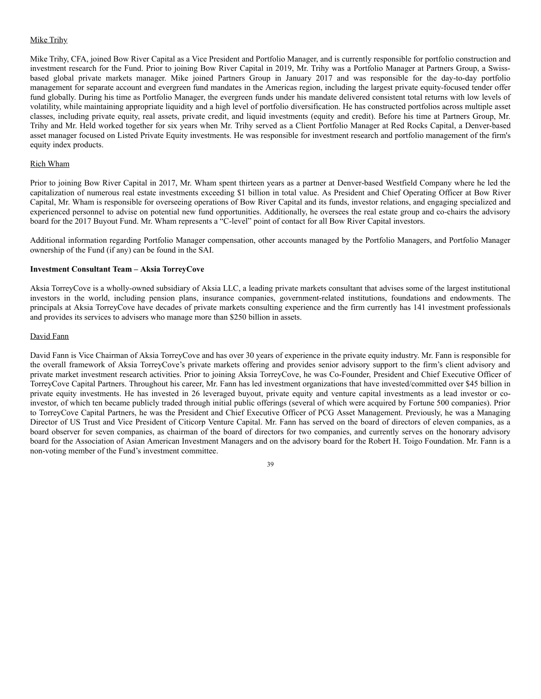## Mike Trihy

Mike Trihy, CFA, joined Bow River Capital as a Vice President and Portfolio Manager, and is currently responsible for portfolio construction and investment research for the Fund. Prior to joining Bow River Capital in 2019, Mr. Trihy was a Portfolio Manager at Partners Group, a Swissbased global private markets manager. Mike joined Partners Group in January 2017 and was responsible for the day-to-day portfolio management for separate account and evergreen fund mandates in the Americas region, including the largest private equity-focused tender offer fund globally. During his time as Portfolio Manager, the evergreen funds under his mandate delivered consistent total returns with low levels of volatility, while maintaining appropriate liquidity and a high level of portfolio diversification. He has constructed portfolios across multiple asset classes, including private equity, real assets, private credit, and liquid investments (equity and credit). Before his time at Partners Group, Mr. Trihy and Mr. Held worked together for six years when Mr. Trihy served as a Client Portfolio Manager at Red Rocks Capital, a Denver-based asset manager focused on Listed Private Equity investments. He was responsible for investment research and portfolio management of the firm's equity index products.

## Rich Wham

Prior to joining Bow River Capital in 2017, Mr. Wham spent thirteen years as a partner at Denver-based Westfield Company where he led the capitalization of numerous real estate investments exceeding \$1 billion in total value. As President and Chief Operating Officer at Bow River Capital, Mr. Wham is responsible for overseeing operations of Bow River Capital and its funds, investor relations, and engaging specialized and experienced personnel to advise on potential new fund opportunities. Additionally, he oversees the real estate group and co-chairs the advisory board for the 2017 Buyout Fund. Mr. Wham represents a "C-level" point of contact for all Bow River Capital investors.

Additional information regarding Portfolio Manager compensation, other accounts managed by the Portfolio Managers, and Portfolio Manager ownership of the Fund (if any) can be found in the SAI.

## **Investment Consultant Team – Aksia TorreyCove**

Aksia TorreyCove is a wholly-owned subsidiary of Aksia LLC, a leading private markets consultant that advises some of the largest institutional investors in the world, including pension plans, insurance companies, government-related institutions, foundations and endowments. The principals at Aksia TorreyCove have decades of private markets consulting experience and the firm currently has 141 investment professionals and provides its services to advisers who manage more than \$250 billion in assets.

### David Fann

David Fann is Vice Chairman of Aksia TorreyCove and has over 30 years of experience in the private equity industry. Mr. Fann is responsible for the overall framework of Aksia TorreyCove's private markets offering and provides senior advisory support to the firm's client advisory and private market investment research activities. Prior to joining Aksia TorreyCove, he was Co-Founder, President and Chief Executive Officer of TorreyCove Capital Partners. Throughout his career, Mr. Fann has led investment organizations that have invested/committed over \$45 billion in private equity investments. He has invested in 26 leveraged buyout, private equity and venture capital investments as a lead investor or coinvestor, of which ten became publicly traded through initial public offerings (several of which were acquired by Fortune 500 companies). Prior to TorreyCove Capital Partners, he was the President and Chief Executive Officer of PCG Asset Management. Previously, he was a Managing Director of US Trust and Vice President of Citicorp Venture Capital. Mr. Fann has served on the board of directors of eleven companies, as a board observer for seven companies, as chairman of the board of directors for two companies, and currently serves on the honorary advisory board for the Association of Asian American Investment Managers and on the advisory board for the Robert H. Toigo Foundation. Mr. Fann is a non-voting member of the Fund's investment committee.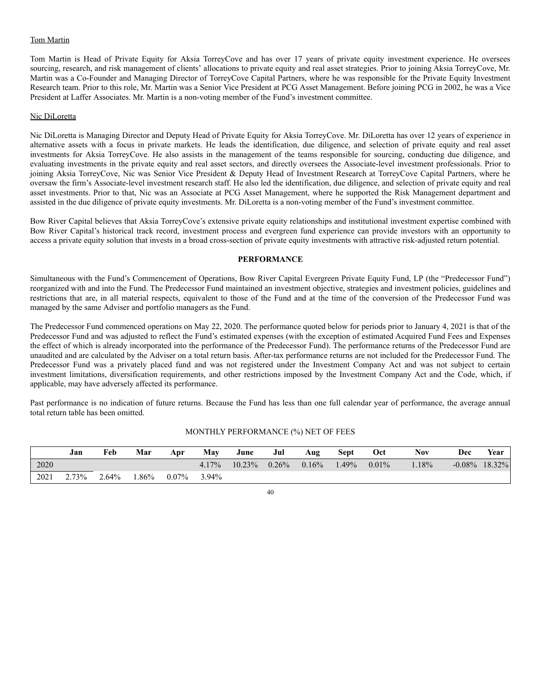# Tom Martin

Tom Martin is Head of Private Equity for Aksia TorreyCove and has over 17 years of private equity investment experience. He oversees sourcing, research, and risk management of clients' allocations to private equity and real asset strategies. Prior to joining Aksia TorreyCove, Mr. Martin was a Co-Founder and Managing Director of TorreyCove Capital Partners, where he was responsible for the Private Equity Investment Research team. Prior to this role, Mr. Martin was a Senior Vice President at PCG Asset Management. Before joining PCG in 2002, he was a Vice President at Laffer Associates. Mr. Martin is a non-voting member of the Fund's investment committee.

### Nic DiLoretta

Nic DiLoretta is Managing Director and Deputy Head of Private Equity for Aksia TorreyCove. Mr. DiLoretta has over 12 years of experience in alternative assets with a focus in private markets. He leads the identification, due diligence, and selection of private equity and real asset investments for Aksia TorreyCove. He also assists in the management of the teams responsible for sourcing, conducting due diligence, and evaluating investments in the private equity and real asset sectors, and directly oversees the Associate-level investment professionals. Prior to joining Aksia TorreyCove, Nic was Senior Vice President & Deputy Head of Investment Research at TorreyCove Capital Partners, where he oversaw the firm's Associate-level investment research staff. He also led the identification, due diligence, and selection of private equity and real asset investments. Prior to that, Nic was an Associate at PCG Asset Management, where he supported the Risk Management department and assisted in the due diligence of private equity investments. Mr. DiLoretta is a non-voting member of the Fund's investment committee.

Bow River Capital believes that Aksia TorreyCove's extensive private equity relationships and institutional investment expertise combined with Bow River Capital's historical track record, investment process and evergreen fund experience can provide investors with an opportunity to access a private equity solution that invests in a broad cross-section of private equity investments with attractive risk-adjusted return potential.

## **PERFORMANCE**

Simultaneous with the Fund's Commencement of Operations, Bow River Capital Evergreen Private Equity Fund, LP (the "Predecessor Fund") reorganized with and into the Fund. The Predecessor Fund maintained an investment objective, strategies and investment policies, guidelines and restrictions that are, in all material respects, equivalent to those of the Fund and at the time of the conversion of the Predecessor Fund was managed by the same Adviser and portfolio managers as the Fund.

The Predecessor Fund commenced operations on May 22, 2020. The performance quoted below for periods prior to January 4, 2021 is that of the Predecessor Fund and was adjusted to reflect the Fund's estimated expenses (with the exception of estimated Acquired Fund Fees and Expenses the effect of which is already incorporated into the performance of the Predecessor Fund). The performance returns of the Predecessor Fund are unaudited and are calculated by the Adviser on a total return basis. After-tax performance returns are not included for the Predecessor Fund. The Predecessor Fund was a privately placed fund and was not registered under the Investment Company Act and was not subject to certain investment limitations, diversification requirements, and other restrictions imposed by the Investment Company Act and the Code, which, if applicable, may have adversely affected its performance.

Past performance is no indication of future returns. Because the Fund has less than one full calendar year of performance, the average annual total return table has been omitted.

|      | Jan   | Feb      | Mar  | Apr      | Mav   | June      | Jul      | Aug      | <b>Sept</b> | Oct      | <b>Nov</b> | Dec | Year             |
|------|-------|----------|------|----------|-------|-----------|----------|----------|-------------|----------|------------|-----|------------------|
| 2020 |       |          |      |          | 4.17% | $10.23\%$ | $0.26\%$ | $0.16\%$ | 1.49%       | $0.01\%$ | .18%       |     | $-0.08\%$ 18.32% |
| 2021 | 2.73% | $2.64\%$ | .86% | $0.07\%$ | 3.94% |           |          |          |             |          |            |     |                  |

### MONTHLY PERFORMANCE (%) NET OF FEES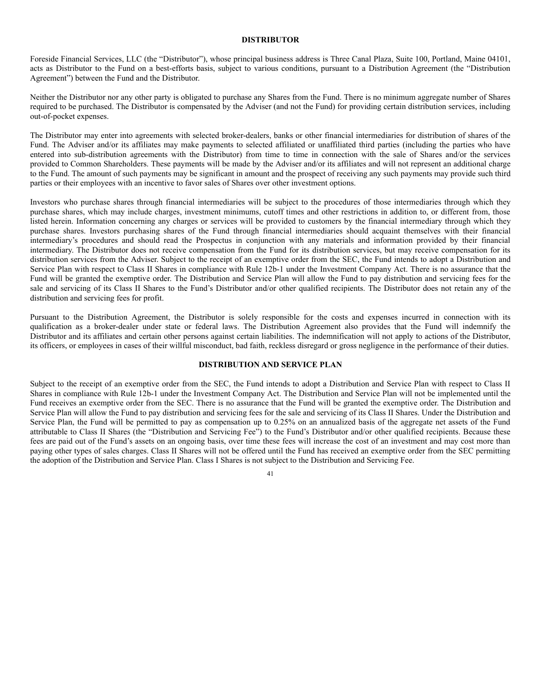### **DISTRIBUTOR**

Foreside Financial Services, LLC (the "Distributor"), whose principal business address is Three Canal Plaza, Suite 100, Portland, Maine 04101, acts as Distributor to the Fund on a best-efforts basis, subject to various conditions, pursuant to a Distribution Agreement (the "Distribution Agreement") between the Fund and the Distributor.

Neither the Distributor nor any other party is obligated to purchase any Shares from the Fund. There is no minimum aggregate number of Shares required to be purchased. The Distributor is compensated by the Adviser (and not the Fund) for providing certain distribution services, including out-of-pocket expenses.

The Distributor may enter into agreements with selected broker-dealers, banks or other financial intermediaries for distribution of shares of the Fund. The Adviser and/or its affiliates may make payments to selected affiliated or unaffiliated third parties (including the parties who have entered into sub-distribution agreements with the Distributor) from time to time in connection with the sale of Shares and/or the services provided to Common Shareholders. These payments will be made by the Adviser and/or its affiliates and will not represent an additional charge to the Fund. The amount of such payments may be significant in amount and the prospect of receiving any such payments may provide such third parties or their employees with an incentive to favor sales of Shares over other investment options.

Investors who purchase shares through financial intermediaries will be subject to the procedures of those intermediaries through which they purchase shares, which may include charges, investment minimums, cutoff times and other restrictions in addition to, or different from, those listed herein. Information concerning any charges or services will be provided to customers by the financial intermediary through which they purchase shares. Investors purchasing shares of the Fund through financial intermediaries should acquaint themselves with their financial intermediary's procedures and should read the Prospectus in conjunction with any materials and information provided by their financial intermediary. The Distributor does not receive compensation from the Fund for its distribution services, but may receive compensation for its distribution services from the Adviser. Subject to the receipt of an exemptive order from the SEC, the Fund intends to adopt a Distribution and Service Plan with respect to Class II Shares in compliance with Rule 12b-1 under the Investment Company Act. There is no assurance that the Fund will be granted the exemptive order. The Distribution and Service Plan will allow the Fund to pay distribution and servicing fees for the sale and servicing of its Class II Shares to the Fund's Distributor and/or other qualified recipients. The Distributor does not retain any of the distribution and servicing fees for profit.

Pursuant to the Distribution Agreement, the Distributor is solely responsible for the costs and expenses incurred in connection with its qualification as a broker-dealer under state or federal laws. The Distribution Agreement also provides that the Fund will indemnify the Distributor and its affiliates and certain other persons against certain liabilities. The indemnification will not apply to actions of the Distributor, its officers, or employees in cases of their willful misconduct, bad faith, reckless disregard or gross negligence in the performance of their duties.

# **DISTRIBUTION AND SERVICE PLAN**

Subject to the receipt of an exemptive order from the SEC, the Fund intends to adopt a Distribution and Service Plan with respect to Class II Shares in compliance with Rule 12b-1 under the Investment Company Act. The Distribution and Service Plan will not be implemented until the Fund receives an exemptive order from the SEC. There is no assurance that the Fund will be granted the exemptive order. The Distribution and Service Plan will allow the Fund to pay distribution and servicing fees for the sale and servicing of its Class II Shares. Under the Distribution and Service Plan, the Fund will be permitted to pay as compensation up to 0.25% on an annualized basis of the aggregate net assets of the Fund attributable to Class II Shares (the "Distribution and Servicing Fee") to the Fund's Distributor and/or other qualified recipients. Because these fees are paid out of the Fund's assets on an ongoing basis, over time these fees will increase the cost of an investment and may cost more than paying other types of sales charges. Class II Shares will not be offered until the Fund has received an exemptive order from the SEC permitting the adoption of the Distribution and Service Plan. Class I Shares is not subject to the Distribution and Servicing Fee.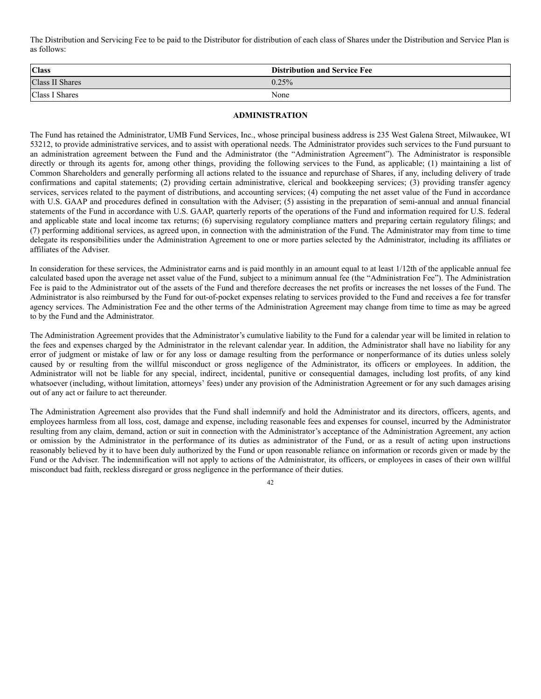The Distribution and Servicing Fee to be paid to the Distributor for distribution of each class of Shares under the Distribution and Service Plan is as follows:

| <b>Class</b>    | <b>Distribution and Service Fee</b> |
|-----------------|-------------------------------------|
| Class II Shares | 0.25%                               |
| Class I Shares  | None                                |

# **ADMINISTRATION**

The Fund has retained the Administrator, UMB Fund Services, Inc., whose principal business address is 235 West Galena Street, Milwaukee, WI 53212, to provide administrative services, and to assist with operational needs. The Administrator provides such services to the Fund pursuant to an administration agreement between the Fund and the Administrator (the "Administration Agreement"). The Administrator is responsible directly or through its agents for, among other things, providing the following services to the Fund, as applicable; (1) maintaining a list of Common Shareholders and generally performing all actions related to the issuance and repurchase of Shares, if any, including delivery of trade confirmations and capital statements; (2) providing certain administrative, clerical and bookkeeping services; (3) providing transfer agency services, services related to the payment of distributions, and accounting services; (4) computing the net asset value of the Fund in accordance with U.S. GAAP and procedures defined in consultation with the Adviser; (5) assisting in the preparation of semi-annual and annual financial statements of the Fund in accordance with U.S. GAAP, quarterly reports of the operations of the Fund and information required for U.S. federal and applicable state and local income tax returns; (6) supervising regulatory compliance matters and preparing certain regulatory filings; and (7) performing additional services, as agreed upon, in connection with the administration of the Fund. The Administrator may from time to time delegate its responsibilities under the Administration Agreement to one or more parties selected by the Administrator, including its affiliates or affiliates of the Adviser.

In consideration for these services, the Administrator earns and is paid monthly in an amount equal to at least 1/12th of the applicable annual fee calculated based upon the average net asset value of the Fund, subject to a minimum annual fee (the "Administration Fee"). The Administration Fee is paid to the Administrator out of the assets of the Fund and therefore decreases the net profits or increases the net losses of the Fund. The Administrator is also reimbursed by the Fund for out-of-pocket expenses relating to services provided to the Fund and receives a fee for transfer agency services. The Administration Fee and the other terms of the Administration Agreement may change from time to time as may be agreed to by the Fund and the Administrator.

The Administration Agreement provides that the Administrator's cumulative liability to the Fund for a calendar year will be limited in relation to the fees and expenses charged by the Administrator in the relevant calendar year. In addition, the Administrator shall have no liability for any error of judgment or mistake of law or for any loss or damage resulting from the performance or nonperformance of its duties unless solely caused by or resulting from the willful misconduct or gross negligence of the Administrator, its officers or employees. In addition, the Administrator will not be liable for any special, indirect, incidental, punitive or consequential damages, including lost profits, of any kind whatsoever (including, without limitation, attorneys' fees) under any provision of the Administration Agreement or for any such damages arising out of any act or failure to act thereunder.

The Administration Agreement also provides that the Fund shall indemnify and hold the Administrator and its directors, officers, agents, and employees harmless from all loss, cost, damage and expense, including reasonable fees and expenses for counsel, incurred by the Administrator resulting from any claim, demand, action or suit in connection with the Administrator's acceptance of the Administration Agreement, any action or omission by the Administrator in the performance of its duties as administrator of the Fund, or as a result of acting upon instructions reasonably believed by it to have been duly authorized by the Fund or upon reasonable reliance on information or records given or made by the Fund or the Adviser. The indemnification will not apply to actions of the Administrator, its officers, or employees in cases of their own willful misconduct bad faith, reckless disregard or gross negligence in the performance of their duties.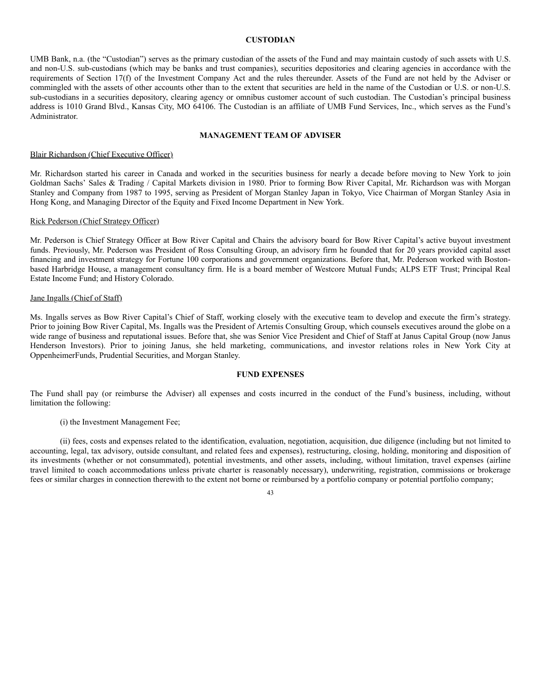### **CUSTODIAN**

UMB Bank, n.a. (the "Custodian") serves as the primary custodian of the assets of the Fund and may maintain custody of such assets with U.S. and non-U.S. sub-custodians (which may be banks and trust companies), securities depositories and clearing agencies in accordance with the requirements of Section 17(f) of the Investment Company Act and the rules thereunder. Assets of the Fund are not held by the Adviser or commingled with the assets of other accounts other than to the extent that securities are held in the name of the Custodian or U.S. or non-U.S. sub-custodians in a securities depository, clearing agency or omnibus customer account of such custodian. The Custodian's principal business address is 1010 Grand Blvd., Kansas City, MO 64106. The Custodian is an affiliate of UMB Fund Services, Inc., which serves as the Fund's Administrator.

### **MANAGEMENT TEAM OF ADVISER**

### Blair Richardson (Chief Executive Officer)

Mr. Richardson started his career in Canada and worked in the securities business for nearly a decade before moving to New York to join Goldman Sachs' Sales & Trading / Capital Markets division in 1980. Prior to forming Bow River Capital, Mr. Richardson was with Morgan Stanley and Company from 1987 to 1995, serving as President of Morgan Stanley Japan in Tokyo, Vice Chairman of Morgan Stanley Asia in Hong Kong, and Managing Director of the Equity and Fixed Income Department in New York.

# Rick Pederson (Chief Strategy Officer)

Mr. Pederson is Chief Strategy Officer at Bow River Capital and Chairs the advisory board for Bow River Capital's active buyout investment funds. Previously, Mr. Pederson was President of Ross Consulting Group, an advisory firm he founded that for 20 years provided capital asset financing and investment strategy for Fortune 100 corporations and government organizations. Before that, Mr. Pederson worked with Bostonbased Harbridge House, a management consultancy firm. He is a board member of Westcore Mutual Funds; ALPS ETF Trust; Principal Real Estate Income Fund; and History Colorado.

#### Jane Ingalls (Chief of Staff)

Ms. Ingalls serves as Bow River Capital's Chief of Staff, working closely with the executive team to develop and execute the firm's strategy. Prior to joining Bow River Capital, Ms. Ingalls was the President of Artemis Consulting Group, which counsels executives around the globe on a wide range of business and reputational issues. Before that, she was Senior Vice President and Chief of Staff at Janus Capital Group (now Janus Henderson Investors). Prior to joining Janus, she held marketing, communications, and investor relations roles in New York City at OppenheimerFunds, Prudential Securities, and Morgan Stanley.

## **FUND EXPENSES**

The Fund shall pay (or reimburse the Adviser) all expenses and costs incurred in the conduct of the Fund's business, including, without limitation the following:

(i) the Investment Management Fee;

(ii) fees, costs and expenses related to the identification, evaluation, negotiation, acquisition, due diligence (including but not limited to accounting, legal, tax advisory, outside consultant, and related fees and expenses), restructuring, closing, holding, monitoring and disposition of its investments (whether or not consummated), potential investments, and other assets, including, without limitation, travel expenses (airline travel limited to coach accommodations unless private charter is reasonably necessary), underwriting, registration, commissions or brokerage fees or similar charges in connection therewith to the extent not borne or reimbursed by a portfolio company or potential portfolio company;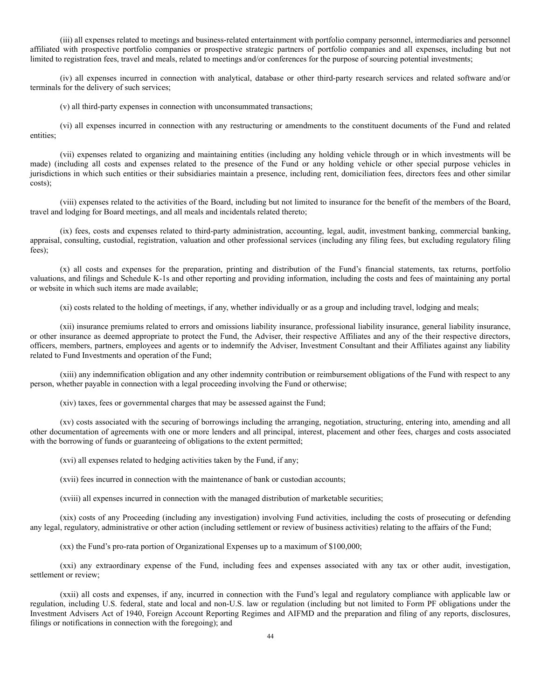(iii) all expenses related to meetings and business-related entertainment with portfolio company personnel, intermediaries and personnel affiliated with prospective portfolio companies or prospective strategic partners of portfolio companies and all expenses, including but not limited to registration fees, travel and meals, related to meetings and/or conferences for the purpose of sourcing potential investments;

(iv) all expenses incurred in connection with analytical, database or other third-party research services and related software and/or terminals for the delivery of such services;

(v) all third-party expenses in connection with unconsummated transactions;

(vi) all expenses incurred in connection with any restructuring or amendments to the constituent documents of the Fund and related entities;

(vii) expenses related to organizing and maintaining entities (including any holding vehicle through or in which investments will be made) (including all costs and expenses related to the presence of the Fund or any holding vehicle or other special purpose vehicles in jurisdictions in which such entities or their subsidiaries maintain a presence, including rent, domiciliation fees, directors fees and other similar costs);

(viii) expenses related to the activities of the Board, including but not limited to insurance for the benefit of the members of the Board, travel and lodging for Board meetings, and all meals and incidentals related thereto;

(ix) fees, costs and expenses related to third-party administration, accounting, legal, audit, investment banking, commercial banking, appraisal, consulting, custodial, registration, valuation and other professional services (including any filing fees, but excluding regulatory filing fees);

(x) all costs and expenses for the preparation, printing and distribution of the Fund's financial statements, tax returns, portfolio valuations, and filings and Schedule K-1s and other reporting and providing information, including the costs and fees of maintaining any portal or website in which such items are made available;

(xi) costs related to the holding of meetings, if any, whether individually or as a group and including travel, lodging and meals;

(xii) insurance premiums related to errors and omissions liability insurance, professional liability insurance, general liability insurance, or other insurance as deemed appropriate to protect the Fund, the Adviser, their respective Affiliates and any of the their respective directors, officers, members, partners, employees and agents or to indemnify the Adviser, Investment Consultant and their Affiliates against any liability related to Fund Investments and operation of the Fund;

(xiii) any indemnification obligation and any other indemnity contribution or reimbursement obligations of the Fund with respect to any person, whether payable in connection with a legal proceeding involving the Fund or otherwise;

(xiv) taxes, fees or governmental charges that may be assessed against the Fund;

(xv) costs associated with the securing of borrowings including the arranging, negotiation, structuring, entering into, amending and all other documentation of agreements with one or more lenders and all principal, interest, placement and other fees, charges and costs associated with the borrowing of funds or guaranteeing of obligations to the extent permitted;

(xvi) all expenses related to hedging activities taken by the Fund, if any;

(xvii) fees incurred in connection with the maintenance of bank or custodian accounts;

(xviii) all expenses incurred in connection with the managed distribution of marketable securities;

(xix) costs of any Proceeding (including any investigation) involving Fund activities, including the costs of prosecuting or defending any legal, regulatory, administrative or other action (including settlement or review of business activities) relating to the affairs of the Fund;

(xx) the Fund's pro-rata portion of Organizational Expenses up to a maximum of \$100,000;

(xxi) any extraordinary expense of the Fund, including fees and expenses associated with any tax or other audit, investigation, settlement or review;

(xxii) all costs and expenses, if any, incurred in connection with the Fund's legal and regulatory compliance with applicable law or regulation, including U.S. federal, state and local and non-U.S. law or regulation (including but not limited to Form PF obligations under the Investment Advisers Act of 1940, Foreign Account Reporting Regimes and AIFMD and the preparation and filing of any reports, disclosures, filings or notifications in connection with the foregoing); and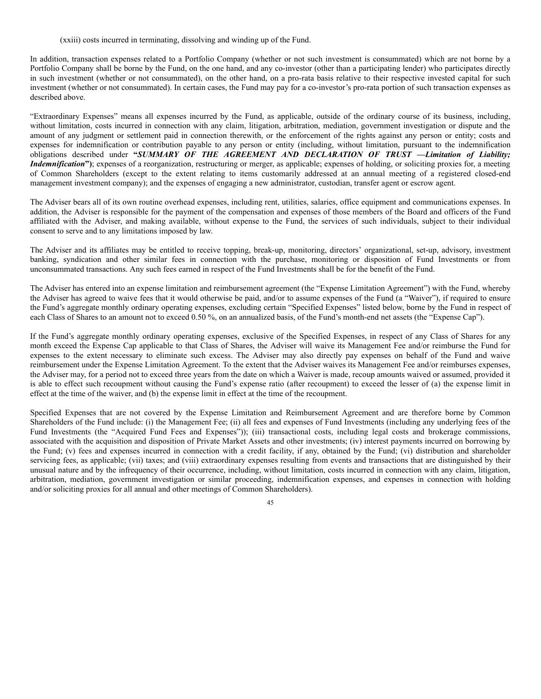(xxiii) costs incurred in terminating, dissolving and winding up of the Fund.

In addition, transaction expenses related to a Portfolio Company (whether or not such investment is consummated) which are not borne by a Portfolio Company shall be borne by the Fund, on the one hand, and any co-investor (other than a participating lender) who participates directly in such investment (whether or not consummated), on the other hand, on a pro-rata basis relative to their respective invested capital for such investment (whether or not consummated). In certain cases, the Fund may pay for a co-investor's pro-rata portion of such transaction expenses as described above.

"Extraordinary Expenses" means all expenses incurred by the Fund, as applicable, outside of the ordinary course of its business, including, without limitation, costs incurred in connection with any claim, litigation, arbitration, mediation, government investigation or dispute and the amount of any judgment or settlement paid in connection therewith, or the enforcement of the rights against any person or entity; costs and expenses for indemnification or contribution payable to any person or entity (including, without limitation, pursuant to the indemnification obligations described under **"***SUMMARY OF THE AGREEMENT AND DECLARATION OF TRUST —Limitation of Liability; Indemnification*<sup>"</sup>); expenses of a reorganization, restructuring or merger, as applicable; expenses of holding, or soliciting proxies for, a meeting of Common Shareholders (except to the extent relating to items customarily addressed at an annual meeting of a registered closed-end management investment company); and the expenses of engaging a new administrator, custodian, transfer agent or escrow agent.

The Adviser bears all of its own routine overhead expenses, including rent, utilities, salaries, office equipment and communications expenses. In addition, the Adviser is responsible for the payment of the compensation and expenses of those members of the Board and officers of the Fund affiliated with the Adviser, and making available, without expense to the Fund, the services of such individuals, subject to their individual consent to serve and to any limitations imposed by law.

The Adviser and its affiliates may be entitled to receive topping, break-up, monitoring, directors' organizational, set-up, advisory, investment banking, syndication and other similar fees in connection with the purchase, monitoring or disposition of Fund Investments or from unconsummated transactions. Any such fees earned in respect of the Fund Investments shall be for the benefit of the Fund.

The Adviser has entered into an expense limitation and reimbursement agreement (the "Expense Limitation Agreement") with the Fund, whereby the Adviser has agreed to waive fees that it would otherwise be paid, and/or to assume expenses of the Fund (a "Waiver"), if required to ensure the Fund's aggregate monthly ordinary operating expenses, excluding certain "Specified Expenses" listed below, borne by the Fund in respect of each Class of Shares to an amount not to exceed 0.50 %, on an annualized basis, of the Fund's month-end net assets (the "Expense Cap").

If the Fund's aggregate monthly ordinary operating expenses, exclusive of the Specified Expenses, in respect of any Class of Shares for any month exceed the Expense Cap applicable to that Class of Shares, the Adviser will waive its Management Fee and/or reimburse the Fund for expenses to the extent necessary to eliminate such excess. The Adviser may also directly pay expenses on behalf of the Fund and waive reimbursement under the Expense Limitation Agreement. To the extent that the Adviser waives its Management Fee and/or reimburses expenses, the Adviser may, for a period not to exceed three years from the date on which a Waiver is made, recoup amounts waived or assumed, provided it is able to effect such recoupment without causing the Fund's expense ratio (after recoupment) to exceed the lesser of (a) the expense limit in effect at the time of the waiver, and (b) the expense limit in effect at the time of the recoupment.

Specified Expenses that are not covered by the Expense Limitation and Reimbursement Agreement and are therefore borne by Common Shareholders of the Fund include: (i) the Management Fee; (ii) all fees and expenses of Fund Investments (including any underlying fees of the Fund Investments (the "Acquired Fund Fees and Expenses")); (iii) transactional costs, including legal costs and brokerage commissions, associated with the acquisition and disposition of Private Market Assets and other investments; (iv) interest payments incurred on borrowing by the Fund; (v) fees and expenses incurred in connection with a credit facility, if any, obtained by the Fund; (vi) distribution and shareholder servicing fees, as applicable; (vii) taxes; and (viii) extraordinary expenses resulting from events and transactions that are distinguished by their unusual nature and by the infrequency of their occurrence, including, without limitation, costs incurred in connection with any claim, litigation, arbitration, mediation, government investigation or similar proceeding, indemnification expenses, and expenses in connection with holding and/or soliciting proxies for all annual and other meetings of Common Shareholders).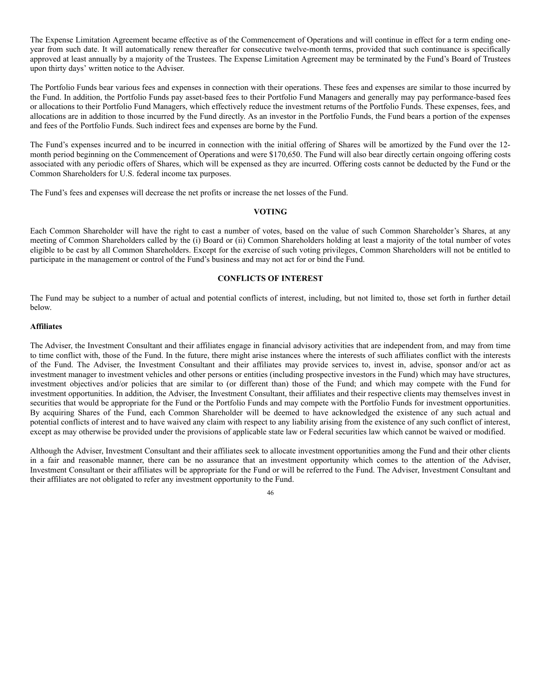The Expense Limitation Agreement became effective as of the Commencement of Operations and will continue in effect for a term ending oneyear from such date. It will automatically renew thereafter for consecutive twelve-month terms, provided that such continuance is specifically approved at least annually by a majority of the Trustees. The Expense Limitation Agreement may be terminated by the Fund's Board of Trustees upon thirty days' written notice to the Adviser.

The Portfolio Funds bear various fees and expenses in connection with their operations. These fees and expenses are similar to those incurred by the Fund. In addition, the Portfolio Funds pay asset-based fees to their Portfolio Fund Managers and generally may pay performance-based fees or allocations to their Portfolio Fund Managers, which effectively reduce the investment returns of the Portfolio Funds. These expenses, fees, and allocations are in addition to those incurred by the Fund directly. As an investor in the Portfolio Funds, the Fund bears a portion of the expenses and fees of the Portfolio Funds. Such indirect fees and expenses are borne by the Fund.

The Fund's expenses incurred and to be incurred in connection with the initial offering of Shares will be amortized by the Fund over the 12 month period beginning on the Commencement of Operations and were \$170,650. The Fund will also bear directly certain ongoing offering costs associated with any periodic offers of Shares, which will be expensed as they are incurred. Offering costs cannot be deducted by the Fund or the Common Shareholders for U.S. federal income tax purposes.

The Fund's fees and expenses will decrease the net profits or increase the net losses of the Fund.

# **VOTING**

Each Common Shareholder will have the right to cast a number of votes, based on the value of such Common Shareholder's Shares, at any meeting of Common Shareholders called by the (i) Board or (ii) Common Shareholders holding at least a majority of the total number of votes eligible to be cast by all Common Shareholders. Except for the exercise of such voting privileges, Common Shareholders will not be entitled to participate in the management or control of the Fund's business and may not act for or bind the Fund.

# **CONFLICTS OF INTEREST**

The Fund may be subject to a number of actual and potential conflicts of interest, including, but not limited to, those set forth in further detail below.

### **Affiliates**

The Adviser, the Investment Consultant and their affiliates engage in financial advisory activities that are independent from, and may from time to time conflict with, those of the Fund. In the future, there might arise instances where the interests of such affiliates conflict with the interests of the Fund. The Adviser, the Investment Consultant and their affiliates may provide services to, invest in, advise, sponsor and/or act as investment manager to investment vehicles and other persons or entities (including prospective investors in the Fund) which may have structures, investment objectives and/or policies that are similar to (or different than) those of the Fund; and which may compete with the Fund for investment opportunities. In addition, the Adviser, the Investment Consultant, their affiliates and their respective clients may themselves invest in securities that would be appropriate for the Fund or the Portfolio Funds and may compete with the Portfolio Funds for investment opportunities. By acquiring Shares of the Fund, each Common Shareholder will be deemed to have acknowledged the existence of any such actual and potential conflicts of interest and to have waived any claim with respect to any liability arising from the existence of any such conflict of interest, except as may otherwise be provided under the provisions of applicable state law or Federal securities law which cannot be waived or modified.

Although the Adviser, Investment Consultant and their affiliates seek to allocate investment opportunities among the Fund and their other clients in a fair and reasonable manner, there can be no assurance that an investment opportunity which comes to the attention of the Adviser, Investment Consultant or their affiliates will be appropriate for the Fund or will be referred to the Fund. The Adviser, Investment Consultant and their affiliates are not obligated to refer any investment opportunity to the Fund.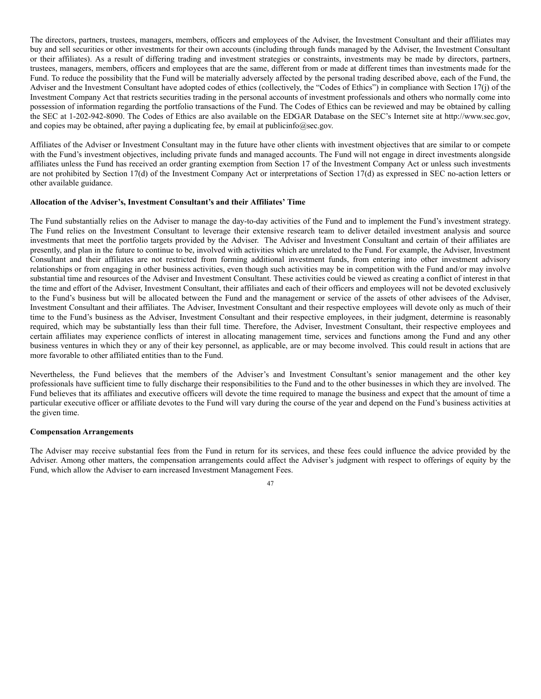The directors, partners, trustees, managers, members, officers and employees of the Adviser, the Investment Consultant and their affiliates may buy and sell securities or other investments for their own accounts (including through funds managed by the Adviser, the Investment Consultant or their affiliates). As a result of differing trading and investment strategies or constraints, investments may be made by directors, partners, trustees, managers, members, officers and employees that are the same, different from or made at different times than investments made for the Fund. To reduce the possibility that the Fund will be materially adversely affected by the personal trading described above, each of the Fund, the Adviser and the Investment Consultant have adopted codes of ethics (collectively, the "Codes of Ethics") in compliance with Section 17(j) of the Investment Company Act that restricts securities trading in the personal accounts of investment professionals and others who normally come into possession of information regarding the portfolio transactions of the Fund. The Codes of Ethics can be reviewed and may be obtained by calling the SEC at 1-202-942-8090. The Codes of Ethics are also available on the EDGAR Database on the SEC's Internet site at http://www.sec.gov, and copies may be obtained, after paying a duplicating fee, by email at publicinfo@sec.gov.

Affiliates of the Adviser or Investment Consultant may in the future have other clients with investment objectives that are similar to or compete with the Fund's investment objectives, including private funds and managed accounts. The Fund will not engage in direct investments alongside affiliates unless the Fund has received an order granting exemption from Section 17 of the Investment Company Act or unless such investments are not prohibited by Section 17(d) of the Investment Company Act or interpretations of Section 17(d) as expressed in SEC no-action letters or other available guidance.

## **Allocation of the Adviser's, Investment Consultant's and their Affiliates' Time**

The Fund substantially relies on the Adviser to manage the day-to-day activities of the Fund and to implement the Fund's investment strategy. The Fund relies on the Investment Consultant to leverage their extensive research team to deliver detailed investment analysis and source investments that meet the portfolio targets provided by the Adviser. The Adviser and Investment Consultant and certain of their affiliates are presently, and plan in the future to continue to be, involved with activities which are unrelated to the Fund. For example, the Adviser, Investment Consultant and their affiliates are not restricted from forming additional investment funds, from entering into other investment advisory relationships or from engaging in other business activities, even though such activities may be in competition with the Fund and/or may involve substantial time and resources of the Adviser and Investment Consultant. These activities could be viewed as creating a conflict of interest in that the time and effort of the Adviser, Investment Consultant, their affiliates and each of their officers and employees will not be devoted exclusively to the Fund's business but will be allocated between the Fund and the management or service of the assets of other advisees of the Adviser, Investment Consultant and their affiliates. The Adviser, Investment Consultant and their respective employees will devote only as much of their time to the Fund's business as the Adviser, Investment Consultant and their respective employees, in their judgment, determine is reasonably required, which may be substantially less than their full time. Therefore, the Adviser, Investment Consultant, their respective employees and certain affiliates may experience conflicts of interest in allocating management time, services and functions among the Fund and any other business ventures in which they or any of their key personnel, as applicable, are or may become involved. This could result in actions that are more favorable to other affiliated entities than to the Fund.

Nevertheless, the Fund believes that the members of the Adviser's and Investment Consultant's senior management and the other key professionals have sufficient time to fully discharge their responsibilities to the Fund and to the other businesses in which they are involved. The Fund believes that its affiliates and executive officers will devote the time required to manage the business and expect that the amount of time a particular executive officer or affiliate devotes to the Fund will vary during the course of the year and depend on the Fund's business activities at the given time.

### **Compensation Arrangements**

The Adviser may receive substantial fees from the Fund in return for its services, and these fees could influence the advice provided by the Adviser. Among other matters, the compensation arrangements could affect the Adviser's judgment with respect to offerings of equity by the Fund, which allow the Adviser to earn increased Investment Management Fees.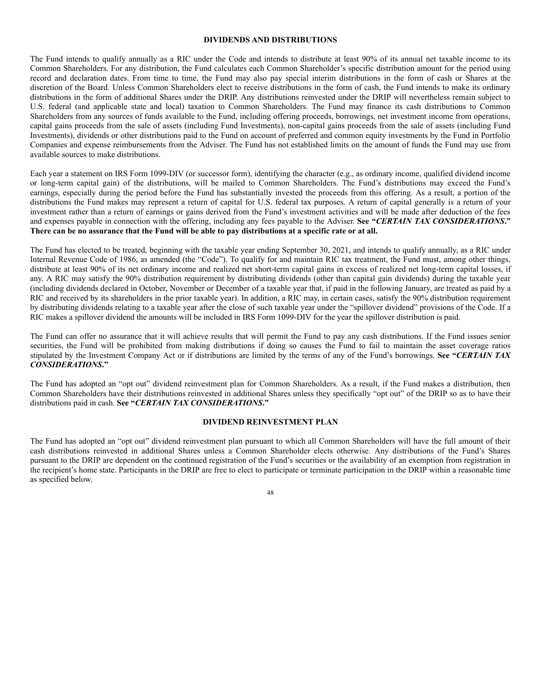# **DIVIDENDS AND DISTRIBUTIONS**

The Fund intends to qualify annually as a RIC under the Code and intends to distribute at least 90% of its annual net taxable income to its Common Shareholders. For any distribution, the Fund calculates each Common Shareholder's specific distribution amount for the period using record and declaration dates. From time to time, the Fund may also pay special interim distributions in the form of cash or Shares at the discretion of the Board. Unless Common Shareholders elect to receive distributions in the form of cash, the Fund intends to make its ordinary distributions in the form of additional Shares under the DRIP. Any distributions reinvested under the DRIP will nevertheless remain subject to U.S. federal (and applicable state and local) taxation to Common Shareholders. The Fund may finance its cash distributions to Common Shareholders from any sources of funds available to the Fund, including offering proceeds, borrowings, net investment income from operations, capital gains proceeds from the sale of assets (including Fund Investments), non-capital gains proceeds from the sale of assets (including Fund Investments), dividends or other distributions paid to the Fund on account of preferred and common equity investments by the Fund in Portfolio Companies and expense reimbursements from the Adviser. The Fund has not established limits on the amount of funds the Fund may use from available sources to make distributions.

Each year a statement on IRS Form 1099-DIV (or successor form), identifying the character (e.g., as ordinary income, qualified dividend income or long-term capital gain) of the distributions, will be mailed to Common Shareholders. The Fund's distributions may exceed the Fund's earnings, especially during the period before the Fund has substantially invested the proceeds from this offering. As a result, a portion of the distributions the Fund makes may represent a return of capital for U.S. federal tax purposes. A return of capital generally is a return of your investment rather than a return of earnings or gains derived from the Fund's investment activities and will be made after deduction of the fees and expenses payable in connection with the offering, including any fees payable to the Adviser. **See "***CERTAIN TAX CONSIDERATIONS***."** There can be no assurance that the Fund will be able to pay distributions at a specific rate or at all.

The Fund has elected to be treated, beginning with the taxable year ending September 30, 2021, and intends to qualify annually, as a RIC under Internal Revenue Code of 1986, as amended (the "Code"). To qualify for and maintain RIC tax treatment, the Fund must, among other things, distribute at least 90% of its net ordinary income and realized net short-term capital gains in excess of realized net long-term capital losses, if any. A RIC may satisfy the 90% distribution requirement by distributing dividends (other than capital gain dividends) during the taxable year (including dividends declared in October, November or December of a taxable year that, if paid in the following January, are treated as paid by a RIC and received by its shareholders in the prior taxable year). In addition, a RIC may, in certain cases, satisfy the 90% distribution requirement by distributing dividends relating to a taxable year after the close of such taxable year under the "spillover dividend" provisions of the Code. If a RIC makes a spillover dividend the amounts will be included in IRS Form 1099-DIV for the year the spillover distribution is paid.

The Fund can offer no assurance that it will achieve results that will permit the Fund to pay any cash distributions. If the Fund issues senior securities, the Fund will be prohibited from making distributions if doing so causes the Fund to fail to maintain the asset coverage ratios stipulated by the Investment Company Act or if distributions are limited by the terms of any of the Fund's borrowings. **See "***CERTAIN TAX CONSIDERATIONS***."**

The Fund has adopted an "opt out" dividend reinvestment plan for Common Shareholders. As a result, if the Fund makes a distribution, then Common Shareholders have their distributions reinvested in additional Shares unless they specifically "opt out" of the DRIP so as to have their distributions paid in cash. **See "***CERTAIN TAX CONSIDERATIONS***."**

### **DIVIDEND REINVESTMENT PLAN**

The Fund has adopted an "opt out" dividend reinvestment plan pursuant to which all Common Shareholders will have the full amount of their cash distributions reinvested in additional Shares unless a Common Shareholder elects otherwise. Any distributions of the Fund's Shares pursuant to the DRIP are dependent on the continued registration of the Fund's securities or the availability of an exemption from registration in the recipient's home state. Participants in the DRIP are free to elect to participate or terminate participation in the DRIP within a reasonable time as specified below.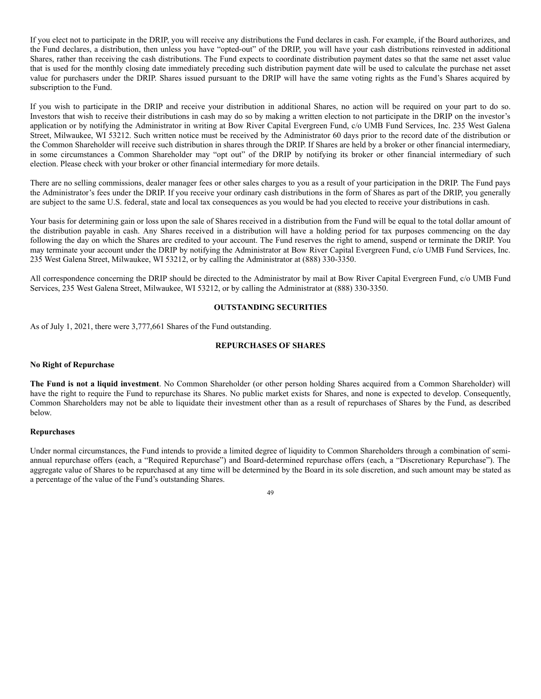If you elect not to participate in the DRIP, you will receive any distributions the Fund declares in cash. For example, if the Board authorizes, and the Fund declares, a distribution, then unless you have "opted-out" of the DRIP, you will have your cash distributions reinvested in additional Shares, rather than receiving the cash distributions. The Fund expects to coordinate distribution payment dates so that the same net asset value that is used for the monthly closing date immediately preceding such distribution payment date will be used to calculate the purchase net asset value for purchasers under the DRIP. Shares issued pursuant to the DRIP will have the same voting rights as the Fund's Shares acquired by subscription to the Fund.

If you wish to participate in the DRIP and receive your distribution in additional Shares, no action will be required on your part to do so. Investors that wish to receive their distributions in cash may do so by making a written election to not participate in the DRIP on the investor's application or by notifying the Administrator in writing at Bow River Capital Evergreen Fund, c/o UMB Fund Services, Inc. 235 West Galena Street, Milwaukee, WI 53212. Such written notice must be received by the Administrator 60 days prior to the record date of the distribution or the Common Shareholder will receive such distribution in shares through the DRIP. If Shares are held by a broker or other financial intermediary, in some circumstances a Common Shareholder may "opt out" of the DRIP by notifying its broker or other financial intermediary of such election. Please check with your broker or other financial intermediary for more details.

There are no selling commissions, dealer manager fees or other sales charges to you as a result of your participation in the DRIP. The Fund pays the Administrator's fees under the DRIP. If you receive your ordinary cash distributions in the form of Shares as part of the DRIP, you generally are subject to the same U.S. federal, state and local tax consequences as you would be had you elected to receive your distributions in cash.

Your basis for determining gain or loss upon the sale of Shares received in a distribution from the Fund will be equal to the total dollar amount of the distribution payable in cash. Any Shares received in a distribution will have a holding period for tax purposes commencing on the day following the day on which the Shares are credited to your account. The Fund reserves the right to amend, suspend or terminate the DRIP. You may terminate your account under the DRIP by notifying the Administrator at Bow River Capital Evergreen Fund, c/o UMB Fund Services, Inc. 235 West Galena Street, Milwaukee, WI 53212, or by calling the Administrator at (888) 330-3350.

All correspondence concerning the DRIP should be directed to the Administrator by mail at Bow River Capital Evergreen Fund, c/o UMB Fund Services, 235 West Galena Street, Milwaukee, WI 53212, or by calling the Administrator at (888) 330-3350.

## **OUTSTANDING SECURITIES**

As of July 1, 2021, there were 3,777,661 Shares of the Fund outstanding.

# **REPURCHASES OF SHARES**

### **No Right of Repurchase**

**The Fund is not a liquid investment**. No Common Shareholder (or other person holding Shares acquired from a Common Shareholder) will have the right to require the Fund to repurchase its Shares. No public market exists for Shares, and none is expected to develop. Consequently, Common Shareholders may not be able to liquidate their investment other than as a result of repurchases of Shares by the Fund, as described below.

### **Repurchases**

Under normal circumstances, the Fund intends to provide a limited degree of liquidity to Common Shareholders through a combination of semiannual repurchase offers (each, a "Required Repurchase") and Board-determined repurchase offers (each, a "Discretionary Repurchase"). The aggregate value of Shares to be repurchased at any time will be determined by the Board in its sole discretion, and such amount may be stated as a percentage of the value of the Fund's outstanding Shares.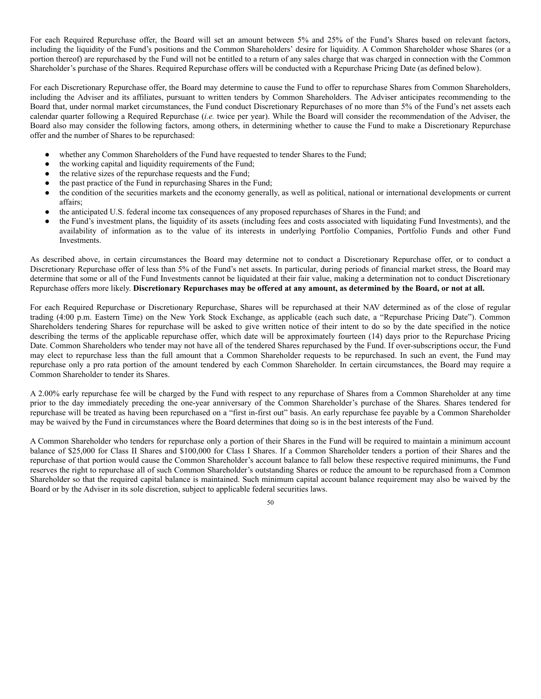For each Required Repurchase offer, the Board will set an amount between 5% and 25% of the Fund's Shares based on relevant factors, including the liquidity of the Fund's positions and the Common Shareholders' desire for liquidity. A Common Shareholder whose Shares (or a portion thereof) are repurchased by the Fund will not be entitled to a return of any sales charge that was charged in connection with the Common Shareholder's purchase of the Shares. Required Repurchase offers will be conducted with a Repurchase Pricing Date (as defined below).

For each Discretionary Repurchase offer, the Board may determine to cause the Fund to offer to repurchase Shares from Common Shareholders, including the Adviser and its affiliates, pursuant to written tenders by Common Shareholders. The Adviser anticipates recommending to the Board that, under normal market circumstances, the Fund conduct Discretionary Repurchases of no more than 5% of the Fund's net assets each calendar quarter following a Required Repurchase (*i.e.* twice per year). While the Board will consider the recommendation of the Adviser, the Board also may consider the following factors, among others, in determining whether to cause the Fund to make a Discretionary Repurchase offer and the number of Shares to be repurchased:

- whether any Common Shareholders of the Fund have requested to tender Shares to the Fund;
- the working capital and liquidity requirements of the Fund;
- the relative sizes of the repurchase requests and the Fund;
- the past practice of the Fund in repurchasing Shares in the Fund;
- the condition of the securities markets and the economy generally, as well as political, national or international developments or current affairs;
- the anticipated U.S. federal income tax consequences of any proposed repurchases of Shares in the Fund; and
- the Fund's investment plans, the liquidity of its assets (including fees and costs associated with liquidating Fund Investments), and the availability of information as to the value of its interests in underlying Portfolio Companies, Portfolio Funds and other Fund Investments.

As described above, in certain circumstances the Board may determine not to conduct a Discretionary Repurchase offer, or to conduct a Discretionary Repurchase offer of less than 5% of the Fund's net assets. In particular, during periods of financial market stress, the Board may determine that some or all of the Fund Investments cannot be liquidated at their fair value, making a determination not to conduct Discretionary Repurchase offers more likely. Discretionary Repurchases may be offered at any amount, as determined by the Board, or not at all.

For each Required Repurchase or Discretionary Repurchase, Shares will be repurchased at their NAV determined as of the close of regular trading (4:00 p.m. Eastern Time) on the New York Stock Exchange, as applicable (each such date, a "Repurchase Pricing Date"). Common Shareholders tendering Shares for repurchase will be asked to give written notice of their intent to do so by the date specified in the notice describing the terms of the applicable repurchase offer, which date will be approximately fourteen (14) days prior to the Repurchase Pricing Date. Common Shareholders who tender may not have all of the tendered Shares repurchased by the Fund. If over-subscriptions occur, the Fund may elect to repurchase less than the full amount that a Common Shareholder requests to be repurchased. In such an event, the Fund may repurchase only a pro rata portion of the amount tendered by each Common Shareholder. In certain circumstances, the Board may require a Common Shareholder to tender its Shares.

A 2.00% early repurchase fee will be charged by the Fund with respect to any repurchase of Shares from a Common Shareholder at any time prior to the day immediately preceding the one-year anniversary of the Common Shareholder's purchase of the Shares. Shares tendered for repurchase will be treated as having been repurchased on a "first in-first out" basis. An early repurchase fee payable by a Common Shareholder may be waived by the Fund in circumstances where the Board determines that doing so is in the best interests of the Fund.

A Common Shareholder who tenders for repurchase only a portion of their Shares in the Fund will be required to maintain a minimum account balance of \$25,000 for Class II Shares and \$100,000 for Class I Shares. If a Common Shareholder tenders a portion of their Shares and the repurchase of that portion would cause the Common Shareholder's account balance to fall below these respective required minimums, the Fund reserves the right to repurchase all of such Common Shareholder's outstanding Shares or reduce the amount to be repurchased from a Common Shareholder so that the required capital balance is maintained. Such minimum capital account balance requirement may also be waived by the Board or by the Adviser in its sole discretion, subject to applicable federal securities laws.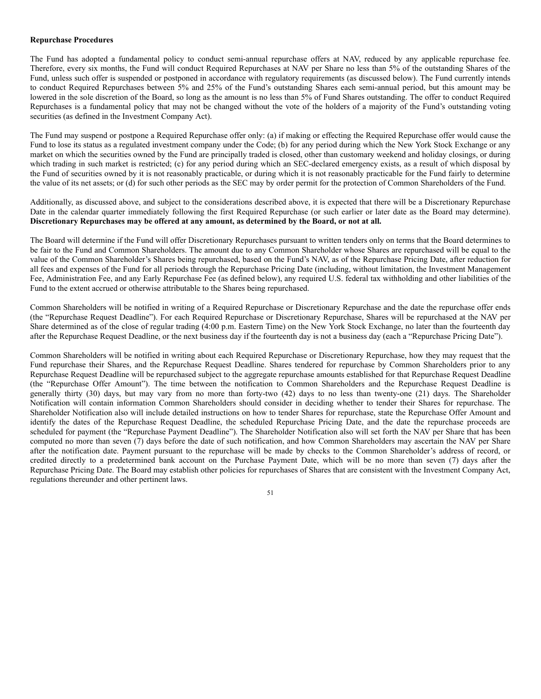## **Repurchase Procedures**

The Fund has adopted a fundamental policy to conduct semi-annual repurchase offers at NAV, reduced by any applicable repurchase fee. Therefore, every six months, the Fund will conduct Required Repurchases at NAV per Share no less than 5% of the outstanding Shares of the Fund, unless such offer is suspended or postponed in accordance with regulatory requirements (as discussed below). The Fund currently intends to conduct Required Repurchases between 5% and 25% of the Fund's outstanding Shares each semi-annual period, but this amount may be lowered in the sole discretion of the Board, so long as the amount is no less than 5% of Fund Shares outstanding. The offer to conduct Required Repurchases is a fundamental policy that may not be changed without the vote of the holders of a majority of the Fund's outstanding voting securities (as defined in the Investment Company Act).

The Fund may suspend or postpone a Required Repurchase offer only: (a) if making or effecting the Required Repurchase offer would cause the Fund to lose its status as a regulated investment company under the Code; (b) for any period during which the New York Stock Exchange or any market on which the securities owned by the Fund are principally traded is closed, other than customary weekend and holiday closings, or during which trading in such market is restricted; (c) for any period during which an SEC-declared emergency exists, as a result of which disposal by the Fund of securities owned by it is not reasonably practicable, or during which it is not reasonably practicable for the Fund fairly to determine the value of its net assets; or (d) for such other periods as the SEC may by order permit for the protection of Common Shareholders of the Fund.

Additionally, as discussed above, and subject to the considerations described above, it is expected that there will be a Discretionary Repurchase Date in the calendar quarter immediately following the first Required Repurchase (or such earlier or later date as the Board may determine). **Discretionary Repurchases may be offered at any amount, as determined by the Board, or not at all.**

The Board will determine if the Fund will offer Discretionary Repurchases pursuant to written tenders only on terms that the Board determines to be fair to the Fund and Common Shareholders. The amount due to any Common Shareholder whose Shares are repurchased will be equal to the value of the Common Shareholder's Shares being repurchased, based on the Fund's NAV, as of the Repurchase Pricing Date, after reduction for all fees and expenses of the Fund for all periods through the Repurchase Pricing Date (including, without limitation, the Investment Management Fee, Administration Fee, and any Early Repurchase Fee (as defined below), any required U.S. federal tax withholding and other liabilities of the Fund to the extent accrued or otherwise attributable to the Shares being repurchased.

Common Shareholders will be notified in writing of a Required Repurchase or Discretionary Repurchase and the date the repurchase offer ends (the "Repurchase Request Deadline"). For each Required Repurchase or Discretionary Repurchase, Shares will be repurchased at the NAV per Share determined as of the close of regular trading (4:00 p.m. Eastern Time) on the New York Stock Exchange, no later than the fourteenth day after the Repurchase Request Deadline, or the next business day if the fourteenth day is not a business day (each a "Repurchase Pricing Date").

Common Shareholders will be notified in writing about each Required Repurchase or Discretionary Repurchase, how they may request that the Fund repurchase their Shares, and the Repurchase Request Deadline. Shares tendered for repurchase by Common Shareholders prior to any Repurchase Request Deadline will be repurchased subject to the aggregate repurchase amounts established for that Repurchase Request Deadline (the "Repurchase Offer Amount"). The time between the notification to Common Shareholders and the Repurchase Request Deadline is generally thirty (30) days, but may vary from no more than forty-two (42) days to no less than twenty-one (21) days. The Shareholder Notification will contain information Common Shareholders should consider in deciding whether to tender their Shares for repurchase. The Shareholder Notification also will include detailed instructions on how to tender Shares for repurchase, state the Repurchase Offer Amount and identify the dates of the Repurchase Request Deadline, the scheduled Repurchase Pricing Date, and the date the repurchase proceeds are scheduled for payment (the "Repurchase Payment Deadline"). The Shareholder Notification also will set forth the NAV per Share that has been computed no more than seven (7) days before the date of such notification, and how Common Shareholders may ascertain the NAV per Share after the notification date. Payment pursuant to the repurchase will be made by checks to the Common Shareholder's address of record, or credited directly to a predetermined bank account on the Purchase Payment Date, which will be no more than seven (7) days after the Repurchase Pricing Date. The Board may establish other policies for repurchases of Shares that are consistent with the Investment Company Act, regulations thereunder and other pertinent laws.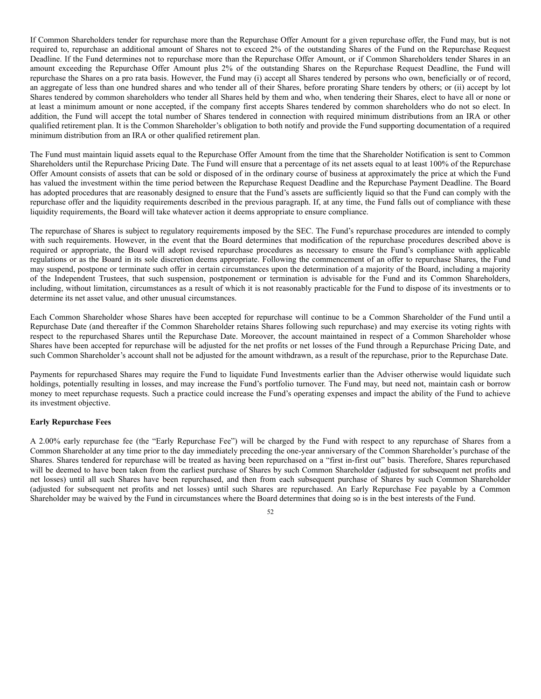If Common Shareholders tender for repurchase more than the Repurchase Offer Amount for a given repurchase offer, the Fund may, but is not required to, repurchase an additional amount of Shares not to exceed 2% of the outstanding Shares of the Fund on the Repurchase Request Deadline. If the Fund determines not to repurchase more than the Repurchase Offer Amount, or if Common Shareholders tender Shares in an amount exceeding the Repurchase Offer Amount plus 2% of the outstanding Shares on the Repurchase Request Deadline, the Fund will repurchase the Shares on a pro rata basis. However, the Fund may (i) accept all Shares tendered by persons who own, beneficially or of record, an aggregate of less than one hundred shares and who tender all of their Shares, before prorating Share tenders by others; or (ii) accept by lot Shares tendered by common shareholders who tender all Shares held by them and who, when tendering their Shares, elect to have all or none or at least a minimum amount or none accepted, if the company first accepts Shares tendered by common shareholders who do not so elect. In addition, the Fund will accept the total number of Shares tendered in connection with required minimum distributions from an IRA or other qualified retirement plan. It is the Common Shareholder's obligation to both notify and provide the Fund supporting documentation of a required minimum distribution from an IRA or other qualified retirement plan.

The Fund must maintain liquid assets equal to the Repurchase Offer Amount from the time that the Shareholder Notification is sent to Common Shareholders until the Repurchase Pricing Date. The Fund will ensure that a percentage of its net assets equal to at least 100% of the Repurchase Offer Amount consists of assets that can be sold or disposed of in the ordinary course of business at approximately the price at which the Fund has valued the investment within the time period between the Repurchase Request Deadline and the Repurchase Payment Deadline. The Board has adopted procedures that are reasonably designed to ensure that the Fund's assets are sufficiently liquid so that the Fund can comply with the repurchase offer and the liquidity requirements described in the previous paragraph. If, at any time, the Fund falls out of compliance with these liquidity requirements, the Board will take whatever action it deems appropriate to ensure compliance.

The repurchase of Shares is subject to regulatory requirements imposed by the SEC. The Fund's repurchase procedures are intended to comply with such requirements. However, in the event that the Board determines that modification of the repurchase procedures described above is required or appropriate, the Board will adopt revised repurchase procedures as necessary to ensure the Fund's compliance with applicable regulations or as the Board in its sole discretion deems appropriate. Following the commencement of an offer to repurchase Shares, the Fund may suspend, postpone or terminate such offer in certain circumstances upon the determination of a majority of the Board, including a majority of the Independent Trustees, that such suspension, postponement or termination is advisable for the Fund and its Common Shareholders, including, without limitation, circumstances as a result of which it is not reasonably practicable for the Fund to dispose of its investments or to determine its net asset value, and other unusual circumstances.

Each Common Shareholder whose Shares have been accepted for repurchase will continue to be a Common Shareholder of the Fund until a Repurchase Date (and thereafter if the Common Shareholder retains Shares following such repurchase) and may exercise its voting rights with respect to the repurchased Shares until the Repurchase Date. Moreover, the account maintained in respect of a Common Shareholder whose Shares have been accepted for repurchase will be adjusted for the net profits or net losses of the Fund through a Repurchase Pricing Date, and such Common Shareholder's account shall not be adjusted for the amount withdrawn, as a result of the repurchase, prior to the Repurchase Date.

Payments for repurchased Shares may require the Fund to liquidate Fund Investments earlier than the Adviser otherwise would liquidate such holdings, potentially resulting in losses, and may increase the Fund's portfolio turnover. The Fund may, but need not, maintain cash or borrow money to meet repurchase requests. Such a practice could increase the Fund's operating expenses and impact the ability of the Fund to achieve its investment objective.

# **Early Repurchase Fees**

A 2.00% early repurchase fee (the "Early Repurchase Fee") will be charged by the Fund with respect to any repurchase of Shares from a Common Shareholder at any time prior to the day immediately preceding the one-year anniversary of the Common Shareholder's purchase of the Shares. Shares tendered for repurchase will be treated as having been repurchased on a "first in-first out" basis. Therefore, Shares repurchased will be deemed to have been taken from the earliest purchase of Shares by such Common Shareholder (adjusted for subsequent net profits and net losses) until all such Shares have been repurchased, and then from each subsequent purchase of Shares by such Common Shareholder (adjusted for subsequent net profits and net losses) until such Shares are repurchased. An Early Repurchase Fee payable by a Common Shareholder may be waived by the Fund in circumstances where the Board determines that doing so is in the best interests of the Fund.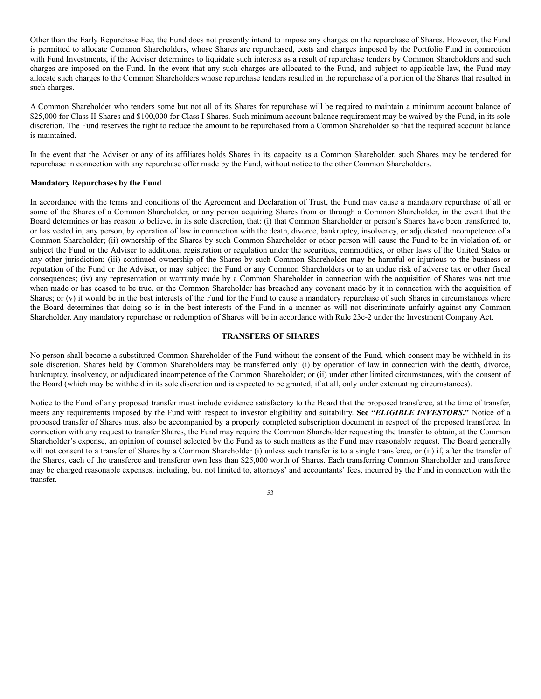Other than the Early Repurchase Fee, the Fund does not presently intend to impose any charges on the repurchase of Shares. However, the Fund is permitted to allocate Common Shareholders, whose Shares are repurchased, costs and charges imposed by the Portfolio Fund in connection with Fund Investments, if the Adviser determines to liquidate such interests as a result of repurchase tenders by Common Shareholders and such charges are imposed on the Fund. In the event that any such charges are allocated to the Fund, and subject to applicable law, the Fund may allocate such charges to the Common Shareholders whose repurchase tenders resulted in the repurchase of a portion of the Shares that resulted in such charges.

A Common Shareholder who tenders some but not all of its Shares for repurchase will be required to maintain a minimum account balance of \$25,000 for Class II Shares and \$100,000 for Class I Shares. Such minimum account balance requirement may be waived by the Fund, in its sole discretion. The Fund reserves the right to reduce the amount to be repurchased from a Common Shareholder so that the required account balance is maintained.

In the event that the Adviser or any of its affiliates holds Shares in its capacity as a Common Shareholder, such Shares may be tendered for repurchase in connection with any repurchase offer made by the Fund, without notice to the other Common Shareholders.

### **Mandatory Repurchases by the Fund**

In accordance with the terms and conditions of the Agreement and Declaration of Trust, the Fund may cause a mandatory repurchase of all or some of the Shares of a Common Shareholder, or any person acquiring Shares from or through a Common Shareholder, in the event that the Board determines or has reason to believe, in its sole discretion, that: (i) that Common Shareholder or person's Shares have been transferred to, or has vested in, any person, by operation of law in connection with the death, divorce, bankruptcy, insolvency, or adjudicated incompetence of a Common Shareholder; (ii) ownership of the Shares by such Common Shareholder or other person will cause the Fund to be in violation of, or subject the Fund or the Adviser to additional registration or regulation under the securities, commodities, or other laws of the United States or any other jurisdiction; (iii) continued ownership of the Shares by such Common Shareholder may be harmful or injurious to the business or reputation of the Fund or the Adviser, or may subject the Fund or any Common Shareholders or to an undue risk of adverse tax or other fiscal consequences; (iv) any representation or warranty made by a Common Shareholder in connection with the acquisition of Shares was not true when made or has ceased to be true, or the Common Shareholder has breached any covenant made by it in connection with the acquisition of Shares; or (v) it would be in the best interests of the Fund for the Fund to cause a mandatory repurchase of such Shares in circumstances where the Board determines that doing so is in the best interests of the Fund in a manner as will not discriminate unfairly against any Common Shareholder. Any mandatory repurchase or redemption of Shares will be in accordance with Rule 23c-2 under the Investment Company Act.

# **TRANSFERS OF SHARES**

No person shall become a substituted Common Shareholder of the Fund without the consent of the Fund, which consent may be withheld in its sole discretion. Shares held by Common Shareholders may be transferred only: (i) by operation of law in connection with the death, divorce, bankruptcy, insolvency, or adjudicated incompetence of the Common Shareholder; or (ii) under other limited circumstances, with the consent of the Board (which may be withheld in its sole discretion and is expected to be granted, if at all, only under extenuating circumstances).

Notice to the Fund of any proposed transfer must include evidence satisfactory to the Board that the proposed transferee, at the time of transfer, meets any requirements imposed by the Fund with respect to investor eligibility and suitability. **See "***ELIGIBLE INVESTORS***."** Notice of a proposed transfer of Shares must also be accompanied by a properly completed subscription document in respect of the proposed transferee. In connection with any request to transfer Shares, the Fund may require the Common Shareholder requesting the transfer to obtain, at the Common Shareholder's expense, an opinion of counsel selected by the Fund as to such matters as the Fund may reasonably request. The Board generally will not consent to a transfer of Shares by a Common Shareholder (i) unless such transfer is to a single transferee, or (ii) if, after the transfer of the Shares, each of the transferee and transferor own less than \$25,000 worth of Shares. Each transferring Common Shareholder and transferee may be charged reasonable expenses, including, but not limited to, attorneys' and accountants' fees, incurred by the Fund in connection with the transfer.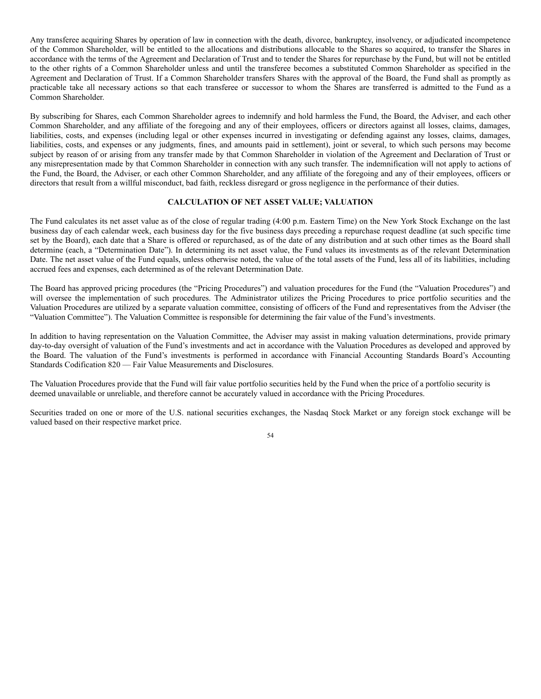Any transferee acquiring Shares by operation of law in connection with the death, divorce, bankruptcy, insolvency, or adjudicated incompetence of the Common Shareholder, will be entitled to the allocations and distributions allocable to the Shares so acquired, to transfer the Shares in accordance with the terms of the Agreement and Declaration of Trust and to tender the Shares for repurchase by the Fund, but will not be entitled to the other rights of a Common Shareholder unless and until the transferee becomes a substituted Common Shareholder as specified in the Agreement and Declaration of Trust. If a Common Shareholder transfers Shares with the approval of the Board, the Fund shall as promptly as practicable take all necessary actions so that each transferee or successor to whom the Shares are transferred is admitted to the Fund as a Common Shareholder.

By subscribing for Shares, each Common Shareholder agrees to indemnify and hold harmless the Fund, the Board, the Adviser, and each other Common Shareholder, and any affiliate of the foregoing and any of their employees, officers or directors against all losses, claims, damages, liabilities, costs, and expenses (including legal or other expenses incurred in investigating or defending against any losses, claims, damages, liabilities, costs, and expenses or any judgments, fines, and amounts paid in settlement), joint or several, to which such persons may become subject by reason of or arising from any transfer made by that Common Shareholder in violation of the Agreement and Declaration of Trust or any misrepresentation made by that Common Shareholder in connection with any such transfer. The indemnification will not apply to actions of the Fund, the Board, the Adviser, or each other Common Shareholder, and any affiliate of the foregoing and any of their employees, officers or directors that result from a willful misconduct, bad faith, reckless disregard or gross negligence in the performance of their duties.

# **CALCULATION OF NET ASSET VALUE; VALUATION**

The Fund calculates its net asset value as of the close of regular trading (4:00 p.m. Eastern Time) on the New York Stock Exchange on the last business day of each calendar week, each business day for the five business days preceding a repurchase request deadline (at such specific time set by the Board), each date that a Share is offered or repurchased, as of the date of any distribution and at such other times as the Board shall determine (each, a "Determination Date"). In determining its net asset value, the Fund values its investments as of the relevant Determination Date. The net asset value of the Fund equals, unless otherwise noted, the value of the total assets of the Fund, less all of its liabilities, including accrued fees and expenses, each determined as of the relevant Determination Date.

The Board has approved pricing procedures (the "Pricing Procedures") and valuation procedures for the Fund (the "Valuation Procedures") and will oversee the implementation of such procedures. The Administrator utilizes the Pricing Procedures to price portfolio securities and the Valuation Procedures are utilized by a separate valuation committee, consisting of officers of the Fund and representatives from the Adviser (the "Valuation Committee"). The Valuation Committee is responsible for determining the fair value of the Fund's investments.

In addition to having representation on the Valuation Committee, the Adviser may assist in making valuation determinations, provide primary day-to-day oversight of valuation of the Fund's investments and act in accordance with the Valuation Procedures as developed and approved by the Board. The valuation of the Fund's investments is performed in accordance with Financial Accounting Standards Board's Accounting Standards Codification 820 — Fair Value Measurements and Disclosures.

The Valuation Procedures provide that the Fund will fair value portfolio securities held by the Fund when the price of a portfolio security is deemed unavailable or unreliable, and therefore cannot be accurately valued in accordance with the Pricing Procedures.

Securities traded on one or more of the U.S. national securities exchanges, the Nasdaq Stock Market or any foreign stock exchange will be valued based on their respective market price.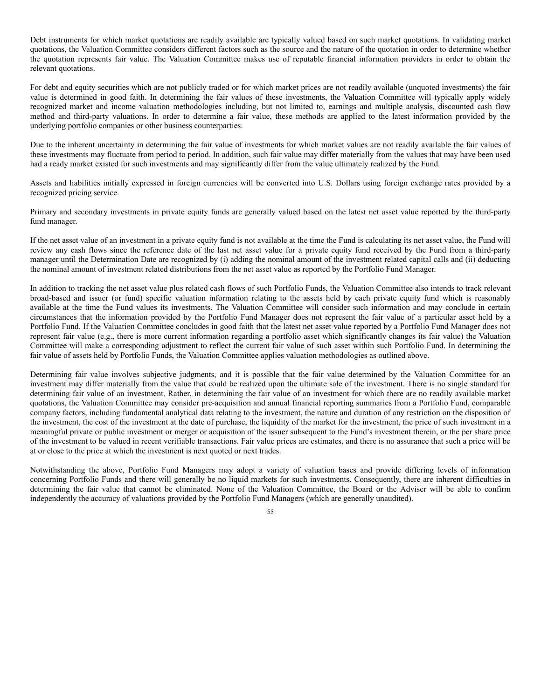Debt instruments for which market quotations are readily available are typically valued based on such market quotations. In validating market quotations, the Valuation Committee considers different factors such as the source and the nature of the quotation in order to determine whether the quotation represents fair value. The Valuation Committee makes use of reputable financial information providers in order to obtain the relevant quotations.

For debt and equity securities which are not publicly traded or for which market prices are not readily available (unquoted investments) the fair value is determined in good faith. In determining the fair values of these investments, the Valuation Committee will typically apply widely recognized market and income valuation methodologies including, but not limited to, earnings and multiple analysis, discounted cash flow method and third-party valuations. In order to determine a fair value, these methods are applied to the latest information provided by the underlying portfolio companies or other business counterparties.

Due to the inherent uncertainty in determining the fair value of investments for which market values are not readily available the fair values of these investments may fluctuate from period to period. In addition, such fair value may differ materially from the values that may have been used had a ready market existed for such investments and may significantly differ from the value ultimately realized by the Fund.

Assets and liabilities initially expressed in foreign currencies will be converted into U.S. Dollars using foreign exchange rates provided by a recognized pricing service.

Primary and secondary investments in private equity funds are generally valued based on the latest net asset value reported by the third-party fund manager.

If the net asset value of an investment in a private equity fund is not available at the time the Fund is calculating its net asset value, the Fund will review any cash flows since the reference date of the last net asset value for a private equity fund received by the Fund from a third-party manager until the Determination Date are recognized by (i) adding the nominal amount of the investment related capital calls and (ii) deducting the nominal amount of investment related distributions from the net asset value as reported by the Portfolio Fund Manager.

In addition to tracking the net asset value plus related cash flows of such Portfolio Funds, the Valuation Committee also intends to track relevant broad-based and issuer (or fund) specific valuation information relating to the assets held by each private equity fund which is reasonably available at the time the Fund values its investments. The Valuation Committee will consider such information and may conclude in certain circumstances that the information provided by the Portfolio Fund Manager does not represent the fair value of a particular asset held by a Portfolio Fund. If the Valuation Committee concludes in good faith that the latest net asset value reported by a Portfolio Fund Manager does not represent fair value (e.g., there is more current information regarding a portfolio asset which significantly changes its fair value) the Valuation Committee will make a corresponding adjustment to reflect the current fair value of such asset within such Portfolio Fund. In determining the fair value of assets held by Portfolio Funds, the Valuation Committee applies valuation methodologies as outlined above.

Determining fair value involves subjective judgments, and it is possible that the fair value determined by the Valuation Committee for an investment may differ materially from the value that could be realized upon the ultimate sale of the investment. There is no single standard for determining fair value of an investment. Rather, in determining the fair value of an investment for which there are no readily available market quotations, the Valuation Committee may consider pre-acquisition and annual financial reporting summaries from a Portfolio Fund, comparable company factors, including fundamental analytical data relating to the investment, the nature and duration of any restriction on the disposition of the investment, the cost of the investment at the date of purchase, the liquidity of the market for the investment, the price of such investment in a meaningful private or public investment or merger or acquisition of the issuer subsequent to the Fund's investment therein, or the per share price of the investment to be valued in recent verifiable transactions. Fair value prices are estimates, and there is no assurance that such a price will be at or close to the price at which the investment is next quoted or next trades.

Notwithstanding the above, Portfolio Fund Managers may adopt a variety of valuation bases and provide differing levels of information concerning Portfolio Funds and there will generally be no liquid markets for such investments. Consequently, there are inherent difficulties in determining the fair value that cannot be eliminated. None of the Valuation Committee, the Board or the Adviser will be able to confirm independently the accuracy of valuations provided by the Portfolio Fund Managers (which are generally unaudited).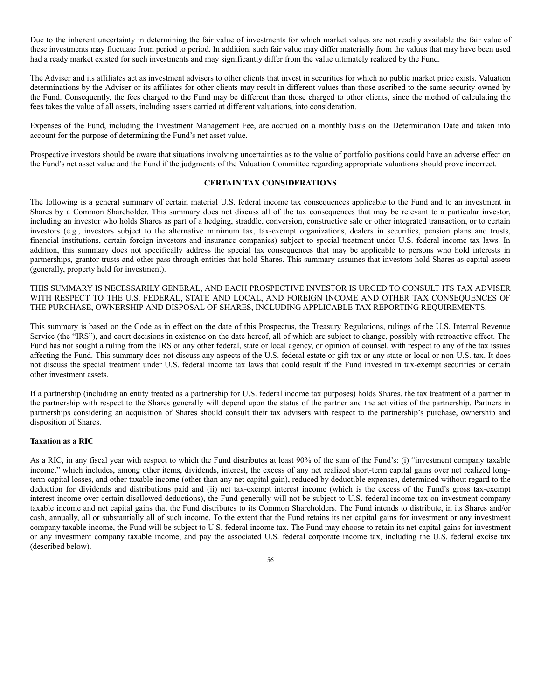Due to the inherent uncertainty in determining the fair value of investments for which market values are not readily available the fair value of these investments may fluctuate from period to period. In addition, such fair value may differ materially from the values that may have been used had a ready market existed for such investments and may significantly differ from the value ultimately realized by the Fund.

The Adviser and its affiliates act as investment advisers to other clients that invest in securities for which no public market price exists. Valuation determinations by the Adviser or its affiliates for other clients may result in different values than those ascribed to the same security owned by the Fund. Consequently, the fees charged to the Fund may be different than those charged to other clients, since the method of calculating the fees takes the value of all assets, including assets carried at different valuations, into consideration.

Expenses of the Fund, including the Investment Management Fee, are accrued on a monthly basis on the Determination Date and taken into account for the purpose of determining the Fund's net asset value.

Prospective investors should be aware that situations involving uncertainties as to the value of portfolio positions could have an adverse effect on the Fund's net asset value and the Fund if the judgments of the Valuation Committee regarding appropriate valuations should prove incorrect.

# **CERTAIN TAX CONSIDERATIONS**

The following is a general summary of certain material U.S. federal income tax consequences applicable to the Fund and to an investment in Shares by a Common Shareholder. This summary does not discuss all of the tax consequences that may be relevant to a particular investor, including an investor who holds Shares as part of a hedging, straddle, conversion, constructive sale or other integrated transaction, or to certain investors (e.g., investors subject to the alternative minimum tax, tax-exempt organizations, dealers in securities, pension plans and trusts, financial institutions, certain foreign investors and insurance companies) subject to special treatment under U.S. federal income tax laws. In addition, this summary does not specifically address the special tax consequences that may be applicable to persons who hold interests in partnerships, grantor trusts and other pass-through entities that hold Shares. This summary assumes that investors hold Shares as capital assets (generally, property held for investment).

THIS SUMMARY IS NECESSARILY GENERAL, AND EACH PROSPECTIVE INVESTOR IS URGED TO CONSULT ITS TAX ADVISER WITH RESPECT TO THE U.S. FEDERAL, STATE AND LOCAL, AND FOREIGN INCOME AND OTHER TAX CONSEQUENCES OF THE PURCHASE, OWNERSHIP AND DISPOSAL OF SHARES, INCLUDING APPLICABLE TAX REPORTING REQUIREMENTS.

This summary is based on the Code as in effect on the date of this Prospectus, the Treasury Regulations, rulings of the U.S. Internal Revenue Service (the "IRS"), and court decisions in existence on the date hereof, all of which are subject to change, possibly with retroactive effect. The Fund has not sought a ruling from the IRS or any other federal, state or local agency, or opinion of counsel, with respect to any of the tax issues affecting the Fund. This summary does not discuss any aspects of the U.S. federal estate or gift tax or any state or local or non-U.S. tax. It does not discuss the special treatment under U.S. federal income tax laws that could result if the Fund invested in tax-exempt securities or certain other investment assets.

If a partnership (including an entity treated as a partnership for U.S. federal income tax purposes) holds Shares, the tax treatment of a partner in the partnership with respect to the Shares generally will depend upon the status of the partner and the activities of the partnership. Partners in partnerships considering an acquisition of Shares should consult their tax advisers with respect to the partnership's purchase, ownership and disposition of Shares.

### **Taxation as a RIC**

As a RIC, in any fiscal year with respect to which the Fund distributes at least 90% of the sum of the Fund's: (i) "investment company taxable income," which includes, among other items, dividends, interest, the excess of any net realized short-term capital gains over net realized longterm capital losses, and other taxable income (other than any net capital gain), reduced by deductible expenses, determined without regard to the deduction for dividends and distributions paid and (ii) net tax-exempt interest income (which is the excess of the Fund's gross tax-exempt interest income over certain disallowed deductions), the Fund generally will not be subject to U.S. federal income tax on investment company taxable income and net capital gains that the Fund distributes to its Common Shareholders. The Fund intends to distribute, in its Shares and/or cash, annually, all or substantially all of such income. To the extent that the Fund retains its net capital gains for investment or any investment company taxable income, the Fund will be subject to U.S. federal income tax. The Fund may choose to retain its net capital gains for investment or any investment company taxable income, and pay the associated U.S. federal corporate income tax, including the U.S. federal excise tax (described below).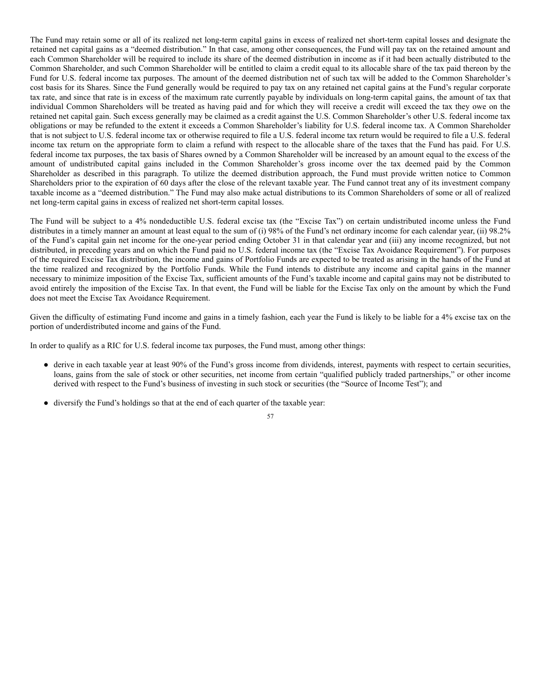The Fund may retain some or all of its realized net long-term capital gains in excess of realized net short-term capital losses and designate the retained net capital gains as a "deemed distribution." In that case, among other consequences, the Fund will pay tax on the retained amount and each Common Shareholder will be required to include its share of the deemed distribution in income as if it had been actually distributed to the Common Shareholder, and such Common Shareholder will be entitled to claim a credit equal to its allocable share of the tax paid thereon by the Fund for U.S. federal income tax purposes. The amount of the deemed distribution net of such tax will be added to the Common Shareholder's cost basis for its Shares. Since the Fund generally would be required to pay tax on any retained net capital gains at the Fund's regular corporate tax rate, and since that rate is in excess of the maximum rate currently payable by individuals on long-term capital gains, the amount of tax that individual Common Shareholders will be treated as having paid and for which they will receive a credit will exceed the tax they owe on the retained net capital gain. Such excess generally may be claimed as a credit against the U.S. Common Shareholder's other U.S. federal income tax obligations or may be refunded to the extent it exceeds a Common Shareholder's liability for U.S. federal income tax. A Common Shareholder that is not subject to U.S. federal income tax or otherwise required to file a U.S. federal income tax return would be required to file a U.S. federal income tax return on the appropriate form to claim a refund with respect to the allocable share of the taxes that the Fund has paid. For U.S. federal income tax purposes, the tax basis of Shares owned by a Common Shareholder will be increased by an amount equal to the excess of the amount of undistributed capital gains included in the Common Shareholder's gross income over the tax deemed paid by the Common Shareholder as described in this paragraph. To utilize the deemed distribution approach, the Fund must provide written notice to Common Shareholders prior to the expiration of 60 days after the close of the relevant taxable year. The Fund cannot treat any of its investment company taxable income as a "deemed distribution." The Fund may also make actual distributions to its Common Shareholders of some or all of realized net long-term capital gains in excess of realized net short-term capital losses.

The Fund will be subject to a 4% nondeductible U.S. federal excise tax (the "Excise Tax") on certain undistributed income unless the Fund distributes in a timely manner an amount at least equal to the sum of (i) 98% of the Fund's net ordinary income for each calendar year, (ii) 98.2% of the Fund's capital gain net income for the one-year period ending October 31 in that calendar year and (iii) any income recognized, but not distributed, in preceding years and on which the Fund paid no U.S. federal income tax (the "Excise Tax Avoidance Requirement"). For purposes of the required Excise Tax distribution, the income and gains of Portfolio Funds are expected to be treated as arising in the hands of the Fund at the time realized and recognized by the Portfolio Funds. While the Fund intends to distribute any income and capital gains in the manner necessary to minimize imposition of the Excise Tax, sufficient amounts of the Fund's taxable income and capital gains may not be distributed to avoid entirely the imposition of the Excise Tax. In that event, the Fund will be liable for the Excise Tax only on the amount by which the Fund does not meet the Excise Tax Avoidance Requirement.

Given the difficulty of estimating Fund income and gains in a timely fashion, each year the Fund is likely to be liable for a 4% excise tax on the portion of underdistributed income and gains of the Fund.

In order to qualify as a RIC for U.S. federal income tax purposes, the Fund must, among other things:

- derive in each taxable year at least 90% of the Fund's gross income from dividends, interest, payments with respect to certain securities, loans, gains from the sale of stock or other securities, net income from certain "qualified publicly traded partnerships," or other income derived with respect to the Fund's business of investing in such stock or securities (the "Source of Income Test"); and
- diversify the Fund's holdings so that at the end of each quarter of the taxable year: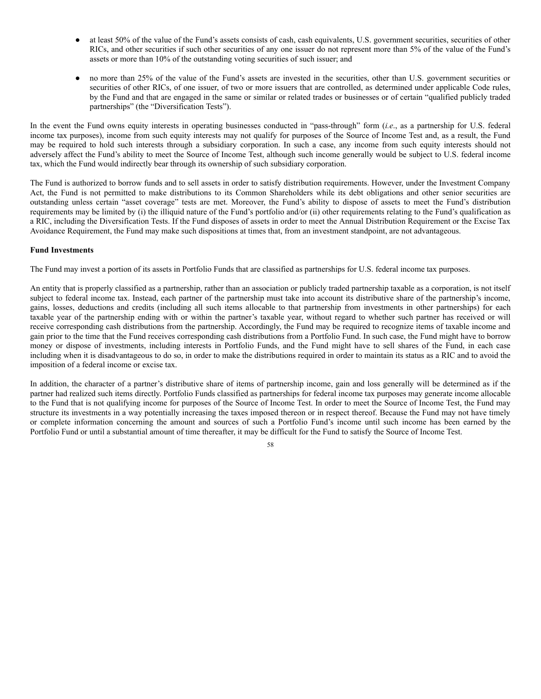- at least 50% of the value of the Fund's assets consists of cash, cash equivalents, U.S. government securities, securities of other RICs, and other securities if such other securities of any one issuer do not represent more than 5% of the value of the Fund's assets or more than 10% of the outstanding voting securities of such issuer; and
- no more than 25% of the value of the Fund's assets are invested in the securities, other than U.S. government securities or securities of other RICs, of one issuer, of two or more issuers that are controlled, as determined under applicable Code rules, by the Fund and that are engaged in the same or similar or related trades or businesses or of certain "qualified publicly traded partnerships" (the "Diversification Tests").

In the event the Fund owns equity interests in operating businesses conducted in "pass-through" form *(i.e.*, as a partnership for U.S. federal income tax purposes), income from such equity interests may not qualify for purposes of the Source of Income Test and, as a result, the Fund may be required to hold such interests through a subsidiary corporation. In such a case, any income from such equity interests should not adversely affect the Fund's ability to meet the Source of Income Test, although such income generally would be subject to U.S. federal income tax, which the Fund would indirectly bear through its ownership of such subsidiary corporation.

The Fund is authorized to borrow funds and to sell assets in order to satisfy distribution requirements. However, under the Investment Company Act, the Fund is not permitted to make distributions to its Common Shareholders while its debt obligations and other senior securities are outstanding unless certain "asset coverage" tests are met. Moreover, the Fund's ability to dispose of assets to meet the Fund's distribution requirements may be limited by (i) the illiquid nature of the Fund's portfolio and/or (ii) other requirements relating to the Fund's qualification as a RIC, including the Diversification Tests. If the Fund disposes of assets in order to meet the Annual Distribution Requirement or the Excise Tax Avoidance Requirement, the Fund may make such dispositions at times that, from an investment standpoint, are not advantageous.

# **Fund Investments**

The Fund may invest a portion of its assets in Portfolio Funds that are classified as partnerships for U.S. federal income tax purposes.

An entity that is properly classified as a partnership, rather than an association or publicly traded partnership taxable as a corporation, is not itself subject to federal income tax. Instead, each partner of the partnership must take into account its distributive share of the partnership's income, gains, losses, deductions and credits (including all such items allocable to that partnership from investments in other partnerships) for each taxable year of the partnership ending with or within the partner's taxable year, without regard to whether such partner has received or will receive corresponding cash distributions from the partnership. Accordingly, the Fund may be required to recognize items of taxable income and gain prior to the time that the Fund receives corresponding cash distributions from a Portfolio Fund. In such case, the Fund might have to borrow money or dispose of investments, including interests in Portfolio Funds, and the Fund might have to sell shares of the Fund, in each case including when it is disadvantageous to do so, in order to make the distributions required in order to maintain its status as a RIC and to avoid the imposition of a federal income or excise tax.

In addition, the character of a partner's distributive share of items of partnership income, gain and loss generally will be determined as if the partner had realized such items directly. Portfolio Funds classified as partnerships for federal income tax purposes may generate income allocable to the Fund that is not qualifying income for purposes of the Source of Income Test. In order to meet the Source of Income Test, the Fund may structure its investments in a way potentially increasing the taxes imposed thereon or in respect thereof. Because the Fund may not have timely or complete information concerning the amount and sources of such a Portfolio Fund's income until such income has been earned by the Portfolio Fund or until a substantial amount of time thereafter, it may be difficult for the Fund to satisfy the Source of Income Test.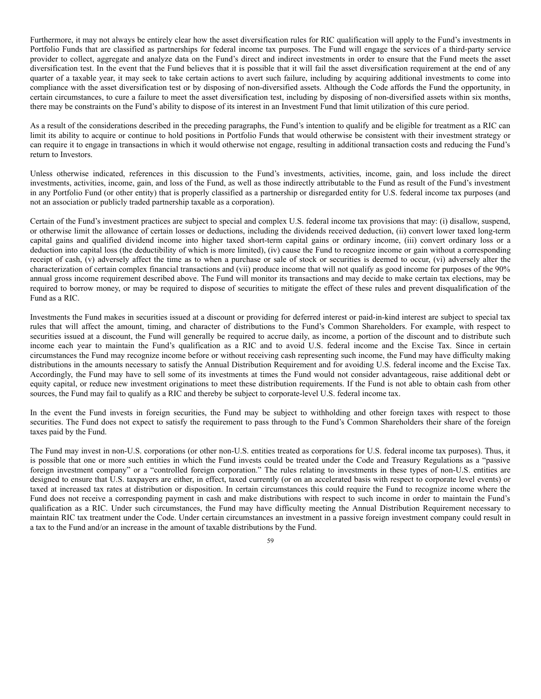Furthermore, it may not always be entirely clear how the asset diversification rules for RIC qualification will apply to the Fund's investments in Portfolio Funds that are classified as partnerships for federal income tax purposes. The Fund will engage the services of a third-party service provider to collect, aggregate and analyze data on the Fund's direct and indirect investments in order to ensure that the Fund meets the asset diversification test. In the event that the Fund believes that it is possible that it will fail the asset diversification requirement at the end of any quarter of a taxable year, it may seek to take certain actions to avert such failure, including by acquiring additional investments to come into compliance with the asset diversification test or by disposing of non-diversified assets. Although the Code affords the Fund the opportunity, in certain circumstances, to cure a failure to meet the asset diversification test, including by disposing of non-diversified assets within six months, there may be constraints on the Fund's ability to dispose of its interest in an Investment Fund that limit utilization of this cure period.

As a result of the considerations described in the preceding paragraphs, the Fund's intention to qualify and be eligible for treatment as a RIC can limit its ability to acquire or continue to hold positions in Portfolio Funds that would otherwise be consistent with their investment strategy or can require it to engage in transactions in which it would otherwise not engage, resulting in additional transaction costs and reducing the Fund's return to Investors.

Unless otherwise indicated, references in this discussion to the Fund's investments, activities, income, gain, and loss include the direct investments, activities, income, gain, and loss of the Fund, as well as those indirectly attributable to the Fund as result of the Fund's investment in any Portfolio Fund (or other entity) that is properly classified as a partnership or disregarded entity for U.S. federal income tax purposes (and not an association or publicly traded partnership taxable as a corporation).

Certain of the Fund's investment practices are subject to special and complex U.S. federal income tax provisions that may: (i) disallow, suspend, or otherwise limit the allowance of certain losses or deductions, including the dividends received deduction, (ii) convert lower taxed long-term capital gains and qualified dividend income into higher taxed short-term capital gains or ordinary income, (iii) convert ordinary loss or a deduction into capital loss (the deductibility of which is more limited), (iv) cause the Fund to recognize income or gain without a corresponding receipt of cash, (v) adversely affect the time as to when a purchase or sale of stock or securities is deemed to occur, (vi) adversely alter the characterization of certain complex financial transactions and (vii) produce income that will not qualify as good income for purposes of the 90% annual gross income requirement described above. The Fund will monitor its transactions and may decide to make certain tax elections, may be required to borrow money, or may be required to dispose of securities to mitigate the effect of these rules and prevent disqualification of the Fund as a RIC.

Investments the Fund makes in securities issued at a discount or providing for deferred interest or paid-in-kind interest are subject to special tax rules that will affect the amount, timing, and character of distributions to the Fund's Common Shareholders. For example, with respect to securities issued at a discount, the Fund will generally be required to accrue daily, as income, a portion of the discount and to distribute such income each year to maintain the Fund's qualification as a RIC and to avoid U.S. federal income and the Excise Tax. Since in certain circumstances the Fund may recognize income before or without receiving cash representing such income, the Fund may have difficulty making distributions in the amounts necessary to satisfy the Annual Distribution Requirement and for avoiding U.S. federal income and the Excise Tax. Accordingly, the Fund may have to sell some of its investments at times the Fund would not consider advantageous, raise additional debt or equity capital, or reduce new investment originations to meet these distribution requirements. If the Fund is not able to obtain cash from other sources, the Fund may fail to qualify as a RIC and thereby be subject to corporate-level U.S. federal income tax.

In the event the Fund invests in foreign securities, the Fund may be subject to withholding and other foreign taxes with respect to those securities. The Fund does not expect to satisfy the requirement to pass through to the Fund's Common Shareholders their share of the foreign taxes paid by the Fund.

The Fund may invest in non-U.S. corporations (or other non-U.S. entities treated as corporations for U.S. federal income tax purposes). Thus, it is possible that one or more such entities in which the Fund invests could be treated under the Code and Treasury Regulations as a "passive foreign investment company" or a "controlled foreign corporation." The rules relating to investments in these types of non-U.S. entities are designed to ensure that U.S. taxpayers are either, in effect, taxed currently (or on an accelerated basis with respect to corporate level events) or taxed at increased tax rates at distribution or disposition. In certain circumstances this could require the Fund to recognize income where the Fund does not receive a corresponding payment in cash and make distributions with respect to such income in order to maintain the Fund's qualification as a RIC. Under such circumstances, the Fund may have difficulty meeting the Annual Distribution Requirement necessary to maintain RIC tax treatment under the Code. Under certain circumstances an investment in a passive foreign investment company could result in a tax to the Fund and/or an increase in the amount of taxable distributions by the Fund.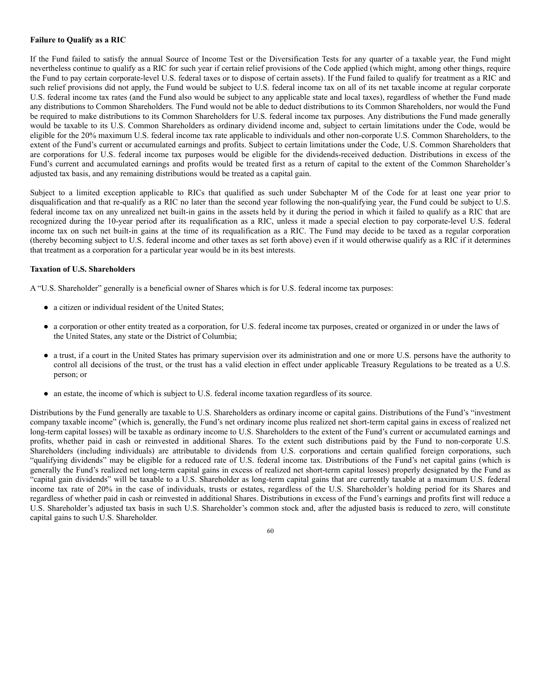# **Failure to Qualify as a RIC**

If the Fund failed to satisfy the annual Source of Income Test or the Diversification Tests for any quarter of a taxable year, the Fund might nevertheless continue to qualify as a RIC for such year if certain relief provisions of the Code applied (which might, among other things, require the Fund to pay certain corporate-level U.S. federal taxes or to dispose of certain assets). If the Fund failed to qualify for treatment as a RIC and such relief provisions did not apply, the Fund would be subject to U.S. federal income tax on all of its net taxable income at regular corporate U.S. federal income tax rates (and the Fund also would be subject to any applicable state and local taxes), regardless of whether the Fund made any distributions to Common Shareholders. The Fund would not be able to deduct distributions to its Common Shareholders, nor would the Fund be required to make distributions to its Common Shareholders for U.S. federal income tax purposes. Any distributions the Fund made generally would be taxable to its U.S. Common Shareholders as ordinary dividend income and, subject to certain limitations under the Code, would be eligible for the 20% maximum U.S. federal income tax rate applicable to individuals and other non-corporate U.S. Common Shareholders, to the extent of the Fund's current or accumulated earnings and profits. Subject to certain limitations under the Code, U.S. Common Shareholders that are corporations for U.S. federal income tax purposes would be eligible for the dividends-received deduction. Distributions in excess of the Fund's current and accumulated earnings and profits would be treated first as a return of capital to the extent of the Common Shareholder's adjusted tax basis, and any remaining distributions would be treated as a capital gain.

Subject to a limited exception applicable to RICs that qualified as such under Subchapter M of the Code for at least one year prior to disqualification and that re-qualify as a RIC no later than the second year following the non-qualifying year, the Fund could be subject to U.S. federal income tax on any unrealized net built-in gains in the assets held by it during the period in which it failed to qualify as a RIC that are recognized during the 10-year period after its requalification as a RIC, unless it made a special election to pay corporate-level U.S. federal income tax on such net built-in gains at the time of its requalification as a RIC. The Fund may decide to be taxed as a regular corporation (thereby becoming subject to U.S. federal income and other taxes as set forth above) even if it would otherwise qualify as a RIC if it determines that treatment as a corporation for a particular year would be in its best interests.

## **Taxation of U.S. Shareholders**

A "U.S. Shareholder" generally is a beneficial owner of Shares which is for U.S. federal income tax purposes:

- a citizen or individual resident of the United States;
- a corporation or other entity treated as a corporation, for U.S. federal income tax purposes, created or organized in or under the laws of the United States, any state or the District of Columbia;
- a trust, if a court in the United States has primary supervision over its administration and one or more U.S. persons have the authority to control all decisions of the trust, or the trust has a valid election in effect under applicable Treasury Regulations to be treated as a U.S. person; or
- an estate, the income of which is subject to U.S. federal income taxation regardless of its source.

Distributions by the Fund generally are taxable to U.S. Shareholders as ordinary income or capital gains. Distributions of the Fund's "investment company taxable income" (which is, generally, the Fund's net ordinary income plus realized net short-term capital gains in excess of realized net long-term capital losses) will be taxable as ordinary income to U.S. Shareholders to the extent of the Fund's current or accumulated earnings and profits, whether paid in cash or reinvested in additional Shares. To the extent such distributions paid by the Fund to non-corporate U.S. Shareholders (including individuals) are attributable to dividends from U.S. corporations and certain qualified foreign corporations, such "qualifying dividends" may be eligible for a reduced rate of U.S. federal income tax. Distributions of the Fund's net capital gains (which is generally the Fund's realized net long-term capital gains in excess of realized net short-term capital losses) properly designated by the Fund as "capital gain dividends" will be taxable to a U.S. Shareholder as long-term capital gains that are currently taxable at a maximum U.S. federal income tax rate of 20% in the case of individuals, trusts or estates, regardless of the U.S. Shareholder's holding period for its Shares and regardless of whether paid in cash or reinvested in additional Shares. Distributions in excess of the Fund's earnings and profits first will reduce a U.S. Shareholder's adjusted tax basis in such U.S. Shareholder's common stock and, after the adjusted basis is reduced to zero, will constitute capital gains to such U.S. Shareholder.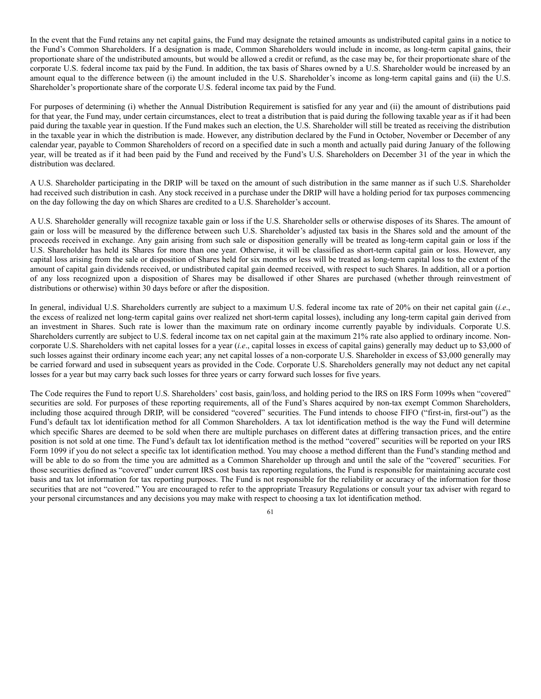In the event that the Fund retains any net capital gains, the Fund may designate the retained amounts as undistributed capital gains in a notice to the Fund's Common Shareholders. If a designation is made, Common Shareholders would include in income, as long-term capital gains, their proportionate share of the undistributed amounts, but would be allowed a credit or refund, as the case may be, for their proportionate share of the corporate U.S. federal income tax paid by the Fund. In addition, the tax basis of Shares owned by a U.S. Shareholder would be increased by an amount equal to the difference between (i) the amount included in the U.S. Shareholder's income as long-term capital gains and (ii) the U.S. Shareholder's proportionate share of the corporate U.S. federal income tax paid by the Fund.

For purposes of determining (i) whether the Annual Distribution Requirement is satisfied for any year and (ii) the amount of distributions paid for that year, the Fund may, under certain circumstances, elect to treat a distribution that is paid during the following taxable year as if it had been paid during the taxable year in question. If the Fund makes such an election, the U.S. Shareholder will still be treated as receiving the distribution in the taxable year in which the distribution is made. However, any distribution declared by the Fund in October, November or December of any calendar year, payable to Common Shareholders of record on a specified date in such a month and actually paid during January of the following year, will be treated as if it had been paid by the Fund and received by the Fund's U.S. Shareholders on December 31 of the year in which the distribution was declared.

A U.S. Shareholder participating in the DRIP will be taxed on the amount of such distribution in the same manner as if such U.S. Shareholder had received such distribution in cash. Any stock received in a purchase under the DRIP will have a holding period for tax purposes commencing on the day following the day on which Shares are credited to a U.S. Shareholder's account.

A U.S. Shareholder generally will recognize taxable gain or loss if the U.S. Shareholder sells or otherwise disposes of its Shares. The amount of gain or loss will be measured by the difference between such U.S. Shareholder's adjusted tax basis in the Shares sold and the amount of the proceeds received in exchange. Any gain arising from such sale or disposition generally will be treated as long-term capital gain or loss if the U.S. Shareholder has held its Shares for more than one year. Otherwise, it will be classified as short-term capital gain or loss. However, any capital loss arising from the sale or disposition of Shares held for six months or less will be treated as long-term capital loss to the extent of the amount of capital gain dividends received, or undistributed capital gain deemed received, with respect to such Shares. In addition, all or a portion of any loss recognized upon a disposition of Shares may be disallowed if other Shares are purchased (whether through reinvestment of distributions or otherwise) within 30 days before or after the disposition.

In general, individual U.S. Shareholders currently are subject to a maximum U.S. federal income tax rate of 20% on their net capital gain (*i.e*., the excess of realized net long-term capital gains over realized net short-term capital losses), including any long-term capital gain derived from an investment in Shares. Such rate is lower than the maximum rate on ordinary income currently payable by individuals. Corporate U.S. Shareholders currently are subject to U.S. federal income tax on net capital gain at the maximum 21% rate also applied to ordinary income. Noncorporate U.S. Shareholders with net capital losses for a year (*i.e*., capital losses in excess of capital gains) generally may deduct up to \$3,000 of such losses against their ordinary income each year; any net capital losses of a non-corporate U.S. Shareholder in excess of \$3,000 generally may be carried forward and used in subsequent years as provided in the Code. Corporate U.S. Shareholders generally may not deduct any net capital losses for a year but may carry back such losses for three years or carry forward such losses for five years.

The Code requires the Fund to report U.S. Shareholders' cost basis, gain/loss, and holding period to the IRS on IRS Form 1099s when "covered" securities are sold. For purposes of these reporting requirements, all of the Fund's Shares acquired by non-tax exempt Common Shareholders, including those acquired through DRIP, will be considered "covered" securities. The Fund intends to choose FIFO ("first-in, first-out") as the Fund's default tax lot identification method for all Common Shareholders. A tax lot identification method is the way the Fund will determine which specific Shares are deemed to be sold when there are multiple purchases on different dates at differing transaction prices, and the entire position is not sold at one time. The Fund's default tax lot identification method is the method "covered" securities will be reported on your IRS Form 1099 if you do not select a specific tax lot identification method. You may choose a method different than the Fund's standing method and will be able to do so from the time you are admitted as a Common Shareholder up through and until the sale of the "covered" securities. For those securities defined as "covered" under current IRS cost basis tax reporting regulations, the Fund is responsible for maintaining accurate cost basis and tax lot information for tax reporting purposes. The Fund is not responsible for the reliability or accuracy of the information for those securities that are not "covered." You are encouraged to refer to the appropriate Treasury Regulations or consult your tax adviser with regard to your personal circumstances and any decisions you may make with respect to choosing a tax lot identification method.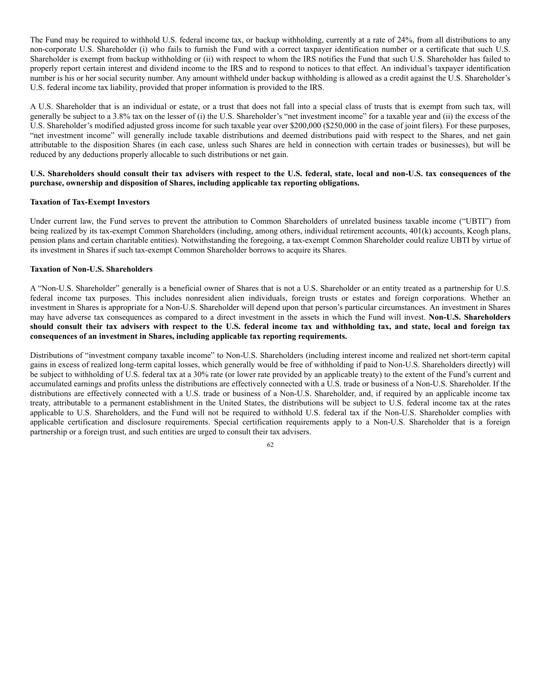The Fund may be required to withhold U.S. federal income tax, or backup withholding, currently at a rate of 24%, from all distributions to any non-corporate U.S. Shareholder (i) who fails to furnish the Fund with a correct taxpayer identification number or a certificate that such U.S. Shareholder is exempt from backup withholding or (ii) with respect to whom the IRS notifies the Fund that such U.S. Shareholder has failed to properly report certain interest and dividend income to the IRS and to respond to notices to that effect. An individual's taxpayer identification number is his or her social security number. Any amount withheld under backup withholding is allowed as a credit against the U.S. Shareholder's U.S. federal income tax liability, provided that proper information is provided to the IRS.

A U.S. Shareholder that is an individual or estate, or a trust that does not fall into a special class of trusts that is exempt from such tax, will generally be subject to a 3.8% tax on the lesser of (i) the U.S. Shareholder's "net investment income" for a taxable year and (ii) the excess of the U.S. Shareholder's modified adjusted gross income for such taxable year over \$200,000 (\$250,000 in the case of joint filers). For these purposes, "net investment income" will generally include taxable distributions and deemed distributions paid with respect to the Shares, and net gain attributable to the disposition Shares (in each case, unless such Shares are held in connection with certain trades or businesses), but will be reduced by any deductions properly allocable to such distributions or net gain.

# U.S. Shareholders should consult their tax advisers with respect to the U.S. federal, state, local and non-U.S. tax consequences of the **purchase, ownership and disposition of Shares, including applicable tax reporting obligations.**

## **Taxation of Tax-Exempt Investors**

Under current law, the Fund serves to prevent the attribution to Common Shareholders of unrelated business taxable income ("UBTI") from being realized by its tax-exempt Common Shareholders (including, among others, individual retirement accounts, 401(k) accounts, Keogh plans, pension plans and certain charitable entities). Notwithstanding the foregoing, a tax-exempt Common Shareholder could realize UBTI by virtue of its investment in Shares if such tax-exempt Common Shareholder borrows to acquire its Shares.

### **Taxation of Non-U.S. Shareholders**

A "Non-U.S. Shareholder" generally is a beneficial owner of Shares that is not a U.S. Shareholder or an entity treated as a partnership for U.S. federal income tax purposes. This includes nonresident alien individuals, foreign trusts or estates and foreign corporations. Whether an investment in Shares is appropriate for a Non-U.S. Shareholder will depend upon that person's particular circumstances. An investment in Shares may have adverse tax consequences as compared to a direct investment in the assets in which the Fund will invest. **Non-U.S. Shareholders** should consult their tax advisers with respect to the U.S. federal income tax and withholding tax, and state, local and foreign tax **consequences of an investment in Shares, including applicable tax reporting requirements.**

Distributions of "investment company taxable income" to Non-U.S. Shareholders (including interest income and realized net short-term capital gains in excess of realized long-term capital losses, which generally would be free of withholding if paid to Non-U.S. Shareholders directly) will be subject to withholding of U.S. federal tax at a 30% rate (or lower rate provided by an applicable treaty) to the extent of the Fund's current and accumulated earnings and profits unless the distributions are effectively connected with a U.S. trade or business of a Non-U.S. Shareholder. If the distributions are effectively connected with a U.S. trade or business of a Non-U.S. Shareholder, and, if required by an applicable income tax treaty, attributable to a permanent establishment in the United States, the distributions will be subject to U.S. federal income tax at the rates applicable to U.S. Shareholders, and the Fund will not be required to withhold U.S. federal tax if the Non-U.S. Shareholder complies with applicable certification and disclosure requirements. Special certification requirements apply to a Non-U.S. Shareholder that is a foreign partnership or a foreign trust, and such entities are urged to consult their tax advisers.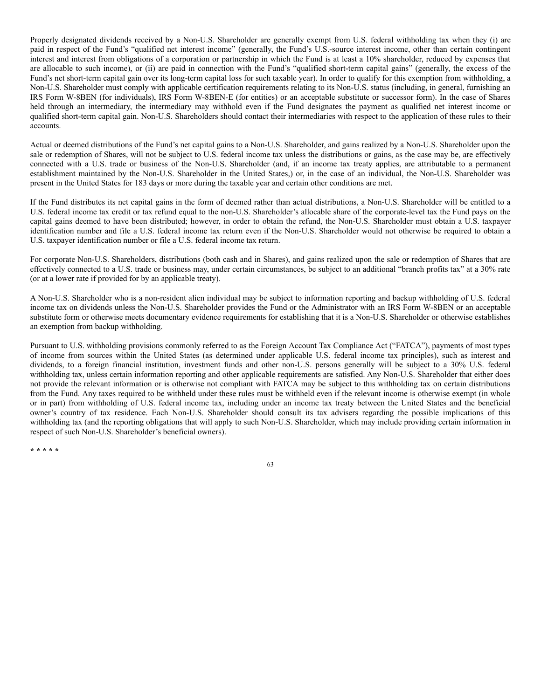Properly designated dividends received by a Non-U.S. Shareholder are generally exempt from U.S. federal withholding tax when they (i) are paid in respect of the Fund's "qualified net interest income" (generally, the Fund's U.S.-source interest income, other than certain contingent interest and interest from obligations of a corporation or partnership in which the Fund is at least a 10% shareholder, reduced by expenses that are allocable to such income), or (ii) are paid in connection with the Fund's "qualified short-term capital gains" (generally, the excess of the Fund's net short-term capital gain over its long-term capital loss for such taxable year). In order to qualify for this exemption from withholding, a Non-U.S. Shareholder must comply with applicable certification requirements relating to its Non-U.S. status (including, in general, furnishing an IRS Form W-8BEN (for individuals), IRS Form W-8BEN-E (for entities) or an acceptable substitute or successor form). In the case of Shares held through an intermediary, the intermediary may withhold even if the Fund designates the payment as qualified net interest income or qualified short-term capital gain. Non-U.S. Shareholders should contact their intermediaries with respect to the application of these rules to their accounts.

Actual or deemed distributions of the Fund's net capital gains to a Non-U.S. Shareholder, and gains realized by a Non-U.S. Shareholder upon the sale or redemption of Shares, will not be subject to U.S. federal income tax unless the distributions or gains, as the case may be, are effectively connected with a U.S. trade or business of the Non-U.S. Shareholder (and, if an income tax treaty applies, are attributable to a permanent establishment maintained by the Non-U.S. Shareholder in the United States,) or, in the case of an individual, the Non-U.S. Shareholder was present in the United States for 183 days or more during the taxable year and certain other conditions are met.

If the Fund distributes its net capital gains in the form of deemed rather than actual distributions, a Non-U.S. Shareholder will be entitled to a U.S. federal income tax credit or tax refund equal to the non-U.S. Shareholder's allocable share of the corporate-level tax the Fund pays on the capital gains deemed to have been distributed; however, in order to obtain the refund, the Non-U.S. Shareholder must obtain a U.S. taxpayer identification number and file a U.S. federal income tax return even if the Non-U.S. Shareholder would not otherwise be required to obtain a U.S. taxpayer identification number or file a U.S. federal income tax return.

For corporate Non-U.S. Shareholders, distributions (both cash and in Shares), and gains realized upon the sale or redemption of Shares that are effectively connected to a U.S. trade or business may, under certain circumstances, be subject to an additional "branch profits tax" at a 30% rate (or at a lower rate if provided for by an applicable treaty).

A Non-U.S. Shareholder who is a non-resident alien individual may be subject to information reporting and backup withholding of U.S. federal income tax on dividends unless the Non-U.S. Shareholder provides the Fund or the Administrator with an IRS Form W-8BEN or an acceptable substitute form or otherwise meets documentary evidence requirements for establishing that it is a Non-U.S. Shareholder or otherwise establishes an exemption from backup withholding.

Pursuant to U.S. withholding provisions commonly referred to as the Foreign Account Tax Compliance Act ("FATCA"), payments of most types of income from sources within the United States (as determined under applicable U.S. federal income tax principles), such as interest and dividends, to a foreign financial institution, investment funds and other non-U.S. persons generally will be subject to a 30% U.S. federal withholding tax, unless certain information reporting and other applicable requirements are satisfied. Any Non-U.S. Shareholder that either does not provide the relevant information or is otherwise not compliant with FATCA may be subject to this withholding tax on certain distributions from the Fund. Any taxes required to be withheld under these rules must be withheld even if the relevant income is otherwise exempt (in whole or in part) from withholding of U.S. federal income tax, including under an income tax treaty between the United States and the beneficial owner's country of tax residence. Each Non-U.S. Shareholder should consult its tax advisers regarding the possible implications of this withholding tax (and the reporting obligations that will apply to such Non-U.S. Shareholder, which may include providing certain information in respect of such Non-U.S. Shareholder's beneficial owners).

**\* \* \* \* \***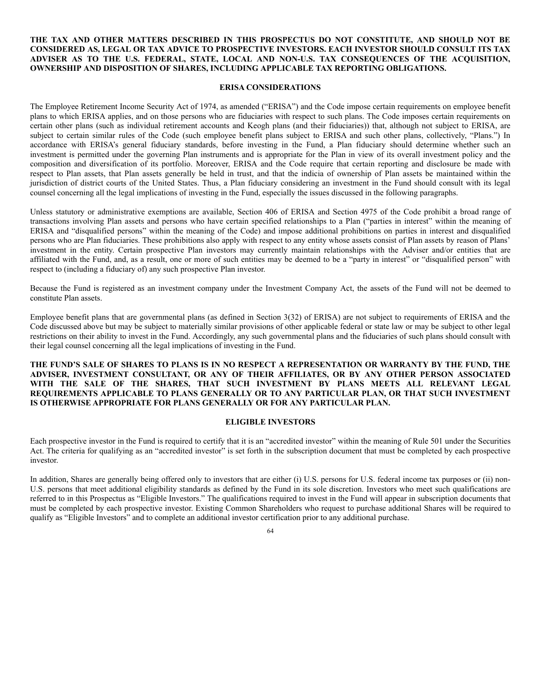# **THE TAX AND OTHER MATTERS DESCRIBED IN THIS PROSPECTUS DO NOT CONSTITUTE, AND SHOULD NOT BE CONSIDERED AS, LEGAL OR TAX ADVICE TO PROSPECTIVE INVESTORS. EACH INVESTOR SHOULD CONSULT ITS TAX ADVISER AS TO THE U.S. FEDERAL, STATE, LOCAL AND NON-U.S. TAX CONSEQUENCES OF THE ACQUISITION, OWNERSHIP AND DISPOSITION OF SHARES, INCLUDING APPLICABLE TAX REPORTING OBLIGATIONS.**

# **ERISA CONSIDERATIONS**

The Employee Retirement Income Security Act of 1974, as amended ("ERISA") and the Code impose certain requirements on employee benefit plans to which ERISA applies, and on those persons who are fiduciaries with respect to such plans. The Code imposes certain requirements on certain other plans (such as individual retirement accounts and Keogh plans (and their fiduciaries)) that, although not subject to ERISA, are subject to certain similar rules of the Code (such employee benefit plans subject to ERISA and such other plans, collectively, "Plans.") In accordance with ERISA's general fiduciary standards, before investing in the Fund, a Plan fiduciary should determine whether such an investment is permitted under the governing Plan instruments and is appropriate for the Plan in view of its overall investment policy and the composition and diversification of its portfolio. Moreover, ERISA and the Code require that certain reporting and disclosure be made with respect to Plan assets, that Plan assets generally be held in trust, and that the indicia of ownership of Plan assets be maintained within the jurisdiction of district courts of the United States. Thus, a Plan fiduciary considering an investment in the Fund should consult with its legal counsel concerning all the legal implications of investing in the Fund, especially the issues discussed in the following paragraphs.

Unless statutory or administrative exemptions are available, Section 406 of ERISA and Section 4975 of the Code prohibit a broad range of transactions involving Plan assets and persons who have certain specified relationships to a Plan ("parties in interest" within the meaning of ERISA and "disqualified persons" within the meaning of the Code) and impose additional prohibitions on parties in interest and disqualified persons who are Plan fiduciaries. These prohibitions also apply with respect to any entity whose assets consist of Plan assets by reason of Plans' investment in the entity. Certain prospective Plan investors may currently maintain relationships with the Adviser and/or entities that are affiliated with the Fund, and, as a result, one or more of such entities may be deemed to be a "party in interest" or "disqualified person" with respect to (including a fiduciary of) any such prospective Plan investor.

Because the Fund is registered as an investment company under the Investment Company Act, the assets of the Fund will not be deemed to constitute Plan assets.

Employee benefit plans that are governmental plans (as defined in Section 3(32) of ERISA) are not subject to requirements of ERISA and the Code discussed above but may be subject to materially similar provisions of other applicable federal or state law or may be subject to other legal restrictions on their ability to invest in the Fund. Accordingly, any such governmental plans and the fiduciaries of such plans should consult with their legal counsel concerning all the legal implications of investing in the Fund.

THE FUND'S SALE OF SHARES TO PLANS IS IN NO RESPECT A REPRESENTATION OR WARRANTY BY THE FUND, THE **ADVISER, INVESTMENT CONSULTANT, OR ANY OF THEIR AFFILIATES, OR BY ANY OTHER PERSON ASSOCIATED WITH THE SALE OF THE SHARES, THAT SUCH INVESTMENT BY PLANS MEETS ALL RELEVANT LEGAL REQUIREMENTS APPLICABLE TO PLANS GENERALLY OR TO ANY PARTICULAR PLAN, OR THAT SUCH INVESTMENT IS OTHERWISE APPROPRIATE FOR PLANS GENERALLY OR FOR ANY PARTICULAR PLAN.**

### **ELIGIBLE INVESTORS**

Each prospective investor in the Fund is required to certify that it is an "accredited investor" within the meaning of Rule 501 under the Securities Act. The criteria for qualifying as an "accredited investor" is set forth in the subscription document that must be completed by each prospective investor.

In addition, Shares are generally being offered only to investors that are either (i) U.S. persons for U.S. federal income tax purposes or (ii) non-U.S. persons that meet additional eligibility standards as defined by the Fund in its sole discretion. Investors who meet such qualifications are referred to in this Prospectus as "Eligible Investors." The qualifications required to invest in the Fund will appear in subscription documents that must be completed by each prospective investor. Existing Common Shareholders who request to purchase additional Shares will be required to qualify as "Eligible Investors" and to complete an additional investor certification prior to any additional purchase.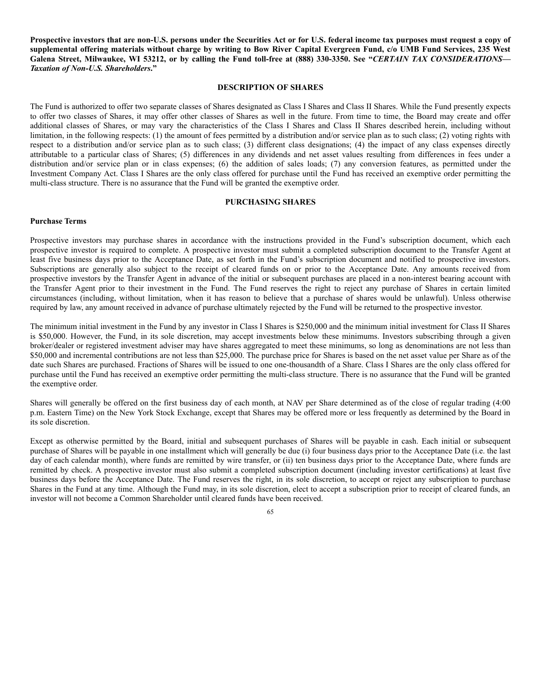Prospective investors that are non-U.S. persons under the Securities Act or for U.S. federal income tax purposes must request a copy of supplemental offering materials without charge by writing to Bow River Capital Evergreen Fund, c/o UMB Fund Services, 235 West Galena Street, Milwaukee, WI 53212, or by calling the Fund toll-free at (888) 330-3350. See "CERTAIN TAX CONSIDERATIONS-*Taxation of Non-U.S. Shareholders***."**

# **DESCRIPTION OF SHARES**

The Fund is authorized to offer two separate classes of Shares designated as Class I Shares and Class II Shares. While the Fund presently expects to offer two classes of Shares, it may offer other classes of Shares as well in the future. From time to time, the Board may create and offer additional classes of Shares, or may vary the characteristics of the Class I Shares and Class II Shares described herein, including without limitation, in the following respects: (1) the amount of fees permitted by a distribution and/or service plan as to such class; (2) voting rights with respect to a distribution and/or service plan as to such class; (3) different class designations; (4) the impact of any class expenses directly attributable to a particular class of Shares; (5) differences in any dividends and net asset values resulting from differences in fees under a distribution and/or service plan or in class expenses; (6) the addition of sales loads; (7) any conversion features, as permitted under the Investment Company Act. Class I Shares are the only class offered for purchase until the Fund has received an exemptive order permitting the multi-class structure. There is no assurance that the Fund will be granted the exemptive order.

## **PURCHASING SHARES**

### **Purchase Terms**

Prospective investors may purchase shares in accordance with the instructions provided in the Fund's subscription document, which each prospective investor is required to complete. A prospective investor must submit a completed subscription document to the Transfer Agent at least five business days prior to the Acceptance Date, as set forth in the Fund's subscription document and notified to prospective investors. Subscriptions are generally also subject to the receipt of cleared funds on or prior to the Acceptance Date. Any amounts received from prospective investors by the Transfer Agent in advance of the initial or subsequent purchases are placed in a non-interest bearing account with the Transfer Agent prior to their investment in the Fund. The Fund reserves the right to reject any purchase of Shares in certain limited circumstances (including, without limitation, when it has reason to believe that a purchase of shares would be unlawful). Unless otherwise required by law, any amount received in advance of purchase ultimately rejected by the Fund will be returned to the prospective investor.

The minimum initial investment in the Fund by any investor in Class I Shares is \$250,000 and the minimum initial investment for Class II Shares is \$50,000. However, the Fund, in its sole discretion, may accept investments below these minimums. Investors subscribing through a given broker/dealer or registered investment adviser may have shares aggregated to meet these minimums, so long as denominations are not less than \$50,000 and incremental contributions are not less than \$25,000. The purchase price for Shares is based on the net asset value per Share as of the date such Shares are purchased. Fractions of Shares will be issued to one one-thousandth of a Share. Class I Shares are the only class offered for purchase until the Fund has received an exemptive order permitting the multi-class structure. There is no assurance that the Fund will be granted the exemptive order.

Shares will generally be offered on the first business day of each month, at NAV per Share determined as of the close of regular trading (4:00 p.m. Eastern Time) on the New York Stock Exchange, except that Shares may be offered more or less frequently as determined by the Board in its sole discretion.

Except as otherwise permitted by the Board, initial and subsequent purchases of Shares will be payable in cash. Each initial or subsequent purchase of Shares will be payable in one installment which will generally be due (i) four business days prior to the Acceptance Date (i.e. the last day of each calendar month), where funds are remitted by wire transfer, or (ii) ten business days prior to the Acceptance Date, where funds are remitted by check. A prospective investor must also submit a completed subscription document (including investor certifications) at least five business days before the Acceptance Date. The Fund reserves the right, in its sole discretion, to accept or reject any subscription to purchase Shares in the Fund at any time. Although the Fund may, in its sole discretion, elect to accept a subscription prior to receipt of cleared funds, an investor will not become a Common Shareholder until cleared funds have been received.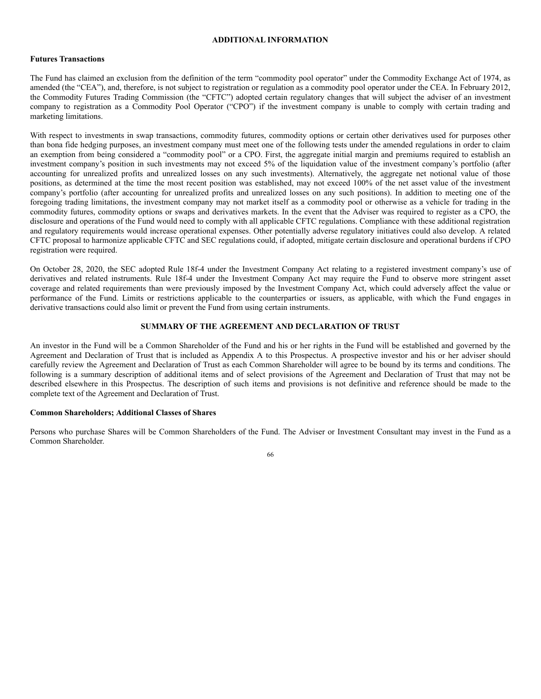## **ADDITIONAL INFORMATION**

# **Futures Transactions**

The Fund has claimed an exclusion from the definition of the term "commodity pool operator" under the Commodity Exchange Act of 1974, as amended (the "CEA"), and, therefore, is not subject to registration or regulation as a commodity pool operator under the CEA. In February 2012, the Commodity Futures Trading Commission (the "CFTC") adopted certain regulatory changes that will subject the adviser of an investment company to registration as a Commodity Pool Operator ("CPO") if the investment company is unable to comply with certain trading and marketing limitations.

With respect to investments in swap transactions, commodity futures, commodity options or certain other derivatives used for purposes other than bona fide hedging purposes, an investment company must meet one of the following tests under the amended regulations in order to claim an exemption from being considered a "commodity pool" or a CPO. First, the aggregate initial margin and premiums required to establish an investment company's position in such investments may not exceed 5% of the liquidation value of the investment company's portfolio (after accounting for unrealized profits and unrealized losses on any such investments). Alternatively, the aggregate net notional value of those positions, as determined at the time the most recent position was established, may not exceed 100% of the net asset value of the investment company's portfolio (after accounting for unrealized profits and unrealized losses on any such positions). In addition to meeting one of the foregoing trading limitations, the investment company may not market itself as a commodity pool or otherwise as a vehicle for trading in the commodity futures, commodity options or swaps and derivatives markets. In the event that the Adviser was required to register as a CPO, the disclosure and operations of the Fund would need to comply with all applicable CFTC regulations. Compliance with these additional registration and regulatory requirements would increase operational expenses. Other potentially adverse regulatory initiatives could also develop. A related CFTC proposal to harmonize applicable CFTC and SEC regulations could, if adopted, mitigate certain disclosure and operational burdens if CPO registration were required.

On October 28, 2020, the SEC adopted Rule 18f-4 under the Investment Company Act relating to a registered investment company's use of derivatives and related instruments. Rule 18f-4 under the Investment Company Act may require the Fund to observe more stringent asset coverage and related requirements than were previously imposed by the Investment Company Act, which could adversely affect the value or performance of the Fund. Limits or restrictions applicable to the counterparties or issuers, as applicable, with which the Fund engages in derivative transactions could also limit or prevent the Fund from using certain instruments.

# **SUMMARY OF THE AGREEMENT AND DECLARATION OF TRUST**

An investor in the Fund will be a Common Shareholder of the Fund and his or her rights in the Fund will be established and governed by the Agreement and Declaration of Trust that is included as Appendix A to this Prospectus. A prospective investor and his or her adviser should carefully review the Agreement and Declaration of Trust as each Common Shareholder will agree to be bound by its terms and conditions. The following is a summary description of additional items and of select provisions of the Agreement and Declaration of Trust that may not be described elsewhere in this Prospectus. The description of such items and provisions is not definitive and reference should be made to the complete text of the Agreement and Declaration of Trust.

# **Common Shareholders; Additional Classes of Shares**

Persons who purchase Shares will be Common Shareholders of the Fund. The Adviser or Investment Consultant may invest in the Fund as a Common Shareholder.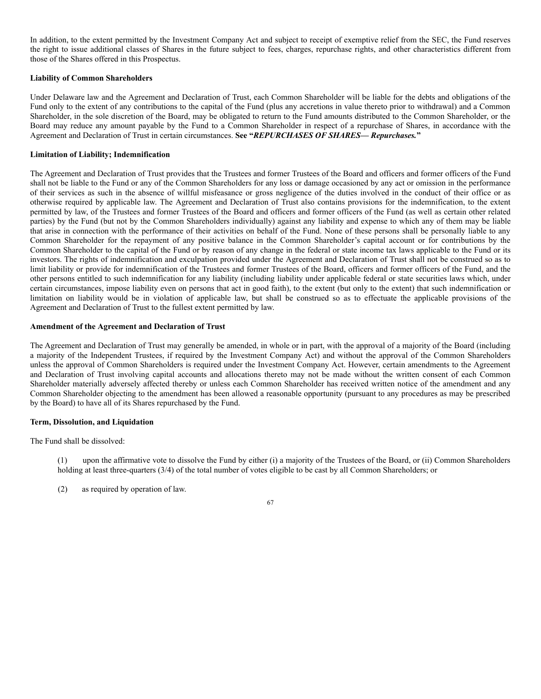In addition, to the extent permitted by the Investment Company Act and subject to receipt of exemptive relief from the SEC, the Fund reserves the right to issue additional classes of Shares in the future subject to fees, charges, repurchase rights, and other characteristics different from those of the Shares offered in this Prospectus.

# **Liability of Common Shareholders**

Under Delaware law and the Agreement and Declaration of Trust, each Common Shareholder will be liable for the debts and obligations of the Fund only to the extent of any contributions to the capital of the Fund (plus any accretions in value thereto prior to withdrawal) and a Common Shareholder, in the sole discretion of the Board, may be obligated to return to the Fund amounts distributed to the Common Shareholder, or the Board may reduce any amount payable by the Fund to a Common Shareholder in respect of a repurchase of Shares, in accordance with the Agreement and Declaration of Trust in certain circumstances. **See "***REPURCHASES OF SHARES— Repurchases.***"**

## **Limitation of Liability; Indemnification**

The Agreement and Declaration of Trust provides that the Trustees and former Trustees of the Board and officers and former officers of the Fund shall not be liable to the Fund or any of the Common Shareholders for any loss or damage occasioned by any act or omission in the performance of their services as such in the absence of willful misfeasance or gross negligence of the duties involved in the conduct of their office or as otherwise required by applicable law. The Agreement and Declaration of Trust also contains provisions for the indemnification, to the extent permitted by law, of the Trustees and former Trustees of the Board and officers and former officers of the Fund (as well as certain other related parties) by the Fund (but not by the Common Shareholders individually) against any liability and expense to which any of them may be liable that arise in connection with the performance of their activities on behalf of the Fund. None of these persons shall be personally liable to any Common Shareholder for the repayment of any positive balance in the Common Shareholder's capital account or for contributions by the Common Shareholder to the capital of the Fund or by reason of any change in the federal or state income tax laws applicable to the Fund or its investors. The rights of indemnification and exculpation provided under the Agreement and Declaration of Trust shall not be construed so as to limit liability or provide for indemnification of the Trustees and former Trustees of the Board, officers and former officers of the Fund, and the other persons entitled to such indemnification for any liability (including liability under applicable federal or state securities laws which, under certain circumstances, impose liability even on persons that act in good faith), to the extent (but only to the extent) that such indemnification or limitation on liability would be in violation of applicable law, but shall be construed so as to effectuate the applicable provisions of the Agreement and Declaration of Trust to the fullest extent permitted by law.

### **Amendment of the Agreement and Declaration of Trust**

The Agreement and Declaration of Trust may generally be amended, in whole or in part, with the approval of a majority of the Board (including a majority of the Independent Trustees, if required by the Investment Company Act) and without the approval of the Common Shareholders unless the approval of Common Shareholders is required under the Investment Company Act. However, certain amendments to the Agreement and Declaration of Trust involving capital accounts and allocations thereto may not be made without the written consent of each Common Shareholder materially adversely affected thereby or unless each Common Shareholder has received written notice of the amendment and any Common Shareholder objecting to the amendment has been allowed a reasonable opportunity (pursuant to any procedures as may be prescribed by the Board) to have all of its Shares repurchased by the Fund.

### **Term, Dissolution, and Liquidation**

The Fund shall be dissolved:

(1) upon the affirmative vote to dissolve the Fund by either (i) a majority of the Trustees of the Board, or (ii) Common Shareholders holding at least three-quarters (3/4) of the total number of votes eligible to be cast by all Common Shareholders; or

(2) as required by operation of law.

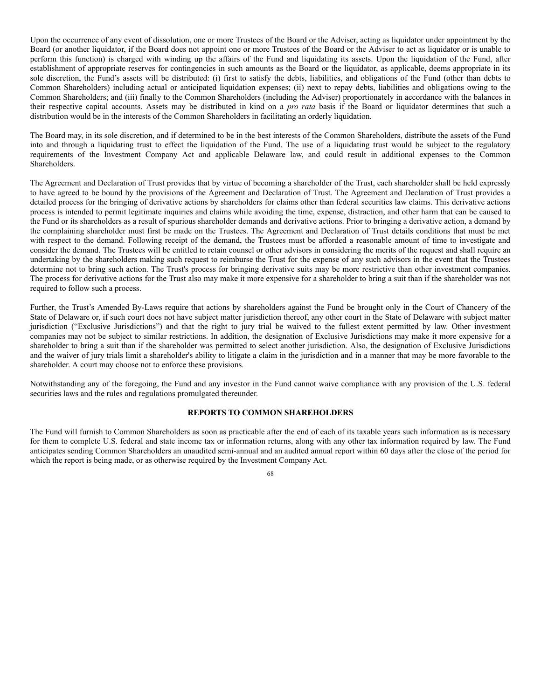Upon the occurrence of any event of dissolution, one or more Trustees of the Board or the Adviser, acting as liquidator under appointment by the Board (or another liquidator, if the Board does not appoint one or more Trustees of the Board or the Adviser to act as liquidator or is unable to perform this function) is charged with winding up the affairs of the Fund and liquidating its assets. Upon the liquidation of the Fund, after establishment of appropriate reserves for contingencies in such amounts as the Board or the liquidator, as applicable, deems appropriate in its sole discretion, the Fund's assets will be distributed: (i) first to satisfy the debts, liabilities, and obligations of the Fund (other than debts to Common Shareholders) including actual or anticipated liquidation expenses; (ii) next to repay debts, liabilities and obligations owing to the Common Shareholders; and (iii) finally to the Common Shareholders (including the Adviser) proportionately in accordance with the balances in their respective capital accounts. Assets may be distributed in kind on a *pro rata* basis if the Board or liquidator determines that such a distribution would be in the interests of the Common Shareholders in facilitating an orderly liquidation.

The Board may, in its sole discretion, and if determined to be in the best interests of the Common Shareholders, distribute the assets of the Fund into and through a liquidating trust to effect the liquidation of the Fund. The use of a liquidating trust would be subject to the regulatory requirements of the Investment Company Act and applicable Delaware law, and could result in additional expenses to the Common Shareholders.

The Agreement and Declaration of Trust provides that by virtue of becoming a shareholder of the Trust, each shareholder shall be held expressly to have agreed to be bound by the provisions of the Agreement and Declaration of Trust. The Agreement and Declaration of Trust provides a detailed process for the bringing of derivative actions by shareholders for claims other than federal securities law claims. This derivative actions process is intended to permit legitimate inquiries and claims while avoiding the time, expense, distraction, and other harm that can be caused to the Fund or its shareholders as a result of spurious shareholder demands and derivative actions. Prior to bringing a derivative action, a demand by the complaining shareholder must first be made on the Trustees. The Agreement and Declaration of Trust details conditions that must be met with respect to the demand. Following receipt of the demand, the Trustees must be afforded a reasonable amount of time to investigate and consider the demand. The Trustees will be entitled to retain counsel or other advisors in considering the merits of the request and shall require an undertaking by the shareholders making such request to reimburse the Trust for the expense of any such advisors in the event that the Trustees determine not to bring such action. The Trust's process for bringing derivative suits may be more restrictive than other investment companies. The process for derivative actions for the Trust also may make it more expensive for a shareholder to bring a suit than if the shareholder was not required to follow such a process.

Further, the Trust's Amended By-Laws require that actions by shareholders against the Fund be brought only in the Court of Chancery of the State of Delaware or, if such court does not have subject matter jurisdiction thereof, any other court in the State of Delaware with subject matter jurisdiction ("Exclusive Jurisdictions") and that the right to jury trial be waived to the fullest extent permitted by law. Other investment companies may not be subject to similar restrictions. In addition, the designation of Exclusive Jurisdictions may make it more expensive for a shareholder to bring a suit than if the shareholder was permitted to select another jurisdiction. Also, the designation of Exclusive Jurisdictions and the waiver of jury trials limit a shareholder's ability to litigate a claim in the jurisdiction and in a manner that may be more favorable to the shareholder. A court may choose not to enforce these provisions.

Notwithstanding any of the foregoing, the Fund and any investor in the Fund cannot waive compliance with any provision of the U.S. federal securities laws and the rules and regulations promulgated thereunder.

### **REPORTS TO COMMON SHAREHOLDERS**

The Fund will furnish to Common Shareholders as soon as practicable after the end of each of its taxable years such information as is necessary for them to complete U.S. federal and state income tax or information returns, along with any other tax information required by law. The Fund anticipates sending Common Shareholders an unaudited semi-annual and an audited annual report within 60 days after the close of the period for which the report is being made, or as otherwise required by the Investment Company Act.

68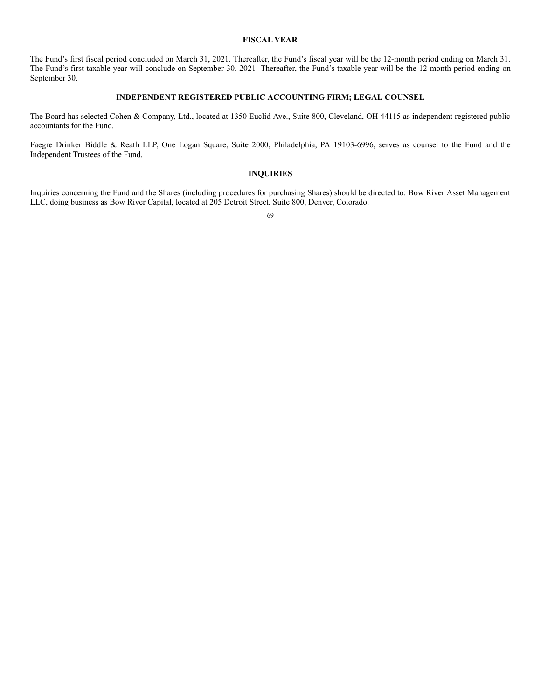### **FISCAL YEAR**

The Fund's first fiscal period concluded on March 31, 2021. Thereafter, the Fund's fiscal year will be the 12-month period ending on March 31. The Fund's first taxable year will conclude on September 30, 2021. Thereafter, the Fund's taxable year will be the 12-month period ending on September 30.

### **INDEPENDENT REGISTERED PUBLIC ACCOUNTING FIRM; LEGAL COUNSEL**

The Board has selected Cohen & Company, Ltd., located at 1350 Euclid Ave., Suite 800, Cleveland, OH 44115 as independent registered public accountants for the Fund.

Faegre Drinker Biddle & Reath LLP, One Logan Square, Suite 2000, Philadelphia, PA 19103-6996, serves as counsel to the Fund and the Independent Trustees of the Fund.

# **INQUIRIES**

Inquiries concerning the Fund and the Shares (including procedures for purchasing Shares) should be directed to: Bow River Asset Management LLC, doing business as Bow River Capital, located at 205 Detroit Street, Suite 800, Denver, Colorado.

69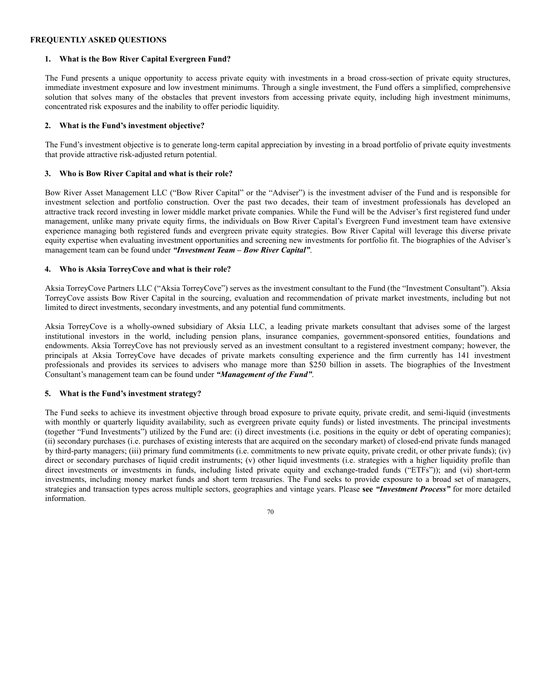### **FREQUENTLY ASKED QUESTIONS**

#### **1. What is the Bow River Capital Evergreen Fund?**

The Fund presents a unique opportunity to access private equity with investments in a broad cross-section of private equity structures, immediate investment exposure and low investment minimums. Through a single investment, the Fund offers a simplified, comprehensive solution that solves many of the obstacles that prevent investors from accessing private equity, including high investment minimums, concentrated risk exposures and the inability to offer periodic liquidity.

### **2. What is the Fund's investment objective?**

The Fund's investment objective is to generate long-term capital appreciation by investing in a broad portfolio of private equity investments that provide attractive risk-adjusted return potential.

### **3. Who is Bow River Capital and what is their role?**

Bow River Asset Management LLC ("Bow River Capital" or the "Adviser") is the investment adviser of the Fund and is responsible for investment selection and portfolio construction. Over the past two decades, their team of investment professionals has developed an attractive track record investing in lower middle market private companies. While the Fund will be the Adviser's first registered fund under management, unlike many private equity firms, the individuals on Bow River Capital's Evergreen Fund investment team have extensive experience managing both registered funds and evergreen private equity strategies. Bow River Capital will leverage this diverse private equity expertise when evaluating investment opportunities and screening new investments for portfolio fit. The biographies of the Adviser's management team can be found under *"Investment Team – Bow River Capital"*.

#### **4. Who is Aksia TorreyCove and what is their role?**

Aksia TorreyCove Partners LLC ("Aksia TorreyCove") serves as the investment consultant to the Fund (the "Investment Consultant"). Aksia TorreyCove assists Bow River Capital in the sourcing, evaluation and recommendation of private market investments, including but not limited to direct investments, secondary investments, and any potential fund commitments.

Aksia TorreyCove is a wholly-owned subsidiary of Aksia LLC, a leading private markets consultant that advises some of the largest institutional investors in the world, including pension plans, insurance companies, government-sponsored entities, foundations and endowments. Aksia TorreyCove has not previously served as an investment consultant to a registered investment company; however, the principals at Aksia TorreyCove have decades of private markets consulting experience and the firm currently has 141 investment professionals and provides its services to advisers who manage more than \$250 billion in assets. The biographies of the Investment Consultant's management team can be found under *"Management of the Fund"*.

#### **5. What is the Fund's investment strategy?**

The Fund seeks to achieve its investment objective through broad exposure to private equity, private credit, and semi-liquid (investments with monthly or quarterly liquidity availability, such as evergreen private equity funds) or listed investments. The principal investments (together "Fund Investments") utilized by the Fund are: (i) direct investments (i.e. positions in the equity or debt of operating companies); (ii) secondary purchases (i.e. purchases of existing interests that are acquired on the secondary market) of closed-end private funds managed by third-party managers; (iii) primary fund commitments (i.e. commitments to new private equity, private credit, or other private funds); (iv) direct or secondary purchases of liquid credit instruments; (v) other liquid investments (i.e. strategies with a higher liquidity profile than direct investments or investments in funds, including listed private equity and exchange-traded funds ("ETFs")); and (vi) short-term investments, including money market funds and short term treasuries. The Fund seeks to provide exposure to a broad set of managers, strategies and transaction types across multiple sectors, geographies and vintage years. Please **see** *"Investment Process"* for more detailed information.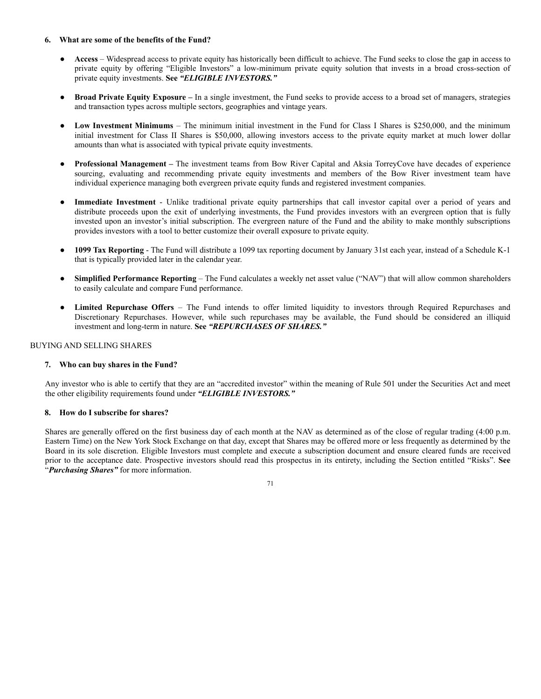#### **6. What are some of the benefits of the Fund?**

- **Access** Widespread access to private equity has historically been difficult to achieve. The Fund seeks to close the gap in access to private equity by offering "Eligible Investors" a low-minimum private equity solution that invests in a broad cross-section of private equity investments. **See** *"ELIGIBLE INVESTORS."*
- **Broad Private Equity Exposure –** In a single investment, the Fund seeks to provide access to a broad set of managers, strategies and transaction types across multiple sectors, geographies and vintage years.
- **Low Investment Minimums** The minimum initial investment in the Fund for Class I Shares is \$250,000, and the minimum initial investment for Class II Shares is \$50,000, allowing investors access to the private equity market at much lower dollar amounts than what is associated with typical private equity investments.
- **Professional Management –** The investment teams from Bow River Capital and Aksia TorreyCove have decades of experience sourcing, evaluating and recommending private equity investments and members of the Bow River investment team have individual experience managing both evergreen private equity funds and registered investment companies.
- **Immediate Investment** Unlike traditional private equity partnerships that call investor capital over a period of years and distribute proceeds upon the exit of underlying investments, the Fund provides investors with an evergreen option that is fully invested upon an investor's initial subscription. The evergreen nature of the Fund and the ability to make monthly subscriptions provides investors with a tool to better customize their overall exposure to private equity.
- **1099 Tax Reporting** The Fund will distribute a 1099 tax reporting document by January 31st each year, instead of a Schedule K-1 that is typically provided later in the calendar year.
- **Simplified Performance Reporting** The Fund calculates a weekly net asset value ("NAV") that will allow common shareholders to easily calculate and compare Fund performance.
- **Limited Repurchase Offers** The Fund intends to offer limited liquidity to investors through Required Repurchases and Discretionary Repurchases. However, while such repurchases may be available, the Fund should be considered an illiquid investment and long-term in nature. **See** *"REPURCHASES OF SHARES."*

# BUYING AND SELLING SHARES

### **7. Who can buy shares in the Fund?**

Any investor who is able to certify that they are an "accredited investor" within the meaning of Rule 501 under the Securities Act and meet the other eligibility requirements found under *"ELIGIBLE INVESTORS."*

### **8. How do I subscribe for shares?**

Shares are generally offered on the first business day of each month at the NAV as determined as of the close of regular trading (4:00 p.m. Eastern Time) on the New York Stock Exchange on that day, except that Shares may be offered more or less frequently as determined by the Board in its sole discretion. Eligible Investors must complete and execute a subscription document and ensure cleared funds are received prior to the acceptance date. Prospective investors should read this prospectus in its entirety, including the Section entitled "Risks". **See** "*Purchasing Shares"* for more information.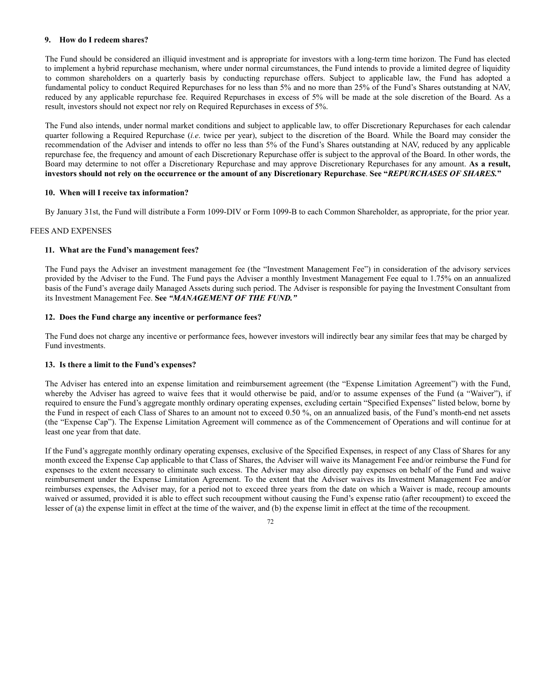### **9. How do I redeem shares?**

The Fund should be considered an illiquid investment and is appropriate for investors with a long-term time horizon. The Fund has elected to implement a hybrid repurchase mechanism, where under normal circumstances, the Fund intends to provide a limited degree of liquidity to common shareholders on a quarterly basis by conducting repurchase offers. Subject to applicable law, the Fund has adopted a fundamental policy to conduct Required Repurchases for no less than 5% and no more than 25% of the Fund's Shares outstanding at NAV, reduced by any applicable repurchase fee. Required Repurchases in excess of 5% will be made at the sole discretion of the Board. As a result, investors should not expect nor rely on Required Repurchases in excess of 5%.

The Fund also intends, under normal market conditions and subject to applicable law, to offer Discretionary Repurchases for each calendar quarter following a Required Repurchase (*i.e*. twice per year), subject to the discretion of the Board. While the Board may consider the recommendation of the Adviser and intends to offer no less than 5% of the Fund's Shares outstanding at NAV, reduced by any applicable repurchase fee, the frequency and amount of each Discretionary Repurchase offer is subject to the approval of the Board. In other words, the Board may determine to not offer a Discretionary Repurchase and may approve Discretionary Repurchases for any amount. **As a result,** investors should not rely on the occurrence or the amount of any Discretionary Repurchase. See "REPURCHASES OF SHARES."

#### **10. When will I receive tax information?**

By January 31st, the Fund will distribute a Form 1099-DIV or Form 1099-B to each Common Shareholder, as appropriate, for the prior year.

### FEES AND EXPENSES

#### **11. What are the Fund's management fees?**

The Fund pays the Adviser an investment management fee (the "Investment Management Fee") in consideration of the advisory services provided by the Adviser to the Fund. The Fund pays the Adviser a monthly Investment Management Fee equal to 1.75% on an annualized basis of the Fund's average daily Managed Assets during such period. The Adviser is responsible for paying the Investment Consultant from its Investment Management Fee. **See** *"MANAGEMENT OF THE FUND."*

#### **12. Does the Fund charge any incentive or performance fees?**

The Fund does not charge any incentive or performance fees, however investors will indirectly bear any similar fees that may be charged by Fund investments.

#### **13. Is there a limit to the Fund's expenses?**

The Adviser has entered into an expense limitation and reimbursement agreement (the "Expense Limitation Agreement") with the Fund, whereby the Adviser has agreed to waive fees that it would otherwise be paid, and/or to assume expenses of the Fund (a "Waiver"), if required to ensure the Fund's aggregate monthly ordinary operating expenses, excluding certain "Specified Expenses" listed below, borne by the Fund in respect of each Class of Shares to an amount not to exceed 0.50 %, on an annualized basis, of the Fund's month-end net assets (the "Expense Cap"). The Expense Limitation Agreement will commence as of the Commencement of Operations and will continue for at least one year from that date.

If the Fund's aggregate monthly ordinary operating expenses, exclusive of the Specified Expenses, in respect of any Class of Shares for any month exceed the Expense Cap applicable to that Class of Shares, the Adviser will waive its Management Fee and/or reimburse the Fund for expenses to the extent necessary to eliminate such excess. The Adviser may also directly pay expenses on behalf of the Fund and waive reimbursement under the Expense Limitation Agreement. To the extent that the Adviser waives its Investment Management Fee and/or reimburses expenses, the Adviser may, for a period not to exceed three years from the date on which a Waiver is made, recoup amounts waived or assumed, provided it is able to effect such recoupment without causing the Fund's expense ratio (after recoupment) to exceed the lesser of (a) the expense limit in effect at the time of the waiver, and (b) the expense limit in effect at the time of the recoupment.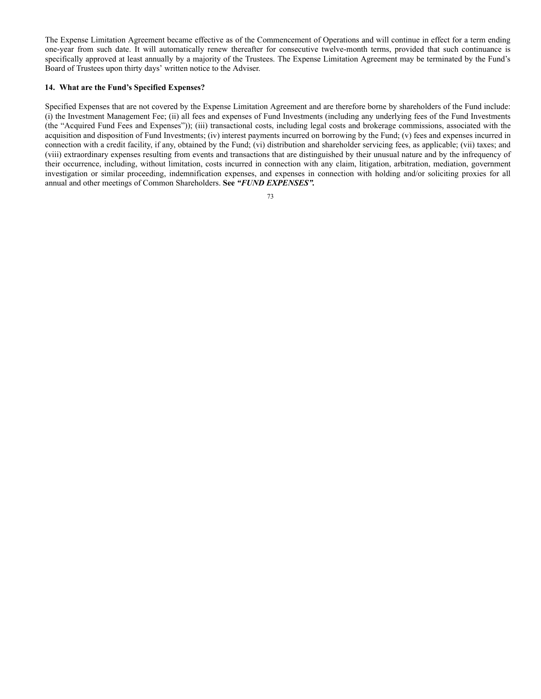The Expense Limitation Agreement became effective as of the Commencement of Operations and will continue in effect for a term ending one-year from such date. It will automatically renew thereafter for consecutive twelve-month terms, provided that such continuance is specifically approved at least annually by a majority of the Trustees. The Expense Limitation Agreement may be terminated by the Fund's Board of Trustees upon thirty days' written notice to the Adviser.

### **14. What are the Fund's Specified Expenses?**

Specified Expenses that are not covered by the Expense Limitation Agreement and are therefore borne by shareholders of the Fund include: (i) the Investment Management Fee; (ii) all fees and expenses of Fund Investments (including any underlying fees of the Fund Investments (the "Acquired Fund Fees and Expenses")); (iii) transactional costs, including legal costs and brokerage commissions, associated with the acquisition and disposition of Fund Investments; (iv) interest payments incurred on borrowing by the Fund; (v) fees and expenses incurred in connection with a credit facility, if any, obtained by the Fund; (vi) distribution and shareholder servicing fees, as applicable; (vii) taxes; and (viii) extraordinary expenses resulting from events and transactions that are distinguished by their unusual nature and by the infrequency of their occurrence, including, without limitation, costs incurred in connection with any claim, litigation, arbitration, mediation, government investigation or similar proceeding, indemnification expenses, and expenses in connection with holding and/or soliciting proxies for all annual and other meetings of Common Shareholders. **See** *"FUND EXPENSES".*

73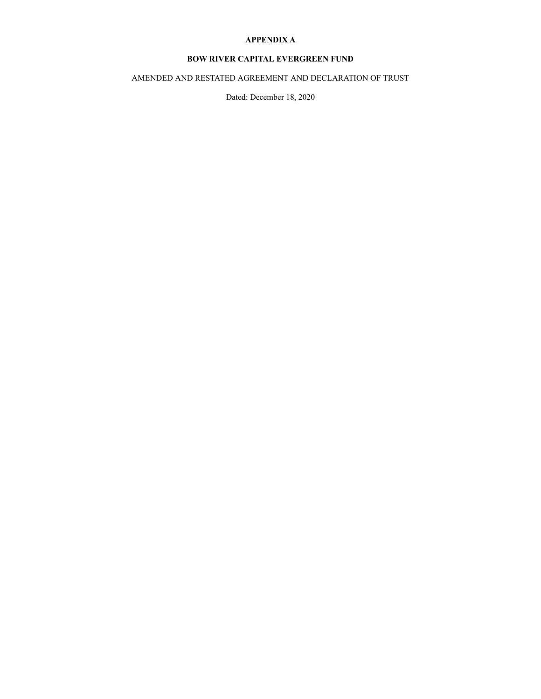# **APPENDIX A**

# **BOW RIVER CAPITAL EVERGREEN FUND**

AMENDED AND RESTATED AGREEMENT AND DECLARATION OF TRUST

Dated: December 18, 2020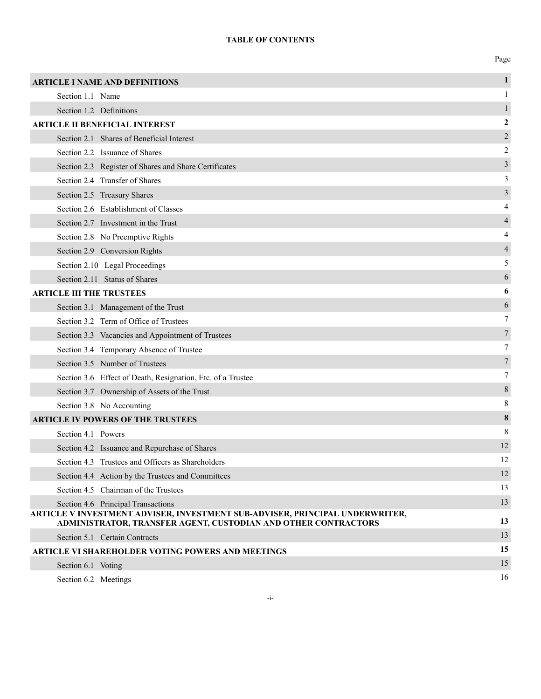# **TABLE OF CONTENTS**

Page

|                                 | <b>ARTICLE I NAME AND DEFINITIONS</b>                                                                                                          | $\mathbf{1}$     |
|---------------------------------|------------------------------------------------------------------------------------------------------------------------------------------------|------------------|
| Section 1.1 Name                |                                                                                                                                                | 1                |
|                                 | Section 1.2 Definitions                                                                                                                        | 1                |
|                                 | <b>ARTICLE II BENEFICIAL INTEREST</b>                                                                                                          | $\boldsymbol{2}$ |
|                                 | Section 2.1 Shares of Beneficial Interest                                                                                                      | 2                |
|                                 | Section 2.2 Issuance of Shares                                                                                                                 | 2                |
|                                 | Section 2.3 Register of Shares and Share Certificates                                                                                          | $\mathfrak{Z}$   |
|                                 | Section 2.4 Transfer of Shares                                                                                                                 | 3                |
|                                 | Section 2.5 Treasury Shares                                                                                                                    | 3                |
|                                 | Section 2.6 Establishment of Classes                                                                                                           | 4                |
|                                 | Section 2.7 Investment in the Trust                                                                                                            | $\overline{4}$   |
|                                 | Section 2.8 No Preemptive Rights                                                                                                               | 4                |
|                                 | Section 2.9 Conversion Rights                                                                                                                  | 4                |
|                                 | Section 2.10 Legal Proceedings                                                                                                                 | 5                |
|                                 | Section 2.11 Status of Shares                                                                                                                  | 6                |
| <b>ARTICLE III THE TRUSTEES</b> |                                                                                                                                                | 6                |
|                                 | Section 3.1 Management of the Trust                                                                                                            | 6                |
|                                 | Section 3.2 Term of Office of Trustees                                                                                                         | 7                |
|                                 | Section 3.3 Vacancies and Appointment of Trustees                                                                                              | 7                |
|                                 | Section 3.4 Temporary Absence of Trustee                                                                                                       | 7                |
|                                 | Section 3.5 Number of Trustees                                                                                                                 | 7                |
|                                 | Section 3.6 Effect of Death, Resignation, Etc. of a Trustee                                                                                    | 7                |
|                                 | Section 3.7 Ownership of Assets of the Trust                                                                                                   | 8                |
|                                 | Section 3.8 No Accounting                                                                                                                      | 8                |
|                                 | <b>ARTICLE IV POWERS OF THE TRUSTEES</b>                                                                                                       | 8                |
| Section 4.1 Powers              |                                                                                                                                                | 8                |
|                                 | Section 4.2 Issuance and Repurchase of Shares                                                                                                  | 12               |
|                                 | Section 4.3 Trustees and Officers as Shareholders                                                                                              | 12               |
|                                 | Section 4.4 Action by the Trustees and Committees                                                                                              | 12               |
|                                 | Section 4.5 Chairman of the Trustees                                                                                                           | 13               |
|                                 | Section 4.6 Principal Transactions                                                                                                             | 13               |
|                                 | ARTICLE V INVESTMENT ADVISER, INVESTMENT SUB-ADVISER, PRINCIPAL UNDERWRITER,<br>ADMINISTRATOR, TRANSFER AGENT, CUSTODIAN AND OTHER CONTRACTORS | 13               |
|                                 | Section 5.1 Certain Contracts                                                                                                                  | 13               |
|                                 | ARTICLE VI SHAREHOLDER VOTING POWERS AND MEETINGS                                                                                              | 15               |
| Section 6.1 Voting              |                                                                                                                                                | 15               |
| Section 6.2 Meetings            |                                                                                                                                                | 16               |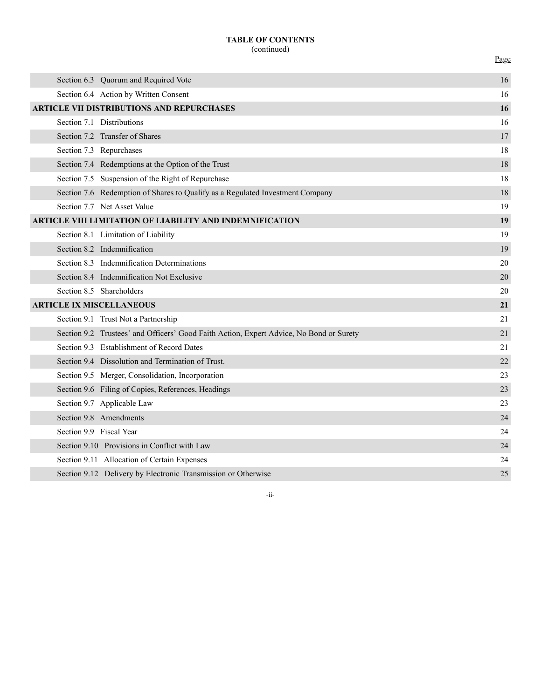# **TABLE OF CONTENTS** (continued)

Page

|                                                  |  | Section 6.3 Quorum and Required Vote                                                    | 16 |
|--------------------------------------------------|--|-----------------------------------------------------------------------------------------|----|
|                                                  |  | Section 6.4 Action by Written Consent                                                   | 16 |
| <b>ARTICLE VII DISTRIBUTIONS AND REPURCHASES</b> |  |                                                                                         | 16 |
|                                                  |  | Section 7.1 Distributions                                                               | 16 |
|                                                  |  | Section 7.2 Transfer of Shares                                                          | 17 |
|                                                  |  | Section 7.3 Repurchases                                                                 | 18 |
|                                                  |  | Section 7.4 Redemptions at the Option of the Trust                                      | 18 |
|                                                  |  | Section 7.5 Suspension of the Right of Repurchase                                       | 18 |
|                                                  |  | Section 7.6 Redemption of Shares to Qualify as a Regulated Investment Company           | 18 |
|                                                  |  | Section 7.7 Net Asset Value                                                             | 19 |
|                                                  |  | ARTICLE VIII LIMITATION OF LIABILITY AND INDEMNIFICATION                                | 19 |
|                                                  |  | Section 8.1 Limitation of Liability                                                     | 19 |
|                                                  |  | Section 8.2 Indemnification                                                             | 19 |
|                                                  |  | Section 8.3 Indemnification Determinations                                              | 20 |
|                                                  |  | Section 8.4 Indemnification Not Exclusive                                               | 20 |
|                                                  |  | Section 8.5 Shareholders                                                                | 20 |
|                                                  |  | <b>ARTICLE IX MISCELLANEOUS</b>                                                         | 21 |
|                                                  |  | Section 9.1 Trust Not a Partnership                                                     | 21 |
|                                                  |  | Section 9.2 Trustees' and Officers' Good Faith Action, Expert Advice, No Bond or Surety | 21 |
|                                                  |  | Section 9.3 Establishment of Record Dates                                               | 21 |
|                                                  |  | Section 9.4 Dissolution and Termination of Trust.                                       | 22 |
|                                                  |  | Section 9.5 Merger, Consolidation, Incorporation                                        | 23 |
|                                                  |  | Section 9.6 Filing of Copies, References, Headings                                      | 23 |
|                                                  |  | Section 9.7 Applicable Law                                                              | 23 |
|                                                  |  | Section 9.8 Amendments                                                                  | 24 |
|                                                  |  | Section 9.9 Fiscal Year                                                                 | 24 |
|                                                  |  | Section 9.10 Provisions in Conflict with Law                                            | 24 |
|                                                  |  | Section 9.11 Allocation of Certain Expenses                                             | 24 |
|                                                  |  | Section 9.12 Delivery by Electronic Transmission or Otherwise                           | 25 |

-ii-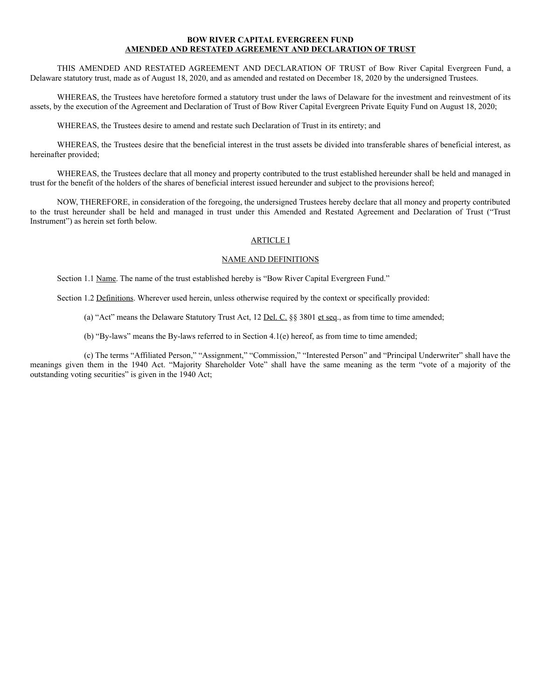### **BOW RIVER CAPITAL EVERGREEN FUND AMENDED AND RESTATED AGREEMENT AND DECLARATION OF TRUST**

THIS AMENDED AND RESTATED AGREEMENT AND DECLARATION OF TRUST of Bow River Capital Evergreen Fund, a Delaware statutory trust, made as of August 18, 2020, and as amended and restated on December 18, 2020 by the undersigned Trustees.

WHEREAS, the Trustees have heretofore formed a statutory trust under the laws of Delaware for the investment and reinvestment of its assets, by the execution of the Agreement and Declaration of Trust of Bow River Capital Evergreen Private Equity Fund on August 18, 2020;

WHEREAS, the Trustees desire to amend and restate such Declaration of Trust in its entirety; and

WHEREAS, the Trustees desire that the beneficial interest in the trust assets be divided into transferable shares of beneficial interest, as hereinafter provided;

WHEREAS, the Trustees declare that all money and property contributed to the trust established hereunder shall be held and managed in trust for the benefit of the holders of the shares of beneficial interest issued hereunder and subject to the provisions hereof;

NOW, THEREFORE, in consideration of the foregoing, the undersigned Trustees hereby declare that all money and property contributed to the trust hereunder shall be held and managed in trust under this Amended and Restated Agreement and Declaration of Trust ("Trust Instrument") as herein set forth below.

### ARTICLE I

### NAME AND DEFINITIONS

Section 1.1 Name. The name of the trust established hereby is "Bow River Capital Evergreen Fund."

Section 1.2 Definitions. Wherever used herein, unless otherwise required by the context or specifically provided:

(a) "Act" means the Delaware Statutory Trust Act, 12 Del. C. §§ 3801 et seq., as from time to time amended;

(b) "By-laws" means the By-laws referred to in Section 4.1(e) hereof, as from time to time amended;

(c) The terms "Affiliated Person," "Assignment," "Commission," "Interested Person" and "Principal Underwriter" shall have the meanings given them in the 1940 Act. "Majority Shareholder Vote" shall have the same meaning as the term "vote of a majority of the outstanding voting securities" is given in the 1940 Act;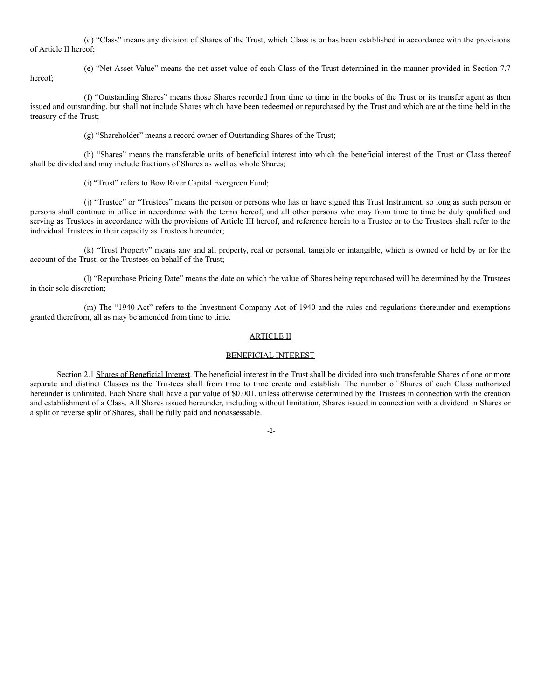(d) "Class" means any division of Shares of the Trust, which Class is or has been established in accordance with the provisions of Article II hereof;

hereof;

(e) "Net Asset Value" means the net asset value of each Class of the Trust determined in the manner provided in Section 7.7

(f) "Outstanding Shares" means those Shares recorded from time to time in the books of the Trust or its transfer agent as then issued and outstanding, but shall not include Shares which have been redeemed or repurchased by the Trust and which are at the time held in the treasury of the Trust;

(g) "Shareholder" means a record owner of Outstanding Shares of the Trust;

(h) "Shares" means the transferable units of beneficial interest into which the beneficial interest of the Trust or Class thereof shall be divided and may include fractions of Shares as well as whole Shares;

(i) "Trust" refers to Bow River Capital Evergreen Fund;

(j) "Trustee" or "Trustees" means the person or persons who has or have signed this Trust Instrument, so long as such person or persons shall continue in office in accordance with the terms hereof, and all other persons who may from time to time be duly qualified and serving as Trustees in accordance with the provisions of Article III hereof, and reference herein to a Trustee or to the Trustees shall refer to the individual Trustees in their capacity as Trustees hereunder;

(k) "Trust Property" means any and all property, real or personal, tangible or intangible, which is owned or held by or for the account of the Trust, or the Trustees on behalf of the Trust;

(l) "Repurchase Pricing Date" means the date on which the value of Shares being repurchased will be determined by the Trustees in their sole discretion;

(m) The "1940 Act" refers to the Investment Company Act of 1940 and the rules and regulations thereunder and exemptions granted therefrom, all as may be amended from time to time.

#### ARTICLE II

#### BENEFICIAL INTEREST

Section 2.1 Shares of Beneficial Interest. The beneficial interest in the Trust shall be divided into such transferable Shares of one or more separate and distinct Classes as the Trustees shall from time to time create and establish. The number of Shares of each Class authorized hereunder is unlimited. Each Share shall have a par value of \$0.001, unless otherwise determined by the Trustees in connection with the creation and establishment of a Class. All Shares issued hereunder, including without limitation, Shares issued in connection with a dividend in Shares or a split or reverse split of Shares, shall be fully paid and nonassessable.

-2-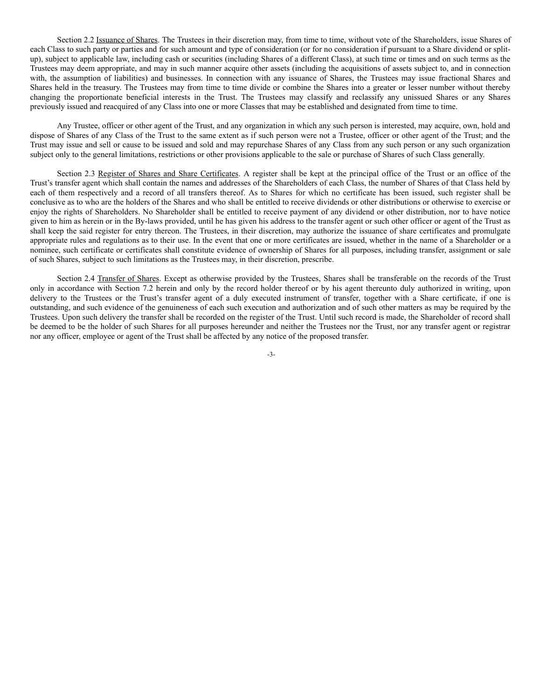Section 2.2 Issuance of Shares. The Trustees in their discretion may, from time to time, without vote of the Shareholders, issue Shares of each Class to such party or parties and for such amount and type of consideration (or for no consideration if pursuant to a Share dividend or splitup), subject to applicable law, including cash or securities (including Shares of a different Class), at such time or times and on such terms as the Trustees may deem appropriate, and may in such manner acquire other assets (including the acquisitions of assets subject to, and in connection with, the assumption of liabilities) and businesses. In connection with any issuance of Shares, the Trustees may issue fractional Shares and Shares held in the treasury. The Trustees may from time to time divide or combine the Shares into a greater or lesser number without thereby changing the proportionate beneficial interests in the Trust. The Trustees may classify and reclassify any unissued Shares or any Shares previously issued and reacquired of any Class into one or more Classes that may be established and designated from time to time.

Any Trustee, officer or other agent of the Trust, and any organization in which any such person is interested, may acquire, own, hold and dispose of Shares of any Class of the Trust to the same extent as if such person were not a Trustee, officer or other agent of the Trust; and the Trust may issue and sell or cause to be issued and sold and may repurchase Shares of any Class from any such person or any such organization subject only to the general limitations, restrictions or other provisions applicable to the sale or purchase of Shares of such Class generally.

Section 2.3 Register of Shares and Share Certificates. A register shall be kept at the principal office of the Trust or an office of the Trust's transfer agent which shall contain the names and addresses of the Shareholders of each Class, the number of Shares of that Class held by each of them respectively and a record of all transfers thereof. As to Shares for which no certificate has been issued, such register shall be conclusive as to who are the holders of the Shares and who shall be entitled to receive dividends or other distributions or otherwise to exercise or enjoy the rights of Shareholders. No Shareholder shall be entitled to receive payment of any dividend or other distribution, nor to have notice given to him as herein or in the By-laws provided, until he has given his address to the transfer agent or such other officer or agent of the Trust as shall keep the said register for entry thereon. The Trustees, in their discretion, may authorize the issuance of share certificates and promulgate appropriate rules and regulations as to their use. In the event that one or more certificates are issued, whether in the name of a Shareholder or a nominee, such certificate or certificates shall constitute evidence of ownership of Shares for all purposes, including transfer, assignment or sale of such Shares, subject to such limitations as the Trustees may, in their discretion, prescribe.

Section 2.4 Transfer of Shares. Except as otherwise provided by the Trustees, Shares shall be transferable on the records of the Trust only in accordance with Section 7.2 herein and only by the record holder thereof or by his agent thereunto duly authorized in writing, upon delivery to the Trustees or the Trust's transfer agent of a duly executed instrument of transfer, together with a Share certificate, if one is outstanding, and such evidence of the genuineness of each such execution and authorization and of such other matters as may be required by the Trustees. Upon such delivery the transfer shall be recorded on the register of the Trust. Until such record is made, the Shareholder of record shall be deemed to be the holder of such Shares for all purposes hereunder and neither the Trustees nor the Trust, nor any transfer agent or registrar nor any officer, employee or agent of the Trust shall be affected by any notice of the proposed transfer.

-3-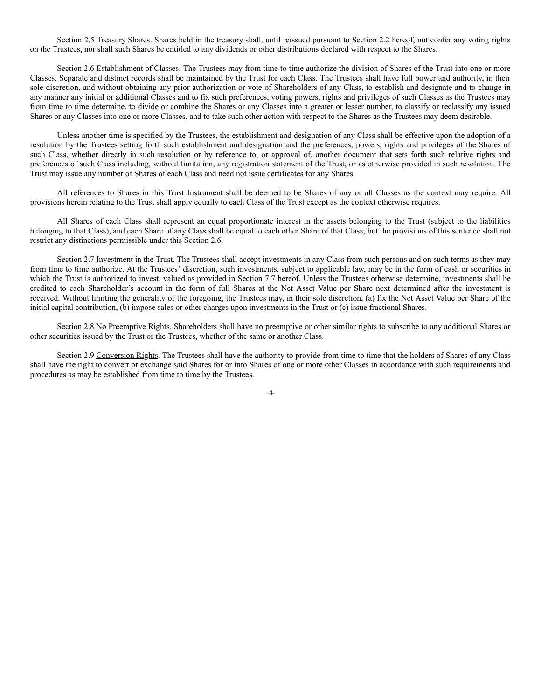Section 2.5 Treasury Shares. Shares held in the treasury shall, until reissued pursuant to Section 2.2 hereof, not confer any voting rights on the Trustees, nor shall such Shares be entitled to any dividends or other distributions declared with respect to the Shares.

Section 2.6 Establishment of Classes. The Trustees may from time to time authorize the division of Shares of the Trust into one or more Classes. Separate and distinct records shall be maintained by the Trust for each Class. The Trustees shall have full power and authority, in their sole discretion, and without obtaining any prior authorization or vote of Shareholders of any Class, to establish and designate and to change in any manner any initial or additional Classes and to fix such preferences, voting powers, rights and privileges of such Classes as the Trustees may from time to time determine, to divide or combine the Shares or any Classes into a greater or lesser number, to classify or reclassify any issued Shares or any Classes into one or more Classes, and to take such other action with respect to the Shares as the Trustees may deem desirable.

Unless another time is specified by the Trustees, the establishment and designation of any Class shall be effective upon the adoption of a resolution by the Trustees setting forth such establishment and designation and the preferences, powers, rights and privileges of the Shares of such Class, whether directly in such resolution or by reference to, or approval of, another document that sets forth such relative rights and preferences of such Class including, without limitation, any registration statement of the Trust, or as otherwise provided in such resolution. The Trust may issue any number of Shares of each Class and need not issue certificates for any Shares.

All references to Shares in this Trust Instrument shall be deemed to be Shares of any or all Classes as the context may require. All provisions herein relating to the Trust shall apply equally to each Class of the Trust except as the context otherwise requires.

All Shares of each Class shall represent an equal proportionate interest in the assets belonging to the Trust (subject to the liabilities belonging to that Class), and each Share of any Class shall be equal to each other Share of that Class; but the provisions of this sentence shall not restrict any distinctions permissible under this Section 2.6.

Section 2.7 Investment in the Trust. The Trustees shall accept investments in any Class from such persons and on such terms as they may from time to time authorize. At the Trustees' discretion, such investments, subject to applicable law, may be in the form of cash or securities in which the Trust is authorized to invest, valued as provided in Section 7.7 hereof. Unless the Trustees otherwise determine, investments shall be credited to each Shareholder's account in the form of full Shares at the Net Asset Value per Share next determined after the investment is received. Without limiting the generality of the foregoing, the Trustees may, in their sole discretion, (a) fix the Net Asset Value per Share of the initial capital contribution, (b) impose sales or other charges upon investments in the Trust or (c) issue fractional Shares.

Section 2.8 No Preemptive Rights. Shareholders shall have no preemptive or other similar rights to subscribe to any additional Shares or other securities issued by the Trust or the Trustees, whether of the same or another Class.

Section 2.9 Conversion Rights. The Trustees shall have the authority to provide from time to time that the holders of Shares of any Class shall have the right to convert or exchange said Shares for or into Shares of one or more other Classes in accordance with such requirements and procedures as may be established from time to time by the Trustees.

 $-4-$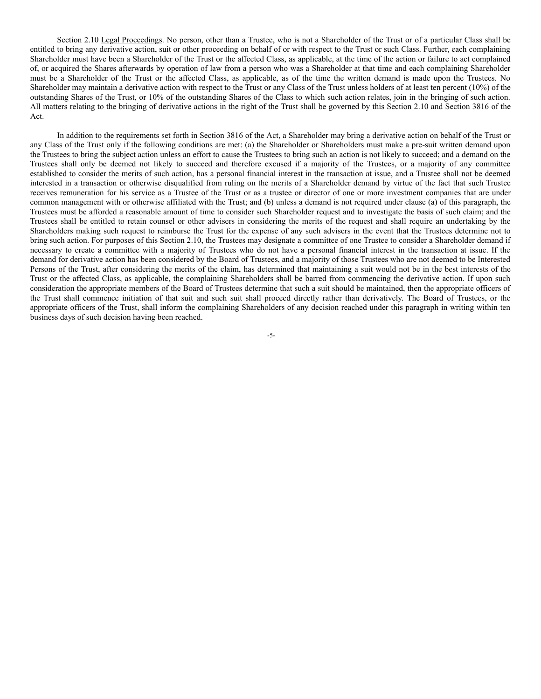Section 2.10 Legal Proceedings. No person, other than a Trustee, who is not a Shareholder of the Trust or of a particular Class shall be entitled to bring any derivative action, suit or other proceeding on behalf of or with respect to the Trust or such Class. Further, each complaining Shareholder must have been a Shareholder of the Trust or the affected Class, as applicable, at the time of the action or failure to act complained of, or acquired the Shares afterwards by operation of law from a person who was a Shareholder at that time and each complaining Shareholder must be a Shareholder of the Trust or the affected Class, as applicable, as of the time the written demand is made upon the Trustees. No Shareholder may maintain a derivative action with respect to the Trust or any Class of the Trust unless holders of at least ten percent (10%) of the outstanding Shares of the Trust, or 10% of the outstanding Shares of the Class to which such action relates, join in the bringing of such action. All matters relating to the bringing of derivative actions in the right of the Trust shall be governed by this Section 2.10 and Section 3816 of the Act.

In addition to the requirements set forth in Section 3816 of the Act, a Shareholder may bring a derivative action on behalf of the Trust or any Class of the Trust only if the following conditions are met: (a) the Shareholder or Shareholders must make a pre-suit written demand upon the Trustees to bring the subject action unless an effort to cause the Trustees to bring such an action is not likely to succeed; and a demand on the Trustees shall only be deemed not likely to succeed and therefore excused if a majority of the Trustees, or a majority of any committee established to consider the merits of such action, has a personal financial interest in the transaction at issue, and a Trustee shall not be deemed interested in a transaction or otherwise disqualified from ruling on the merits of a Shareholder demand by virtue of the fact that such Trustee receives remuneration for his service as a Trustee of the Trust or as a trustee or director of one or more investment companies that are under common management with or otherwise affiliated with the Trust; and (b) unless a demand is not required under clause (a) of this paragraph, the Trustees must be afforded a reasonable amount of time to consider such Shareholder request and to investigate the basis of such claim; and the Trustees shall be entitled to retain counsel or other advisers in considering the merits of the request and shall require an undertaking by the Shareholders making such request to reimburse the Trust for the expense of any such advisers in the event that the Trustees determine not to bring such action. For purposes of this Section 2.10, the Trustees may designate a committee of one Trustee to consider a Shareholder demand if necessary to create a committee with a majority of Trustees who do not have a personal financial interest in the transaction at issue. If the demand for derivative action has been considered by the Board of Trustees, and a majority of those Trustees who are not deemed to be Interested Persons of the Trust, after considering the merits of the claim, has determined that maintaining a suit would not be in the best interests of the Trust or the affected Class, as applicable, the complaining Shareholders shall be barred from commencing the derivative action. If upon such consideration the appropriate members of the Board of Trustees determine that such a suit should be maintained, then the appropriate officers of the Trust shall commence initiation of that suit and such suit shall proceed directly rather than derivatively. The Board of Trustees, or the appropriate officers of the Trust, shall inform the complaining Shareholders of any decision reached under this paragraph in writing within ten business days of such decision having been reached.

-5-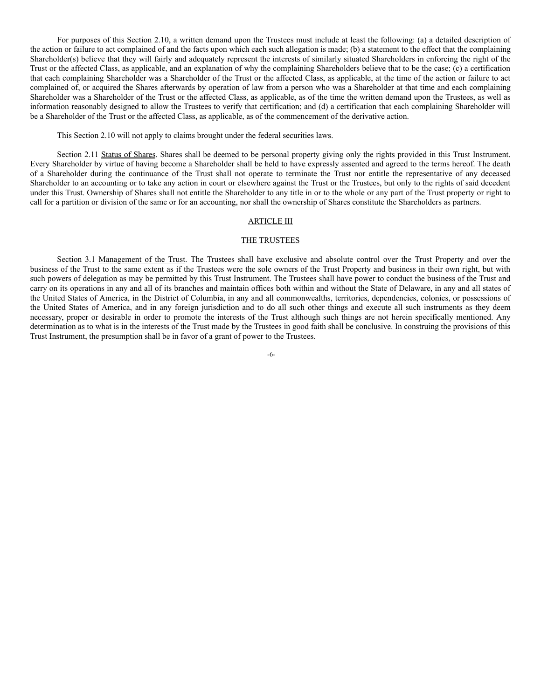For purposes of this Section 2.10, a written demand upon the Trustees must include at least the following: (a) a detailed description of the action or failure to act complained of and the facts upon which each such allegation is made; (b) a statement to the effect that the complaining Shareholder(s) believe that they will fairly and adequately represent the interests of similarly situated Shareholders in enforcing the right of the Trust or the affected Class, as applicable, and an explanation of why the complaining Shareholders believe that to be the case; (c) a certification that each complaining Shareholder was a Shareholder of the Trust or the affected Class, as applicable, at the time of the action or failure to act complained of, or acquired the Shares afterwards by operation of law from a person who was a Shareholder at that time and each complaining Shareholder was a Shareholder of the Trust or the affected Class, as applicable, as of the time the written demand upon the Trustees, as well as information reasonably designed to allow the Trustees to verify that certification; and (d) a certification that each complaining Shareholder will be a Shareholder of the Trust or the affected Class, as applicable, as of the commencement of the derivative action.

This Section 2.10 will not apply to claims brought under the federal securities laws.

Section 2.11 Status of Shares. Shares shall be deemed to be personal property giving only the rights provided in this Trust Instrument. Every Shareholder by virtue of having become a Shareholder shall be held to have expressly assented and agreed to the terms hereof. The death of a Shareholder during the continuance of the Trust shall not operate to terminate the Trust nor entitle the representative of any deceased Shareholder to an accounting or to take any action in court or elsewhere against the Trust or the Trustees, but only to the rights of said decedent under this Trust. Ownership of Shares shall not entitle the Shareholder to any title in or to the whole or any part of the Trust property or right to call for a partition or division of the same or for an accounting, nor shall the ownership of Shares constitute the Shareholders as partners.

### ARTICLE III

### THE TRUSTEES

Section 3.1 Management of the Trust. The Trustees shall have exclusive and absolute control over the Trust Property and over the business of the Trust to the same extent as if the Trustees were the sole owners of the Trust Property and business in their own right, but with such powers of delegation as may be permitted by this Trust Instrument. The Trustees shall have power to conduct the business of the Trust and carry on its operations in any and all of its branches and maintain offices both within and without the State of Delaware, in any and all states of the United States of America, in the District of Columbia, in any and all commonwealths, territories, dependencies, colonies, or possessions of the United States of America, and in any foreign jurisdiction and to do all such other things and execute all such instruments as they deem necessary, proper or desirable in order to promote the interests of the Trust although such things are not herein specifically mentioned. Any determination as to what is in the interests of the Trust made by the Trustees in good faith shall be conclusive. In construing the provisions of this Trust Instrument, the presumption shall be in favor of a grant of power to the Trustees.

-6-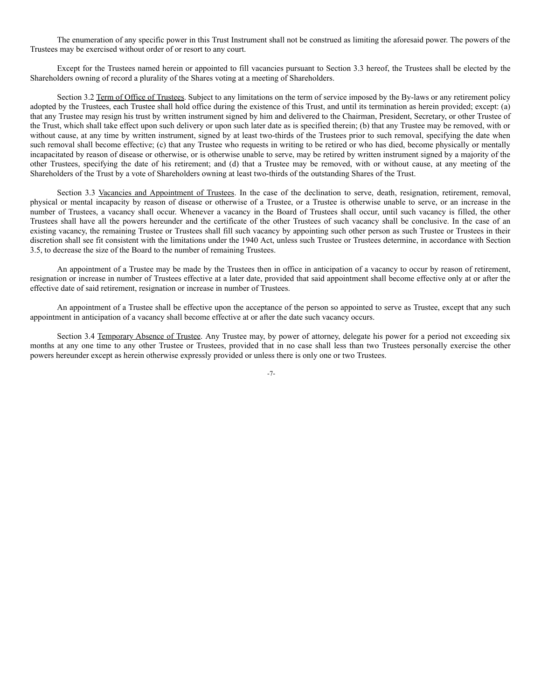The enumeration of any specific power in this Trust Instrument shall not be construed as limiting the aforesaid power. The powers of the Trustees may be exercised without order of or resort to any court.

Except for the Trustees named herein or appointed to fill vacancies pursuant to Section 3.3 hereof, the Trustees shall be elected by the Shareholders owning of record a plurality of the Shares voting at a meeting of Shareholders.

Section 3.2 Term of Office of Trustees. Subject to any limitations on the term of service imposed by the By-laws or any retirement policy adopted by the Trustees, each Trustee shall hold office during the existence of this Trust, and until its termination as herein provided; except: (a) that any Trustee may resign his trust by written instrument signed by him and delivered to the Chairman, President, Secretary, or other Trustee of the Trust, which shall take effect upon such delivery or upon such later date as is specified therein; (b) that any Trustee may be removed, with or without cause, at any time by written instrument, signed by at least two-thirds of the Trustees prior to such removal, specifying the date when such removal shall become effective; (c) that any Trustee who requests in writing to be retired or who has died, become physically or mentally incapacitated by reason of disease or otherwise, or is otherwise unable to serve, may be retired by written instrument signed by a majority of the other Trustees, specifying the date of his retirement; and (d) that a Trustee may be removed, with or without cause, at any meeting of the Shareholders of the Trust by a vote of Shareholders owning at least two-thirds of the outstanding Shares of the Trust.

Section 3.3 Vacancies and Appointment of Trustees. In the case of the declination to serve, death, resignation, retirement, removal, physical or mental incapacity by reason of disease or otherwise of a Trustee, or a Trustee is otherwise unable to serve, or an increase in the number of Trustees, a vacancy shall occur. Whenever a vacancy in the Board of Trustees shall occur, until such vacancy is filled, the other Trustees shall have all the powers hereunder and the certificate of the other Trustees of such vacancy shall be conclusive. In the case of an existing vacancy, the remaining Trustee or Trustees shall fill such vacancy by appointing such other person as such Trustee or Trustees in their discretion shall see fit consistent with the limitations under the 1940 Act, unless such Trustee or Trustees determine, in accordance with Section 3.5, to decrease the size of the Board to the number of remaining Trustees.

An appointment of a Trustee may be made by the Trustees then in office in anticipation of a vacancy to occur by reason of retirement, resignation or increase in number of Trustees effective at a later date, provided that said appointment shall become effective only at or after the effective date of said retirement, resignation or increase in number of Trustees.

An appointment of a Trustee shall be effective upon the acceptance of the person so appointed to serve as Trustee, except that any such appointment in anticipation of a vacancy shall become effective at or after the date such vacancy occurs.

Section 3.4 Temporary Absence of Trustee. Any Trustee may, by power of attorney, delegate his power for a period not exceeding six months at any one time to any other Trustee or Trustees, provided that in no case shall less than two Trustees personally exercise the other powers hereunder except as herein otherwise expressly provided or unless there is only one or two Trustees.

-7-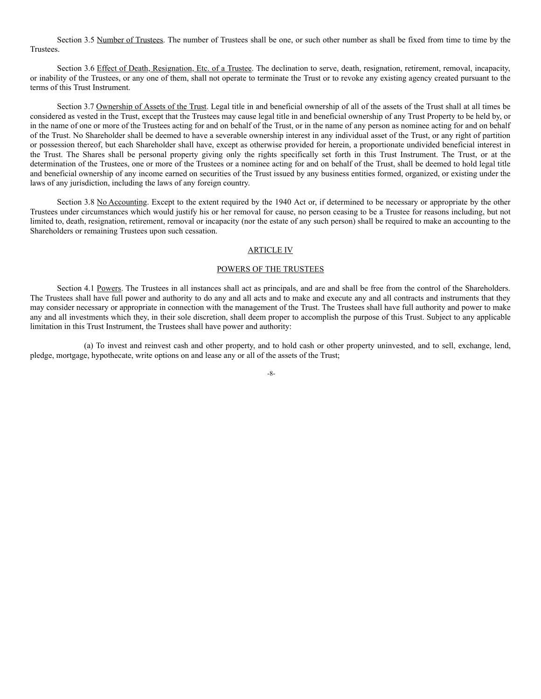Section 3.5 Number of Trustees. The number of Trustees shall be one, or such other number as shall be fixed from time to time by the Trustees.

Section 3.6 Effect of Death, Resignation, Etc. of a Trustee. The declination to serve, death, resignation, retirement, removal, incapacity, or inability of the Trustees, or any one of them, shall not operate to terminate the Trust or to revoke any existing agency created pursuant to the terms of this Trust Instrument.

Section 3.7 Ownership of Assets of the Trust. Legal title in and beneficial ownership of all of the assets of the Trust shall at all times be considered as vested in the Trust, except that the Trustees may cause legal title in and beneficial ownership of any Trust Property to be held by, or in the name of one or more of the Trustees acting for and on behalf of the Trust, or in the name of any person as nominee acting for and on behalf of the Trust. No Shareholder shall be deemed to have a severable ownership interest in any individual asset of the Trust, or any right of partition or possession thereof, but each Shareholder shall have, except as otherwise provided for herein, a proportionate undivided beneficial interest in the Trust. The Shares shall be personal property giving only the rights specifically set forth in this Trust Instrument. The Trust, or at the determination of the Trustees, one or more of the Trustees or a nominee acting for and on behalf of the Trust, shall be deemed to hold legal title and beneficial ownership of any income earned on securities of the Trust issued by any business entities formed, organized, or existing under the laws of any jurisdiction, including the laws of any foreign country.

Section 3.8 No Accounting. Except to the extent required by the 1940 Act or, if determined to be necessary or appropriate by the other Trustees under circumstances which would justify his or her removal for cause, no person ceasing to be a Trustee for reasons including, but not limited to, death, resignation, retirement, removal or incapacity (nor the estate of any such person) shall be required to make an accounting to the Shareholders or remaining Trustees upon such cessation.

### ARTICLE IV

#### POWERS OF THE TRUSTEES

Section 4.1 Powers. The Trustees in all instances shall act as principals, and are and shall be free from the control of the Shareholders. The Trustees shall have full power and authority to do any and all acts and to make and execute any and all contracts and instruments that they may consider necessary or appropriate in connection with the management of the Trust. The Trustees shall have full authority and power to make any and all investments which they, in their sole discretion, shall deem proper to accomplish the purpose of this Trust. Subject to any applicable limitation in this Trust Instrument, the Trustees shall have power and authority:

(a) To invest and reinvest cash and other property, and to hold cash or other property uninvested, and to sell, exchange, lend, pledge, mortgage, hypothecate, write options on and lease any or all of the assets of the Trust;

-8-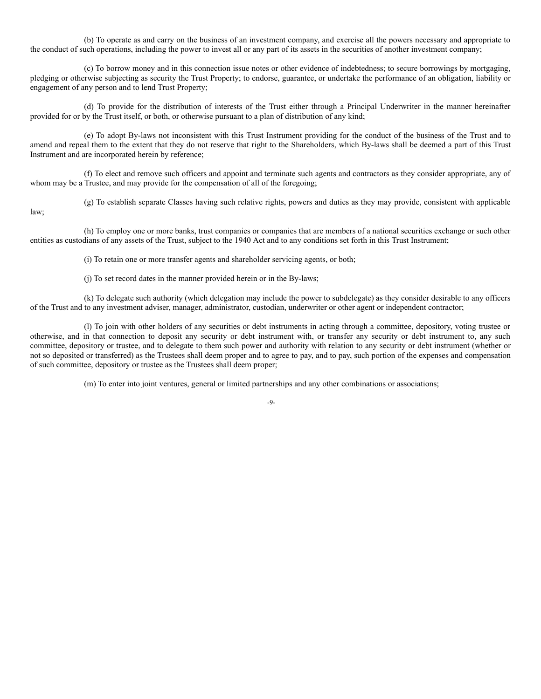(b) To operate as and carry on the business of an investment company, and exercise all the powers necessary and appropriate to the conduct of such operations, including the power to invest all or any part of its assets in the securities of another investment company;

(c) To borrow money and in this connection issue notes or other evidence of indebtedness; to secure borrowings by mortgaging, pledging or otherwise subjecting as security the Trust Property; to endorse, guarantee, or undertake the performance of an obligation, liability or engagement of any person and to lend Trust Property;

(d) To provide for the distribution of interests of the Trust either through a Principal Underwriter in the manner hereinafter provided for or by the Trust itself, or both, or otherwise pursuant to a plan of distribution of any kind;

(e) To adopt By-laws not inconsistent with this Trust Instrument providing for the conduct of the business of the Trust and to amend and repeal them to the extent that they do not reserve that right to the Shareholders, which By-laws shall be deemed a part of this Trust Instrument and are incorporated herein by reference;

(f) To elect and remove such officers and appoint and terminate such agents and contractors as they consider appropriate, any of whom may be a Trustee, and may provide for the compensation of all of the foregoing;

(g) To establish separate Classes having such relative rights, powers and duties as they may provide, consistent with applicable

law;

(h) To employ one or more banks, trust companies or companies that are members of a national securities exchange or such other entities as custodians of any assets of the Trust, subject to the 1940 Act and to any conditions set forth in this Trust Instrument;

(i) To retain one or more transfer agents and shareholder servicing agents, or both;

(j) To set record dates in the manner provided herein or in the By-laws;

(k) To delegate such authority (which delegation may include the power to subdelegate) as they consider desirable to any officers of the Trust and to any investment adviser, manager, administrator, custodian, underwriter or other agent or independent contractor;

(l) To join with other holders of any securities or debt instruments in acting through a committee, depository, voting trustee or otherwise, and in that connection to deposit any security or debt instrument with, or transfer any security or debt instrument to, any such committee, depository or trustee, and to delegate to them such power and authority with relation to any security or debt instrument (whether or not so deposited or transferred) as the Trustees shall deem proper and to agree to pay, and to pay, such portion of the expenses and compensation of such committee, depository or trustee as the Trustees shall deem proper;

(m) To enter into joint ventures, general or limited partnerships and any other combinations or associations;

 $-9-$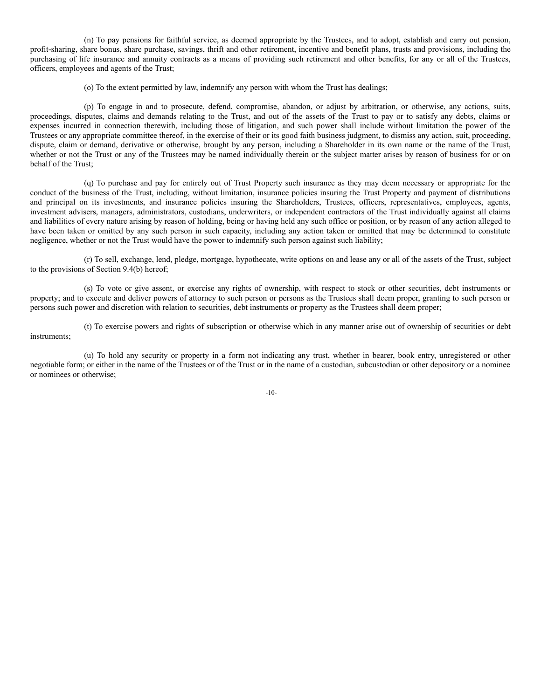(n) To pay pensions for faithful service, as deemed appropriate by the Trustees, and to adopt, establish and carry out pension, profit-sharing, share bonus, share purchase, savings, thrift and other retirement, incentive and benefit plans, trusts and provisions, including the purchasing of life insurance and annuity contracts as a means of providing such retirement and other benefits, for any or all of the Trustees, officers, employees and agents of the Trust;

(o) To the extent permitted by law, indemnify any person with whom the Trust has dealings;

(p) To engage in and to prosecute, defend, compromise, abandon, or adjust by arbitration, or otherwise, any actions, suits, proceedings, disputes, claims and demands relating to the Trust, and out of the assets of the Trust to pay or to satisfy any debts, claims or expenses incurred in connection therewith, including those of litigation, and such power shall include without limitation the power of the Trustees or any appropriate committee thereof, in the exercise of their or its good faith business judgment, to dismiss any action, suit, proceeding, dispute, claim or demand, derivative or otherwise, brought by any person, including a Shareholder in its own name or the name of the Trust, whether or not the Trust or any of the Trustees may be named individually therein or the subject matter arises by reason of business for or on behalf of the Trust;

(q) To purchase and pay for entirely out of Trust Property such insurance as they may deem necessary or appropriate for the conduct of the business of the Trust, including, without limitation, insurance policies insuring the Trust Property and payment of distributions and principal on its investments, and insurance policies insuring the Shareholders, Trustees, officers, representatives, employees, agents, investment advisers, managers, administrators, custodians, underwriters, or independent contractors of the Trust individually against all claims and liabilities of every nature arising by reason of holding, being or having held any such office or position, or by reason of any action alleged to have been taken or omitted by any such person in such capacity, including any action taken or omitted that may be determined to constitute negligence, whether or not the Trust would have the power to indemnify such person against such liability;

(r) To sell, exchange, lend, pledge, mortgage, hypothecate, write options on and lease any or all of the assets of the Trust, subject to the provisions of Section 9.4(b) hereof;

(s) To vote or give assent, or exercise any rights of ownership, with respect to stock or other securities, debt instruments or property; and to execute and deliver powers of attorney to such person or persons as the Trustees shall deem proper, granting to such person or persons such power and discretion with relation to securities, debt instruments or property as the Trustees shall deem proper;

(t) To exercise powers and rights of subscription or otherwise which in any manner arise out of ownership of securities or debt instruments;

(u) To hold any security or property in a form not indicating any trust, whether in bearer, book entry, unregistered or other negotiable form; or either in the name of the Trustees or of the Trust or in the name of a custodian, subcustodian or other depository or a nominee or nominees or otherwise;

-10-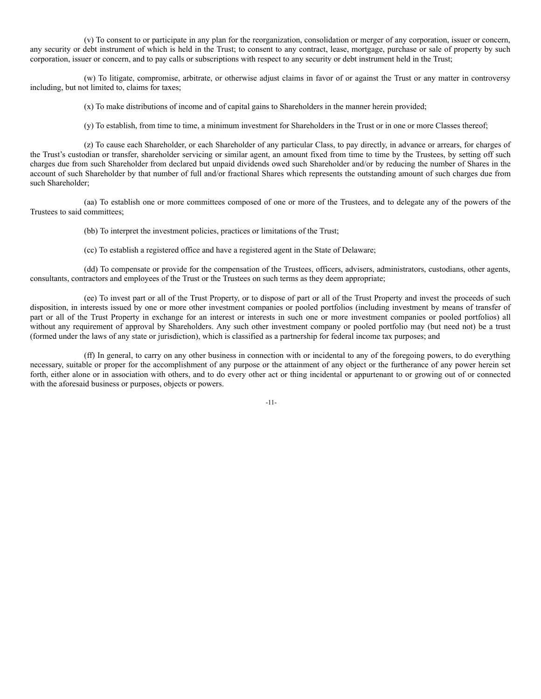(v) To consent to or participate in any plan for the reorganization, consolidation or merger of any corporation, issuer or concern, any security or debt instrument of which is held in the Trust; to consent to any contract, lease, mortgage, purchase or sale of property by such corporation, issuer or concern, and to pay calls or subscriptions with respect to any security or debt instrument held in the Trust;

(w) To litigate, compromise, arbitrate, or otherwise adjust claims in favor of or against the Trust or any matter in controversy including, but not limited to, claims for taxes;

(x) To make distributions of income and of capital gains to Shareholders in the manner herein provided;

(y) To establish, from time to time, a minimum investment for Shareholders in the Trust or in one or more Classes thereof;

(z) To cause each Shareholder, or each Shareholder of any particular Class, to pay directly, in advance or arrears, for charges of the Trust's custodian or transfer, shareholder servicing or similar agent, an amount fixed from time to time by the Trustees, by setting off such charges due from such Shareholder from declared but unpaid dividends owed such Shareholder and/or by reducing the number of Shares in the account of such Shareholder by that number of full and/or fractional Shares which represents the outstanding amount of such charges due from such Shareholder;

(aa) To establish one or more committees composed of one or more of the Trustees, and to delegate any of the powers of the Trustees to said committees;

(bb) To interpret the investment policies, practices or limitations of the Trust;

(cc) To establish a registered office and have a registered agent in the State of Delaware;

(dd) To compensate or provide for the compensation of the Trustees, officers, advisers, administrators, custodians, other agents, consultants, contractors and employees of the Trust or the Trustees on such terms as they deem appropriate;

(ee) To invest part or all of the Trust Property, or to dispose of part or all of the Trust Property and invest the proceeds of such disposition, in interests issued by one or more other investment companies or pooled portfolios (including investment by means of transfer of part or all of the Trust Property in exchange for an interest or interests in such one or more investment companies or pooled portfolios) all without any requirement of approval by Shareholders. Any such other investment company or pooled portfolio may (but need not) be a trust (formed under the laws of any state or jurisdiction), which is classified as a partnership for federal income tax purposes; and

(ff) In general, to carry on any other business in connection with or incidental to any of the foregoing powers, to do everything necessary, suitable or proper for the accomplishment of any purpose or the attainment of any object or the furtherance of any power herein set forth, either alone or in association with others, and to do every other act or thing incidental or appurtenant to or growing out of or connected with the aforesaid business or purposes, objects or powers.

-11-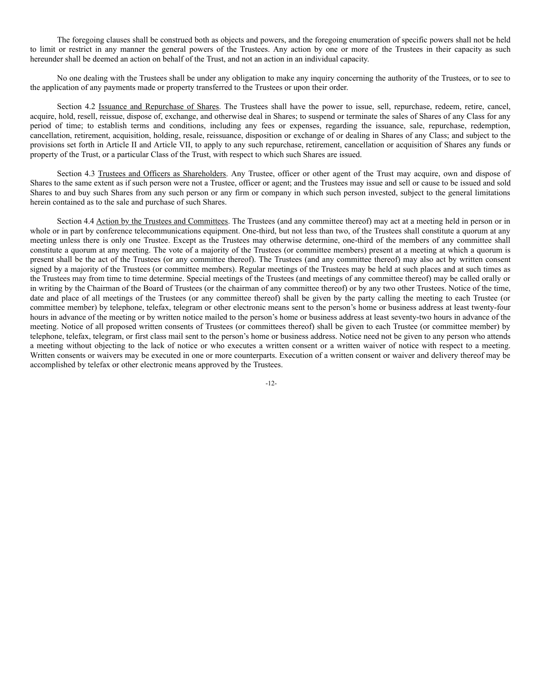The foregoing clauses shall be construed both as objects and powers, and the foregoing enumeration of specific powers shall not be held to limit or restrict in any manner the general powers of the Trustees. Any action by one or more of the Trustees in their capacity as such hereunder shall be deemed an action on behalf of the Trust, and not an action in an individual capacity.

No one dealing with the Trustees shall be under any obligation to make any inquiry concerning the authority of the Trustees, or to see to the application of any payments made or property transferred to the Trustees or upon their order.

Section 4.2 Issuance and Repurchase of Shares. The Trustees shall have the power to issue, sell, repurchase, redeem, retire, cancel, acquire, hold, resell, reissue, dispose of, exchange, and otherwise deal in Shares; to suspend or terminate the sales of Shares of any Class for any period of time; to establish terms and conditions, including any fees or expenses, regarding the issuance, sale, repurchase, redemption, cancellation, retirement, acquisition, holding, resale, reissuance, disposition or exchange of or dealing in Shares of any Class; and subject to the provisions set forth in Article II and Article VII, to apply to any such repurchase, retirement, cancellation or acquisition of Shares any funds or property of the Trust, or a particular Class of the Trust, with respect to which such Shares are issued.

Section 4.3 Trustees and Officers as Shareholders. Any Trustee, officer or other agent of the Trust may acquire, own and dispose of Shares to the same extent as if such person were not a Trustee, officer or agent; and the Trustees may issue and sell or cause to be issued and sold Shares to and buy such Shares from any such person or any firm or company in which such person invested, subject to the general limitations herein contained as to the sale and purchase of such Shares.

Section 4.4 Action by the Trustees and Committees. The Trustees (and any committee thereof) may act at a meeting held in person or in whole or in part by conference telecommunications equipment. One-third, but not less than two, of the Trustees shall constitute a quorum at any meeting unless there is only one Trustee. Except as the Trustees may otherwise determine, one-third of the members of any committee shall constitute a quorum at any meeting. The vote of a majority of the Trustees (or committee members) present at a meeting at which a quorum is present shall be the act of the Trustees (or any committee thereof). The Trustees (and any committee thereof) may also act by written consent signed by a majority of the Trustees (or committee members). Regular meetings of the Trustees may be held at such places and at such times as the Trustees may from time to time determine. Special meetings of the Trustees (and meetings of any committee thereof) may be called orally or in writing by the Chairman of the Board of Trustees (or the chairman of any committee thereof) or by any two other Trustees. Notice of the time, date and place of all meetings of the Trustees (or any committee thereof) shall be given by the party calling the meeting to each Trustee (or committee member) by telephone, telefax, telegram or other electronic means sent to the person's home or business address at least twenty-four hours in advance of the meeting or by written notice mailed to the person's home or business address at least seventy-two hours in advance of the meeting. Notice of all proposed written consents of Trustees (or committees thereof) shall be given to each Trustee (or committee member) by telephone, telefax, telegram, or first class mail sent to the person's home or business address. Notice need not be given to any person who attends a meeting without objecting to the lack of notice or who executes a written consent or a written waiver of notice with respect to a meeting. Written consents or waivers may be executed in one or more counterparts. Execution of a written consent or waiver and delivery thereof may be accomplished by telefax or other electronic means approved by the Trustees.

 $-12-$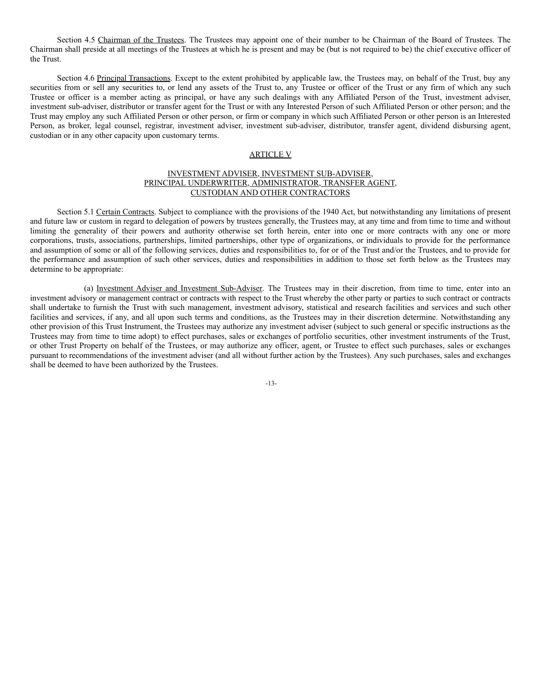Section 4.5 Chairman of the Trustees. The Trustees may appoint one of their number to be Chairman of the Board of Trustees. The Chairman shall preside at all meetings of the Trustees at which he is present and may be (but is not required to be) the chief executive officer of the Trust.

Section 4.6 Principal Transactions. Except to the extent prohibited by applicable law, the Trustees may, on behalf of the Trust, buy any securities from or sell any securities to, or lend any assets of the Trust to, any Trustee or officer of the Trust or any firm of which any such Trustee or officer is a member acting as principal, or have any such dealings with any Affiliated Person of the Trust, investment adviser, investment sub-adviser, distributor or transfer agent for the Trust or with any Interested Person of such Affiliated Person or other person; and the Trust may employ any such Affiliated Person or other person, or firm or company in which such Affiliated Person or other person is an Interested Person, as broker, legal counsel, registrar, investment adviser, investment sub-adviser, distributor, transfer agent, dividend disbursing agent, custodian or in any other capacity upon customary terms.

### ARTICLE V

### INVESTMENT ADVISER, INVESTMENT SUB-ADVISER, PRINCIPAL UNDERWRITER, ADMINISTRATOR, TRANSFER AGENT, CUSTODIAN AND OTHER CONTRACTORS

Section 5.1 Certain Contracts. Subject to compliance with the provisions of the 1940 Act, but notwithstanding any limitations of present and future law or custom in regard to delegation of powers by trustees generally, the Trustees may, at any time and from time to time and without limiting the generality of their powers and authority otherwise set forth herein, enter into one or more contracts with any one or more corporations, trusts, associations, partnerships, limited partnerships, other type of organizations, or individuals to provide for the performance and assumption of some or all of the following services, duties and responsibilities to, for or of the Trust and/or the Trustees, and to provide for the performance and assumption of such other services, duties and responsibilities in addition to those set forth below as the Trustees may determine to be appropriate:

(a) Investment Adviser and Investment Sub-Adviser. The Trustees may in their discretion, from time to time, enter into an investment advisory or management contract or contracts with respect to the Trust whereby the other party or parties to such contract or contracts shall undertake to furnish the Trust with such management, investment advisory, statistical and research facilities and services and such other facilities and services, if any, and all upon such terms and conditions, as the Trustees may in their discretion determine. Notwithstanding any other provision of this Trust Instrument, the Trustees may authorize any investment adviser (subject to such general or specific instructions as the Trustees may from time to time adopt) to effect purchases, sales or exchanges of portfolio securities, other investment instruments of the Trust, or other Trust Property on behalf of the Trustees, or may authorize any officer, agent, or Trustee to effect such purchases, sales or exchanges pursuant to recommendations of the investment adviser (and all without further action by the Trustees). Any such purchases, sales and exchanges shall be deemed to have been authorized by the Trustees.

-13-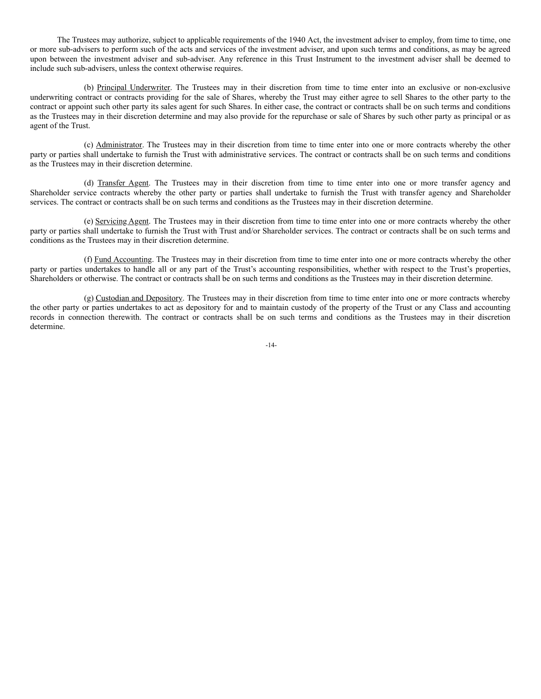The Trustees may authorize, subject to applicable requirements of the 1940 Act, the investment adviser to employ, from time to time, one or more sub-advisers to perform such of the acts and services of the investment adviser, and upon such terms and conditions, as may be agreed upon between the investment adviser and sub-adviser. Any reference in this Trust Instrument to the investment adviser shall be deemed to include such sub-advisers, unless the context otherwise requires.

(b) Principal Underwriter. The Trustees may in their discretion from time to time enter into an exclusive or non-exclusive underwriting contract or contracts providing for the sale of Shares, whereby the Trust may either agree to sell Shares to the other party to the contract or appoint such other party its sales agent for such Shares. In either case, the contract or contracts shall be on such terms and conditions as the Trustees may in their discretion determine and may also provide for the repurchase or sale of Shares by such other party as principal or as agent of the Trust.

(c) Administrator. The Trustees may in their discretion from time to time enter into one or more contracts whereby the other party or parties shall undertake to furnish the Trust with administrative services. The contract or contracts shall be on such terms and conditions as the Trustees may in their discretion determine.

(d) Transfer Agent. The Trustees may in their discretion from time to time enter into one or more transfer agency and Shareholder service contracts whereby the other party or parties shall undertake to furnish the Trust with transfer agency and Shareholder services. The contract or contracts shall be on such terms and conditions as the Trustees may in their discretion determine.

(e) Servicing Agent. The Trustees may in their discretion from time to time enter into one or more contracts whereby the other party or parties shall undertake to furnish the Trust with Trust and/or Shareholder services. The contract or contracts shall be on such terms and conditions as the Trustees may in their discretion determine.

(f) Fund Accounting. The Trustees may in their discretion from time to time enter into one or more contracts whereby the other party or parties undertakes to handle all or any part of the Trust's accounting responsibilities, whether with respect to the Trust's properties, Shareholders or otherwise. The contract or contracts shall be on such terms and conditions as the Trustees may in their discretion determine.

(g) Custodian and Depository. The Trustees may in their discretion from time to time enter into one or more contracts whereby the other party or parties undertakes to act as depository for and to maintain custody of the property of the Trust or any Class and accounting records in connection therewith. The contract or contracts shall be on such terms and conditions as the Trustees may in their discretion determine.

-14-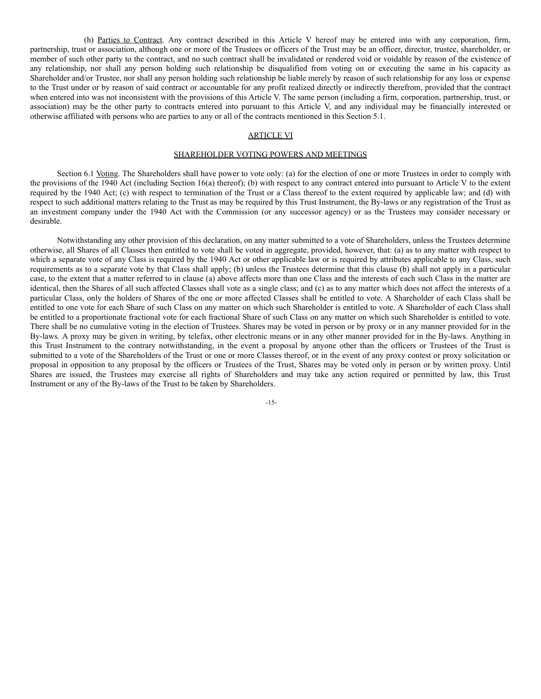(h) Parties to Contract. Any contract described in this Article V hereof may be entered into with any corporation, firm, partnership, trust or association, although one or more of the Trustees or officers of the Trust may be an officer, director, trustee, shareholder, or member of such other party to the contract, and no such contract shall be invalidated or rendered void or voidable by reason of the existence of any relationship, nor shall any person holding such relationship be disqualified from voting on or executing the same in his capacity as Shareholder and/or Trustee, nor shall any person holding such relationship be liable merely by reason of such relationship for any loss or expense to the Trust under or by reason of said contract or accountable for any profit realized directly or indirectly therefrom, provided that the contract when entered into was not inconsistent with the provisions of this Article V. The same person (including a firm, corporation, partnership, trust, or association) may be the other party to contracts entered into pursuant to this Article V, and any individual may be financially interested or otherwise affiliated with persons who are parties to any or all of the contracts mentioned in this Section 5.1.

### ARTICLE VI

### SHAREHOLDER VOTING POWERS AND MEETINGS

Section 6.1 Voting. The Shareholders shall have power to vote only: (a) for the election of one or more Trustees in order to comply with the provisions of the 1940 Act (including Section 16(a) thereof); (b) with respect to any contract entered into pursuant to Article V to the extent required by the 1940 Act; (c) with respect to termination of the Trust or a Class thereof to the extent required by applicable law; and (d) with respect to such additional matters relating to the Trust as may be required by this Trust Instrument, the By-laws or any registration of the Trust as an investment company under the 1940 Act with the Commission (or any successor agency) or as the Trustees may consider necessary or desirable.

Notwithstanding any other provision of this declaration, on any matter submitted to a vote of Shareholders, unless the Trustees determine otherwise, all Shares of all Classes then entitled to vote shall be voted in aggregate, provided, however, that: (a) as to any matter with respect to which a separate vote of any Class is required by the 1940 Act or other applicable law or is required by attributes applicable to any Class, such requirements as to a separate vote by that Class shall apply; (b) unless the Trustees determine that this clause (b) shall not apply in a particular case, to the extent that a matter referred to in clause (a) above affects more than one Class and the interests of each such Class in the matter are identical, then the Shares of all such affected Classes shall vote as a single class; and (c) as to any matter which does not affect the interests of a particular Class, only the holders of Shares of the one or more affected Classes shall be entitled to vote. A Shareholder of each Class shall be entitled to one vote for each Share of such Class on any matter on which such Shareholder is entitled to vote. A Shareholder of each Class shall be entitled to a proportionate fractional vote for each fractional Share of such Class on any matter on which such Shareholder is entitled to vote. There shall be no cumulative voting in the election of Trustees. Shares may be voted in person or by proxy or in any manner provided for in the By-laws. A proxy may be given in writing, by telefax, other electronic means or in any other manner provided for in the By-laws. Anything in this Trust Instrument to the contrary notwithstanding, in the event a proposal by anyone other than the officers or Trustees of the Trust is submitted to a vote of the Shareholders of the Trust or one or more Classes thereof, or in the event of any proxy contest or proxy solicitation or proposal in opposition to any proposal by the officers or Trustees of the Trust, Shares may be voted only in person or by written proxy. Until Shares are issued, the Trustees may exercise all rights of Shareholders and may take any action required or permitted by law, this Trust Instrument or any of the By-laws of the Trust to be taken by Shareholders.

-15-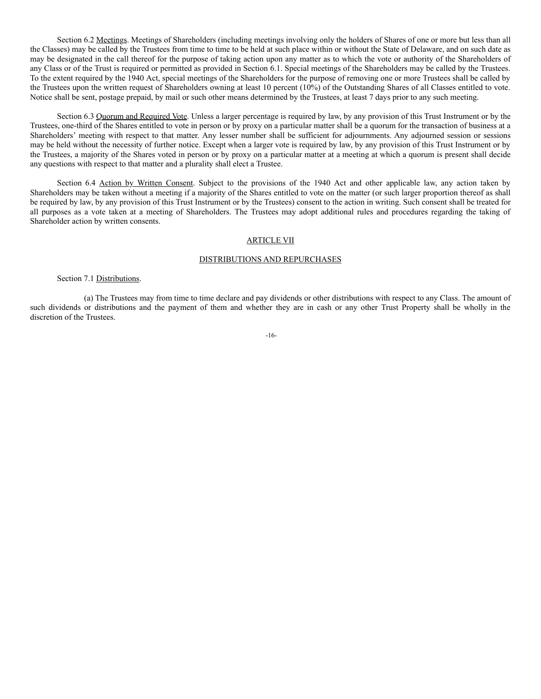Section 6.2 Meetings. Meetings of Shareholders (including meetings involving only the holders of Shares of one or more but less than all the Classes) may be called by the Trustees from time to time to be held at such place within or without the State of Delaware, and on such date as may be designated in the call thereof for the purpose of taking action upon any matter as to which the vote or authority of the Shareholders of any Class or of the Trust is required or permitted as provided in Section 6.1. Special meetings of the Shareholders may be called by the Trustees. To the extent required by the 1940 Act, special meetings of the Shareholders for the purpose of removing one or more Trustees shall be called by the Trustees upon the written request of Shareholders owning at least 10 percent (10%) of the Outstanding Shares of all Classes entitled to vote. Notice shall be sent, postage prepaid, by mail or such other means determined by the Trustees, at least 7 days prior to any such meeting.

Section 6.3 Quorum and Required Vote. Unless a larger percentage is required by law, by any provision of this Trust Instrument or by the Trustees, one-third of the Shares entitled to vote in person or by proxy on a particular matter shall be a quorum for the transaction of business at a Shareholders' meeting with respect to that matter. Any lesser number shall be sufficient for adjournments. Any adjourned session or sessions may be held without the necessity of further notice. Except when a larger vote is required by law, by any provision of this Trust Instrument or by the Trustees, a majority of the Shares voted in person or by proxy on a particular matter at a meeting at which a quorum is present shall decide any questions with respect to that matter and a plurality shall elect a Trustee.

Section 6.4 Action by Written Consent. Subject to the provisions of the 1940 Act and other applicable law, any action taken by Shareholders may be taken without a meeting if a majority of the Shares entitled to vote on the matter (or such larger proportion thereof as shall be required by law, by any provision of this Trust Instrument or by the Trustees) consent to the action in writing. Such consent shall be treated for all purposes as a vote taken at a meeting of Shareholders. The Trustees may adopt additional rules and procedures regarding the taking of Shareholder action by written consents.

#### ARTICLE VII

#### DISTRIBUTIONS AND REPURCHASES

#### Section 7.1 Distributions.

(a) The Trustees may from time to time declare and pay dividends or other distributions with respect to any Class. The amount of such dividends or distributions and the payment of them and whether they are in cash or any other Trust Property shall be wholly in the discretion of the Trustees.

#### -16-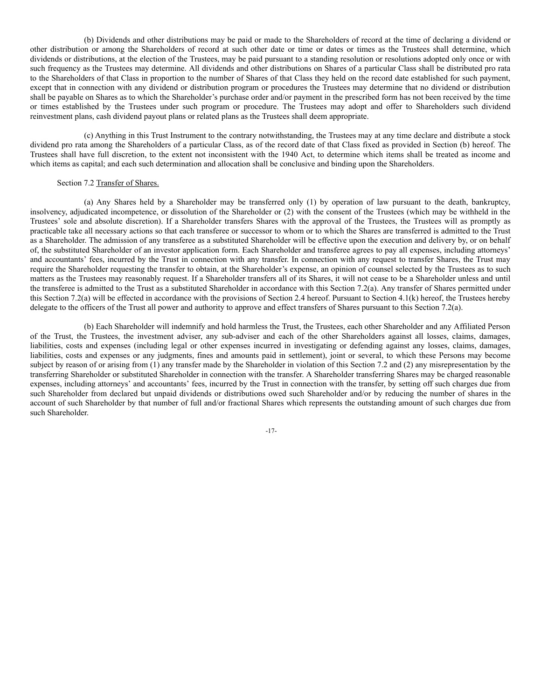(b) Dividends and other distributions may be paid or made to the Shareholders of record at the time of declaring a dividend or other distribution or among the Shareholders of record at such other date or time or dates or times as the Trustees shall determine, which dividends or distributions, at the election of the Trustees, may be paid pursuant to a standing resolution or resolutions adopted only once or with such frequency as the Trustees may determine. All dividends and other distributions on Shares of a particular Class shall be distributed pro rata to the Shareholders of that Class in proportion to the number of Shares of that Class they held on the record date established for such payment, except that in connection with any dividend or distribution program or procedures the Trustees may determine that no dividend or distribution shall be payable on Shares as to which the Shareholder's purchase order and/or payment in the prescribed form has not been received by the time or times established by the Trustees under such program or procedure. The Trustees may adopt and offer to Shareholders such dividend reinvestment plans, cash dividend payout plans or related plans as the Trustees shall deem appropriate.

(c) Anything in this Trust Instrument to the contrary notwithstanding, the Trustees may at any time declare and distribute a stock dividend pro rata among the Shareholders of a particular Class, as of the record date of that Class fixed as provided in Section (b) hereof. The Trustees shall have full discretion, to the extent not inconsistent with the 1940 Act, to determine which items shall be treated as income and which items as capital; and each such determination and allocation shall be conclusive and binding upon the Shareholders.

#### Section 7.2 Transfer of Shares.

(a) Any Shares held by a Shareholder may be transferred only (1) by operation of law pursuant to the death, bankruptcy, insolvency, adjudicated incompetence, or dissolution of the Shareholder or (2) with the consent of the Trustees (which may be withheld in the Trustees' sole and absolute discretion). If a Shareholder transfers Shares with the approval of the Trustees, the Trustees will as promptly as practicable take all necessary actions so that each transferee or successor to whom or to which the Shares are transferred is admitted to the Trust as a Shareholder. The admission of any transferee as a substituted Shareholder will be effective upon the execution and delivery by, or on behalf of, the substituted Shareholder of an investor application form. Each Shareholder and transferee agrees to pay all expenses, including attorneys' and accountants' fees, incurred by the Trust in connection with any transfer. In connection with any request to transfer Shares, the Trust may require the Shareholder requesting the transfer to obtain, at the Shareholder's expense, an opinion of counsel selected by the Trustees as to such matters as the Trustees may reasonably request. If a Shareholder transfers all of its Shares, it will not cease to be a Shareholder unless and until the transferee is admitted to the Trust as a substituted Shareholder in accordance with this Section 7.2(a). Any transfer of Shares permitted under this Section 7.2(a) will be effected in accordance with the provisions of Section 2.4 hereof. Pursuant to Section 4.1(k) hereof, the Trustees hereby delegate to the officers of the Trust all power and authority to approve and effect transfers of Shares pursuant to this Section 7.2(a).

(b) Each Shareholder will indemnify and hold harmless the Trust, the Trustees, each other Shareholder and any Affiliated Person of the Trust, the Trustees, the investment adviser, any sub-adviser and each of the other Shareholders against all losses, claims, damages, liabilities, costs and expenses (including legal or other expenses incurred in investigating or defending against any losses, claims, damages, liabilities, costs and expenses or any judgments, fines and amounts paid in settlement), joint or several, to which these Persons may become subject by reason of or arising from (1) any transfer made by the Shareholder in violation of this Section 7.2 and (2) any misrepresentation by the transferring Shareholder or substituted Shareholder in connection with the transfer. A Shareholder transferring Shares may be charged reasonable expenses, including attorneys' and accountants' fees, incurred by the Trust in connection with the transfer, by setting off such charges due from such Shareholder from declared but unpaid dividends or distributions owed such Shareholder and/or by reducing the number of shares in the account of such Shareholder by that number of full and/or fractional Shares which represents the outstanding amount of such charges due from such Shareholder.

-17-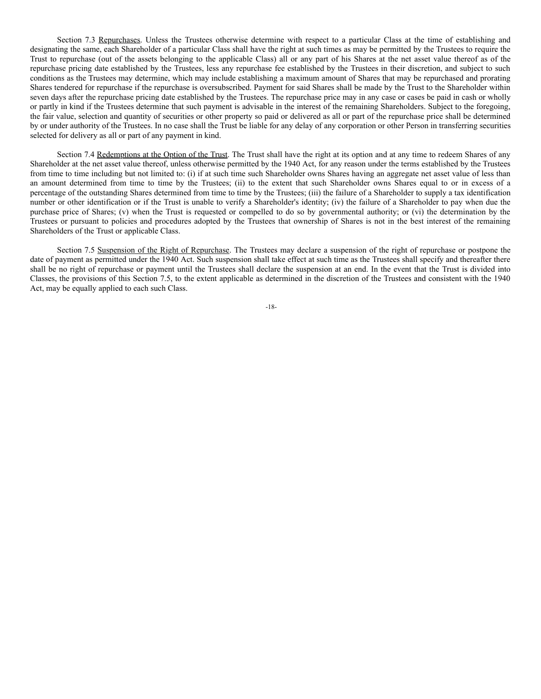Section 7.3 Repurchases. Unless the Trustees otherwise determine with respect to a particular Class at the time of establishing and designating the same, each Shareholder of a particular Class shall have the right at such times as may be permitted by the Trustees to require the Trust to repurchase (out of the assets belonging to the applicable Class) all or any part of his Shares at the net asset value thereof as of the repurchase pricing date established by the Trustees, less any repurchase fee established by the Trustees in their discretion, and subject to such conditions as the Trustees may determine, which may include establishing a maximum amount of Shares that may be repurchased and prorating Shares tendered for repurchase if the repurchase is oversubscribed. Payment for said Shares shall be made by the Trust to the Shareholder within seven days after the repurchase pricing date established by the Trustees. The repurchase price may in any case or cases be paid in cash or wholly or partly in kind if the Trustees determine that such payment is advisable in the interest of the remaining Shareholders. Subject to the foregoing, the fair value, selection and quantity of securities or other property so paid or delivered as all or part of the repurchase price shall be determined by or under authority of the Trustees. In no case shall the Trust be liable for any delay of any corporation or other Person in transferring securities selected for delivery as all or part of any payment in kind.

Section 7.4 Redemptions at the Option of the Trust. The Trust shall have the right at its option and at any time to redeem Shares of any Shareholder at the net asset value thereof, unless otherwise permitted by the 1940 Act, for any reason under the terms established by the Trustees from time to time including but not limited to: (i) if at such time such Shareholder owns Shares having an aggregate net asset value of less than an amount determined from time to time by the Trustees; (ii) to the extent that such Shareholder owns Shares equal to or in excess of a percentage of the outstanding Shares determined from time to time by the Trustees; (iii) the failure of a Shareholder to supply a tax identification number or other identification or if the Trust is unable to verify a Shareholder's identity; (iv) the failure of a Shareholder to pay when due the purchase price of Shares; (v) when the Trust is requested or compelled to do so by governmental authority; or (vi) the determination by the Trustees or pursuant to policies and procedures adopted by the Trustees that ownership of Shares is not in the best interest of the remaining Shareholders of the Trust or applicable Class.

Section 7.5 Suspension of the Right of Repurchase. The Trustees may declare a suspension of the right of repurchase or postpone the date of payment as permitted under the 1940 Act. Such suspension shall take effect at such time as the Trustees shall specify and thereafter there shall be no right of repurchase or payment until the Trustees shall declare the suspension at an end. In the event that the Trust is divided into Classes, the provisions of this Section 7.5, to the extent applicable as determined in the discretion of the Trustees and consistent with the 1940 Act, may be equally applied to each such Class.

-18-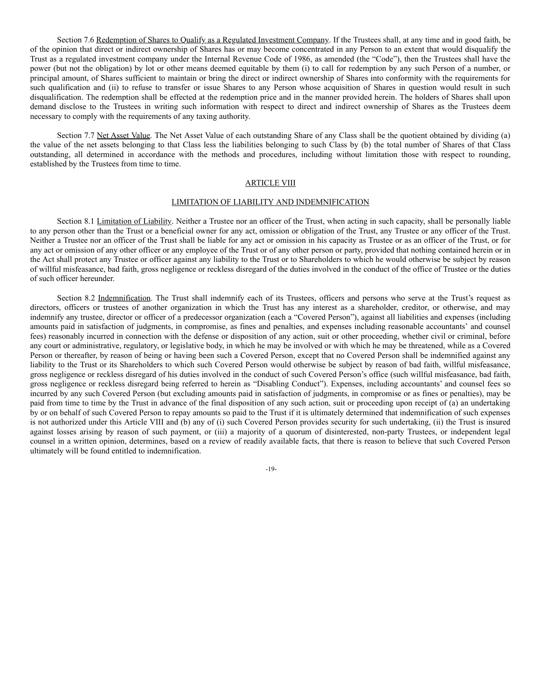Section 7.6 Redemption of Shares to Qualify as a Regulated Investment Company. If the Trustees shall, at any time and in good faith, be of the opinion that direct or indirect ownership of Shares has or may become concentrated in any Person to an extent that would disqualify the Trust as a regulated investment company under the Internal Revenue Code of 1986, as amended (the "Code"), then the Trustees shall have the power (but not the obligation) by lot or other means deemed equitable by them (i) to call for redemption by any such Person of a number, or principal amount, of Shares sufficient to maintain or bring the direct or indirect ownership of Shares into conformity with the requirements for such qualification and (ii) to refuse to transfer or issue Shares to any Person whose acquisition of Shares in question would result in such disqualification. The redemption shall be effected at the redemption price and in the manner provided herein. The holders of Shares shall upon demand disclose to the Trustees in writing such information with respect to direct and indirect ownership of Shares as the Trustees deem necessary to comply with the requirements of any taxing authority.

Section 7.7 Net Asset Value. The Net Asset Value of each outstanding Share of any Class shall be the quotient obtained by dividing (a) the value of the net assets belonging to that Class less the liabilities belonging to such Class by (b) the total number of Shares of that Class outstanding, all determined in accordance with the methods and procedures, including without limitation those with respect to rounding, established by the Trustees from time to time.

### ARTICLE VIII

### LIMITATION OF LIABILITY AND INDEMNIFICATION

Section 8.1 Limitation of Liability. Neither a Trustee nor an officer of the Trust, when acting in such capacity, shall be personally liable to any person other than the Trust or a beneficial owner for any act, omission or obligation of the Trust, any Trustee or any officer of the Trust. Neither a Trustee nor an officer of the Trust shall be liable for any act or omission in his capacity as Trustee or as an officer of the Trust, or for any act or omission of any other officer or any employee of the Trust or of any other person or party, provided that nothing contained herein or in the Act shall protect any Trustee or officer against any liability to the Trust or to Shareholders to which he would otherwise be subject by reason of willful misfeasance, bad faith, gross negligence or reckless disregard of the duties involved in the conduct of the office of Trustee or the duties of such officer hereunder.

Section 8.2 Indemnification. The Trust shall indemnify each of its Trustees, officers and persons who serve at the Trust's request as directors, officers or trustees of another organization in which the Trust has any interest as a shareholder, creditor, or otherwise, and may indemnify any trustee, director or officer of a predecessor organization (each a "Covered Person"), against all liabilities and expenses (including amounts paid in satisfaction of judgments, in compromise, as fines and penalties, and expenses including reasonable accountants' and counsel fees) reasonably incurred in connection with the defense or disposition of any action, suit or other proceeding, whether civil or criminal, before any court or administrative, regulatory, or legislative body, in which he may be involved or with which he may be threatened, while as a Covered Person or thereafter, by reason of being or having been such a Covered Person, except that no Covered Person shall be indemnified against any liability to the Trust or its Shareholders to which such Covered Person would otherwise be subject by reason of bad faith, willful misfeasance, gross negligence or reckless disregard of his duties involved in the conduct of such Covered Person's office (such willful misfeasance, bad faith, gross negligence or reckless disregard being referred to herein as "Disabling Conduct"). Expenses, including accountants' and counsel fees so incurred by any such Covered Person (but excluding amounts paid in satisfaction of judgments, in compromise or as fines or penalties), may be paid from time to time by the Trust in advance of the final disposition of any such action, suit or proceeding upon receipt of (a) an undertaking by or on behalf of such Covered Person to repay amounts so paid to the Trust if it is ultimately determined that indemnification of such expenses is not authorized under this Article VIII and (b) any of (i) such Covered Person provides security for such undertaking, (ii) the Trust is insured against losses arising by reason of such payment, or (iii) a majority of a quorum of disinterested, non-party Trustees, or independent legal counsel in a written opinion, determines, based on a review of readily available facts, that there is reason to believe that such Covered Person ultimately will be found entitled to indemnification.

-19-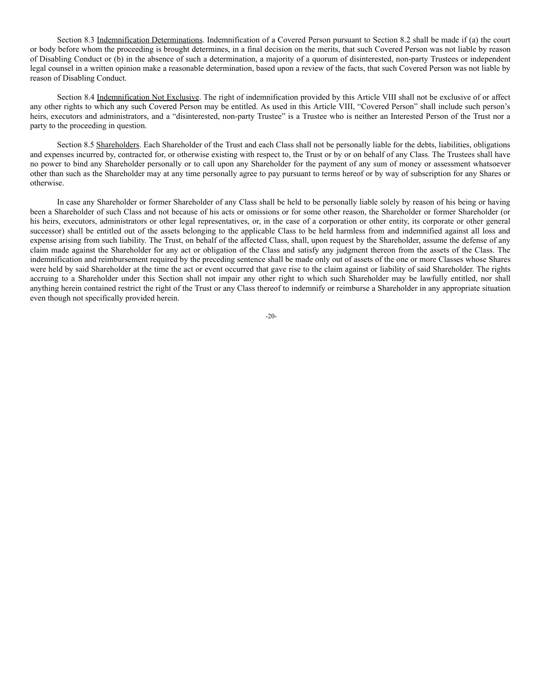Section 8.3 Indemnification Determinations. Indemnification of a Covered Person pursuant to Section 8.2 shall be made if (a) the court or body before whom the proceeding is brought determines, in a final decision on the merits, that such Covered Person was not liable by reason of Disabling Conduct or (b) in the absence of such a determination, a majority of a quorum of disinterested, non-party Trustees or independent legal counsel in a written opinion make a reasonable determination, based upon a review of the facts, that such Covered Person was not liable by reason of Disabling Conduct.

Section 8.4 Indemnification Not Exclusive. The right of indemnification provided by this Article VIII shall not be exclusive of or affect any other rights to which any such Covered Person may be entitled. As used in this Article VIII, "Covered Person" shall include such person's heirs, executors and administrators, and a "disinterested, non-party Trustee" is a Trustee who is neither an Interested Person of the Trust nor a party to the proceeding in question.

Section 8.5 Shareholders. Each Shareholder of the Trust and each Class shall not be personally liable for the debts, liabilities, obligations and expenses incurred by, contracted for, or otherwise existing with respect to, the Trust or by or on behalf of any Class. The Trustees shall have no power to bind any Shareholder personally or to call upon any Shareholder for the payment of any sum of money or assessment whatsoever other than such as the Shareholder may at any time personally agree to pay pursuant to terms hereof or by way of subscription for any Shares or otherwise.

In case any Shareholder or former Shareholder of any Class shall be held to be personally liable solely by reason of his being or having been a Shareholder of such Class and not because of his acts or omissions or for some other reason, the Shareholder or former Shareholder (or his heirs, executors, administrators or other legal representatives, or, in the case of a corporation or other entity, its corporate or other general successor) shall be entitled out of the assets belonging to the applicable Class to be held harmless from and indemnified against all loss and expense arising from such liability. The Trust, on behalf of the affected Class, shall, upon request by the Shareholder, assume the defense of any claim made against the Shareholder for any act or obligation of the Class and satisfy any judgment thereon from the assets of the Class. The indemnification and reimbursement required by the preceding sentence shall be made only out of assets of the one or more Classes whose Shares were held by said Shareholder at the time the act or event occurred that gave rise to the claim against or liability of said Shareholder. The rights accruing to a Shareholder under this Section shall not impair any other right to which such Shareholder may be lawfully entitled, nor shall anything herein contained restrict the right of the Trust or any Class thereof to indemnify or reimburse a Shareholder in any appropriate situation even though not specifically provided herein.

-20-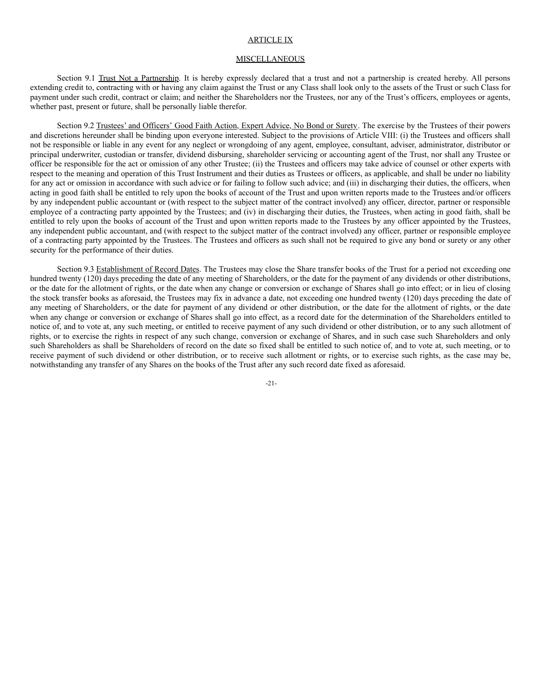#### ARTICLE IX

#### **MISCELLANEOUS**

Section 9.1 Trust Not a Partnership. It is hereby expressly declared that a trust and not a partnership is created hereby. All persons extending credit to, contracting with or having any claim against the Trust or any Class shall look only to the assets of the Trust or such Class for payment under such credit, contract or claim; and neither the Shareholders nor the Trustees, nor any of the Trust's officers, employees or agents, whether past, present or future, shall be personally liable therefor.

Section 9.2 Trustees' and Officers' Good Faith Action, Expert Advice, No Bond or Surety. The exercise by the Trustees of their powers and discretions hereunder shall be binding upon everyone interested. Subject to the provisions of Article VIII: (i) the Trustees and officers shall not be responsible or liable in any event for any neglect or wrongdoing of any agent, employee, consultant, adviser, administrator, distributor or principal underwriter, custodian or transfer, dividend disbursing, shareholder servicing or accounting agent of the Trust, nor shall any Trustee or officer be responsible for the act or omission of any other Trustee; (ii) the Trustees and officers may take advice of counsel or other experts with respect to the meaning and operation of this Trust Instrument and their duties as Trustees or officers, as applicable, and shall be under no liability for any act or omission in accordance with such advice or for failing to follow such advice; and (iii) in discharging their duties, the officers, when acting in good faith shall be entitled to rely upon the books of account of the Trust and upon written reports made to the Trustees and/or officers by any independent public accountant or (with respect to the subject matter of the contract involved) any officer, director, partner or responsible employee of a contracting party appointed by the Trustees; and (iv) in discharging their duties, the Trustees, when acting in good faith, shall be entitled to rely upon the books of account of the Trust and upon written reports made to the Trustees by any officer appointed by the Trustees, any independent public accountant, and (with respect to the subject matter of the contract involved) any officer, partner or responsible employee of a contracting party appointed by the Trustees. The Trustees and officers as such shall not be required to give any bond or surety or any other security for the performance of their duties.

Section 9.3 Establishment of Record Dates. The Trustees may close the Share transfer books of the Trust for a period not exceeding one hundred twenty (120) days preceding the date of any meeting of Shareholders, or the date for the payment of any dividends or other distributions, or the date for the allotment of rights, or the date when any change or conversion or exchange of Shares shall go into effect; or in lieu of closing the stock transfer books as aforesaid, the Trustees may fix in advance a date, not exceeding one hundred twenty (120) days preceding the date of any meeting of Shareholders, or the date for payment of any dividend or other distribution, or the date for the allotment of rights, or the date when any change or conversion or exchange of Shares shall go into effect, as a record date for the determination of the Shareholders entitled to notice of, and to vote at, any such meeting, or entitled to receive payment of any such dividend or other distribution, or to any such allotment of rights, or to exercise the rights in respect of any such change, conversion or exchange of Shares, and in such case such Shareholders and only such Shareholders as shall be Shareholders of record on the date so fixed shall be entitled to such notice of, and to vote at, such meeting, or to receive payment of such dividend or other distribution, or to receive such allotment or rights, or to exercise such rights, as the case may be, notwithstanding any transfer of any Shares on the books of the Trust after any such record date fixed as aforesaid.

-21-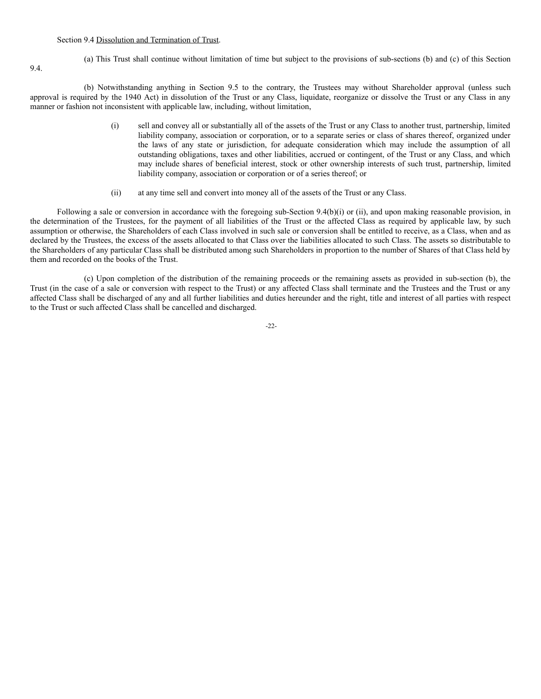#### Section 9.4 Dissolution and Termination of Trust.

9.4.

(a) This Trust shall continue without limitation of time but subject to the provisions of sub-sections (b) and (c) of this Section

(b) Notwithstanding anything in Section 9.5 to the contrary, the Trustees may without Shareholder approval (unless such approval is required by the 1940 Act) in dissolution of the Trust or any Class, liquidate, reorganize or dissolve the Trust or any Class in any manner or fashion not inconsistent with applicable law, including, without limitation,

- (i) sell and convey all or substantially all of the assets of the Trust or any Class to another trust, partnership, limited liability company, association or corporation, or to a separate series or class of shares thereof, organized under the laws of any state or jurisdiction, for adequate consideration which may include the assumption of all outstanding obligations, taxes and other liabilities, accrued or contingent, of the Trust or any Class, and which may include shares of beneficial interest, stock or other ownership interests of such trust, partnership, limited liability company, association or corporation or of a series thereof; or
- (ii) at any time sell and convert into money all of the assets of the Trust or any Class.

Following a sale or conversion in accordance with the foregoing sub-Section 9.4(b)(i) or (ii), and upon making reasonable provision, in the determination of the Trustees, for the payment of all liabilities of the Trust or the affected Class as required by applicable law, by such assumption or otherwise, the Shareholders of each Class involved in such sale or conversion shall be entitled to receive, as a Class, when and as declared by the Trustees, the excess of the assets allocated to that Class over the liabilities allocated to such Class. The assets so distributable to the Shareholders of any particular Class shall be distributed among such Shareholders in proportion to the number of Shares of that Class held by them and recorded on the books of the Trust.

(c) Upon completion of the distribution of the remaining proceeds or the remaining assets as provided in sub-section (b), the Trust (in the case of a sale or conversion with respect to the Trust) or any affected Class shall terminate and the Trustees and the Trust or any affected Class shall be discharged of any and all further liabilities and duties hereunder and the right, title and interest of all parties with respect to the Trust or such affected Class shall be cancelled and discharged.

-22-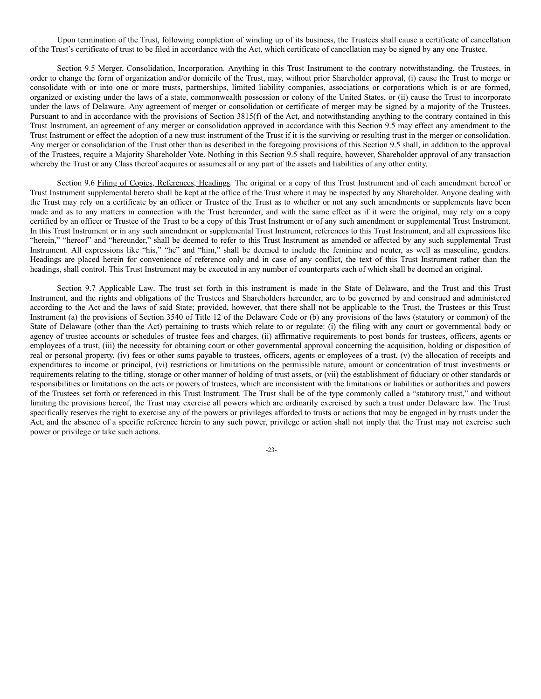Upon termination of the Trust, following completion of winding up of its business, the Trustees shall cause a certificate of cancellation of the Trust's certificate of trust to be filed in accordance with the Act, which certificate of cancellation may be signed by any one Trustee.

Section 9.5 Merger, Consolidation, Incorporation. Anything in this Trust Instrument to the contrary notwithstanding, the Trustees, in order to change the form of organization and/or domicile of the Trust, may, without prior Shareholder approval, (i) cause the Trust to merge or consolidate with or into one or more trusts, partnerships, limited liability companies, associations or corporations which is or are formed, organized or existing under the laws of a state, commonwealth possession or colony of the United States, or (ii) cause the Trust to incorporate under the laws of Delaware. Any agreement of merger or consolidation or certificate of merger may be signed by a majority of the Trustees. Pursuant to and in accordance with the provisions of Section 3815(f) of the Act, and notwithstanding anything to the contrary contained in this Trust Instrument, an agreement of any merger or consolidation approved in accordance with this Section 9.5 may effect any amendment to the Trust Instrument or effect the adoption of a new trust instrument of the Trust if it is the surviving or resulting trust in the merger or consolidation. Any merger or consolidation of the Trust other than as described in the foregoing provisions of this Section 9.5 shall, in addition to the approval of the Trustees, require a Majority Shareholder Vote. Nothing in this Section 9.5 shall require, however, Shareholder approval of any transaction whereby the Trust or any Class thereof acquires or assumes all or any part of the assets and liabilities of any other entity.

Section 9.6 Filing of Copies, References, Headings. The original or a copy of this Trust Instrument and of each amendment hereof or Trust Instrument supplemental hereto shall be kept at the office of the Trust where it may be inspected by any Shareholder. Anyone dealing with the Trust may rely on a certificate by an officer or Trustee of the Trust as to whether or not any such amendments or supplements have been made and as to any matters in connection with the Trust hereunder, and with the same effect as if it were the original, may rely on a copy certified by an officer or Trustee of the Trust to be a copy of this Trust Instrument or of any such amendment or supplemental Trust Instrument. In this Trust Instrument or in any such amendment or supplemental Trust Instrument, references to this Trust Instrument, and all expressions like "herein," "hereof" and "hereunder," shall be deemed to refer to this Trust Instrument as amended or affected by any such supplemental Trust Instrument. All expressions like "his," "he" and "him," shall be deemed to include the feminine and neuter, as well as masculine, genders. Headings are placed herein for convenience of reference only and in case of any conflict, the text of this Trust Instrument rather than the headings, shall control. This Trust Instrument may be executed in any number of counterparts each of which shall be deemed an original.

Section 9.7 Applicable Law. The trust set forth in this instrument is made in the State of Delaware, and the Trust and this Trust Instrument, and the rights and obligations of the Trustees and Shareholders hereunder, are to be governed by and construed and administered according to the Act and the laws of said State; provided, however, that there shall not be applicable to the Trust, the Trustees or this Trust Instrument (a) the provisions of Section 3540 of Title 12 of the Delaware Code or (b) any provisions of the laws (statutory or common) of the State of Delaware (other than the Act) pertaining to trusts which relate to or regulate: (i) the filing with any court or governmental body or agency of trustee accounts or schedules of trustee fees and charges, (ii) affirmative requirements to post bonds for trustees, officers, agents or employees of a trust, (iii) the necessity for obtaining court or other governmental approval concerning the acquisition, holding or disposition of real or personal property, (iv) fees or other sums payable to trustees, officers, agents or employees of a trust, (v) the allocation of receipts and expenditures to income or principal, (vi) restrictions or limitations on the permissible nature, amount or concentration of trust investments or requirements relating to the titling, storage or other manner of holding of trust assets, or (vii) the establishment of fiduciary or other standards or responsibilities or limitations on the acts or powers of trustees, which are inconsistent with the limitations or liabilities or authorities and powers of the Trustees set forth or referenced in this Trust Instrument. The Trust shall be of the type commonly called a "statutory trust," and without limiting the provisions hereof, the Trust may exercise all powers which are ordinarily exercised by such a trust under Delaware law. The Trust specifically reserves the right to exercise any of the powers or privileges afforded to trusts or actions that may be engaged in by trusts under the Act, and the absence of a specific reference herein to any such power, privilege or action shall not imply that the Trust may not exercise such power or privilege or take such actions.

-23-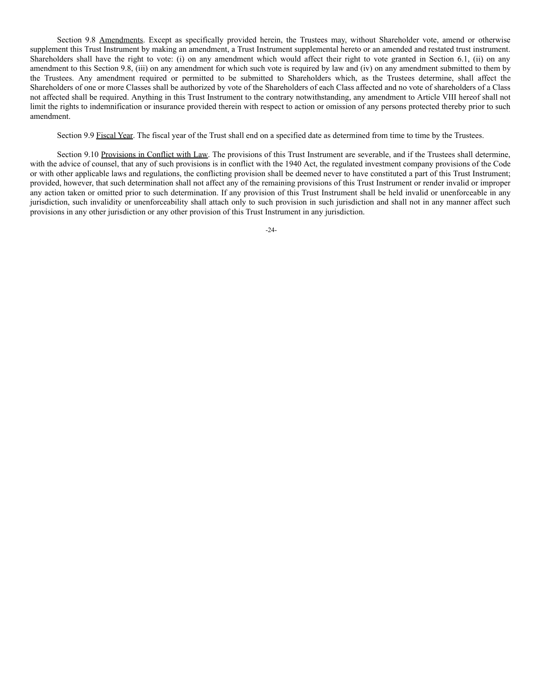Section 9.8 Amendments. Except as specifically provided herein, the Trustees may, without Shareholder vote, amend or otherwise supplement this Trust Instrument by making an amendment, a Trust Instrument supplemental hereto or an amended and restated trust instrument. Shareholders shall have the right to vote: (i) on any amendment which would affect their right to vote granted in Section 6.1, (ii) on any amendment to this Section 9.8, (iii) on any amendment for which such vote is required by law and (iv) on any amendment submitted to them by the Trustees. Any amendment required or permitted to be submitted to Shareholders which, as the Trustees determine, shall affect the Shareholders of one or more Classes shall be authorized by vote of the Shareholders of each Class affected and no vote of shareholders of a Class not affected shall be required. Anything in this Trust Instrument to the contrary notwithstanding, any amendment to Article VIII hereof shall not limit the rights to indemnification or insurance provided therein with respect to action or omission of any persons protected thereby prior to such amendment.

Section 9.9 Fiscal Year. The fiscal year of the Trust shall end on a specified date as determined from time to time by the Trustees.

Section 9.10 Provisions in Conflict with Law. The provisions of this Trust Instrument are severable, and if the Trustees shall determine, with the advice of counsel, that any of such provisions is in conflict with the 1940 Act, the regulated investment company provisions of the Code or with other applicable laws and regulations, the conflicting provision shall be deemed never to have constituted a part of this Trust Instrument; provided, however, that such determination shall not affect any of the remaining provisions of this Trust Instrument or render invalid or improper any action taken or omitted prior to such determination. If any provision of this Trust Instrument shall be held invalid or unenforceable in any jurisdiction, such invalidity or unenforceability shall attach only to such provision in such jurisdiction and shall not in any manner affect such provisions in any other jurisdiction or any other provision of this Trust Instrument in any jurisdiction.

-24-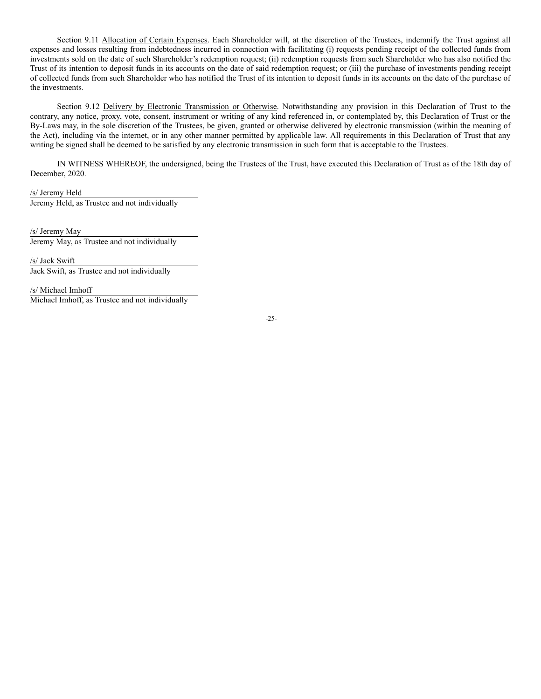Section 9.11 Allocation of Certain Expenses. Each Shareholder will, at the discretion of the Trustees, indemnify the Trust against all expenses and losses resulting from indebtedness incurred in connection with facilitating (i) requests pending receipt of the collected funds from investments sold on the date of such Shareholder's redemption request; (ii) redemption requests from such Shareholder who has also notified the Trust of its intention to deposit funds in its accounts on the date of said redemption request; or (iii) the purchase of investments pending receipt of collected funds from such Shareholder who has notified the Trust of its intention to deposit funds in its accounts on the date of the purchase of the investments.

Section 9.12 Delivery by Electronic Transmission or Otherwise. Notwithstanding any provision in this Declaration of Trust to the contrary, any notice, proxy, vote, consent, instrument or writing of any kind referenced in, or contemplated by, this Declaration of Trust or the By-Laws may, in the sole discretion of the Trustees, be given, granted or otherwise delivered by electronic transmission (within the meaning of the Act), including via the internet, or in any other manner permitted by applicable law. All requirements in this Declaration of Trust that any writing be signed shall be deemed to be satisfied by any electronic transmission in such form that is acceptable to the Trustees.

IN WITNESS WHEREOF, the undersigned, being the Trustees of the Trust, have executed this Declaration of Trust as of the 18th day of December, 2020.

/s/ Jeremy Held Jeremy Held, as Trustee and not individually

/s/ Jeremy May Jeremy May, as Trustee and not individually

/s/ Jack Swift Jack Swift, as Trustee and not individually

/s/ Michael Imhoff Michael Imhoff, as Trustee and not individually

-25-